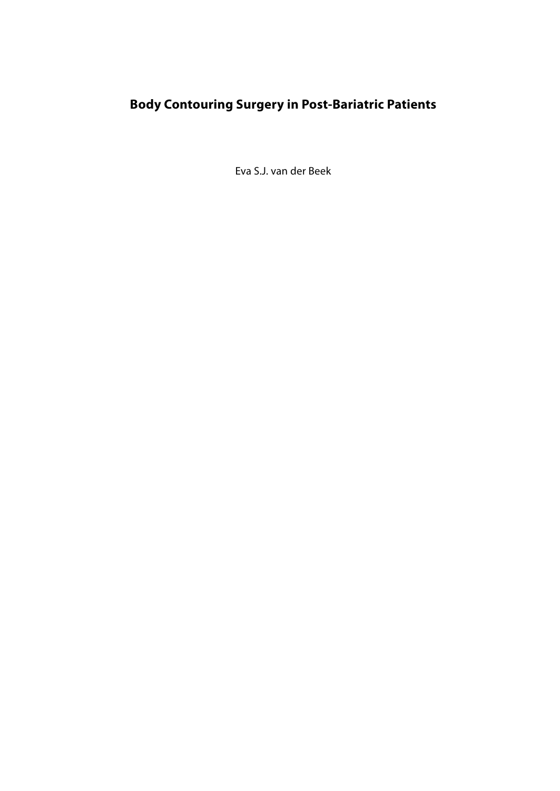### **Body Contouring Surgery in Post-Bariatric Patients**

Eva S.J. van der Beek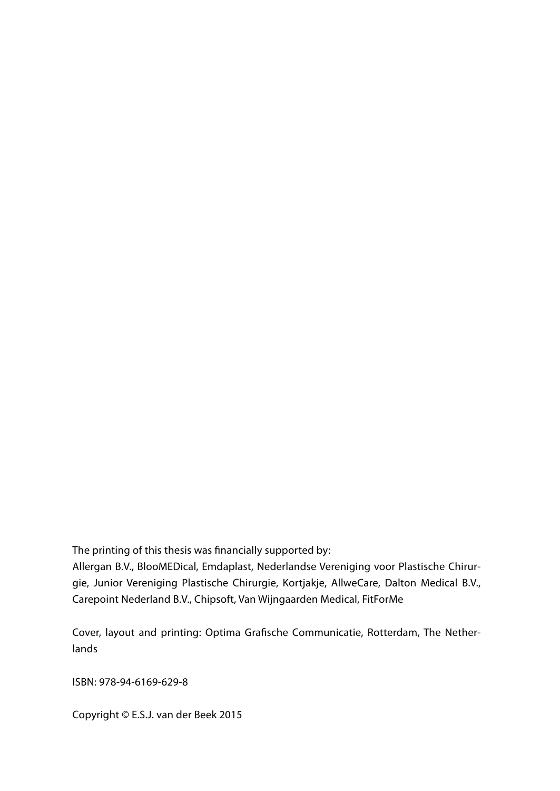The printing of this thesis was financially supported by:

Allergan B.V., BlooMEDical, Emdaplast, Nederlandse Vereniging voor Plastische Chirurgie, Junior Vereniging Plastische Chirurgie, Kortjakje, AllweCare, Dalton Medical B.V., Carepoint Nederland B.V., Chipsoft, Van Wijngaarden Medical, FitForMe

Cover, layout and printing: Optima Grafische Communicatie, Rotterdam, The Netherlands

ISBN: 978-94-6169-629-8

Copyright © E.S.J. van der Beek 2015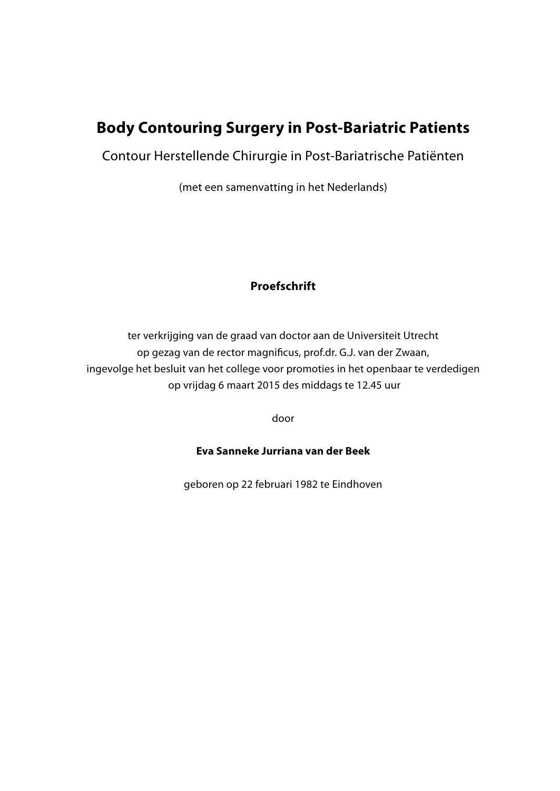### **Body Contouring Surgery in Post-Bariatric Patients**

Contour Herstellende Chirurgie in Post-Bariatrische Patiënten

(met een samenvatting in het Nederlands)

#### **Proefschrift**

ter verkrijging van de graad van doctor aan de Universiteit Utrecht op gezag van de rector magnificus, prof.dr. G.J. van der Zwaan, ingevolge het besluit van het college voor promoties in het openbaar te verdedigen op vrijdag 6 maart 2015 des middags te 12.45 uur

door

#### **Eva Sanneke Jurriana van der Beek**

geboren op 22 februari 1982 te Eindhoven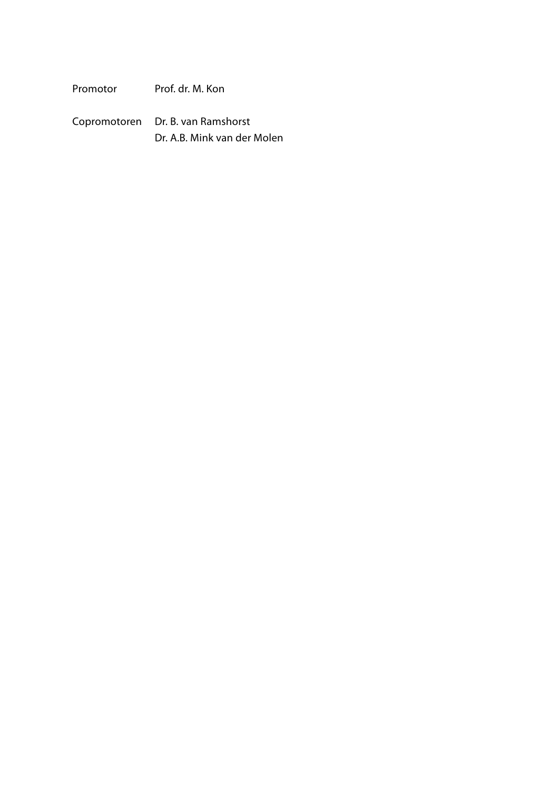Promotor Prof. dr. M. Kon Copromotoren Dr. B. van Ramshorst Dr. A.B. Mink van der Molen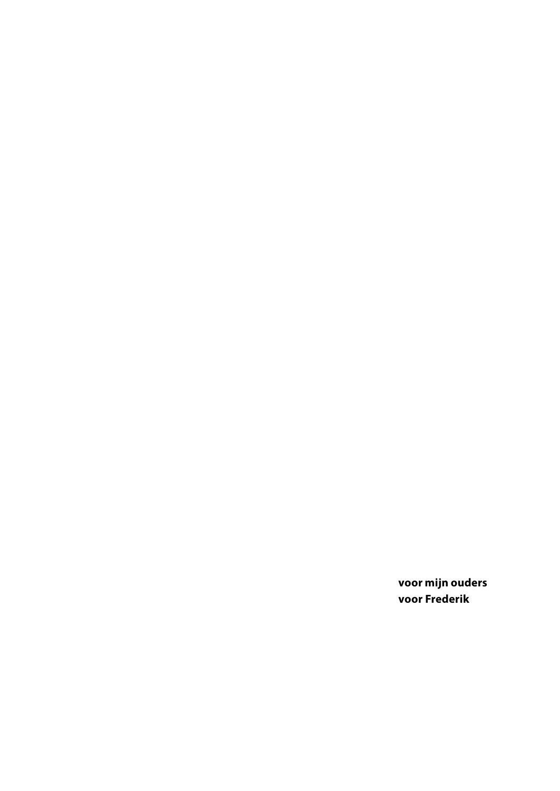**voor mijn ouders voor Frederik**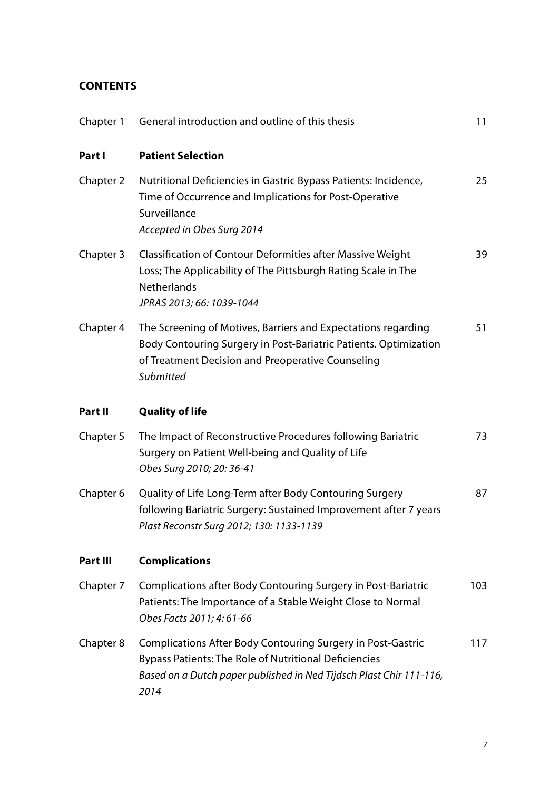#### **Contents**

| Chapter 1 | General introduction and outline of this thesis                                                                                                                                                     |     |  |  |
|-----------|-----------------------------------------------------------------------------------------------------------------------------------------------------------------------------------------------------|-----|--|--|
| Part I    | <b>Patient Selection</b>                                                                                                                                                                            |     |  |  |
| Chapter 2 | Nutritional Deficiencies in Gastric Bypass Patients: Incidence,<br>Time of Occurrence and Implications for Post-Operative<br>Surveillance<br>Accepted in Obes Surg 2014                             | 25  |  |  |
| Chapter 3 | Classification of Contour Deformities after Massive Weight<br>Loss; The Applicability of The Pittsburgh Rating Scale in The<br><b>Netherlands</b><br>JPRAS 2013; 66: 1039-1044                      | 39  |  |  |
| Chapter 4 | The Screening of Motives, Barriers and Expectations regarding<br>Body Contouring Surgery in Post-Bariatric Patients. Optimization<br>of Treatment Decision and Preoperative Counseling<br>Submitted | 51  |  |  |
| Part II   | <b>Quality of life</b>                                                                                                                                                                              |     |  |  |
| Chapter 5 | The Impact of Reconstructive Procedures following Bariatric<br>Surgery on Patient Well-being and Quality of Life<br>Obes Surg 2010; 20: 36-41                                                       | 73  |  |  |
| Chapter 6 | Quality of Life Long-Term after Body Contouring Surgery<br>following Bariatric Surgery: Sustained Improvement after 7 years<br>Plast Reconstr Surg 2012; 130: 1133-1139                             | 87  |  |  |
| Part III  | <b>Complications</b>                                                                                                                                                                                |     |  |  |
| Chapter 7 | Complications after Body Contouring Surgery in Post-Bariatric<br>Patients: The Importance of a Stable Weight Close to Normal<br>Obes Facts 2011; 4: 61-66                                           | 103 |  |  |
| Chapter 8 | Complications After Body Contouring Surgery in Post-Gastric<br>Bypass Patients: The Role of Nutritional Deficiencies<br>Based on a Dutch paper published in Ned Tijdsch Plast Chir 111-116,<br>2014 | 117 |  |  |
|           |                                                                                                                                                                                                     |     |  |  |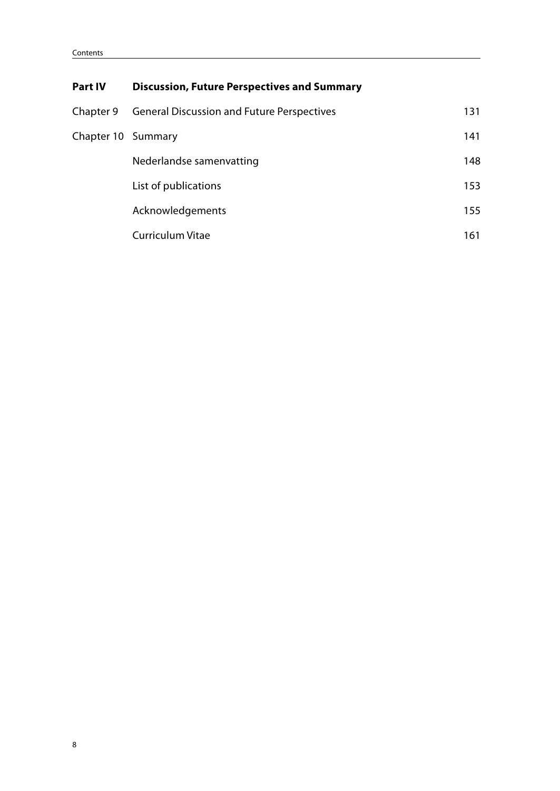#### **Part IV Discussion, Future Perspectives and Summary**

| Chapter 9          | <b>General Discussion and Future Perspectives</b> | 131 |
|--------------------|---------------------------------------------------|-----|
| Chapter 10 Summary |                                                   | 141 |
|                    | Nederlandse samenvatting                          | 148 |
|                    | List of publications                              | 153 |
|                    | Acknowledgements                                  | 155 |
|                    | Curriculum Vitae                                  | 161 |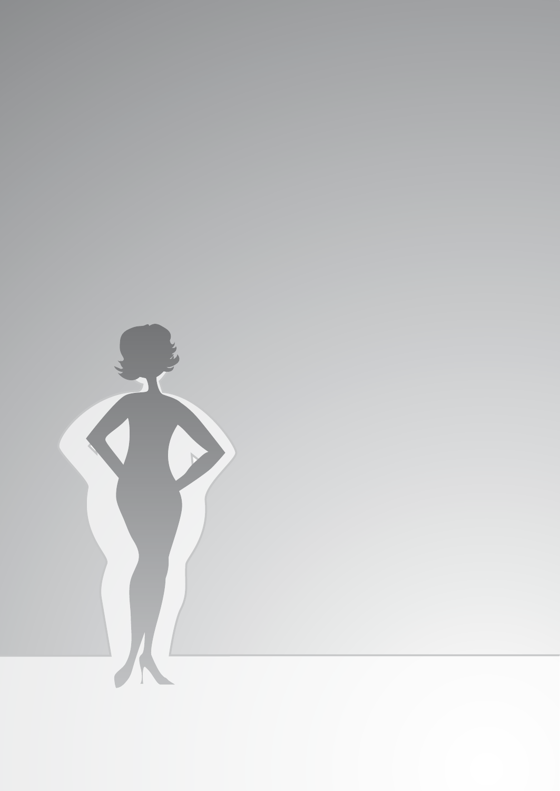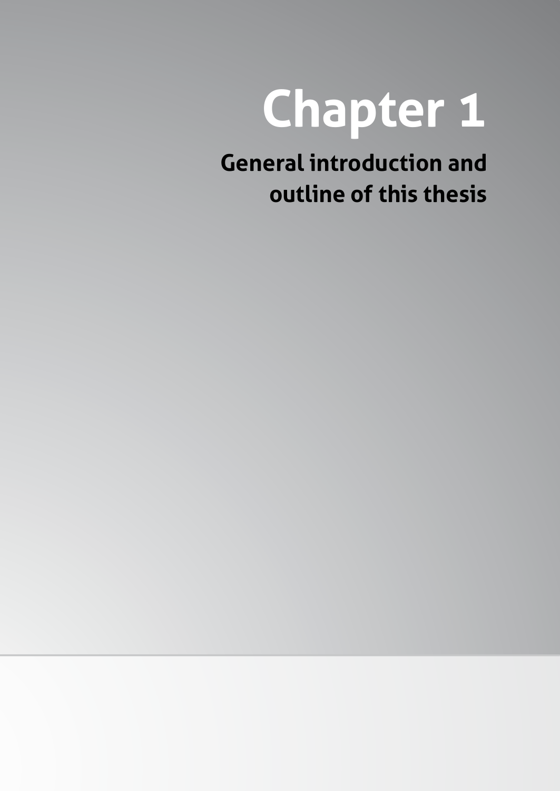## **Chapter 1**

**General introduction and outline of this thesis**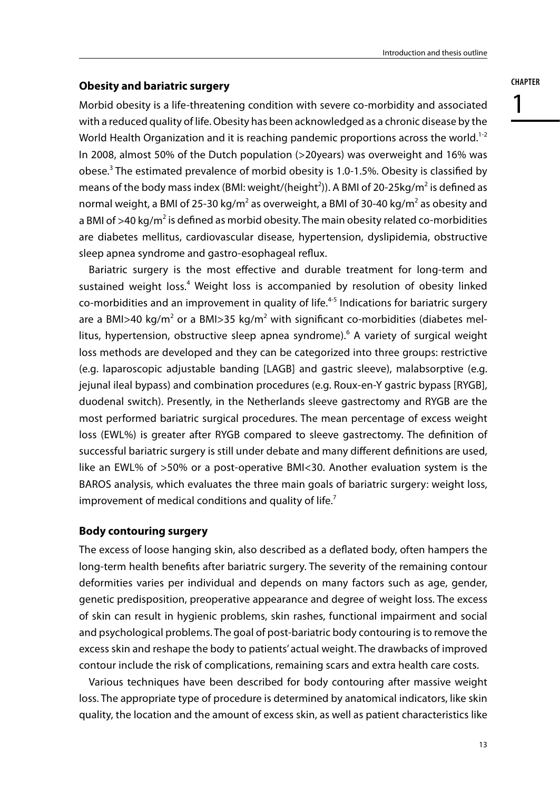#### **Obesity and bariatric surgery**

Morbid obesity is a life-threatening condition with severe co-morbidity and associated with a reduced quality of life. Obesity has been acknowledged as a chronic disease by the World Health Organization and it is reaching pandemic proportions across the world.<sup>1-2</sup> In 2008, almost 50% of the Dutch population (>20years) was overweight and 16% was obese.<sup>3</sup> The estimated prevalence of morbid obesity is 1.0-1.5%. Obesity is classified by means of the body mass index (BMI: weight/(height $^2$ )). A BMI of 20-25kg/m $^2$  is defined as normal weight, a BMI of 25-30 kg/m $^2$  as overweight, a BMI of 30-40 kg/m $^2$  as obesity and a BMI of >40 kg/m<sup>2</sup> is defined as morbid obesity. The main obesity related co-morbidities are diabetes mellitus, cardiovascular disease, hypertension, dyslipidemia, obstructive sleep apnea syndrome and gastro-esophageal reflux.

Bariatric surgery is the most effective and durable treatment for long-term and sustained weight loss.<sup>4</sup> Weight loss is accompanied by resolution of obesity linked co-morbidities and an improvement in quality of life.<sup>4-5</sup> Indications for bariatric surgery are a BMI>40 kg/m $^2$  or a BMI>35 kg/m $^2$  with significant co-morbidities (diabetes mellitus, hypertension, obstructive sleep apnea syndrome).<sup>6</sup> A variety of surgical weight loss methods are developed and they can be categorized into three groups: restrictive (e.g. laparoscopic adjustable banding [LAGB] and gastric sleeve), malabsorptive (e.g. jejunal ileal bypass) and combination procedures (e.g. Roux-en-Y gastric bypass [RYGB], duodenal switch). Presently, in the Netherlands sleeve gastrectomy and RYGB are the most performed bariatric surgical procedures. The mean percentage of excess weight loss (EWL%) is greater after RYGB compared to sleeve gastrectomy. The definition of successful bariatric surgery is still under debate and many different definitions are used, like an EWL% of >50% or a post-operative BMI<30. Another evaluation system is the BAROS analysis, which evaluates the three main goals of bariatric surgery: weight loss, improvement of medical conditions and quality of life.<sup>7</sup>

#### **Body contouring surgery**

The excess of loose hanging skin, also described as a deflated body, often hampers the long-term health benefits after bariatric surgery. The severity of the remaining contour deformities varies per individual and depends on many factors such as age, gender, genetic predisposition, preoperative appearance and degree of weight loss. The excess of skin can result in hygienic problems, skin rashes, functional impairment and social and psychological problems. The goal of post-bariatric body contouring is to remove the excess skin and reshape the body to patients' actual weight. The drawbacks of improved contour include the risk of complications, remaining scars and extra health care costs.

Various techniques have been described for body contouring after massive weight loss. The appropriate type of procedure is determined by anatomical indicators, like skin quality, the location and the amount of excess skin, as well as patient characteristics like

**Chapter** 1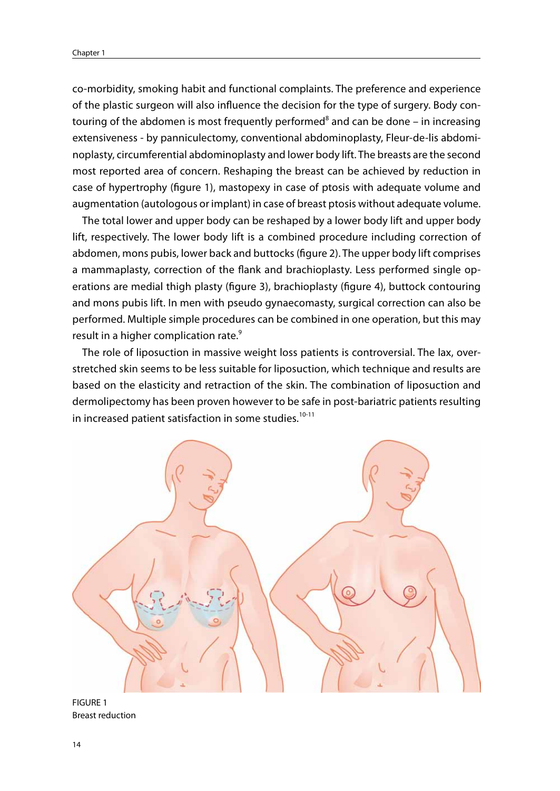co-morbidity, smoking habit and functional complaints. The preference and experience of the plastic surgeon will also influence the decision for the type of surgery. Body contouring of the abdomen is most frequently performed<sup>8</sup> and can be done – in increasing extensiveness - by panniculectomy, conventional abdominoplasty, Fleur-de-lis abdominoplasty, circumferential abdominoplasty and lower body lift. The breasts are the second most reported area of concern. Reshaping the breast can be achieved by reduction in case of hypertrophy (figure 1), mastopexy in case of ptosis with adequate volume and augmentation (autologous or implant) in case of breast ptosis without adequate volume.

The total lower and upper body can be reshaped by a lower body lift and upper body lift, respectively. The lower body lift is a combined procedure including correction of abdomen, mons pubis, lower back and buttocks (figure 2). The upper body lift comprises a mammaplasty, correction of the flank and brachioplasty. Less performed single operations are medial thigh plasty (figure 3), brachioplasty (figure 4), buttock contouring and mons pubis lift. In men with pseudo gynaecomasty, surgical correction can also be performed. Multiple simple procedures can be combined in one operation, but this may result in a higher complication rate.<sup>9</sup>

The role of liposuction in massive weight loss patients is controversial. The lax, overstretched skin seems to be less suitable for liposuction, which technique and results are based on the elasticity and retraction of the skin. The combination of liposuction and dermolipectomy has been proven however to be safe in post-bariatric patients resulting in increased patient satisfaction in some studies. $10-11$ 



FIGURE 1 Breast reduction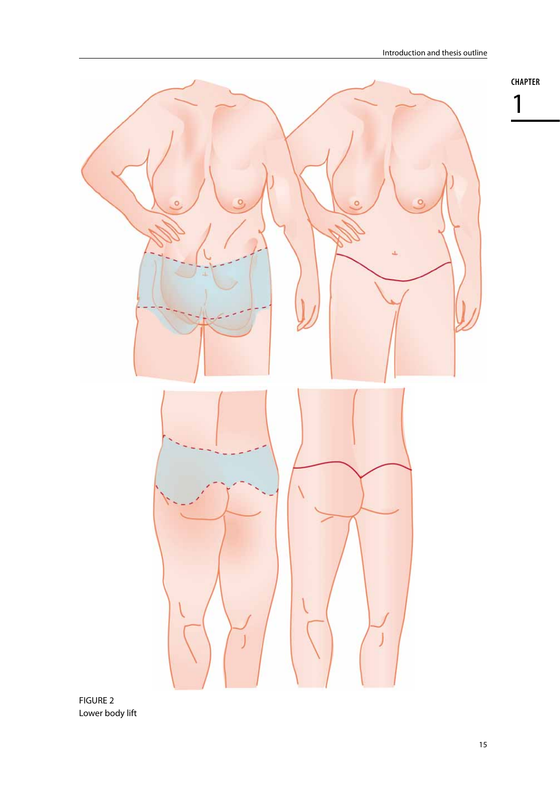

FIGURE 2 Lower body lift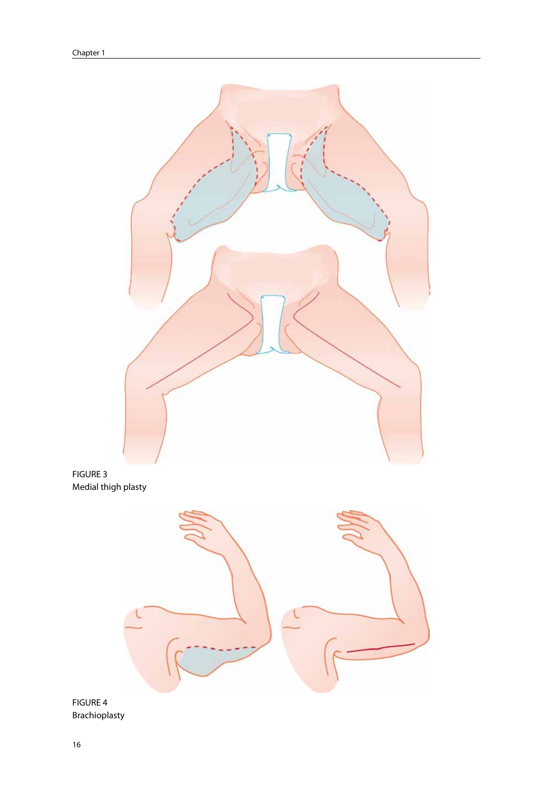

FIGURE 3 Medial thigh plasty

FIGURE 4 Brachioplasty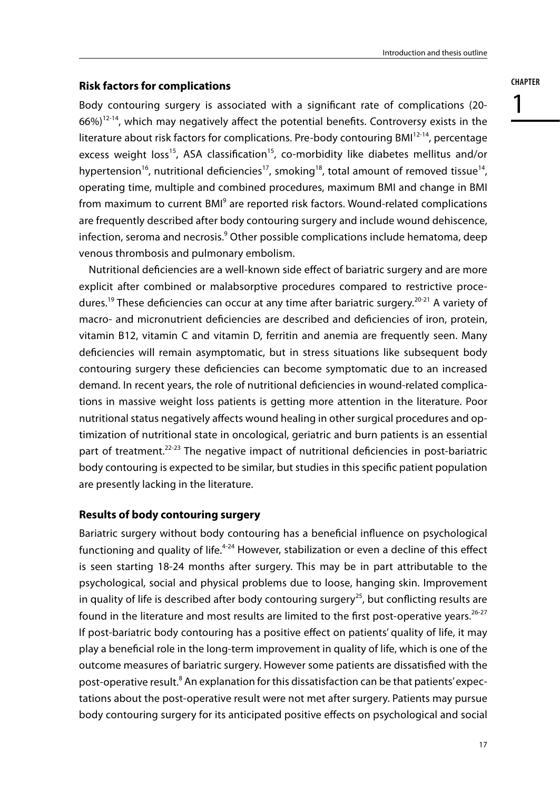#### **Risk factors for complications**

Body contouring surgery is associated with a significant rate of complications (20-  $66\%$ <sup>12-14</sup>, which may negatively affect the potential benefits. Controversy exists in the literature about risk factors for complications. Pre-body contouring BMI<sup>12-14</sup>, percentage excess weight loss<sup>15</sup>, ASA classification<sup>15</sup>, co-morbidity like diabetes mellitus and/or hypertension<sup>16</sup>, nutritional deficiencies<sup>17</sup>, smoking<sup>18</sup>, total amount of removed tissue<sup>14</sup>, operating time, multiple and combined procedures, maximum BMI and change in BMI from maximum to current BMI<sup>9</sup> are reported risk factors. Wound-related complications are frequently described after body contouring surgery and include wound dehiscence, infection, seroma and necrosis.<sup>9</sup> Other possible complications include hematoma, deep venous thrombosis and pulmonary embolism.

Nutritional deficiencies are a well-known side effect of bariatric surgery and are more explicit after combined or malabsorptive procedures compared to restrictive procedures.<sup>19</sup> These deficiencies can occur at any time after bariatric surgery.<sup>20-21</sup> A variety of macro- and micronutrient deficiencies are described and deficiencies of iron, protein, vitamin B12, vitamin C and vitamin D, ferritin and anemia are frequently seen. Many deficiencies will remain asymptomatic, but in stress situations like subsequent body contouring surgery these deficiencies can become symptomatic due to an increased demand. In recent years, the role of nutritional deficiencies in wound-related complications in massive weight loss patients is getting more attention in the literature. Poor nutritional status negatively affects wound healing in other surgical procedures and optimization of nutritional state in oncological, geriatric and burn patients is an essential part of treatment.<sup>22-23</sup> The negative impact of nutritional deficiencies in post-bariatric body contouring is expected to be similar, but studies in this specific patient population are presently lacking in the literature.

#### **Results of body contouring surgery**

Bariatric surgery without body contouring has a beneficial influence on psychological functioning and quality of life.<sup>4-24</sup> However, stabilization or even a decline of this effect is seen starting 18-24 months after surgery. This may be in part attributable to the psychological, social and physical problems due to loose, hanging skin. Improvement in quality of life is described after body contouring surgery<sup>25</sup>, but conflicting results are found in the literature and most results are limited to the first post-operative years.<sup>26-27</sup> If post-bariatric body contouring has a positive effect on patients' quality of life, it may play a beneficial role in the long-term improvement in quality of life, which is one of the outcome measures of bariatric surgery. However some patients are dissatisfied with the post-operative result.<sup>8</sup> An explanation for this dissatisfaction can be that patients' expectations about the post-operative result were not met after surgery. Patients may pursue body contouring surgery for its anticipated positive effects on psychological and social **Chapter** 1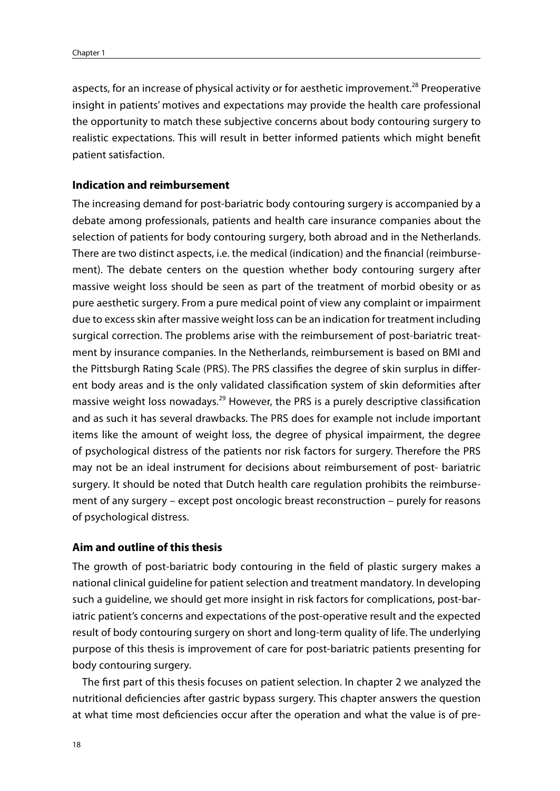aspects, for an increase of physical activity or for aesthetic improvement.<sup>28</sup> Preoperative insight in patients' motives and expectations may provide the health care professional the opportunity to match these subjective concerns about body contouring surgery to realistic expectations. This will result in better informed patients which might benefit patient satisfaction.

#### **Indication and reimbursement**

The increasing demand for post-bariatric body contouring surgery is accompanied by a debate among professionals, patients and health care insurance companies about the selection of patients for body contouring surgery, both abroad and in the Netherlands. There are two distinct aspects, i.e. the medical (indication) and the financial (reimbursement). The debate centers on the question whether body contouring surgery after massive weight loss should be seen as part of the treatment of morbid obesity or as pure aesthetic surgery. From a pure medical point of view any complaint or impairment due to excess skin after massive weight loss can be an indication for treatment including surgical correction. The problems arise with the reimbursement of post-bariatric treatment by insurance companies. In the Netherlands, reimbursement is based on BMI and the Pittsburgh Rating Scale (PRS). The PRS classifies the degree of skin surplus in different body areas and is the only validated classification system of skin deformities after massive weight loss nowadays.<sup>29</sup> However, the PRS is a purely descriptive classification and as such it has several drawbacks. The PRS does for example not include important items like the amount of weight loss, the degree of physical impairment, the degree of psychological distress of the patients nor risk factors for surgery. Therefore the PRS may not be an ideal instrument for decisions about reimbursement of post- bariatric surgery. It should be noted that Dutch health care regulation prohibits the reimbursement of any surgery – except post oncologic breast reconstruction – purely for reasons of psychological distress.

#### **Aim and outline of this thesis**

The growth of post-bariatric body contouring in the field of plastic surgery makes a national clinical guideline for patient selection and treatment mandatory. In developing such a guideline, we should get more insight in risk factors for complications, post-bariatric patient's concerns and expectations of the post-operative result and the expected result of body contouring surgery on short and long-term quality of life. The underlying purpose of this thesis is improvement of care for post-bariatric patients presenting for body contouring surgery.

The first part of this thesis focuses on patient selection. In chapter 2 we analyzed the nutritional deficiencies after gastric bypass surgery. This chapter answers the question at what time most deficiencies occur after the operation and what the value is of pre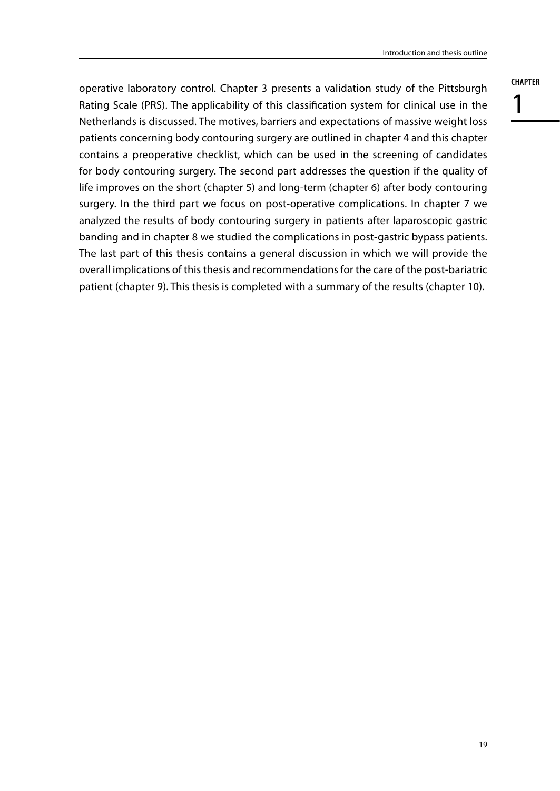operative laboratory control. Chapter 3 presents a validation study of the Pittsburgh Rating Scale (PRS). The applicability of this classification system for clinical use in the Netherlands is discussed. The motives, barriers and expectations of massive weight loss patients concerning body contouring surgery are outlined in chapter 4 and this chapter contains a preoperative checklist, which can be used in the screening of candidates for body contouring surgery. The second part addresses the question if the quality of life improves on the short (chapter 5) and long-term (chapter 6) after body contouring surgery. In the third part we focus on post-operative complications. In chapter 7 we analyzed the results of body contouring surgery in patients after laparoscopic gastric banding and in chapter 8 we studied the complications in post-gastric bypass patients. The last part of this thesis contains a general discussion in which we will provide the overall implications of this thesis and recommendations for the care of the post-bariatric patient (chapter 9). This thesis is completed with a summary of the results (chapter 10).

**Chapter** 1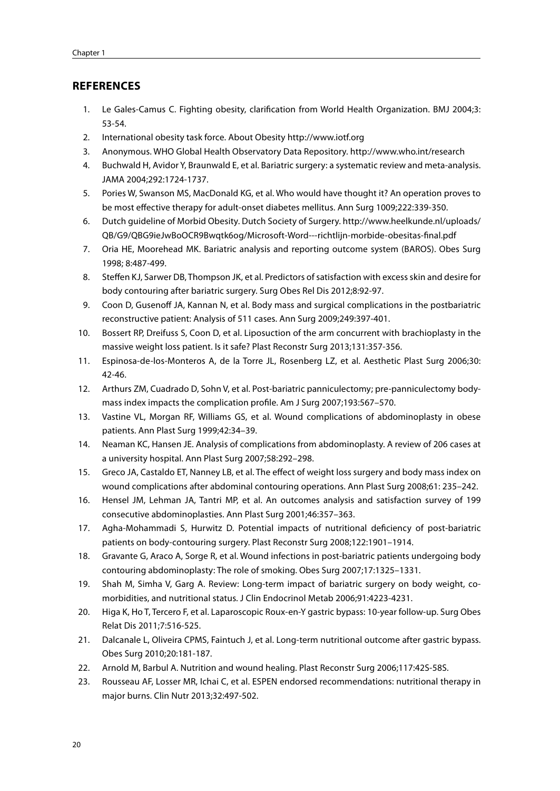#### **References**

- 1. Le Gales-Camus C. Fighting obesity, clarification from World Health Organization. BMJ 2004;3: 53-54.
- 2. International obesity task force. About Obesity http://www.iotf.org
- 3. Anonymous. WHO Global Health Observatory Data Repository. http://www.who.int/research
- 4. Buchwald H, Avidor Y, Braunwald E, et al. Bariatric surgery: a systematic review and meta-analysis. JAMA 2004;292:1724-1737.
- 5. Pories W, Swanson MS, MacDonald KG, et al. Who would have thought it? An operation proves to be most effective therapy for adult-onset diabetes mellitus. Ann Surg 1009;222:339-350.
- 6. Dutch guideline of Morbid Obesity. Dutch Society of Surgery. http://www.heelkunde.nl/uploads/ QB/G9/QBG9ieJwBoOCR9Bwqtk6og/Microsoft-Word---richtlijn-morbide-obesitas-final.pdf
- 7. Oria HE, Moorehead MK. Bariatric analysis and reporting outcome system (BAROS). Obes Surg 1998; 8:487-499.
- 8. Steffen KJ, Sarwer DB, Thompson JK, et al. Predictors of satisfaction with excess skin and desire for body contouring after bariatric surgery. Surg Obes Rel Dis 2012;8:92-97.
- 9. Coon D, Gusenoff JA, Kannan N, et al. Body mass and surgical complications in the postbariatric reconstructive patient: Analysis of 511 cases. Ann Surg 2009;249:397-401.
- 10. Bossert RP, Dreifuss S, Coon D, et al. Liposuction of the arm concurrent with brachioplasty in the massive weight loss patient. Is it safe? Plast Reconstr Surg 2013;131:357-356.
- 11. Espinosa-de-los-Monteros A, de la Torre JL, Rosenberg LZ, et al. Aesthetic Plast Surg 2006;30: 42-46.
- 12. Arthurs ZM, Cuadrado D, Sohn V, et al. Post-bariatric panniculectomy; pre-panniculectomy bodymass index impacts the complication profile. Am J Surg 2007;193:567–570.
- 13. Vastine VL, Morgan RF, Williams GS, et al. Wound complications of abdominoplasty in obese patients. Ann Plast Surg 1999;42:34–39.
- 14. Neaman KC, Hansen JE. Analysis of complications from abdominoplasty. A review of 206 cases at a university hospital. Ann Plast Surg 2007;58:292–298.
- 15. Greco JA, Castaldo ET, Nanney LB, et al. The effect of weight loss surgery and body mass index on wound complications after abdominal contouring operations. Ann Plast Surg 2008;61: 235–242.
- 16. Hensel JM, Lehman JA, Tantri MP, et al. An outcomes analysis and satisfaction survey of 199 consecutive abdominoplasties. Ann Plast Surg 2001;46:357–363.
- 17. Agha-Mohammadi S, Hurwitz D. Potential impacts of nutritional deficiency of post-bariatric patients on body-contouring surgery. Plast Reconstr Surg 2008;122:1901–1914.
- 18. Gravante G, Araco A, Sorge R, et al. Wound infections in post-bariatric patients undergoing body contouring abdominoplasty: The role of smoking. Obes Surg 2007;17:1325–1331.
- 19. Shah M, Simha V, Garg A. Review: Long-term impact of bariatric surgery on body weight, comorbidities, and nutritional status. J Clin Endocrinol Metab 2006;91:4223-4231.
- 20. Higa K, Ho T, Tercero F, et al. Laparoscopic Roux-en-Y gastric bypass: 10-year follow-up. Surg Obes Relat Dis 2011;7:516-525.
- 21. Dalcanale L, Oliveira CPMS, Faintuch J, et al. Long-term nutritional outcome after gastric bypass. Obes Surg 2010;20:181-187.
- 22. Arnold M, Barbul A. Nutrition and wound healing. Plast Reconstr Surg 2006;117:42S-58S.
- 23. Rousseau AF, Losser MR, Ichai C, et al. ESPEN endorsed recommendations: nutritional therapy in major burns. Clin Nutr 2013;32:497-502.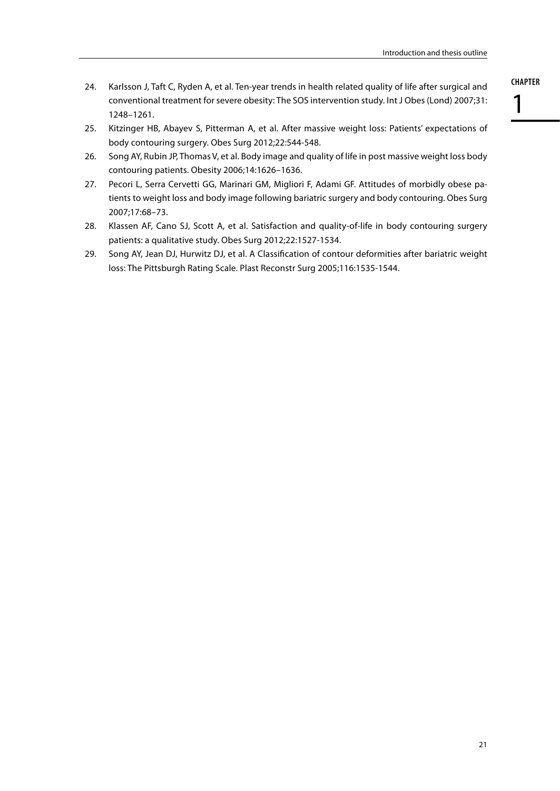- 24. Karlsson J, Taft C, Ryden A, et al. Ten-year trends in health related quality of life after surgical and conventional treatment for severe obesity: The SOS intervention study. Int J Obes (Lond) 2007;31: 1248–1261.
- 25. Kitzinger HB, Abayev S, Pitterman A, et al. After massive weight loss: Patients' expectations of body contouring surgery. Obes Surg 2012;22:544-548.
- 26. Song AY, Rubin JP, Thomas V, et al. Body image and quality of life in post massive weight loss body contouring patients. Obesity 2006;14:1626–1636.
- 27. Pecori L, Serra Cervetti GG, Marinari GM, Migliori F, Adami GF. Attitudes of morbidly obese patients to weight loss and body image following bariatric surgery and body contouring. Obes Surg 2007;17:68–73.
- 28. Klassen AF, Cano SJ, Scott A, et al. Satisfaction and quality-of-life in body contouring surgery patients: a qualitative study. Obes Surg 2012;22:1527-1534.
- 29. Song AY, Jean DJ, Hurwitz DJ, et al. A Classification of contour deformities after bariatric weight loss: The Pittsburgh Rating Scale. Plast Reconstr Surg 2005;116:1535-1544.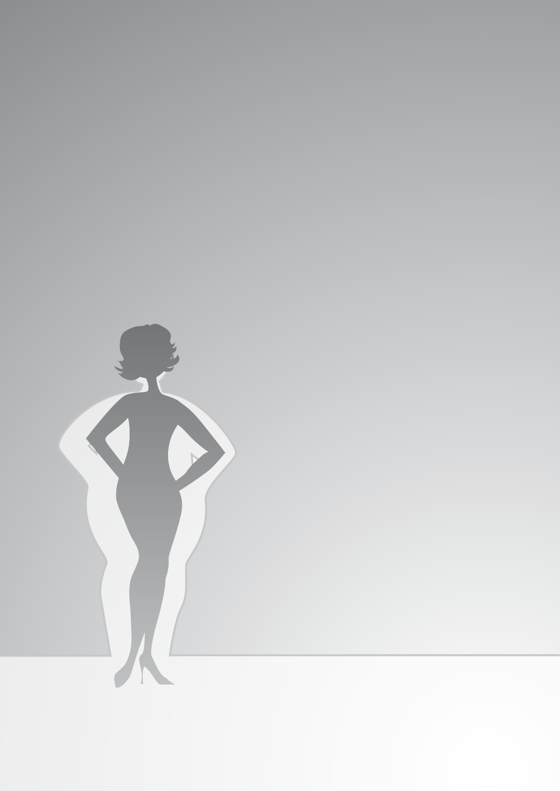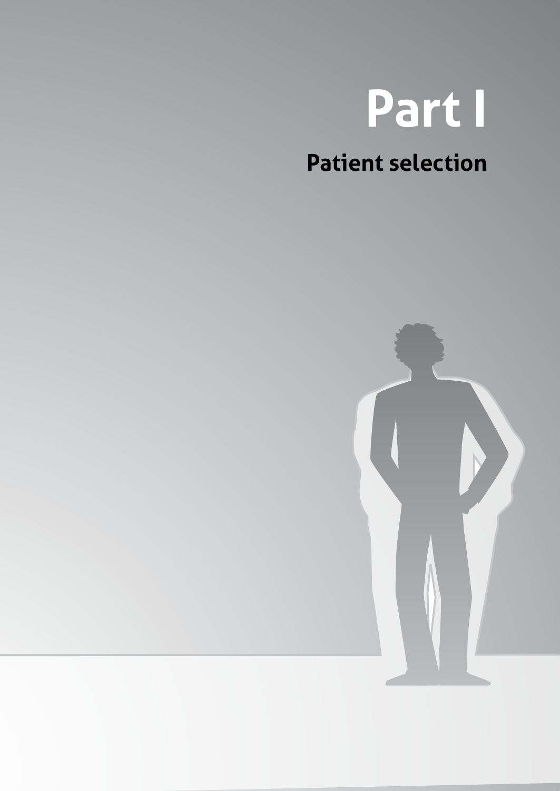# **Part I**

## **Patient selection**

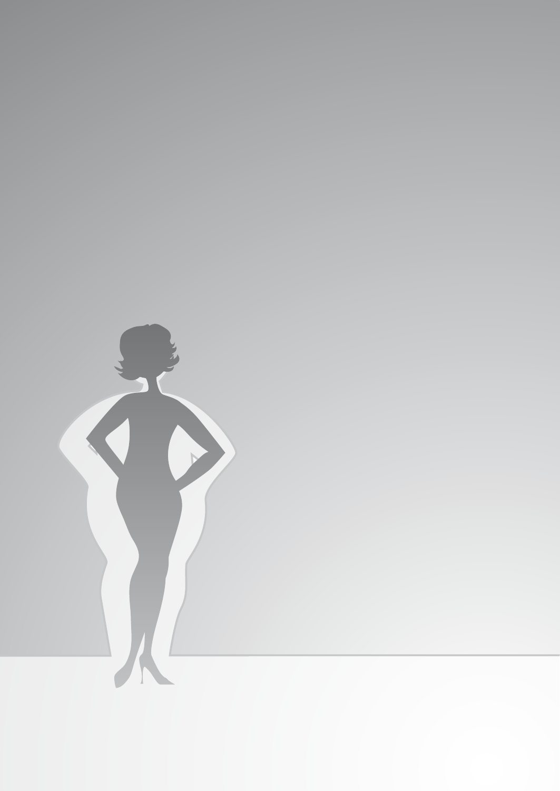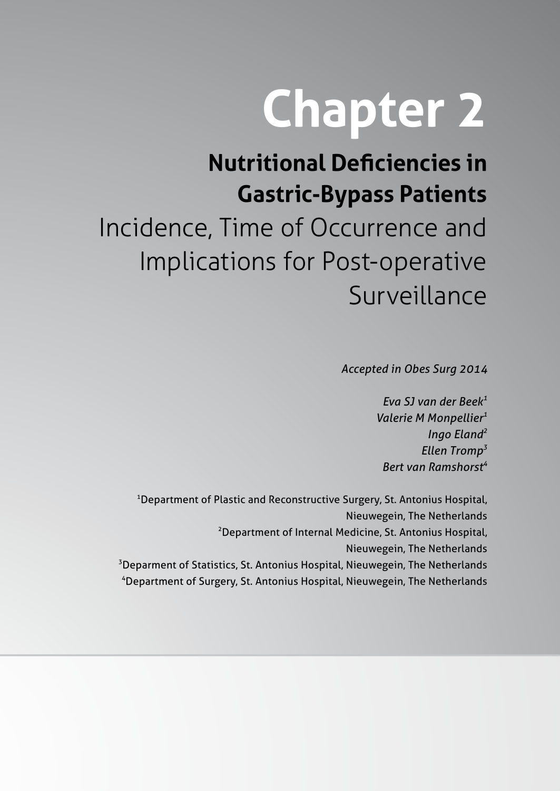# **Chapter 2**

### **Nutritional Deficiencies in Gastric-Bypass Patients**

Incidence, Time of Occurrence and Implications for Post-operative Surveillance

*Accepted in Obes Surg 2014*

*Eva SJ van der Beek<sup>1</sup> Valerie M Monpellier<sup>1</sup> Ingo Eland<sup>2</sup> Ellen Tromp<sup>3</sup> Bert van Ramshorst<sup>4</sup>*

<sup>1</sup>Department of Plastic and Reconstructive Surgery, St. Antonius Hospital, Nieuwegein, The Netherlands 2 Department of Internal Medicine, St. Antonius Hospital, Nieuwegein, The Netherlands <sup>3</sup>Deparment of Statistics, St. Antonius Hospital, Nieuwegein, The Netherlands 4 Department of Surgery, St. Antonius Hospital, Nieuwegein, The Netherlands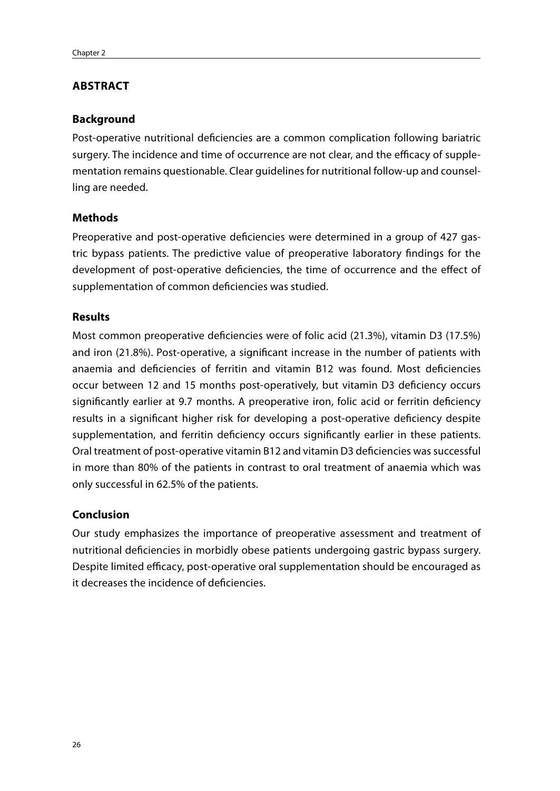#### **Abstract**

#### **Background**

Post-operative nutritional deficiencies are a common complication following bariatric surgery. The incidence and time of occurrence are not clear, and the efficacy of supplementation remains questionable. Clear guidelines for nutritional follow-up and counselling are needed.

#### **Methods**

Preoperative and post-operative deficiencies were determined in a group of 427 gastric bypass patients. The predictive value of preoperative laboratory findings for the development of post-operative deficiencies, the time of occurrence and the effect of supplementation of common deficiencies was studied.

#### **Results**

Most common preoperative deficiencies were of folic acid (21.3%), vitamin D3 (17.5%) and iron (21.8%). Post-operative, a significant increase in the number of patients with anaemia and deficiencies of ferritin and vitamin B12 was found. Most deficiencies occur between 12 and 15 months post-operatively, but vitamin D3 deficiency occurs significantly earlier at 9.7 months. A preoperative iron, folic acid or ferritin deficiency results in a significant higher risk for developing a post-operative deficiency despite supplementation, and ferritin deficiency occurs significantly earlier in these patients. Oral treatment of post-operative vitamin B12 and vitamin D3 deficiencies was successful in more than 80% of the patients in contrast to oral treatment of anaemia which was only successful in 62.5% of the patients.

#### **Conclusion**

Our study emphasizes the importance of preoperative assessment and treatment of nutritional deficiencies in morbidly obese patients undergoing gastric bypass surgery. Despite limited efficacy, post-operative oral supplementation should be encouraged as it decreases the incidence of deficiencies.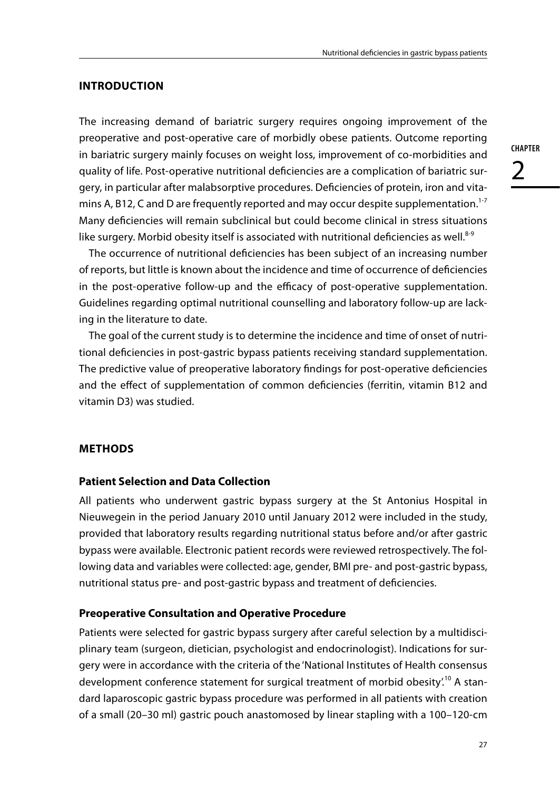#### **Introduction**

The increasing demand of bariatric surgery requires ongoing improvement of the preoperative and post-operative care of morbidly obese patients. Outcome reporting in bariatric surgery mainly focuses on weight loss, improvement of co-morbidities and quality of life. Post-operative nutritional deficiencies are a complication of bariatric surgery, in particular after malabsorptive procedures. Deficiencies of protein, iron and vitamins A, B12, C and D are frequently reported and may occur despite supplementation.<sup>1-7</sup> Many deficiencies will remain subclinical but could become clinical in stress situations like surgery. Morbid obesity itself is associated with nutritional deficiencies as well. $8-9$ 

The occurrence of nutritional deficiencies has been subject of an increasing number of reports, but little is known about the incidence and time of occurrence of deficiencies in the post-operative follow-up and the efficacy of post-operative supplementation. Guidelines regarding optimal nutritional counselling and laboratory follow-up are lacking in the literature to date.

The goal of the current study is to determine the incidence and time of onset of nutritional deficiencies in post-gastric bypass patients receiving standard supplementation. The predictive value of preoperative laboratory findings for post-operative deficiencies and the effect of supplementation of common deficiencies (ferritin, vitamin B12 and vitamin D3) was studied.

#### **Methods**

#### **Patient Selection and Data Collection**

All patients who underwent gastric bypass surgery at the St Antonius Hospital in Nieuwegein in the period January 2010 until January 2012 were included in the study, provided that laboratory results regarding nutritional status before and/or after gastric bypass were available. Electronic patient records were reviewed retrospectively. The following data and variables were collected: age, gender, BMI pre- and post-gastric bypass, nutritional status pre- and post-gastric bypass and treatment of deficiencies.

#### **Preoperative Consultation and Operative Procedure**

Patients were selected for gastric bypass surgery after careful selection by a multidisciplinary team (surgeon, dietician, psychologist and endocrinologist). Indications for surgery were in accordance with the criteria of the 'National Institutes of Health consensus development conference statement for surgical treatment of morbid obesity.<sup>10</sup> A standard laparoscopic gastric bypass procedure was performed in all patients with creation of a small (20–30 ml) gastric pouch anastomosed by linear stapling with a 100–120-cm **Chapter**  $\mathcal{L}$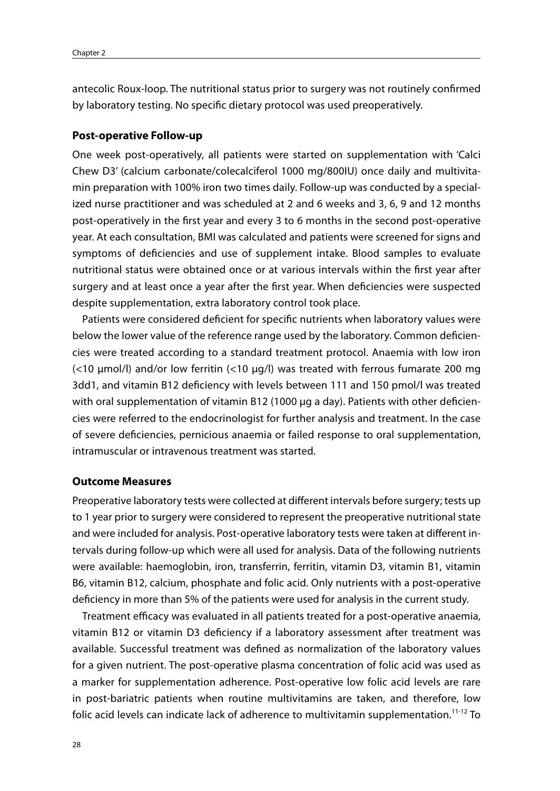antecolic Roux-loop. The nutritional status prior to surgery was not routinely confirmed by laboratory testing. No specific dietary protocol was used preoperatively.

#### **Post-operative Follow-up**

One week post-operatively, all patients were started on supplementation with 'Calci Chew D3' (calcium carbonate/colecalciferol 1000 mg/800IU) once daily and multivitamin preparation with 100% iron two times daily. Follow-up was conducted by a specialized nurse practitioner and was scheduled at 2 and 6 weeks and 3, 6, 9 and 12 months post-operatively in the first year and every 3 to 6 months in the second post-operative year. At each consultation, BMI was calculated and patients were screened for signs and symptoms of deficiencies and use of supplement intake. Blood samples to evaluate nutritional status were obtained once or at various intervals within the first year after surgery and at least once a year after the first year. When deficiencies were suspected despite supplementation, extra laboratory control took place.

Patients were considered deficient for specific nutrients when laboratory values were below the lower value of the reference range used by the laboratory. Common deficiencies were treated according to a standard treatment protocol. Anaemia with low iron (<10 μmol/l) and/or low ferritin (<10 μg/l) was treated with ferrous fumarate 200 mg 3dd1, and vitamin B12 deficiency with levels between 111 and 150 pmol/l was treated with oral supplementation of vitamin B12 (1000 μg a day). Patients with other deficiencies were referred to the endocrinologist for further analysis and treatment. In the case of severe deficiencies, pernicious anaemia or failed response to oral supplementation, intramuscular or intravenous treatment was started.

#### **Outcome Measures**

Preoperative laboratory tests were collected at different intervals before surgery; tests up to 1 year prior to surgery were considered to represent the preoperative nutritional state and were included for analysis. Post-operative laboratory tests were taken at different intervals during follow-up which were all used for analysis. Data of the following nutrients were available: haemoglobin, iron, transferrin, ferritin, vitamin D3, vitamin B1, vitamin B6, vitamin B12, calcium, phosphate and folic acid. Only nutrients with a post-operative deficiency in more than 5% of the patients were used for analysis in the current study.

Treatment efficacy was evaluated in all patients treated for a post-operative anaemia, vitamin B12 or vitamin D3 deficiency if a laboratory assessment after treatment was available. Successful treatment was defined as normalization of the laboratory values for a given nutrient. The post-operative plasma concentration of folic acid was used as a marker for supplementation adherence. Post-operative low folic acid levels are rare in post-bariatric patients when routine multivitamins are taken, and therefore, low folic acid levels can indicate lack of adherence to multivitamin supplementation.<sup>11-12</sup> To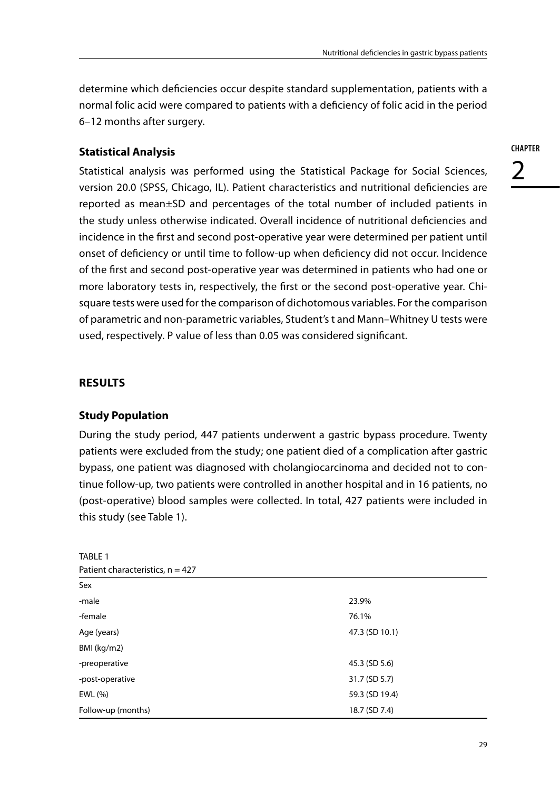determine which deficiencies occur despite standard supplementation, patients with a normal folic acid were compared to patients with a deficiency of folic acid in the period 6–12 months after surgery.

#### **Statistical Analysis**

Statistical analysis was performed using the Statistical Package for Social Sciences, version 20.0 (SPSS, Chicago, IL). Patient characteristics and nutritional deficiencies are reported as mean±SD and percentages of the total number of included patients in the study unless otherwise indicated. Overall incidence of nutritional deficiencies and incidence in the first and second post-operative year were determined per patient until onset of deficiency or until time to follow-up when deficiency did not occur. Incidence of the first and second post-operative year was determined in patients who had one or more laboratory tests in, respectively, the first or the second post-operative year. Chisquare tests were used for the comparison of dichotomous variables. For the comparison of parametric and non-parametric variables, Student's t and Mann–Whitney U tests were used, respectively. P value of less than 0.05 was considered significant.

#### **Results**

#### **Study Population**

During the study period, 447 patients underwent a gastric bypass procedure. Twenty patients were excluded from the study; one patient died of a complication after gastric bypass, one patient was diagnosed with cholangiocarcinoma and decided not to continue follow-up, two patients were controlled in another hospital and in 16 patients, no (post-operative) blood samples were collected. In total, 427 patients were included in this study (see Table 1).

| TABLE 1<br>Patient characteristics, $n = 427$ |                |  |  |  |  |
|-----------------------------------------------|----------------|--|--|--|--|
|                                               |                |  |  |  |  |
| -male                                         | 23.9%          |  |  |  |  |
| -female                                       | 76.1%          |  |  |  |  |
| Age (years)                                   | 47.3 (SD 10.1) |  |  |  |  |
| BMI (kg/m2)                                   |                |  |  |  |  |
| -preoperative                                 | 45.3 (SD 5.6)  |  |  |  |  |
| -post-operative                               | 31.7 (SD 5.7)  |  |  |  |  |
| EWL (%)                                       | 59.3 (SD 19.4) |  |  |  |  |
| Follow-up (months)                            | 18.7 (SD 7.4)  |  |  |  |  |

**Chapter** 2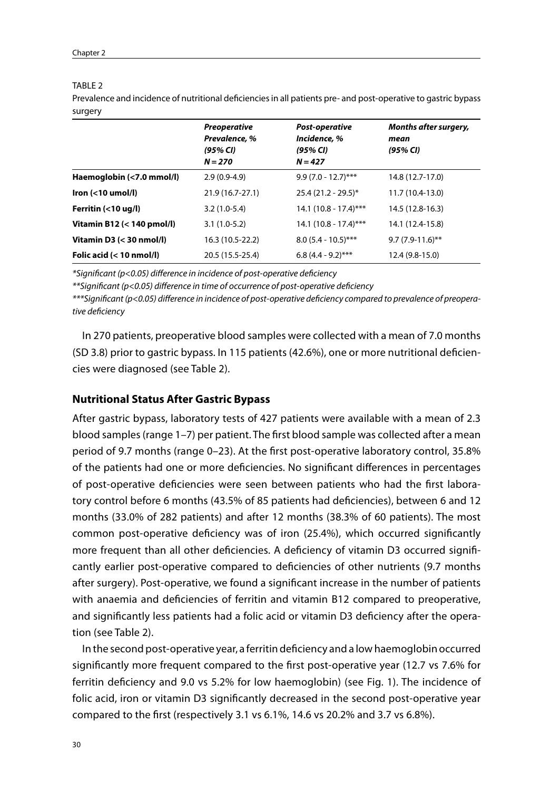#### TABLE 2

Prevalence and incidence of nutritional deficiencies in all patients pre- and post-operative to gastric bypass surgery

|                            | <b>Preoperative</b><br>Prevalence, %<br>(95% CI)<br>$N = 270$ | <b>Post-operative</b><br>Incidence, %<br>(95% CI)<br>$N = 427$ | <b>Months after surgery,</b><br>mean<br>(95% CI) |
|----------------------------|---------------------------------------------------------------|----------------------------------------------------------------|--------------------------------------------------|
| Haemoglobin (<7.0 mmol/l)  | $2.9(0.9-4.9)$                                                | $9.9(7.0 - 12.7)$ ***                                          | 14.8 (12.7-17.0)                                 |
| $lron (< 10$ umol/l)       | 21.9 (16.7-27.1)                                              | $25.4(21.2 - 29.5)^*$                                          | 11.7 (10.4-13.0)                                 |
| Ferritin $(<$ 10 ug/l)     | $3.2(1.0-5.4)$                                                | $14.1(10.8 - 17.4)$ ***                                        | 14.5 (12.8-16.3)                                 |
| Vitamin B12 (< 140 pmol/l) | $3.1(1.0-5.2)$                                                | $14.1(10.8 - 17.4)$ ***                                        | 14.1 (12.4-15.8)                                 |
| Vitamin D3 $(<$ 30 nmol/l) | 16.3 (10.5-22.2)                                              | $8.0(5.4 - 10.5)$ ***                                          | $9.7(7.9-11.6)$ **                               |
| Folic acid (< 10 nmol/l)   | 20.5 (15.5-25.4)                                              | $6.8(4.4-9.2)$ ***                                             | 12.4 (9.8-15.0)                                  |

*\*Significant (p<0.05) difference in incidence of post-operative deficiency*

*\*\*Significant (p<0.05) difference in time of occurrence of post-operative deficiency*

*\*\*\*Significant (p<0.05) difference in incidence of post-operative deficiency compared to prevalence of preoperative deficiency*

In 270 patients, preoperative blood samples were collected with a mean of 7.0 months (SD 3.8) prior to gastric bypass. In 115 patients (42.6%), one or more nutritional deficiencies were diagnosed (see Table 2).

#### **Nutritional Status After Gastric Bypass**

After gastric bypass, laboratory tests of 427 patients were available with a mean of 2.3 blood samples (range 1–7) per patient. The first blood sample was collected after a mean period of 9.7 months (range 0–23). At the first post-operative laboratory control, 35.8% of the patients had one or more deficiencies. No significant differences in percentages of post-operative deficiencies were seen between patients who had the first laboratory control before 6 months (43.5% of 85 patients had deficiencies), between 6 and 12 months (33.0% of 282 patients) and after 12 months (38.3% of 60 patients). The most common post-operative deficiency was of iron (25.4%), which occurred significantly more frequent than all other deficiencies. A deficiency of vitamin D3 occurred significantly earlier post-operative compared to deficiencies of other nutrients (9.7 months after surgery). Post-operative, we found a significant increase in the number of patients with anaemia and deficiencies of ferritin and vitamin B12 compared to preoperative, and significantly less patients had a folic acid or vitamin D3 deficiency after the operation (see Table 2).

In the second post-operative year, a ferritin deficiency and a low haemoglobin occurred significantly more frequent compared to the first post-operative year (12.7 vs 7.6% for ferritin deficiency and 9.0 vs 5.2% for low haemoglobin) (see Fig. 1). The incidence of folic acid, iron or vitamin D3 significantly decreased in the second post-operative year compared to the first (respectively 3.1 vs 6.1%, 14.6 vs 20.2% and 3.7 vs 6.8%).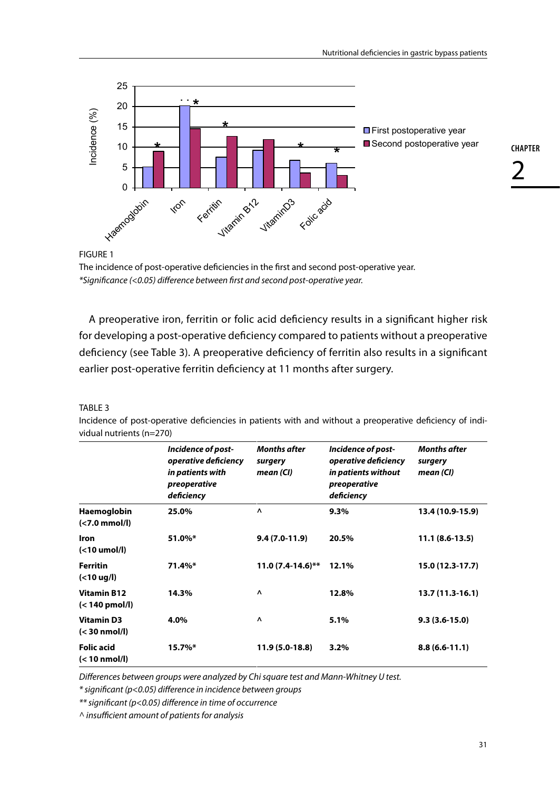**Chapter**

2



FIGURE 1

The incidence of post-operative deficiencies in the first and second post-operative year. *\*Significance (<0.05) difference between first and second post-operative year.*

A preoperative iron, ferritin or folic acid deficiency results in a significant higher risk for developing a post-operative deficiency compared to patients without a preoperative deficiency (see Table 3). A preoperative deficiency of ferritin also results in a significant earlier post-operative ferritin deficiency at 11 months after surgery.

#### TABLE 3

Incidence of post-operative deficiencies in patients with and without a preoperative deficiency of individual nutrients (n=270)

|                                           | Incidence of post-<br>operative deficiency<br>in patients with<br>preoperative<br>deficiency | <b>Months after</b><br>surgery<br>mean (CI) | Incidence of post-<br>operative deficiency<br>in patients without<br>preoperative<br>deficiency | <b>Months after</b><br>surgery<br>mean (CI) |
|-------------------------------------------|----------------------------------------------------------------------------------------------|---------------------------------------------|-------------------------------------------------------------------------------------------------|---------------------------------------------|
| Haemoglobin<br>$\left\langle 7.0$ mmol/l) | 25.0%                                                                                        | ٨                                           | 9.3%                                                                                            | 13.4 (10.9-15.9)                            |
| Iron<br>$(<$ 10 umol/l)                   | 51.0%*                                                                                       | $9.4(7.0-11.9)$                             | 20.5%                                                                                           | 11.1 (8.6-13.5)                             |
| <b>Ferritin</b><br>$(< 10 \text{ uq/l})$  | 71.4%*                                                                                       | $11.0(7.4-14.6)$ **                         | 12.1%                                                                                           | 15.0 (12.3-17.7)                            |
| <b>Vitamin B12</b><br>$(< 140$ pmol/l)    | 14.3%                                                                                        | ۸                                           | 12.8%                                                                                           | 13.7 (11.3-16.1)                            |
| <b>Vitamin D3</b><br>(< 30 nmol/l)        | 4.0%                                                                                         | ۸                                           | 5.1%                                                                                            | $9.3(3.6-15.0)$                             |
| <b>Folic acid</b><br>(< 10 nmol/l)        | $15.7\%*$                                                                                    | 11.9 (5.0-18.8)                             | 3.2%                                                                                            | $8.8(6.6-11.1)$                             |

*Differences between groups were analyzed by Chi square test and Mann-Whitney U test.*

*\* significant (p<0.05) difference in incidence between groups*

*\*\* significant (p<0.05) difference in time of occurrence*

*^ insufficient amount of patients for analysis*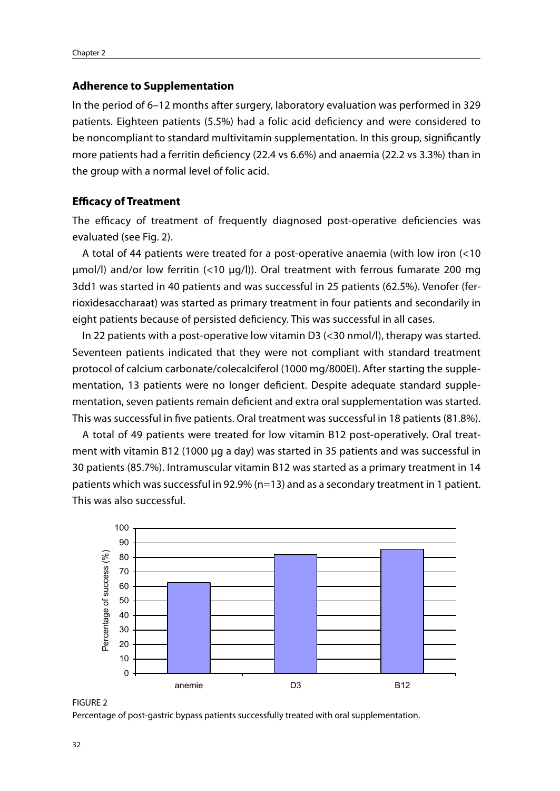#### **Adherence to Supplementation**

In the period of 6–12 months after surgery, laboratory evaluation was performed in 329 patients. Eighteen patients (5.5%) had a folic acid deficiency and were considered to be noncompliant to standard multivitamin supplementation. In this group, significantly more patients had a ferritin deficiency (22.4 vs 6.6%) and anaemia (22.2 vs 3.3%) than in the group with a normal level of folic acid.

#### **Efficacy of Treatment**

The efficacy of treatment of frequently diagnosed post-operative deficiencies was evaluated (see Fig. 2).

A total of 44 patients were treated for a post-operative anaemia (with low iron (<10 μmol/l) and/or low ferritin (<10 μg/l)). Oral treatment with ferrous fumarate 200 mg 3dd1 was started in 40 patients and was successful in 25 patients (62.5%). Venofer (ferrioxidesaccharaat) was started as primary treatment in four patients and secondarily in eight patients because of persisted deficiency. This was successful in all cases.

In 22 patients with a post-operative low vitamin D3 (<30 nmol/l), therapy was started. Seventeen patients indicated that they were not compliant with standard treatment protocol of calcium carbonate/colecalciferol (1000 mg/800EI). After starting the supplementation, 13 patients were no longer deficient. Despite adequate standard supplementation, seven patients remain deficient and extra oral supplementation was started. This was successful in five patients. Oral treatment was successful in 18 patients (81.8%).

A total of 49 patients were treated for low vitamin B12 post-operatively. Oral treatment with vitamin B12 (1000 μg a day) was started in 35 patients and was successful in 30 patients (85.7%). Intramuscular vitamin B12 was started as a primary treatment in 14 patients which was successful in 92.9% (n=13) and as a secondary treatment in 1 patient. This was also successful.





Percentage of post-gastric bypass patients successfully treated with oral supplementation.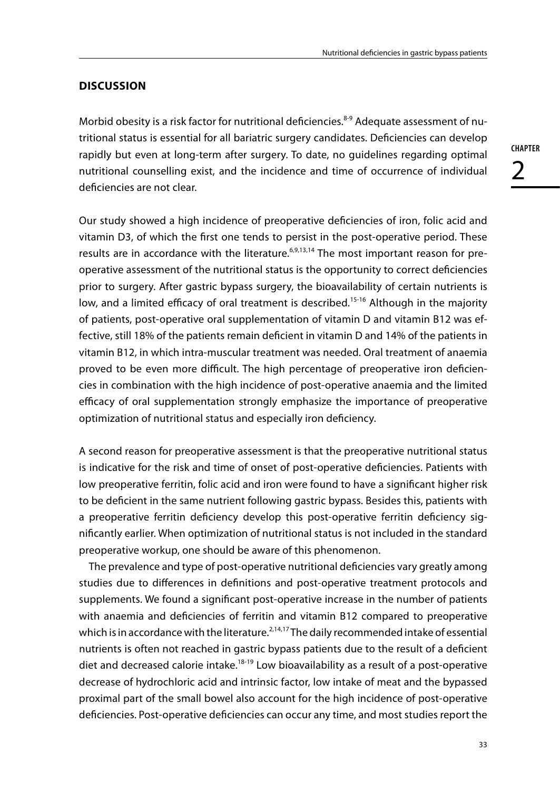#### **Discussion**

Morbid obesity is a risk factor for nutritional deficiencies.<sup>8-9</sup> Adequate assessment of nutritional status is essential for all bariatric surgery candidates. Deficiencies can develop rapidly but even at long-term after surgery. To date, no guidelines regarding optimal nutritional counselling exist, and the incidence and time of occurrence of individual deficiencies are not clear.

Our study showed a high incidence of preoperative deficiencies of iron, folic acid and vitamin D3, of which the first one tends to persist in the post-operative period. These results are in accordance with the literature.<sup>6,9,13,14</sup> The most important reason for preoperative assessment of the nutritional status is the opportunity to correct deficiencies prior to surgery. After gastric bypass surgery, the bioavailability of certain nutrients is low, and a limited efficacy of oral treatment is described.<sup>15-16</sup> Although in the majority of patients, post-operative oral supplementation of vitamin D and vitamin B12 was effective, still 18% of the patients remain deficient in vitamin D and 14% of the patients in vitamin B12, in which intra-muscular treatment was needed. Oral treatment of anaemia proved to be even more difficult. The high percentage of preoperative iron deficiencies in combination with the high incidence of post-operative anaemia and the limited efficacy of oral supplementation strongly emphasize the importance of preoperative optimization of nutritional status and especially iron deficiency.

A second reason for preoperative assessment is that the preoperative nutritional status is indicative for the risk and time of onset of post-operative deficiencies. Patients with low preoperative ferritin, folic acid and iron were found to have a significant higher risk to be deficient in the same nutrient following gastric bypass. Besides this, patients with a preoperative ferritin deficiency develop this post-operative ferritin deficiency significantly earlier. When optimization of nutritional status is not included in the standard preoperative workup, one should be aware of this phenomenon.

The prevalence and type of post-operative nutritional deficiencies vary greatly among studies due to differences in definitions and post-operative treatment protocols and supplements. We found a significant post-operative increase in the number of patients with anaemia and deficiencies of ferritin and vitamin B12 compared to preoperative which is in accordance with the literature.<sup>2,14,17</sup> The daily recommended intake of essential nutrients is often not reached in gastric bypass patients due to the result of a deficient diet and decreased calorie intake.<sup>18-19</sup> Low bioavailability as a result of a post-operative decrease of hydrochloric acid and intrinsic factor, low intake of meat and the bypassed proximal part of the small bowel also account for the high incidence of post-operative deficiencies. Post-operative deficiencies can occur any time, and most studies report the **Chapter**  $\sum$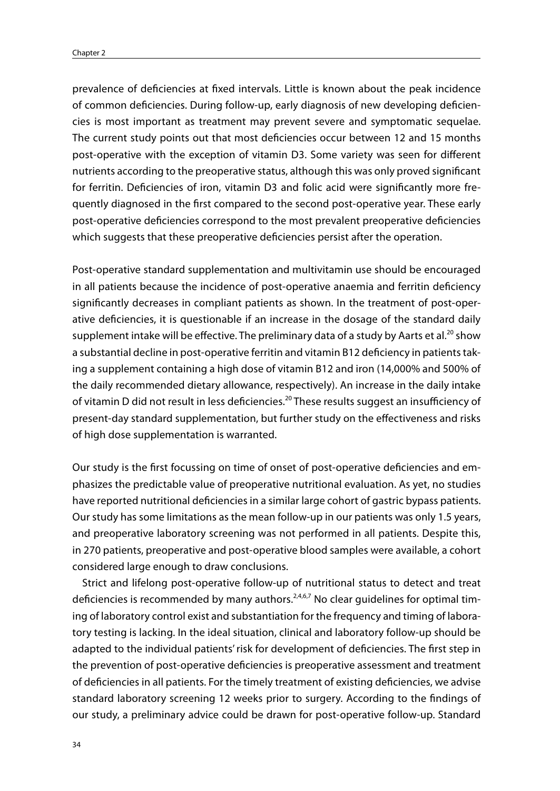prevalence of deficiencies at fixed intervals. Little is known about the peak incidence of common deficiencies. During follow-up, early diagnosis of new developing deficiencies is most important as treatment may prevent severe and symptomatic sequelae. The current study points out that most deficiencies occur between 12 and 15 months post-operative with the exception of vitamin D3. Some variety was seen for different nutrients according to the preoperative status, although this was only proved significant for ferritin. Deficiencies of iron, vitamin D3 and folic acid were significantly more frequently diagnosed in the first compared to the second post-operative year. These early post-operative deficiencies correspond to the most prevalent preoperative deficiencies which suggests that these preoperative deficiencies persist after the operation.

Post-operative standard supplementation and multivitamin use should be encouraged in all patients because the incidence of post-operative anaemia and ferritin deficiency significantly decreases in compliant patients as shown. In the treatment of post-operative deficiencies, it is questionable if an increase in the dosage of the standard daily supplement intake will be effective. The preliminary data of a study by Aarts et al.<sup>20</sup> show a substantial decline in post-operative ferritin and vitamin B12 deficiency in patients taking a supplement containing a high dose of vitamin B12 and iron (14,000% and 500% of the daily recommended dietary allowance, respectively). An increase in the daily intake of vitamin D did not result in less deficiencies.<sup>20</sup> These results suggest an insufficiency of present-day standard supplementation, but further study on the effectiveness and risks of high dose supplementation is warranted.

Our study is the first focussing on time of onset of post-operative deficiencies and emphasizes the predictable value of preoperative nutritional evaluation. As yet, no studies have reported nutritional deficiencies in a similar large cohort of gastric bypass patients. Our study has some limitations as the mean follow-up in our patients was only 1.5 years, and preoperative laboratory screening was not performed in all patients. Despite this, in 270 patients, preoperative and post-operative blood samples were available, a cohort considered large enough to draw conclusions.

Strict and lifelong post-operative follow-up of nutritional status to detect and treat deficiencies is recommended by many authors.<sup>2,4,6,7</sup> No clear quidelines for optimal timing of laboratory control exist and substantiation for the frequency and timing of laboratory testing is lacking. In the ideal situation, clinical and laboratory follow-up should be adapted to the individual patients' risk for development of deficiencies. The first step in the prevention of post-operative deficiencies is preoperative assessment and treatment of deficiencies in all patients. For the timely treatment of existing deficiencies, we advise standard laboratory screening 12 weeks prior to surgery. According to the findings of our study, a preliminary advice could be drawn for post-operative follow-up. Standard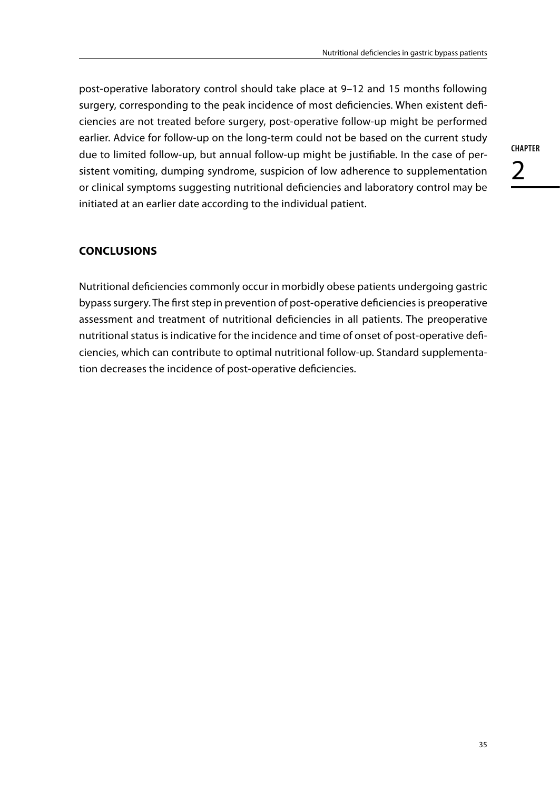post-operative laboratory control should take place at 9–12 and 15 months following surgery, corresponding to the peak incidence of most deficiencies. When existent deficiencies are not treated before surgery, post-operative follow-up might be performed earlier. Advice for follow-up on the long-term could not be based on the current study due to limited follow-up, but annual follow-up might be justifiable. In the case of persistent vomiting, dumping syndrome, suspicion of low adherence to supplementation or clinical symptoms suggesting nutritional deficiencies and laboratory control may be initiated at an earlier date according to the individual patient.

#### **Conclusions**

Nutritional deficiencies commonly occur in morbidly obese patients undergoing gastric bypass surgery. The first step in prevention of post-operative deficiencies is preoperative assessment and treatment of nutritional deficiencies in all patients. The preoperative nutritional status is indicative for the incidence and time of onset of post-operative deficiencies, which can contribute to optimal nutritional follow-up. Standard supplementation decreases the incidence of post-operative deficiencies.

**Chapter** 2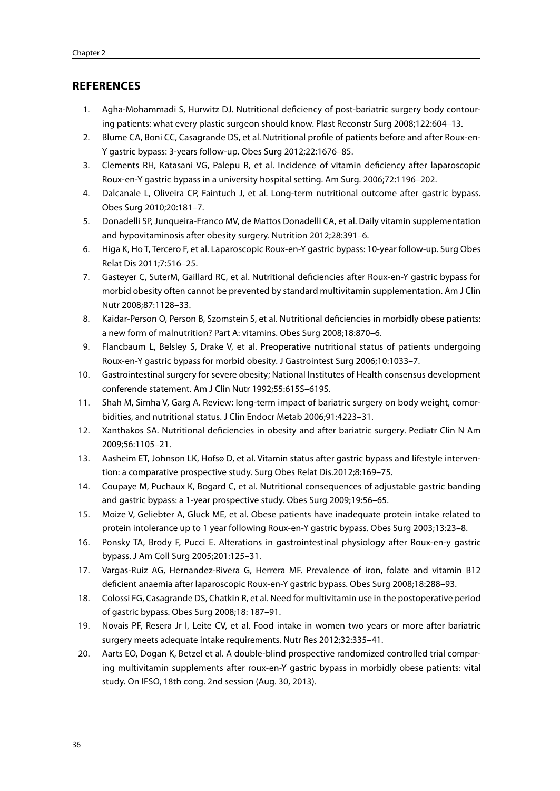#### **References**

- 1. Agha-Mohammadi S, Hurwitz DJ. Nutritional deficiency of post-bariatric surgery body contouring patients: what every plastic surgeon should know. Plast Reconstr Surg 2008;122:604–13.
- 2. Blume CA, Boni CC, Casagrande DS, et al. Nutritional profile of patients before and after Roux-en-Y gastric bypass: 3-years follow-up. Obes Surg 2012;22:1676–85.
- 3. Clements RH, Katasani VG, Palepu R, et al. Incidence of vitamin deficiency after laparoscopic Roux-en-Y gastric bypass in a university hospital setting. Am Surg. 2006;72:1196–202.
- 4. Dalcanale L, Oliveira CP, Faintuch J, et al. Long-term nutritional outcome after gastric bypass. Obes Surg 2010;20:181–7.
- 5. Donadelli SP, Junqueira-Franco MV, de Mattos Donadelli CA, et al. Daily vitamin supplementation and hypovitaminosis after obesity surgery. Nutrition 2012;28:391–6.
- 6. Higa K, Ho T, Tercero F, et al. Laparoscopic Roux-en-Y gastric bypass: 10-year follow-up. Surg Obes Relat Dis 2011;7:516–25.
- 7. Gasteyer C, SuterM, Gaillard RC, et al. Nutritional deficiencies after Roux-en-Y gastric bypass for morbid obesity often cannot be prevented by standard multivitamin supplementation. Am J Clin Nutr 2008;87:1128–33.
- 8. Kaidar-Person O, Person B, Szomstein S, et al. Nutritional deficiencies in morbidly obese patients: a new form of malnutrition? Part A: vitamins. Obes Surg 2008;18:870–6.
- 9. Flancbaum L, Belsley S, Drake V, et al. Preoperative nutritional status of patients undergoing Roux-en-Y gastric bypass for morbid obesity. J Gastrointest Surg 2006;10:1033–7.
- 10. Gastrointestinal surgery for severe obesity; National Institutes of Health consensus development conferende statement. Am J Clin Nutr 1992;55:615S–619S.
- 11. Shah M, Simha V, Garg A. Review: long-term impact of bariatric surgery on body weight, comorbidities, and nutritional status. J Clin Endocr Metab 2006;91:4223–31.
- 12. Xanthakos SA. Nutritional deficiencies in obesity and after bariatric surgery. Pediatr Clin N Am 2009;56:1105–21.
- 13. Aasheim ET, Johnson LK, Hofsø D, et al. Vitamin status after gastric bypass and lifestyle intervention: a comparative prospective study. Surg Obes Relat Dis.2012;8:169–75.
- 14. Coupaye M, Puchaux K, Bogard C, et al. Nutritional consequences of adjustable gastric banding and gastric bypass: a 1-year prospective study. Obes Surg 2009;19:56–65.
- 15. Moize V, Geliebter A, Gluck ME, et al. Obese patients have inadequate protein intake related to protein intolerance up to 1 year following Roux-en-Y gastric bypass. Obes Surg 2003;13:23–8.
- 16. Ponsky TA, Brody F, Pucci E. Alterations in gastrointestinal physiology after Roux-en-y gastric bypass. J Am Coll Surg 2005;201:125–31.
- 17. Vargas-Ruiz AG, Hernandez-Rivera G, Herrera MF. Prevalence of iron, folate and vitamin B12 deficient anaemia after laparoscopic Roux-en-Y gastric bypass. Obes Surg 2008;18:288–93.
- 18. Colossi FG, Casagrande DS, Chatkin R, et al. Need for multivitamin use in the postoperative period of gastric bypass. Obes Surg 2008;18: 187–91.
- 19. Novais PF, Resera Jr I, Leite CV, et al. Food intake in women two years or more after bariatric surgery meets adequate intake requirements. Nutr Res 2012;32:335–41.
- 20. Aarts EO, Dogan K, Betzel et al. A double-blind prospective randomized controlled trial comparing multivitamin supplements after roux-en-Y gastric bypass in morbidly obese patients: vital study. On IFSO, 18th cong. 2nd session (Aug. 30, 2013).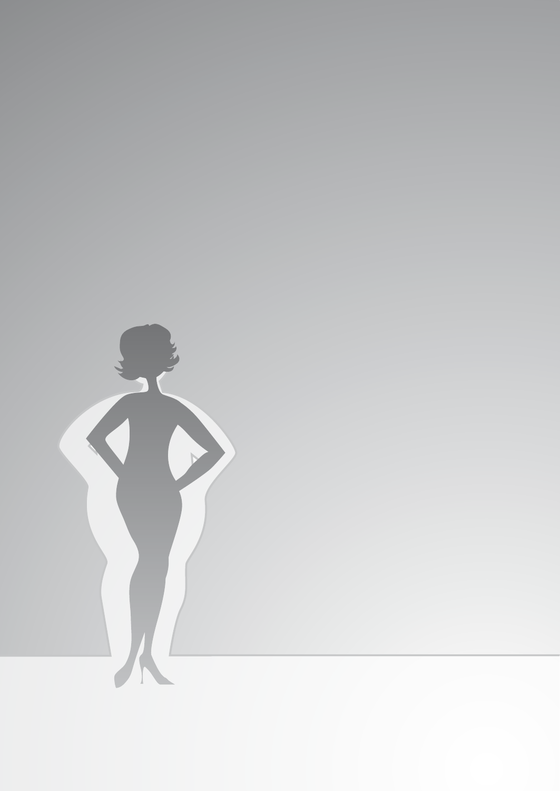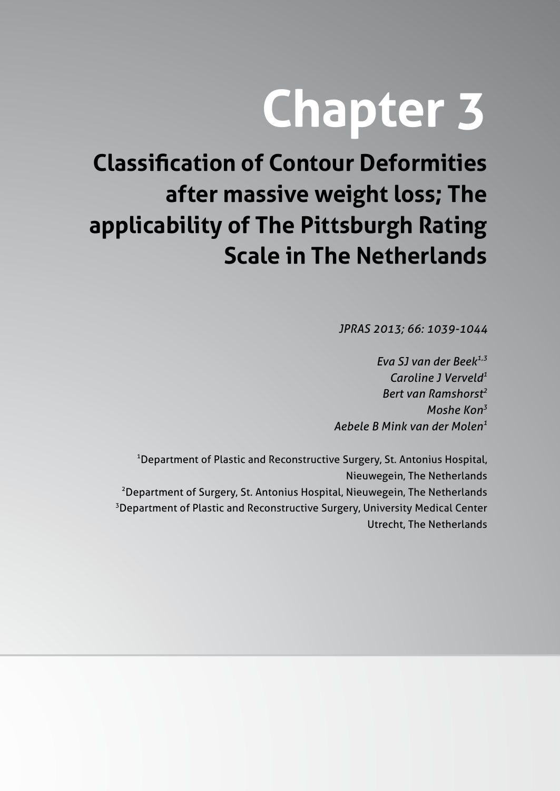## **Chapter 3**

## **Classification of Contour Deformities after massive weight loss; The applicability of The Pittsburgh Rating Scale in The Netherlands**

*JPRAS 2013; 66: 1039-1044*

*Eva SJ van der Beek1,3 Caroline J Verveld<sup>1</sup> Bert van Ramshorst<sup>2</sup> Moshe Kon<sup>3</sup> Aebele B Mink van der Molen<sup>1</sup>*

<sup>1</sup>Department of Plastic and Reconstructive Surgery, St. Antonius Hospital, Nieuwegein, The Netherlands 2 Department of Surgery, St. Antonius Hospital, Nieuwegein, The Netherlands <sup>3</sup>Department of Plastic and Reconstructive Surgery, University Medical Center Utrecht, The Netherlands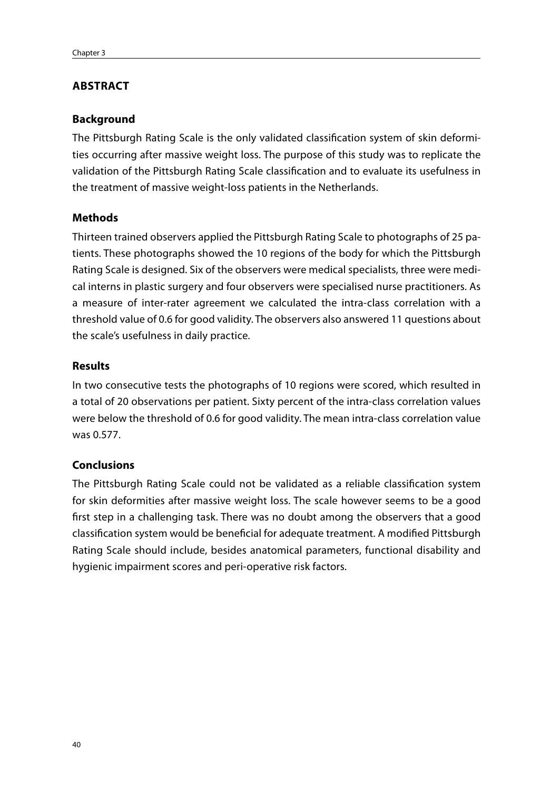#### **Abstract**

#### **Background**

The Pittsburgh Rating Scale is the only validated classification system of skin deformities occurring after massive weight loss. The purpose of this study was to replicate the validation of the Pittsburgh Rating Scale classification and to evaluate its usefulness in the treatment of massive weight-loss patients in the Netherlands.

#### **Methods**

Thirteen trained observers applied the Pittsburgh Rating Scale to photographs of 25 patients. These photographs showed the 10 regions of the body for which the Pittsburgh Rating Scale is designed. Six of the observers were medical specialists, three were medical interns in plastic surgery and four observers were specialised nurse practitioners. As a measure of inter-rater agreement we calculated the intra-class correlation with a threshold value of 0.6 for good validity. The observers also answered 11 questions about the scale's usefulness in daily practice.

#### **Results**

In two consecutive tests the photographs of 10 regions were scored, which resulted in a total of 20 observations per patient. Sixty percent of the intra-class correlation values were below the threshold of 0.6 for good validity. The mean intra-class correlation value was 0.577.

#### **Conclusions**

The Pittsburgh Rating Scale could not be validated as a reliable classification system for skin deformities after massive weight loss. The scale however seems to be a good first step in a challenging task. There was no doubt among the observers that a good classification system would be beneficial for adequate treatment. A modified Pittsburgh Rating Scale should include, besides anatomical parameters, functional disability and hygienic impairment scores and peri-operative risk factors.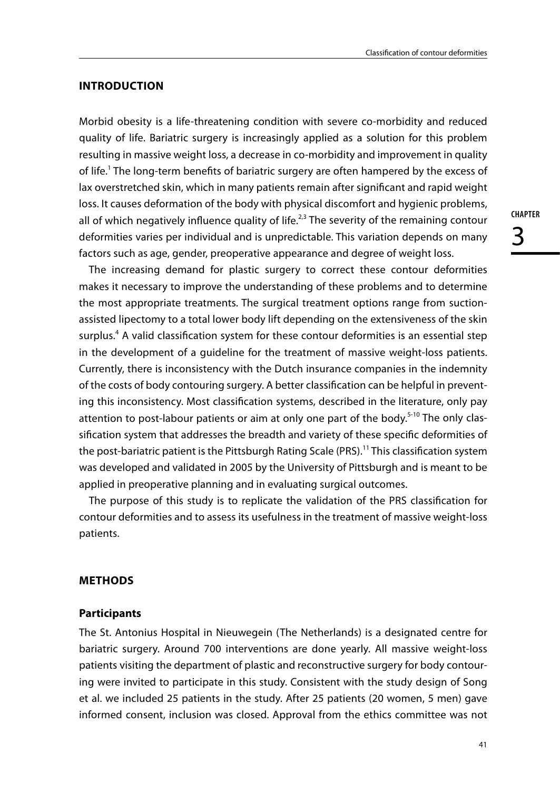#### **Introduction**

Morbid obesity is a life-threatening condition with severe co-morbidity and reduced quality of life. Bariatric surgery is increasingly applied as a solution for this problem resulting in massive weight loss, a decrease in co-morbidity and improvement in quality of life.<sup>1</sup> The long-term benefits of bariatric surgery are often hampered by the excess of lax overstretched skin, which in many patients remain after significant and rapid weight loss. It causes deformation of the body with physical discomfort and hygienic problems, all of which negatively influence quality of life.<sup>2,3</sup> The severity of the remaining contour deformities varies per individual and is unpredictable. This variation depends on many factors such as age, gender, preoperative appearance and degree of weight loss.

The increasing demand for plastic surgery to correct these contour deformities makes it necessary to improve the understanding of these problems and to determine the most appropriate treatments. The surgical treatment options range from suctionassisted lipectomy to a total lower body lift depending on the extensiveness of the skin surplus.<sup>4</sup> A valid classification system for these contour deformities is an essential step in the development of a guideline for the treatment of massive weight-loss patients. Currently, there is inconsistency with the Dutch insurance companies in the indemnity of the costs of body contouring surgery. A better classification can be helpful in preventing this inconsistency. Most classification systems, described in the literature, only pay attention to post-labour patients or aim at only one part of the body.<sup>5-10</sup> The only classification system that addresses the breadth and variety of these specific deformities of the post-bariatric patient is the Pittsburgh Rating Scale (PRS).<sup>11</sup> This classification system was developed and validated in 2005 by the University of Pittsburgh and is meant to be applied in preoperative planning and in evaluating surgical outcomes.

The purpose of this study is to replicate the validation of the PRS classification for contour deformities and to assess its usefulness in the treatment of massive weight-loss patients.

#### **Methods**

#### **Participants**

The St. Antonius Hospital in Nieuwegein (The Netherlands) is a designated centre for bariatric surgery. Around 700 interventions are done yearly. All massive weight-loss patients visiting the department of plastic and reconstructive surgery for body contouring were invited to participate in this study. Consistent with the study design of Song et al. we included 25 patients in the study. After 25 patients (20 women, 5 men) gave informed consent, inclusion was closed. Approval from the ethics committee was not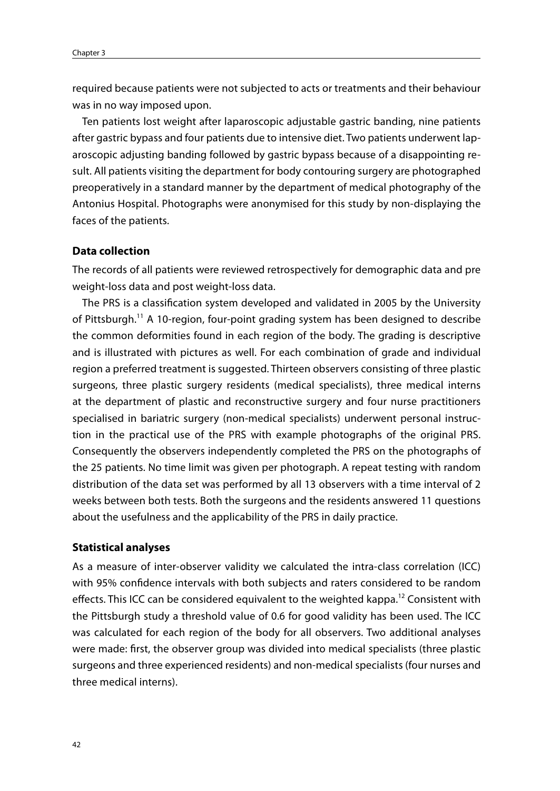required because patients were not subjected to acts or treatments and their behaviour was in no way imposed upon.

Ten patients lost weight after laparoscopic adjustable gastric banding, nine patients after gastric bypass and four patients due to intensive diet. Two patients underwent laparoscopic adjusting banding followed by gastric bypass because of a disappointing result. All patients visiting the department for body contouring surgery are photographed preoperatively in a standard manner by the department of medical photography of the Antonius Hospital. Photographs were anonymised for this study by non-displaying the faces of the patients.

#### **Data collection**

The records of all patients were reviewed retrospectively for demographic data and pre weight-loss data and post weight-loss data.

The PRS is a classification system developed and validated in 2005 by the University of Pittsburgh.11 A 10-region, four-point grading system has been designed to describe the common deformities found in each region of the body. The grading is descriptive and is illustrated with pictures as well. For each combination of grade and individual region a preferred treatment is suggested. Thirteen observers consisting of three plastic surgeons, three plastic surgery residents (medical specialists), three medical interns at the department of plastic and reconstructive surgery and four nurse practitioners specialised in bariatric surgery (non-medical specialists) underwent personal instruction in the practical use of the PRS with example photographs of the original PRS. Consequently the observers independently completed the PRS on the photographs of the 25 patients. No time limit was given per photograph. A repeat testing with random distribution of the data set was performed by all 13 observers with a time interval of 2 weeks between both tests. Both the surgeons and the residents answered 11 questions about the usefulness and the applicability of the PRS in daily practice.

#### **Statistical analyses**

As a measure of inter-observer validity we calculated the intra-class correlation (ICC) with 95% confidence intervals with both subjects and raters considered to be random effects. This ICC can be considered equivalent to the weighted kappa.<sup>12</sup> Consistent with the Pittsburgh study a threshold value of 0.6 for good validity has been used. The ICC was calculated for each region of the body for all observers. Two additional analyses were made: first, the observer group was divided into medical specialists (three plastic surgeons and three experienced residents) and non-medical specialists (four nurses and three medical interns).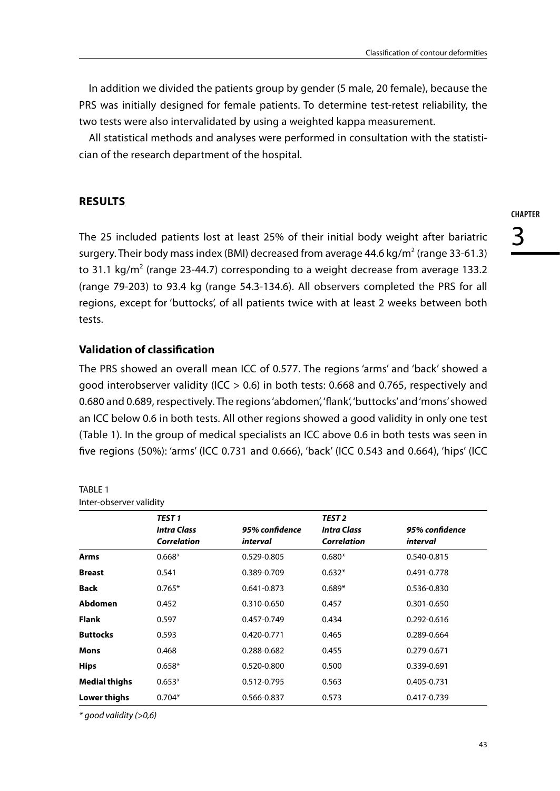In addition we divided the patients group by gender (5 male, 20 female), because the PRS was initially designed for female patients. To determine test-retest reliability, the two tests were also intervalidated by using a weighted kappa measurement.

All statistical methods and analyses were performed in consultation with the statistician of the research department of the hospital.

#### **Results**

TABLE 1

The 25 included patients lost at least 25% of their initial body weight after bariatric surgery. Their body mass index (BMI) decreased from average 44.6 kg/m<sup>2</sup> (range 33-61.3) to 31.1 kg/m<sup>2</sup> (range 23-44.7) corresponding to a weight decrease from average 133.2 (range 79-203) to 93.4 kg (range 54.3-134.6). All observers completed the PRS for all regions, except for 'buttocks', of all patients twice with at least 2 weeks between both tests.

#### **Validation of classification**

The PRS showed an overall mean ICC of 0.577. The regions 'arms' and 'back' showed a good interobserver validity (ICC > 0.6) in both tests: 0.668 and 0.765, respectively and 0.680 and 0.689, respectively. The regions 'abdomen', 'flank', 'buttocks' and 'mons' showed an ICC below 0.6 in both tests. All other regions showed a good validity in only one test (Table 1). In the group of medical specialists an ICC above 0.6 in both tests was seen in five regions (50%): 'arms' (ICC 0.731 and 0.666), 'back' (ICC 0.543 and 0.664), 'hips' (ICC

| 17 JULL 1               |                                                          |                            |                                                    |                            |
|-------------------------|----------------------------------------------------------|----------------------------|----------------------------------------------------|----------------------------|
| Inter-observer validity |                                                          |                            |                                                    |                            |
|                         | <b>TEST1</b><br><b>Intra Class</b><br><b>Correlation</b> | 95% confidence<br>interval | <b>TEST 2</b><br><b>Intra Class</b><br>Correlation | 95% confidence<br>interval |
| Arms                    | $0.668*$                                                 | 0.529-0.805                | $0.680*$                                           | 0.540-0.815                |
| <b>Breast</b>           | 0.541                                                    | 0.389-0.709                | $0.632*$                                           | 0.491-0.778                |
| <b>Back</b>             | $0.765*$                                                 | 0.641-0.873                | $0.689*$                                           | 0.536-0.830                |
| Abdomen                 | 0.452                                                    | 0.310-0.650                | 0.457                                              | 0.301-0.650                |
| Flank                   | 0.597                                                    | 0.457-0.749                | 0.434                                              | 0.292-0.616                |
| <b>Buttocks</b>         | 0.593                                                    | 0.420-0.771                | 0.465                                              | 0.289-0.664                |
| Mons                    | 0.468                                                    | 0.288-0.682                | 0.455                                              | 0.279-0.671                |
| <b>Hips</b>             | $0.658*$                                                 | 0.520-0.800                | 0.500                                              | 0.339-0.691                |
| <b>Medial thighs</b>    | $0.653*$                                                 | 0.512-0.795                | 0.563                                              | 0.405-0.731                |
| <b>Lower thighs</b>     | $0.704*$                                                 | 0.566-0.837                | 0.573                                              | 0.417-0.739                |

*\* good validity (>0,6)*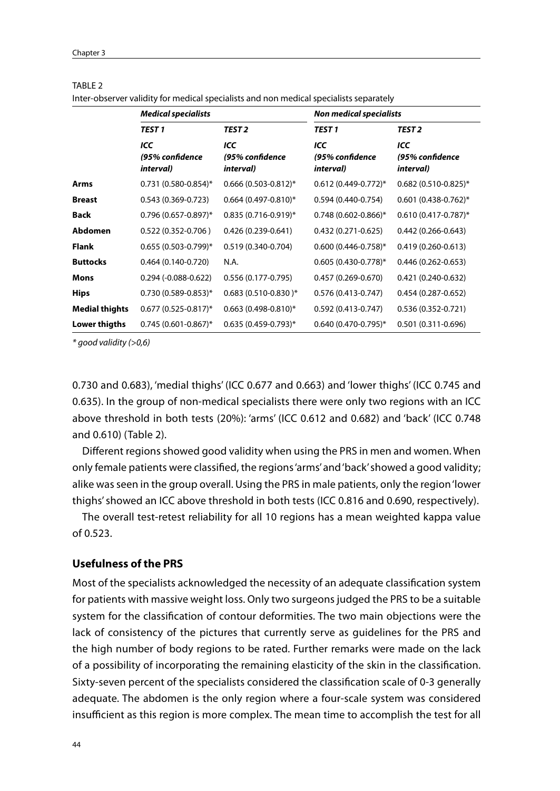#### TABLE<sub>2</sub>

Inter-observer validity for medical specialists and non medical specialists separately

|                       | <b>Medical specialists</b>          |                                     | <b>Non medical specialists</b>      |                                     |  |
|-----------------------|-------------------------------------|-------------------------------------|-------------------------------------|-------------------------------------|--|
|                       | <b>TEST1</b>                        | TEST <sub>2</sub>                   | <b>TEST1</b>                        | TEST <sub>2</sub>                   |  |
|                       | ICC<br>(95% confidence<br>interval) | ICC<br>(95% confidence<br>interval) | ICC<br>(95% confidence<br>interval) | ICC<br>(95% confidence<br>interval) |  |
| Arms                  | $0.731(0.580-0.854)$ *              | $0.666(0.503 - 0.812)^*$            | $0.612(0.449 - 0.772)$ *            | $0.682(0.510-0.825)$ *              |  |
| <b>Breast</b>         | $0.543(0.369-0.723)$                | $0.664(0.497 - 0.810)^*$            | $0.594(0.440-0.754)$                | $0.601(0.438 - 0.762)^*$            |  |
| Back                  | $0.796$ (0.657-0.897)*              | $0.835(0.716-0.919)^{*}$            | $0.748(0.602 - 0.866)^*$            | $0.610(0.417 - 0.787)^*$            |  |
| Abdomen               | $0.522(0.352 - 0.706)$              | $0.426(0.239 - 0.641)$              | $0.432(0.271 - 0.625)$              | $0.442(0.266 - 0.643)$              |  |
| <b>Flank</b>          | $0.655(0.503 - 0.799)^*$            | $0.519(0.340 - 0.704)$              | $0.600(0.446 - 0.758)$ *            | $0.419(0.260 - 0.613)$              |  |
| <b>Buttocks</b>       | $0.464(0.140-0.720)$                | N.A.                                | $0.605(0.430-0.778)$ *              | $0.446(0.262 - 0.653)$              |  |
| Mons                  | $0.294 (-0.088 - 0.622)$            | $0.556(0.177-0.795)$                | $0.457(0.269 - 0.670)$              | 0.421 (0.240-0.632)                 |  |
| <b>Hips</b>           | $0.730(0.589 - 0.853)^*$            | $0.683(0.510-0.830)*$               | $0.576(0.413 - 0.747)$              | $0.454(0.287 - 0.652)$              |  |
| <b>Medial thights</b> | $0.677(0.525-0.817)^*$              | $0.663(0.498 - 0.810)^*$            | $0.592(0.413 - 0.747)$              | $0.536(0.352 - 0.721)$              |  |
| Lower thigths         | $0.745(0.601 - 0.867)^*$            | $0.635(0.459-0.793)^*$              | $0.640(0.470-0.795)$ *              | $0.501(0.311 - 0.696)$              |  |

*\* good validity (>0,6)*

0.730 and 0.683), 'medial thighs' (ICC 0.677 and 0.663) and 'lower thighs' (ICC 0.745 and 0.635). In the group of non-medical specialists there were only two regions with an ICC above threshold in both tests (20%): 'arms' (ICC 0.612 and 0.682) and 'back' (ICC 0.748 and 0.610) (Table 2).

Different regions showed good validity when using the PRS in men and women. When only female patients were classified, the regions 'arms' and 'back' showed a good validity; alike was seen in the group overall. Using the PRS in male patients, only the region 'lower thighs' showed an ICC above threshold in both tests (ICC 0.816 and 0.690, respectively).

The overall test-retest reliability for all 10 regions has a mean weighted kappa value of 0.523.

#### **Usefulness of the PRS**

Most of the specialists acknowledged the necessity of an adequate classification system for patients with massive weight loss. Only two surgeons judged the PRS to be a suitable system for the classification of contour deformities. The two main objections were the lack of consistency of the pictures that currently serve as guidelines for the PRS and the high number of body regions to be rated. Further remarks were made on the lack of a possibility of incorporating the remaining elasticity of the skin in the classification. Sixty-seven percent of the specialists considered the classification scale of 0-3 generally adequate. The abdomen is the only region where a four-scale system was considered insufficient as this region is more complex. The mean time to accomplish the test for all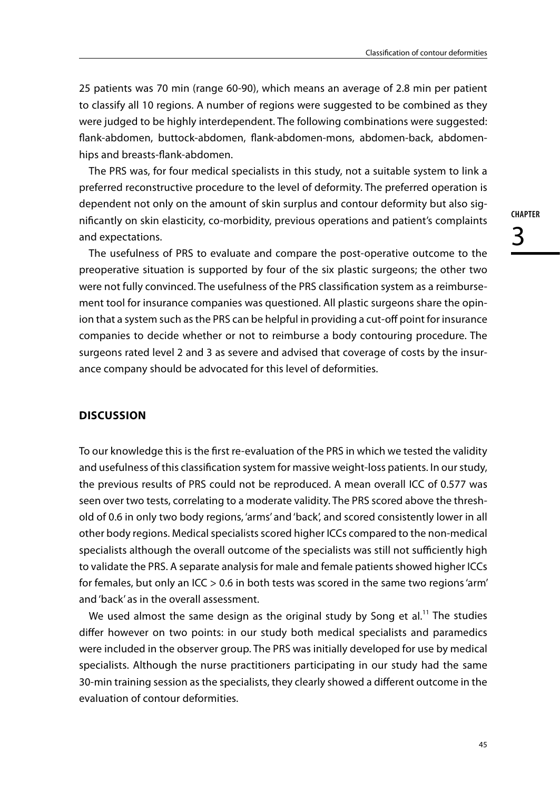25 patients was 70 min (range 60-90), which means an average of 2.8 min per patient to classify all 10 regions. A number of regions were suggested to be combined as they were judged to be highly interdependent. The following combinations were suggested: flank-abdomen, buttock-abdomen, flank-abdomen-mons, abdomen-back, abdomenhips and breasts-flank-abdomen.

The PRS was, for four medical specialists in this study, not a suitable system to link a preferred reconstructive procedure to the level of deformity. The preferred operation is dependent not only on the amount of skin surplus and contour deformity but also significantly on skin elasticity, co-morbidity, previous operations and patient's complaints and expectations.

The usefulness of PRS to evaluate and compare the post-operative outcome to the preoperative situation is supported by four of the six plastic surgeons; the other two were not fully convinced. The usefulness of the PRS classification system as a reimbursement tool for insurance companies was questioned. All plastic surgeons share the opinion that a system such as the PRS can be helpful in providing a cut-off point for insurance companies to decide whether or not to reimburse a body contouring procedure. The surgeons rated level 2 and 3 as severe and advised that coverage of costs by the insurance company should be advocated for this level of deformities.

#### **Discussion**

To our knowledge this is the first re-evaluation of the PRS in which we tested the validity and usefulness of this classification system for massive weight-loss patients. In our study, the previous results of PRS could not be reproduced. A mean overall ICC of 0.577 was seen over two tests, correlating to a moderate validity. The PRS scored above the threshold of 0.6 in only two body regions, 'arms' and 'back', and scored consistently lower in all other body regions. Medical specialists scored higher ICCs compared to the non-medical specialists although the overall outcome of the specialists was still not sufficiently high to validate the PRS. A separate analysis for male and female patients showed higher ICCs for females, but only an ICC > 0.6 in both tests was scored in the same two regions 'arm' and 'back' as in the overall assessment.

We used almost the same design as the original study by Song et al.<sup>11</sup> The studies differ however on two points: in our study both medical specialists and paramedics were included in the observer group. The PRS was initially developed for use by medical specialists. Although the nurse practitioners participating in our study had the same 30-min training session as the specialists, they clearly showed a different outcome in the evaluation of contour deformities.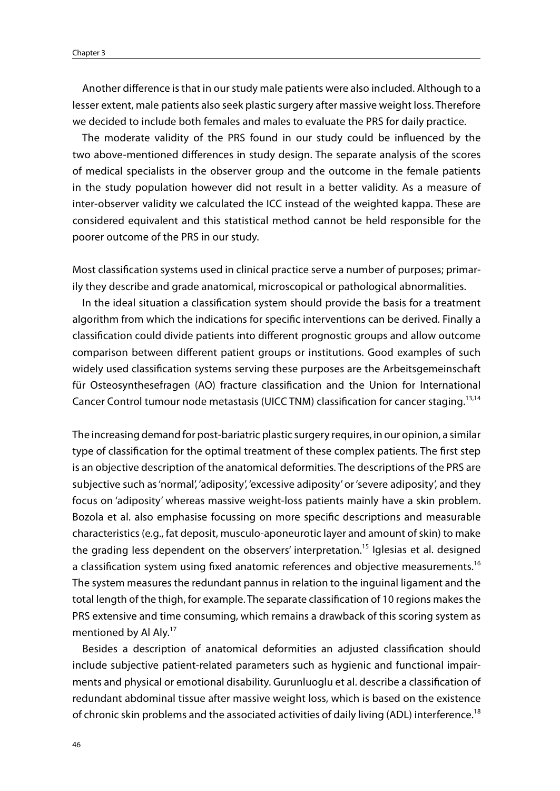Another difference is that in our study male patients were also included. Although to a lesser extent, male patients also seek plastic surgery after massive weight loss. Therefore we decided to include both females and males to evaluate the PRS for daily practice.

The moderate validity of the PRS found in our study could be influenced by the two above-mentioned differences in study design. The separate analysis of the scores of medical specialists in the observer group and the outcome in the female patients in the study population however did not result in a better validity. As a measure of inter-observer validity we calculated the ICC instead of the weighted kappa. These are considered equivalent and this statistical method cannot be held responsible for the poorer outcome of the PRS in our study.

Most classification systems used in clinical practice serve a number of purposes; primarily they describe and grade anatomical, microscopical or pathological abnormalities.

In the ideal situation a classification system should provide the basis for a treatment algorithm from which the indications for specific interventions can be derived. Finally a classification could divide patients into different prognostic groups and allow outcome comparison between different patient groups or institutions. Good examples of such widely used classification systems serving these purposes are the Arbeitsgemeinschaft für Osteosynthesefragen (AO) fracture classification and the Union for International Cancer Control tumour node metastasis (UICC TNM) classification for cancer staging.<sup>13,14</sup>

The increasing demand for post-bariatric plastic surgery requires, in our opinion, a similar type of classification for the optimal treatment of these complex patients. The first step is an objective description of the anatomical deformities. The descriptions of the PRS are subjective such as 'normal', 'adiposity', 'excessive adiposity' or 'severe adiposity', and they focus on 'adiposity' whereas massive weight-loss patients mainly have a skin problem. Bozola et al. also emphasise focussing on more specific descriptions and measurable characteristics (e.g., fat deposit, musculo-aponeurotic layer and amount of skin) to make the grading less dependent on the observers' interpretation.<sup>15</sup> Iglesias et al. designed a classification system using fixed anatomic references and objective measurements.<sup>16</sup> The system measures the redundant pannus in relation to the inguinal ligament and the total length of the thigh, for example. The separate classification of 10 regions makes the PRS extensive and time consuming, which remains a drawback of this scoring system as mentioned by Al Aly.<sup>17</sup>

Besides a description of anatomical deformities an adjusted classification should include subjective patient-related parameters such as hygienic and functional impairments and physical or emotional disability. Gurunluoglu et al. describe a classification of redundant abdominal tissue after massive weight loss, which is based on the existence of chronic skin problems and the associated activities of daily living (ADL) interference.<sup>18</sup>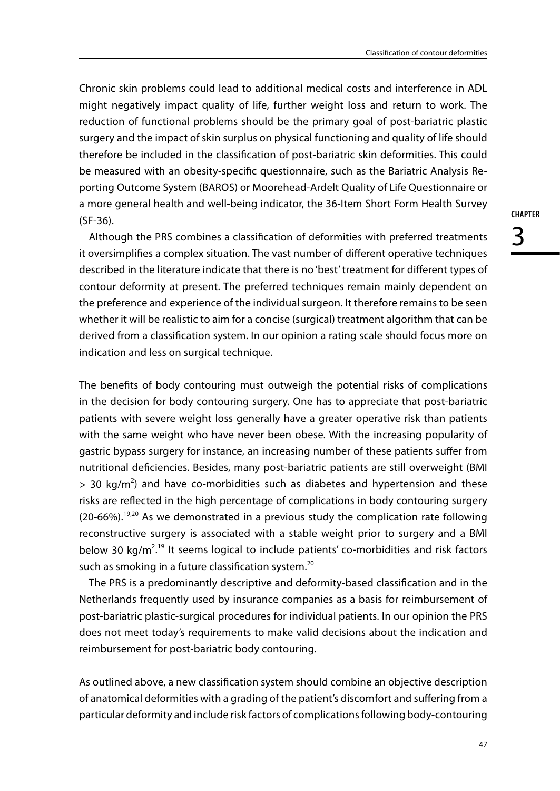Chronic skin problems could lead to additional medical costs and interference in ADL might negatively impact quality of life, further weight loss and return to work. The reduction of functional problems should be the primary goal of post-bariatric plastic surgery and the impact of skin surplus on physical functioning and quality of life should therefore be included in the classification of post-bariatric skin deformities. This could be measured with an obesity-specific questionnaire, such as the Bariatric Analysis Reporting Outcome System (BAROS) or Moorehead-Ardelt Quality of Life Questionnaire or a more general health and well-being indicator, the 36-Item Short Form Health Survey (SF-36).

Although the PRS combines a classification of deformities with preferred treatments it oversimplifies a complex situation. The vast number of different operative techniques described in the literature indicate that there is no 'best' treatment for different types of contour deformity at present. The preferred techniques remain mainly dependent on the preference and experience of the individual surgeon. It therefore remains to be seen whether it will be realistic to aim for a concise (surgical) treatment algorithm that can be derived from a classification system. In our opinion a rating scale should focus more on indication and less on surgical technique.

The benefits of body contouring must outweigh the potential risks of complications in the decision for body contouring surgery. One has to appreciate that post-bariatric patients with severe weight loss generally have a greater operative risk than patients with the same weight who have never been obese. With the increasing popularity of gastric bypass surgery for instance, an increasing number of these patients suffer from nutritional deficiencies. Besides, many post-bariatric patients are still overweight (BMI  $>$  30 kg/m<sup>2</sup>) and have co-morbidities such as diabetes and hypertension and these risks are reflected in the high percentage of complications in body contouring surgery  $(20-66%)$ .<sup>19,20</sup> As we demonstrated in a previous study the complication rate following reconstructive surgery is associated with a stable weight prior to surgery and a BMI below 30 kg/m<sup>2,19</sup> It seems logical to include patients' co-morbidities and risk factors such as smoking in a future classification system.<sup>20</sup>

The PRS is a predominantly descriptive and deformity-based classification and in the Netherlands frequently used by insurance companies as a basis for reimbursement of post-bariatric plastic-surgical procedures for individual patients. In our opinion the PRS does not meet today's requirements to make valid decisions about the indication and reimbursement for post-bariatric body contouring.

As outlined above, a new classification system should combine an objective description of anatomical deformities with a grading of the patient's discomfort and suffering from a particular deformity and include risk factors of complications following body-contouring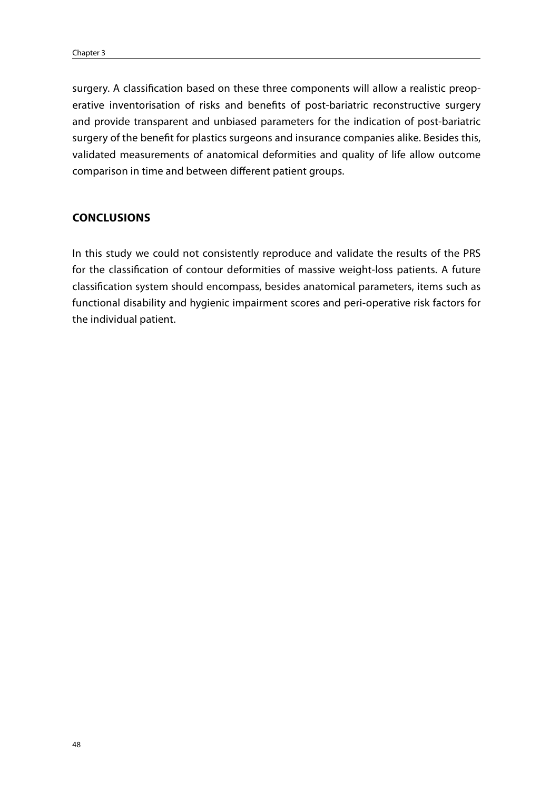surgery. A classification based on these three components will allow a realistic preoperative inventorisation of risks and benefits of post-bariatric reconstructive surgery and provide transparent and unbiased parameters for the indication of post-bariatric surgery of the benefit for plastics surgeons and insurance companies alike. Besides this, validated measurements of anatomical deformities and quality of life allow outcome comparison in time and between different patient groups.

#### **Conclusions**

In this study we could not consistently reproduce and validate the results of the PRS for the classification of contour deformities of massive weight-loss patients. A future classification system should encompass, besides anatomical parameters, items such as functional disability and hygienic impairment scores and peri-operative risk factors for the individual patient.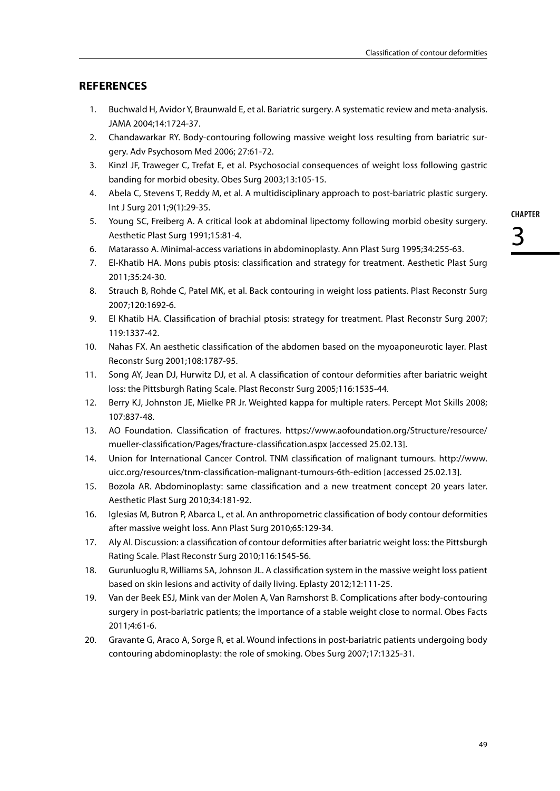#### **References**

- 1. Buchwald H, Avidor Y, Braunwald E, et al. Bariatric surgery. A systematic review and meta-analysis. JAMA 2004;14:1724-37.
- 2. Chandawarkar RY. Body-contouring following massive weight loss resulting from bariatric surgery. Adv Psychosom Med 2006; 27:61-72.
- 3. Kinzl JF, Traweger C, Trefat E, et al. Psychosocial consequences of weight loss following gastric banding for morbid obesity. Obes Surg 2003;13:105-15.
- 4. Abela C, Stevens T, Reddy M, et al. A multidisciplinary approach to post-bariatric plastic surgery. Int J Surg 2011;9(1):29-35.
- 5. Young SC, Freiberg A. A critical look at abdominal lipectomy following morbid obesity surgery. Aesthetic Plast Surg 1991;15:81-4.
- 6. Matarasso A. Minimal-access variations in abdominoplasty. Ann Plast Surg 1995;34:255-63.
- 7. El-Khatib HA. Mons pubis ptosis: classification and strategy for treatment. Aesthetic Plast Surg 2011;35:24-30.
- 8. Strauch B, Rohde C, Patel MK, et al. Back contouring in weight loss patients. Plast Reconstr Surg 2007;120:1692-6.
- 9. El Khatib HA. Classification of brachial ptosis: strategy for treatment. Plast Reconstr Surg 2007; 119:1337-42.
- 10. Nahas FX. An aesthetic classification of the abdomen based on the myoaponeurotic layer. Plast Reconstr Surg 2001;108:1787-95.
- 11. Song AY, Jean DJ, Hurwitz DJ, et al. A classification of contour deformities after bariatric weight loss: the Pittsburgh Rating Scale. Plast Reconstr Surg 2005;116:1535-44.
- 12. Berry KJ, Johnston JE, Mielke PR Jr. Weighted kappa for multiple raters. Percept Mot Skills 2008; 107:837-48.
- 13. AO Foundation. Classification of fractures. https://www.aofoundation.org/Structure/resource/ mueller-classification/Pages/fracture-classification.aspx [accessed 25.02.13].
- 14. Union for International Cancer Control. TNM classification of malignant tumours. http://www. uicc.org/resources/tnm-classification-malignant-tumours-6th-edition [accessed 25.02.13].
- 15. Bozola AR. Abdominoplasty: same classification and a new treatment concept 20 years later. Aesthetic Plast Surg 2010;34:181-92.
- 16. Iglesias M, Butron P, Abarca L, et al. An anthropometric classification of body contour deformities after massive weight loss. Ann Plast Surg 2010;65:129-34.
- 17. Aly Al. Discussion: a classification of contour deformities after bariatric weight loss: the Pittsburgh Rating Scale. Plast Reconstr Surg 2010;116:1545-56.
- 18. Gurunluoglu R, Williams SA, Johnson JL. A classification system in the massive weight loss patient based on skin lesions and activity of daily living. Eplasty 2012;12:111-25.
- 19. Van der Beek ESJ, Mink van der Molen A, Van Ramshorst B. Complications after body-contouring surgery in post-bariatric patients; the importance of a stable weight close to normal. Obes Facts 2011;4:61-6.
- 20. Gravante G, Araco A, Sorge R, et al. Wound infections in post-bariatric patients undergoing body contouring abdominoplasty: the role of smoking. Obes Surg 2007;17:1325-31.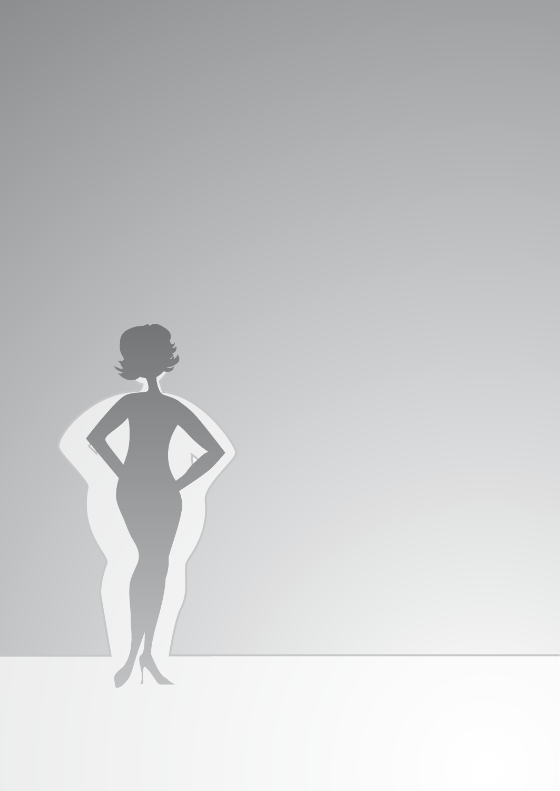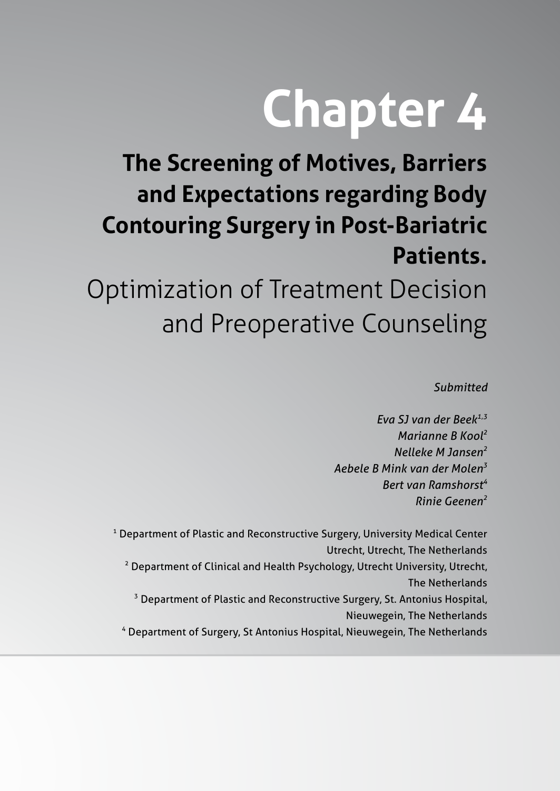# **Chapter 4**

## **The Screening of Motives, Barriers and Expectations regarding Body Contouring Surgery in Post-Bariatric Patients.**

## Optimization of Treatment Decision and Preoperative Counseling

*Submitted*

*Eva SJ van der Beek1,3 Marianne B Kool<sup>2</sup> Nelleke M Jansen<sup>2</sup> Aebele B Mink van der Molen<sup>3</sup> Bert van Ramshorst<sup>4</sup> Rinie Geenen<sup>2</sup>*

<sup>1</sup> Department of Plastic and Reconstructive Surgery, University Medical Center Utrecht, Utrecht, The Netherlands <sup>2</sup> Department of Clinical and Health Psychology, Utrecht University, Utrecht, The Netherlands <sup>3</sup> Department of Plastic and Reconstructive Surgery, St. Antonius Hospital, Nieuwegein, The Netherlands 4 Department of Surgery, St Antonius Hospital, Nieuwegein, The Netherlands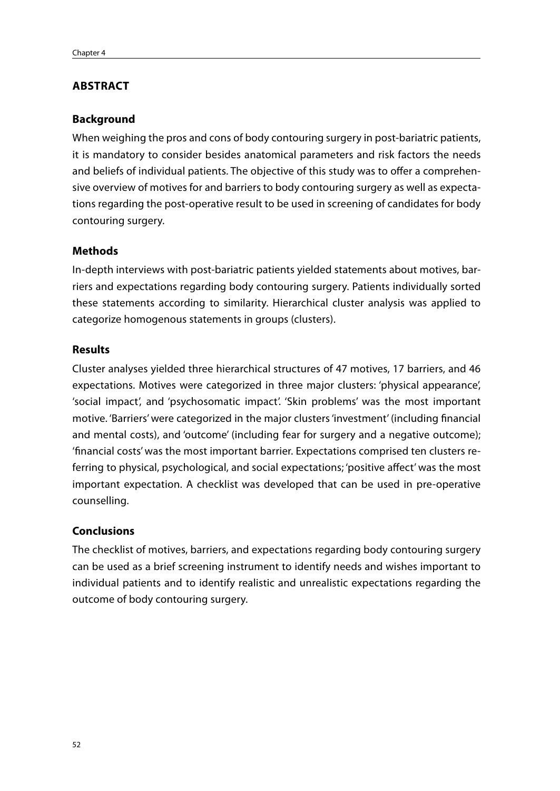#### **Abstract**

#### **Background**

When weighing the pros and cons of body contouring surgery in post-bariatric patients, it is mandatory to consider besides anatomical parameters and risk factors the needs and beliefs of individual patients. The objective of this study was to offer a comprehensive overview of motives for and barriers to body contouring surgery as well as expectations regarding the post-operative result to be used in screening of candidates for body contouring surgery.

#### **Methods**

In-depth interviews with post-bariatric patients yielded statements about motives, barriers and expectations regarding body contouring surgery. Patients individually sorted these statements according to similarity. Hierarchical cluster analysis was applied to categorize homogenous statements in groups (clusters).

#### **Results**

Cluster analyses yielded three hierarchical structures of 47 motives, 17 barriers, and 46 expectations. Motives were categorized in three major clusters: 'physical appearance', 'social impact', and 'psychosomatic impact'. 'Skin problems' was the most important motive. 'Barriers' were categorized in the major clusters 'investment' (including financial and mental costs), and 'outcome' (including fear for surgery and a negative outcome); 'financial costs' was the most important barrier. Expectations comprised ten clusters referring to physical, psychological, and social expectations; 'positive affect' was the most important expectation. A checklist was developed that can be used in pre-operative counselling.

#### **Conclusions**

The checklist of motives, barriers, and expectations regarding body contouring surgery can be used as a brief screening instrument to identify needs and wishes important to individual patients and to identify realistic and unrealistic expectations regarding the outcome of body contouring surgery.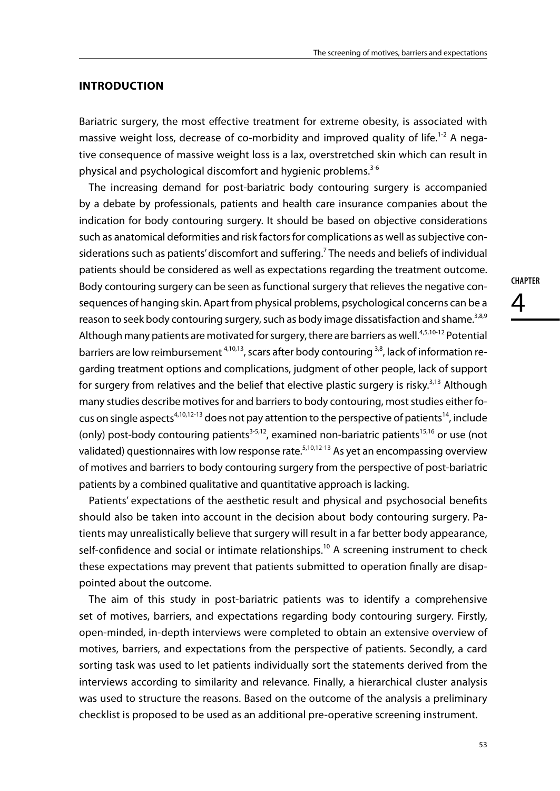#### **Introduction**

Bariatric surgery, the most effective treatment for extreme obesity, is associated with massive weight loss, decrease of co-morbidity and improved quality of life.<sup>1-2</sup> A negative consequence of massive weight loss is a lax, overstretched skin which can result in physical and psychological discomfort and hygienic problems.<sup>3-6</sup>

The increasing demand for post-bariatric body contouring surgery is accompanied by a debate by professionals, patients and health care insurance companies about the indication for body contouring surgery. It should be based on objective considerations such as anatomical deformities and risk factors for complications as well as subjective considerations such as patients' discomfort and suffering.<sup>7</sup> The needs and beliefs of individual patients should be considered as well as expectations regarding the treatment outcome. Body contouring surgery can be seen as functional surgery that relieves the negative consequences of hanging skin. Apart from physical problems, psychological concerns can be a reason to seek body contouring surgery, such as body image dissatisfaction and shame.<sup>3,8,9</sup> Although many patients are motivated for surgery, there are barriers as well.<sup>4,5,10-12</sup> Potential barriers are low reimbursement  $4,10,13$ , scars after body contouring  $3,8$ , lack of information regarding treatment options and complications, judgment of other people, lack of support for surgery from relatives and the belief that elective plastic surgery is risky.<sup>3,13</sup> Although many studies describe motives for and barriers to body contouring, most studies either focus on single aspects<sup>4,10,12-13</sup> does not pay attention to the perspective of patients<sup>14</sup>, include (only) post-body contouring patients<sup>3-5,12</sup>, examined non-bariatric patients<sup>15,16</sup> or use (not validated) questionnaires with low response rate.<sup>5,10,12-13</sup> As yet an encompassing overview of motives and barriers to body contouring surgery from the perspective of post-bariatric patients by a combined qualitative and quantitative approach is lacking.

Patients' expectations of the aesthetic result and physical and psychosocial benefits should also be taken into account in the decision about body contouring surgery. Patients may unrealistically believe that surgery will result in a far better body appearance, self-confidence and social or intimate relationships.<sup>10</sup> A screening instrument to check these expectations may prevent that patients submitted to operation finally are disappointed about the outcome.

The aim of this study in post-bariatric patients was to identify a comprehensive set of motives, barriers, and expectations regarding body contouring surgery. Firstly, open-minded, in-depth interviews were completed to obtain an extensive overview of motives, barriers, and expectations from the perspective of patients. Secondly, a card sorting task was used to let patients individually sort the statements derived from the interviews according to similarity and relevance. Finally, a hierarchical cluster analysis was used to structure the reasons. Based on the outcome of the analysis a preliminary checklist is proposed to be used as an additional pre-operative screening instrument.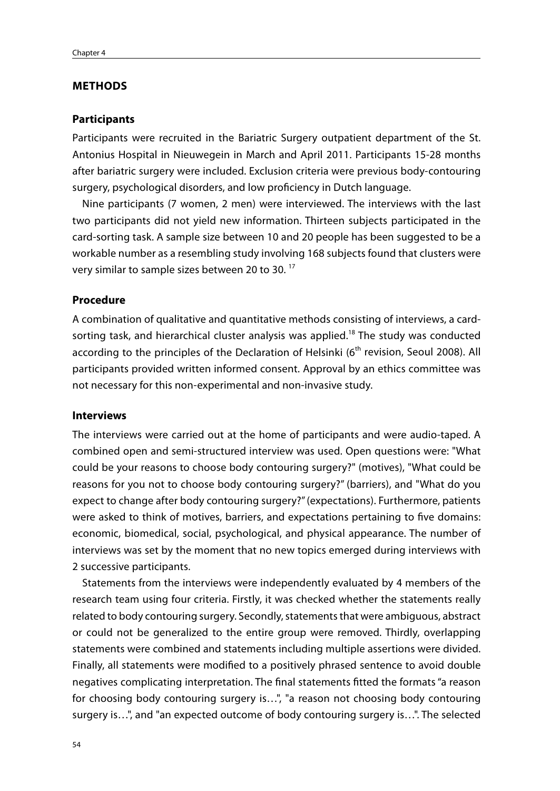#### **Methods**

#### **Participants**

Participants were recruited in the Bariatric Surgery outpatient department of the St. Antonius Hospital in Nieuwegein in March and April 2011. Participants 15-28 months after bariatric surgery were included. Exclusion criteria were previous body-contouring surgery, psychological disorders, and low proficiency in Dutch language.

Nine participants (7 women, 2 men) were interviewed. The interviews with the last two participants did not yield new information. Thirteen subjects participated in the card-sorting task. A sample size between 10 and 20 people has been suggested to be a workable number as a resembling study involving 168 subjects found that clusters were very similar to sample sizes between 20 to 30. <sup>17</sup>

#### **Procedure**

A combination of qualitative and quantitative methods consisting of interviews, a cardsorting task, and hierarchical cluster analysis was applied.<sup>18</sup> The study was conducted according to the principles of the Declaration of Helsinki  $(6<sup>th</sup>$  revision, Seoul 2008). All participants provided written informed consent. Approval by an ethics committee was not necessary for this non-experimental and non-invasive study.

#### **Interviews**

The interviews were carried out at the home of participants and were audio-taped. A combined open and semi-structured interview was used. Open questions were: "What could be your reasons to choose body contouring surgery?" (motives), "What could be reasons for you not to choose body contouring surgery?" (barriers), and "What do you expect to change after body contouring surgery?" (expectations). Furthermore, patients were asked to think of motives, barriers, and expectations pertaining to five domains: economic, biomedical, social, psychological, and physical appearance. The number of interviews was set by the moment that no new topics emerged during interviews with 2 successive participants.

Statements from the interviews were independently evaluated by 4 members of the research team using four criteria. Firstly, it was checked whether the statements really related to body contouring surgery. Secondly, statements that were ambiguous, abstract or could not be generalized to the entire group were removed. Thirdly, overlapping statements were combined and statements including multiple assertions were divided. Finally, all statements were modified to a positively phrased sentence to avoid double negatives complicating interpretation. The final statements fitted the formats "a reason for choosing body contouring surgery is…", "a reason not choosing body contouring surgery is…", and "an expected outcome of body contouring surgery is…". The selected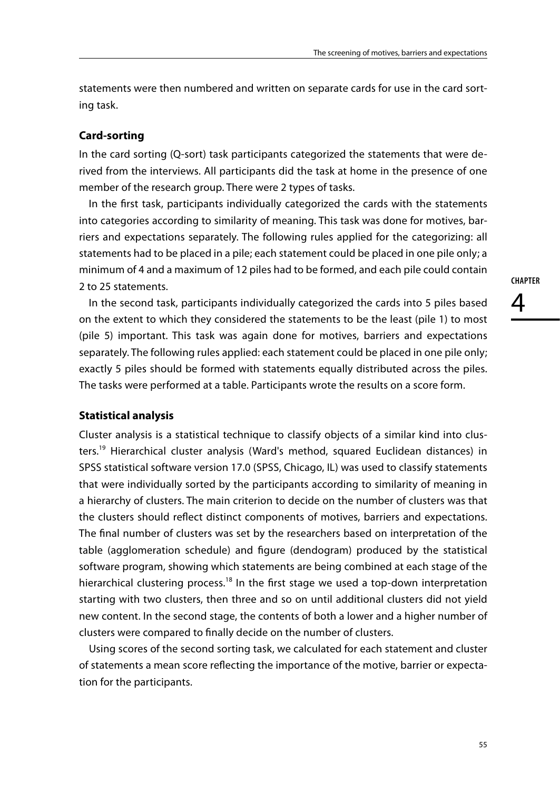statements were then numbered and written on separate cards for use in the card sorting task.

#### **Card-sorting**

In the card sorting (Q-sort) task participants categorized the statements that were derived from the interviews. All participants did the task at home in the presence of one member of the research group. There were 2 types of tasks.

In the first task, participants individually categorized the cards with the statements into categories according to similarity of meaning. This task was done for motives, barriers and expectations separately. The following rules applied for the categorizing: all statements had to be placed in a pile; each statement could be placed in one pile only; a minimum of 4 and a maximum of 12 piles had to be formed, and each pile could contain 2 to 25 statements.

In the second task, participants individually categorized the cards into 5 piles based on the extent to which they considered the statements to be the least (pile 1) to most (pile 5) important. This task was again done for motives, barriers and expectations separately. The following rules applied: each statement could be placed in one pile only; exactly 5 piles should be formed with statements equally distributed across the piles. The tasks were performed at a table. Participants wrote the results on a score form.

#### **Statistical analysis**

Cluster analysis is a statistical technique to classify objects of a similar kind into clusters.<sup>19</sup> Hierarchical cluster analysis (Ward's method, squared Euclidean distances) in SPSS statistical software version 17.0 (SPSS, Chicago, IL) was used to classify statements that were individually sorted by the participants according to similarity of meaning in a hierarchy of clusters. The main criterion to decide on the number of clusters was that the clusters should reflect distinct components of motives, barriers and expectations. The final number of clusters was set by the researchers based on interpretation of the table (agglomeration schedule) and figure (dendogram) produced by the statistical software program, showing which statements are being combined at each stage of the hierarchical clustering process.<sup>18</sup> In the first stage we used a top-down interpretation starting with two clusters, then three and so on until additional clusters did not yield new content. In the second stage, the contents of both a lower and a higher number of clusters were compared to finally decide on the number of clusters.

Using scores of the second sorting task, we calculated for each statement and cluster of statements a mean score reflecting the importance of the motive, barrier or expectation for the participants.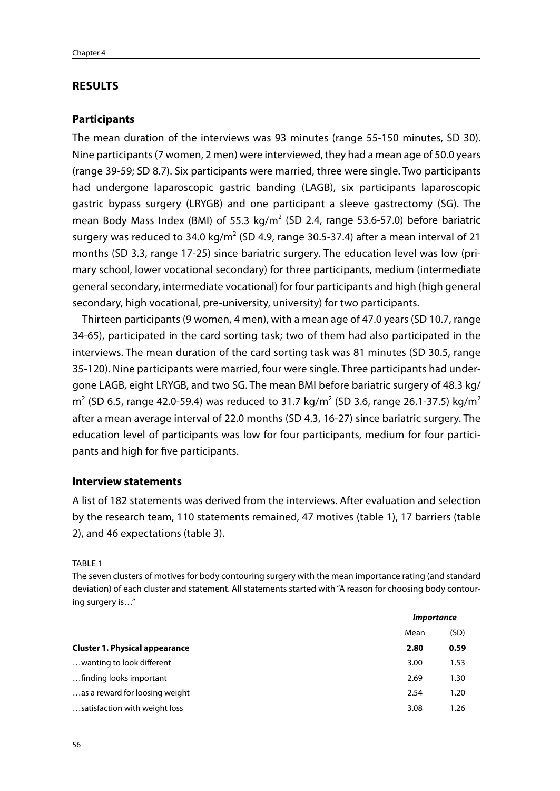#### **Results**

#### **Participants**

The mean duration of the interviews was 93 minutes (range 55-150 minutes, SD 30). Nine participants (7 women, 2 men) were interviewed, they had a mean age of 50.0 years (range 39-59; SD 8.7). Six participants were married, three were single. Two participants had undergone laparoscopic gastric banding (LAGB), six participants laparoscopic gastric bypass surgery (LRYGB) and one participant a sleeve gastrectomy (SG). The mean Body Mass Index (BMI) of 55.3  $kg/m^2$  (SD 2.4, range 53.6-57.0) before bariatric surgery was reduced to 34.0 kg/m<sup>2</sup> (SD 4.9, range 30.5-37.4) after a mean interval of 21 months (SD 3.3, range 17-25) since bariatric surgery. The education level was low (primary school, lower vocational secondary) for three participants, medium (intermediate general secondary, intermediate vocational) for four participants and high (high general secondary, high vocational, pre-university, university) for two participants.

Thirteen participants (9 women, 4 men), with a mean age of 47.0 years (SD 10.7, range 34-65), participated in the card sorting task; two of them had also participated in the interviews. The mean duration of the card sorting task was 81 minutes (SD 30.5, range 35-120). Nine participants were married, four were single. Three participants had undergone LAGB, eight LRYGB, and two SG. The mean BMI before bariatric surgery of 48.3 kg/  $m^2$  (SD 6.5, range 42.0-59.4) was reduced to 31.7 kg/m<sup>2</sup> (SD 3.6, range 26.1-37.5) kg/m<sup>2</sup> after a mean average interval of 22.0 months (SD 4.3, 16-27) since bariatric surgery. The education level of participants was low for four participants, medium for four participants and high for five participants.

#### **Interview statements**

A list of 182 statements was derived from the interviews. After evaluation and selection by the research team, 110 statements remained, 47 motives (table 1), 17 barriers (table 2), and 46 expectations (table 3).

#### TABLE 1

The seven clusters of motives for body contouring surgery with the mean importance rating (and standard deviation) of each cluster and statement. All statements started with "A reason for choosing body contouring surgery is…"

|                                       |      | <i><b>Importance</b></i> |  |
|---------------------------------------|------|--------------------------|--|
|                                       | Mean | (SD)                     |  |
| <b>Cluster 1. Physical appearance</b> | 2.80 | 0.59                     |  |
| wanting to look different             | 3.00 | 1.53                     |  |
| finding looks important               | 2.69 | 1.30                     |  |
| as a reward for loosing weight        | 2.54 | 1.20                     |  |
| satisfaction with weight loss         | 3.08 | 1.26                     |  |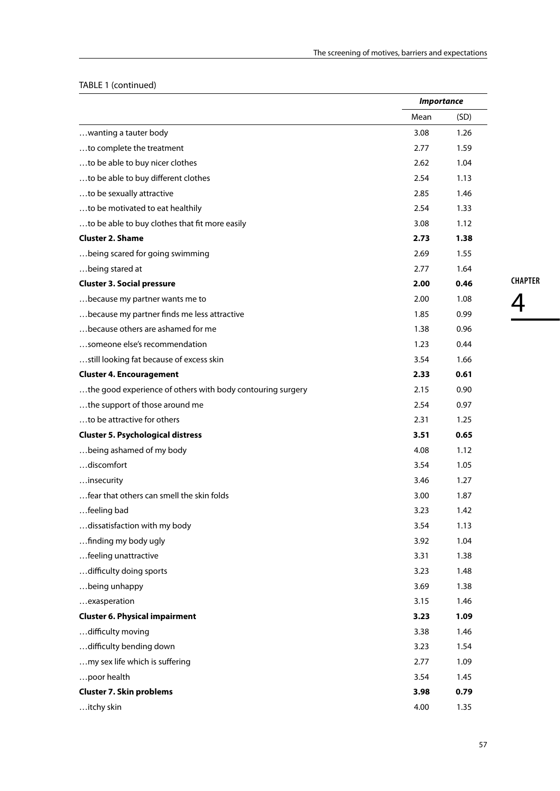#### TABLE 1 (continued)

|                                                            | <b>Importance</b> |      |
|------------------------------------------------------------|-------------------|------|
|                                                            | Mean              | (SD) |
| wanting a tauter body                                      | 3.08              | 1.26 |
| to complete the treatment                                  | 2.77              | 1.59 |
| to be able to buy nicer clothes                            | 2.62              | 1.04 |
| to be able to buy different clothes                        | 2.54              | 1.13 |
| to be sexually attractive                                  | 2.85              | 1.46 |
| to be motivated to eat healthily                           | 2.54              | 1.33 |
| to be able to buy clothes that fit more easily             | 3.08              | 1.12 |
| <b>Cluster 2. Shame</b>                                    | 2.73              | 1.38 |
| being scared for going swimming                            | 2.69              | 1.55 |
| being stared at                                            | 2.77              | 1.64 |
| <b>Cluster 3. Social pressure</b>                          | 2.00              | 0.46 |
| because my partner wants me to                             | 2.00              | 1.08 |
| because my partner finds me less attractive                | 1.85              | 0.99 |
| because others are ashamed for me                          | 1.38              | 0.96 |
| someone else's recommendation                              | 1.23              | 0.44 |
| still looking fat because of excess skin                   | 3.54              | 1.66 |
| <b>Cluster 4. Encouragement</b>                            | 2.33              | 0.61 |
| the good experience of others with body contouring surgery | 2.15              | 0.90 |
| the support of those around me                             | 2.54              | 0.97 |
| to be attractive for others                                | 2.31              | 1.25 |
| <b>Cluster 5. Psychological distress</b>                   | 3.51              | 0.65 |
| being ashamed of my body                                   | 4.08              | 1.12 |
| discomfort                                                 | 3.54              | 1.05 |
| insecurity                                                 | 3.46              | 1.27 |
| fear that others can smell the skin folds                  | 3.00              | 1.87 |
| feeling bad                                                | 3.23              | 1.42 |
| dissatisfaction with my body                               | 3.54              | 1.13 |
| finding my body ugly                                       | 3.92              | 1.04 |
| feeling unattractive                                       | 3.31              | 1.38 |
| difficulty doing sports                                    | 3.23              | 1.48 |
| being unhappy                                              | 3.69              | 1.38 |
| exasperation                                               | 3.15              | 1.46 |
| <b>Cluster 6. Physical impairment</b>                      | 3.23              | 1.09 |
| difficulty moving                                          | 3.38              | 1.46 |
| difficulty bending down                                    | 3.23              | 1.54 |
| my sex life which is suffering                             | 2.77              | 1.09 |
| poor health                                                | 3.54              | 1.45 |
| <b>Cluster 7. Skin problems</b>                            | 3.98              | 0.79 |
| itchy skin                                                 | 4.00              | 1.35 |

**Chapter**

### 4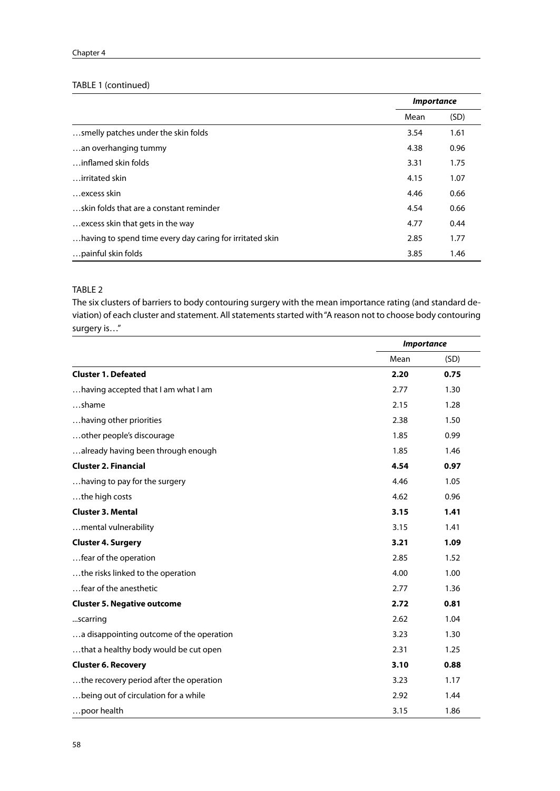#### TABLE 1 (continued)

|                                                          |      | <i><b>Importance</b></i> |  |
|----------------------------------------------------------|------|--------------------------|--|
|                                                          | Mean | (SD)                     |  |
| smelly patches under the skin folds                      | 3.54 | 1.61                     |  |
| an overhanging tummy                                     | 4.38 | 0.96                     |  |
| inflamed skin folds                                      | 3.31 | 1.75                     |  |
| irritated skin                                           | 4.15 | 1.07                     |  |
| excess skin                                              | 4.46 | 0.66                     |  |
| skin folds that are a constant reminder                  | 4.54 | 0.66                     |  |
| excess skin that gets in the way                         | 4.77 | 0.44                     |  |
| having to spend time every day caring for irritated skin | 2.85 | 1.77                     |  |
| painful skin folds                                       | 3.85 | 1.46                     |  |

#### TABLE 2

The six clusters of barriers to body contouring surgery with the mean importance rating (and standard deviation) of each cluster and statement. All statements started with "A reason not to choose body contouring surgery is…"

|                                          | <b>Importance</b> |      |
|------------------------------------------|-------------------|------|
|                                          | Mean              | (SD) |
| <b>Cluster 1. Defeated</b>               | 2.20              | 0.75 |
| having accepted that I am what I am      | 2.77              | 1.30 |
| shame                                    | 2.15              | 1.28 |
| having other priorities                  | 2.38              | 1.50 |
| other people's discourage                | 1.85              | 0.99 |
| already having been through enough       | 1.85              | 1.46 |
| <b>Cluster 2. Financial</b>              | 4.54              | 0.97 |
| having to pay for the surgery            | 4.46              | 1.05 |
| the high costs                           | 4.62              | 0.96 |
| <b>Cluster 3. Mental</b>                 | 3.15              | 1.41 |
| mental vulnerability                     | 3.15              | 1.41 |
| <b>Cluster 4. Surgery</b>                | 3.21              | 1.09 |
| fear of the operation                    | 2.85              | 1.52 |
| the risks linked to the operation        | 4.00              | 1.00 |
| fear of the anesthetic                   | 2.77              | 1.36 |
| <b>Cluster 5. Negative outcome</b>       | 2.72              | 0.81 |
| scarring                                 | 2.62              | 1.04 |
| a disappointing outcome of the operation | 3.23              | 1.30 |
| that a healthy body would be cut open    | 2.31              | 1.25 |
| <b>Cluster 6. Recovery</b>               | 3.10              | 0.88 |
| the recovery period after the operation  | 3.23              | 1.17 |
| being out of circulation for a while     | 2.92              | 1.44 |
| poor health                              | 3.15              | 1.86 |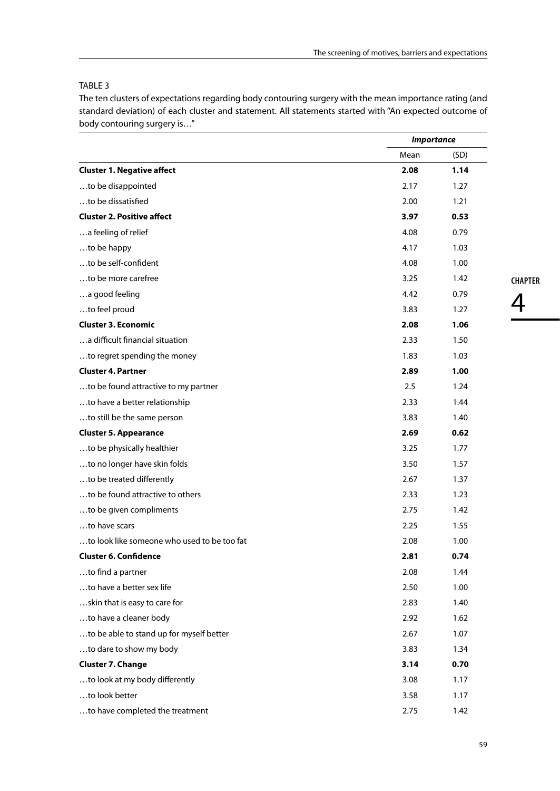#### TABLE 3

The ten clusters of expectations regarding body contouring surgery with the mean importance rating (and standard deviation) of each cluster and statement. All statements started with "An expected outcome of body contouring surgery is…"

|                                             | <b>Importance</b> |      |
|---------------------------------------------|-------------------|------|
|                                             | Mean              | (SD) |
| <b>Cluster 1. Negative affect</b>           | 2.08              | 1.14 |
| to be disappointed                          | 2.17              | 1.27 |
| to be dissatisfied                          | 2.00              | 1.21 |
| <b>Cluster 2. Positive affect</b>           | 3.97              | 0.53 |
| a feeling of relief                         | 4.08              | 0.79 |
| to be happy                                 | 4.17              | 1.03 |
| to be self-confident                        | 4.08              | 1.00 |
| to be more carefree                         | 3.25              | 1.42 |
| a good feeling                              | 4.42              | 0.79 |
| to feel proud                               | 3.83              | 1.27 |
| <b>Cluster 3. Economic</b>                  | 2.08              | 1.06 |
| a difficult financial situation             | 2.33              | 1.50 |
| to regret spending the money                | 1.83              | 1.03 |
| <b>Cluster 4. Partner</b>                   | 2.89              | 1.00 |
| to be found attractive to my partner        | 2.5               | 1.24 |
| to have a better relationship               | 2.33              | 1.44 |
| to still be the same person                 | 3.83              | 1.40 |
| <b>Cluster 5. Appearance</b>                | 2.69              | 0.62 |
| to be physically healthier                  | 3.25              | 1.77 |
| to no longer have skin folds                | 3.50              | 1.57 |
| to be treated differently                   | 2.67              | 1.37 |
| to be found attractive to others            | 2.33              | 1.23 |
| to be given compliments                     | 2.75              | 1.42 |
| to have scars                               | 2.25              | 1.55 |
| to look like someone who used to be too fat | 2.08              | 1.00 |
| <b>Cluster 6. Confidence</b>                | 2.81              | 0.74 |
| to find a partner                           | 2.08              | 1.44 |
| to have a better sex life                   | 2.50              | 1.00 |
| skin that is easy to care for               | 2.83              | 1.40 |
| to have a cleaner body                      | 2.92              | 1.62 |
| to be able to stand up for myself better    | 2.67              | 1.07 |
| to dare to show my body                     | 3.83              | 1.34 |
| <b>Cluster 7. Change</b>                    | 3.14              | 0.70 |
| to look at my body differently              | 3.08              | 1.17 |
| to look better                              | 3.58              | 1.17 |
| to have completed the treatment             | 2.75              | 1.42 |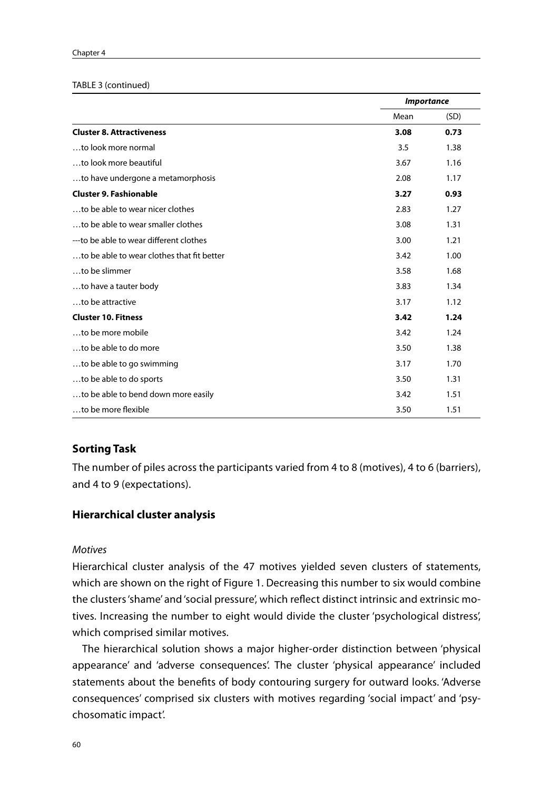#### TABLE 3 (continued)

|                                            |      | <b>Importance</b> |  |
|--------------------------------------------|------|-------------------|--|
|                                            | Mean | (SD)              |  |
| <b>Cluster 8. Attractiveness</b>           | 3.08 | 0.73              |  |
| to look more normal                        | 3.5  | 1.38              |  |
| to look more beautiful                     | 3.67 | 1.16              |  |
| to have undergone a metamorphosis          | 2.08 | 1.17              |  |
| <b>Cluster 9. Fashionable</b>              | 3.27 | 0.93              |  |
| to be able to wear nicer clothes           | 2.83 | 1.27              |  |
| to be able to wear smaller clothes         | 3.08 | 1.31              |  |
| --- to be able to wear different clothes   | 3.00 | 1.21              |  |
| to be able to wear clothes that fit better | 3.42 | 1.00              |  |
| to be slimmer                              | 3.58 | 1.68              |  |
| to have a tauter body                      | 3.83 | 1.34              |  |
| to be attractive                           | 3.17 | 1.12              |  |
| <b>Cluster 10. Fitness</b>                 | 3.42 | 1.24              |  |
| to be more mobile                          | 3.42 | 1.24              |  |
| to be able to do more                      | 3.50 | 1.38              |  |
| to be able to go swimming                  | 3.17 | 1.70              |  |
| to be able to do sports                    | 3.50 | 1.31              |  |
| to be able to bend down more easily        | 3.42 | 1.51              |  |
| to be more flexible                        | 3.50 | 1.51              |  |

#### **Sorting Task**

The number of piles across the participants varied from 4 to 8 (motives), 4 to 6 (barriers), and 4 to 9 (expectations).

#### **Hierarchical cluster analysis**

#### *Motives*

Hierarchical cluster analysis of the 47 motives yielded seven clusters of statements, which are shown on the right of Figure 1. Decreasing this number to six would combine the clusters 'shame' and 'social pressure', which reflect distinct intrinsic and extrinsic motives. Increasing the number to eight would divide the cluster 'psychological distress', which comprised similar motives.

The hierarchical solution shows a major higher-order distinction between 'physical appearance' and 'adverse consequences'. The cluster 'physical appearance' included statements about the benefits of body contouring surgery for outward looks. 'Adverse consequences' comprised six clusters with motives regarding 'social impact' and 'psychosomatic impact'.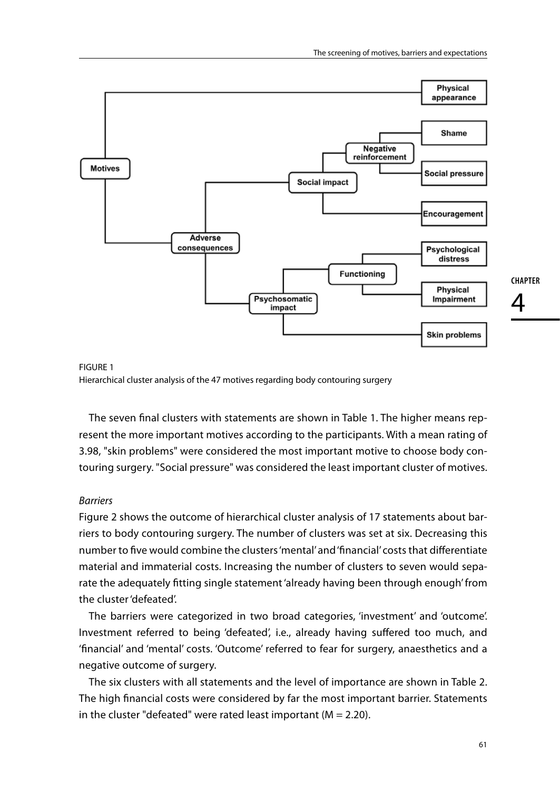



The seven final clusters with statements are shown in Table 1. The higher means represent the more important motives according to the participants. With a mean rating of 3.98, "skin problems" were considered the most important motive to choose body contouring surgery. "Social pressure" was considered the least important cluster of motives.

#### *Barriers*

Figure 2 shows the outcome of hierarchical cluster analysis of 17 statements about barriers to body contouring surgery. The number of clusters was set at six. Decreasing this number to five would combine the clusters 'mental' and 'financial' costs that differentiate material and immaterial costs. Increasing the number of clusters to seven would separate the adequately fitting single statement 'already having been through enough' from the cluster 'defeated'.

The barriers were categorized in two broad categories, 'investment' and 'outcome'. Investment referred to being 'defeated', i.e., already having suffered too much, and 'financial' and 'mental' costs. 'Outcome' referred to fear for surgery, anaesthetics and a negative outcome of surgery.

The six clusters with all statements and the level of importance are shown in Table 2. The high financial costs were considered by far the most important barrier. Statements in the cluster "defeated" were rated least important ( $M = 2.20$ ).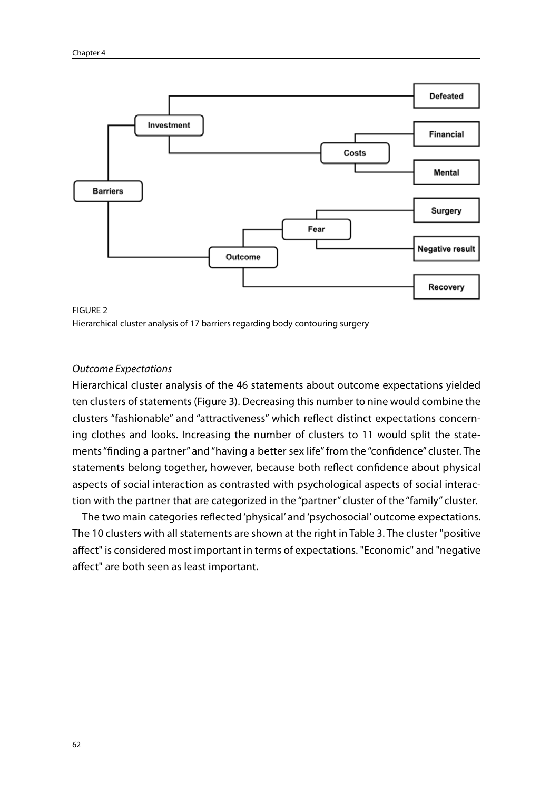



#### *Outcome Expectations*

Hierarchical cluster analysis of the 46 statements about outcome expectations yielded ten clusters of statements (Figure 3). Decreasing this number to nine would combine the clusters "fashionable" and "attractiveness" which reflect distinct expectations concerning clothes and looks. Increasing the number of clusters to 11 would split the statements "finding a partner" and "having a better sex life" from the "confidence" cluster. The statements belong together, however, because both reflect confidence about physical aspects of social interaction as contrasted with psychological aspects of social interaction with the partner that are categorized in the "partner" cluster of the "family" cluster.

The two main categories reflected 'physical' and 'psychosocial' outcome expectations. The 10 clusters with all statements are shown at the right in Table 3. The cluster "positive affect" is considered most important in terms of expectations. "Economic" and "negative affect" are both seen as least important.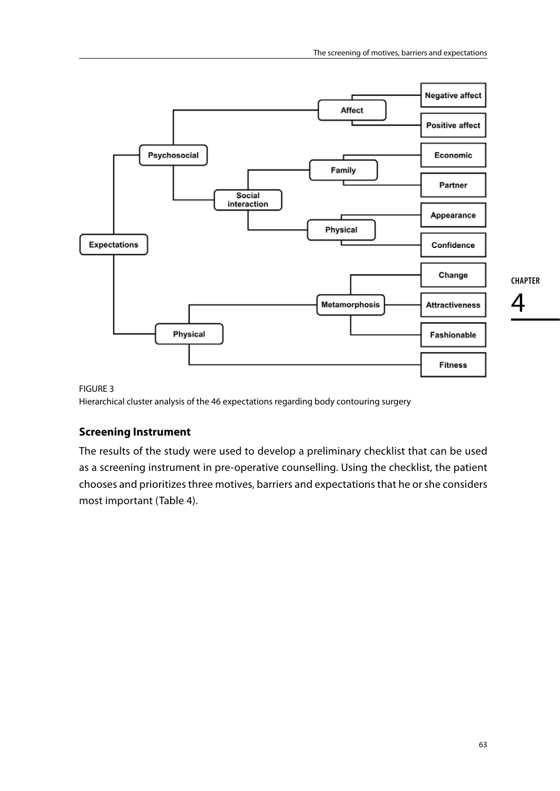



#### **Screening Instrument**

The results of the study were used to develop a preliminary checklist that can be used as a screening instrument in pre-operative counselling. Using the checklist, the patient chooses and prioritizes three motives, barriers and expectations that he or she considers most important (Table 4).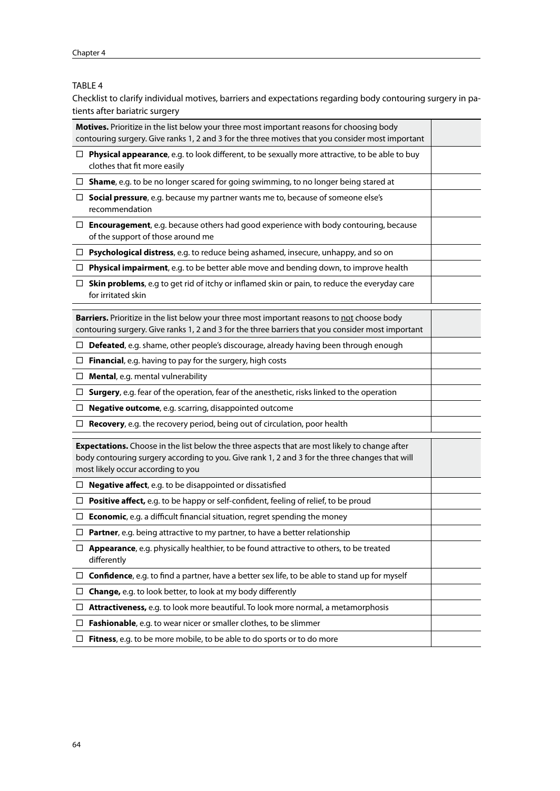#### TABLE 4

Checklist to clarify individual motives, barriers and expectations regarding body contouring surgery in patients after bariatric surgery

| Motives. Prioritize in the list below your three most important reasons for choosing body<br>contouring surgery. Give ranks 1, 2 and 3 for the three motives that you consider most important                                                |  |
|----------------------------------------------------------------------------------------------------------------------------------------------------------------------------------------------------------------------------------------------|--|
| $\Box$ <b>Physical appearance</b> , e.g. to look different, to be sexually more attractive, to be able to buy<br>clothes that fit more easily                                                                                                |  |
| $\Box$ <b>Shame</b> , e.g. to be no longer scared for going swimming, to no longer being stared at                                                                                                                                           |  |
| $\Box$ Social pressure, e.g. because my partner wants me to, because of someone else's<br>recommendation                                                                                                                                     |  |
| $\Box$ <b>Encouragement</b> , e.g. because others had good experience with body contouring, because<br>of the support of those around me                                                                                                     |  |
| $\Box$ Psychological distress, e.g. to reduce being ashamed, insecure, unhappy, and so on                                                                                                                                                    |  |
| $\Box$ <b>Physical impairment</b> , e.g. to be better able move and bending down, to improve health                                                                                                                                          |  |
| $\Box$ Skin problems, e.g to get rid of itchy or inflamed skin or pain, to reduce the everyday care<br>for irritated skin                                                                                                                    |  |
| Barriers. Prioritize in the list below your three most important reasons to not choose body<br>contouring surgery. Give ranks 1, 2 and 3 for the three barriers that you consider most important                                             |  |
| $\Box$ <b>Defeated</b> , e.g. shame, other people's discourage, already having been through enough                                                                                                                                           |  |
| $\Box$ <b>Financial</b> , e.g. having to pay for the surgery, high costs                                                                                                                                                                     |  |
| $\Box$ <b>Mental</b> , e.g. mental vulnerability                                                                                                                                                                                             |  |
| $\Box$ <b>Surgery</b> , e.g. fear of the operation, fear of the anesthetic, risks linked to the operation                                                                                                                                    |  |
| $\Box$ <b>Negative outcome</b> , e.g. scarring, disappointed outcome                                                                                                                                                                         |  |
| $\Box$ <b>Recovery</b> , e.g. the recovery period, being out of circulation, poor health                                                                                                                                                     |  |
| <b>Expectations.</b> Choose in the list below the three aspects that are most likely to change after<br>body contouring surgery according to you. Give rank 1, 2 and 3 for the three changes that will<br>most likely occur according to you |  |
| $\Box$ <b>Negative affect</b> , e.g. to be disappointed or dissatisfied                                                                                                                                                                      |  |
| $\Box$ <b>Positive affect,</b> e.g. to be happy or self-confident, feeling of relief, to be proud                                                                                                                                            |  |
| $\Box$ <b>Economic</b> , e.g. a difficult financial situation, regret spending the money                                                                                                                                                     |  |
| $\Box$ <b>Partner</b> , e.g. being attractive to my partner, to have a better relationship                                                                                                                                                   |  |
| $\Box$ <b>Appearance</b> , e.g. physically healthier, to be found attractive to others, to be treated<br>differently                                                                                                                         |  |
| $\Box$ <b>Confidence</b> , e.g. to find a partner, have a better sex life, to be able to stand up for myself                                                                                                                                 |  |
| $\Box$ <b>Change,</b> e.g. to look better, to look at my body differently                                                                                                                                                                    |  |
| $\Box$ <b>Attractiveness,</b> e.g. to look more beautiful. To look more normal, a metamorphosis                                                                                                                                              |  |
| $\Box$ Fashionable, e.g. to wear nicer or smaller clothes, to be slimmer                                                                                                                                                                     |  |
| $\Box$ <b>Fitness</b> , e.g. to be more mobile, to be able to do sports or to do more                                                                                                                                                        |  |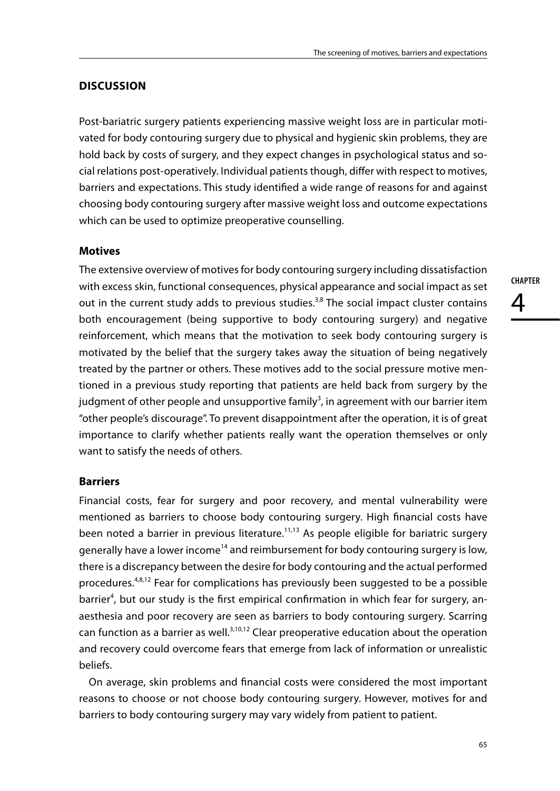#### **Discussion**

Post-bariatric surgery patients experiencing massive weight loss are in particular motivated for body contouring surgery due to physical and hygienic skin problems, they are hold back by costs of surgery, and they expect changes in psychological status and social relations post-operatively. Individual patients though, differ with respect to motives, barriers and expectations. This study identified a wide range of reasons for and against choosing body contouring surgery after massive weight loss and outcome expectations which can be used to optimize preoperative counselling.

#### **Motives**

The extensive overview of motives for body contouring surgery including dissatisfaction with excess skin, functional consequences, physical appearance and social impact as set out in the current study adds to previous studies.<sup>3,8</sup> The social impact cluster contains both encouragement (being supportive to body contouring surgery) and negative reinforcement, which means that the motivation to seek body contouring surgery is motivated by the belief that the surgery takes away the situation of being negatively treated by the partner or others. These motives add to the social pressure motive mentioned in a previous study reporting that patients are held back from surgery by the judgment of other people and unsupportive family<sup>3</sup>, in agreement with our barrier item "other people's discourage". To prevent disappointment after the operation, it is of great importance to clarify whether patients really want the operation themselves or only want to satisfy the needs of others.

#### **Barriers**

Financial costs, fear for surgery and poor recovery, and mental vulnerability were mentioned as barriers to choose body contouring surgery. High financial costs have been noted a barrier in previous literature.<sup>11,13</sup> As people eligible for bariatric surgery generally have a lower income<sup>14</sup> and reimbursement for body contouring surgery is low, there is a discrepancy between the desire for body contouring and the actual performed procedures.4,8,12 Fear for complications has previously been suggested to be a possible barrier<sup>4</sup>, but our study is the first empirical confirmation in which fear for surgery, anaesthesia and poor recovery are seen as barriers to body contouring surgery. Scarring can function as a barrier as well. $3,10,12$  Clear preoperative education about the operation and recovery could overcome fears that emerge from lack of information or unrealistic beliefs.

On average, skin problems and financial costs were considered the most important reasons to choose or not choose body contouring surgery. However, motives for and barriers to body contouring surgery may vary widely from patient to patient.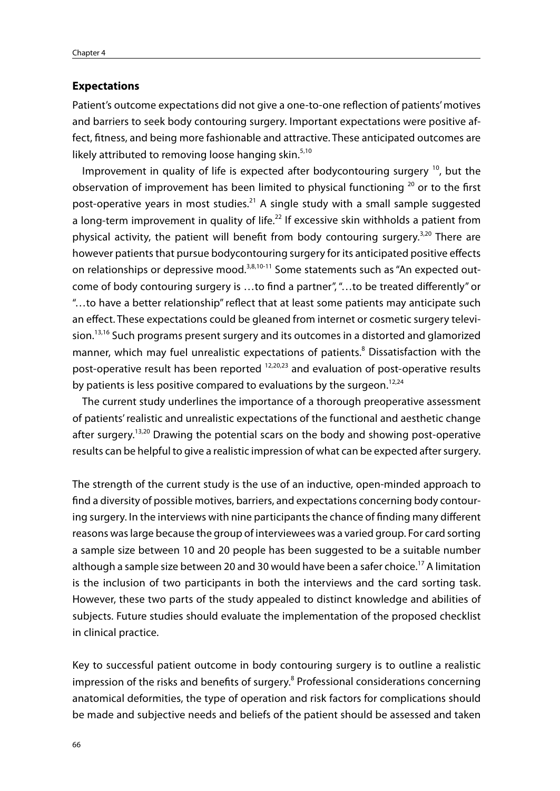#### **Expectations**

Patient's outcome expectations did not give a one-to-one reflection of patients' motives and barriers to seek body contouring surgery. Important expectations were positive affect, fitness, and being more fashionable and attractive. These anticipated outcomes are likely attributed to removing loose hanging skin. $5,10$ 

Improvement in quality of life is expected after bodycontouring surgery  $^{10}$ , but the observation of improvement has been limited to physical functioning  $^{20}$  or to the first post-operative years in most studies.<sup>21</sup> A single study with a small sample suggested a long-term improvement in quality of life.<sup>22</sup> If excessive skin withholds a patient from physical activity, the patient will benefit from body contouring surgery.<sup>3,20</sup> There are however patients that pursue bodycontouring surgery for its anticipated positive effects on relationships or depressive mood.<sup>3,8,10-11</sup> Some statements such as "An expected outcome of body contouring surgery is …to find a partner", "…to be treated differently" or "…to have a better relationship" reflect that at least some patients may anticipate such an effect. These expectations could be gleaned from internet or cosmetic surgery television.<sup>13,16</sup> Such programs present surgery and its outcomes in a distorted and glamorized manner, which may fuel unrealistic expectations of patients.<sup>8</sup> Dissatisfaction with the post-operative result has been reported  $12,20,23$  and evaluation of post-operative results by patients is less positive compared to evaluations by the surgeon.<sup>12,24</sup>

The current study underlines the importance of a thorough preoperative assessment of patients' realistic and unrealistic expectations of the functional and aesthetic change after surgery.<sup>13,20</sup> Drawing the potential scars on the body and showing post-operative results can be helpful to give a realistic impression of what can be expected after surgery.

The strength of the current study is the use of an inductive, open-minded approach to find a diversity of possible motives, barriers, and expectations concerning body contouring surgery. In the interviews with nine participants the chance of finding many different reasons was large because the group of interviewees was a varied group. For card sorting a sample size between 10 and 20 people has been suggested to be a suitable number although a sample size between 20 and 30 would have been a safer choice.<sup>17</sup> A limitation is the inclusion of two participants in both the interviews and the card sorting task. However, these two parts of the study appealed to distinct knowledge and abilities of subjects. Future studies should evaluate the implementation of the proposed checklist in clinical practice.

Key to successful patient outcome in body contouring surgery is to outline a realistic impression of the risks and benefits of surgery.<sup>8</sup> Professional considerations concerning anatomical deformities, the type of operation and risk factors for complications should be made and subjective needs and beliefs of the patient should be assessed and taken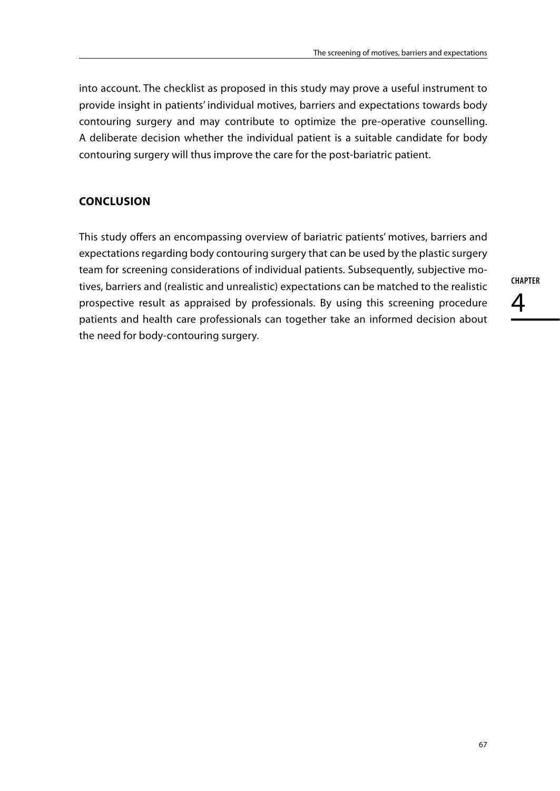into account. The checklist as proposed in this study may prove a useful instrument to provide insight in patients' individual motives, barriers and expectations towards body contouring surgery and may contribute to optimize the pre-operative counselling. A deliberate decision whether the individual patient is a suitable candidate for body contouring surgery will thus improve the care for the post-bariatric patient.

#### **Conclusion**

This study offers an encompassing overview of bariatric patients' motives, barriers and expectations regarding body contouring surgery that can be used by the plastic surgery team for screening considerations of individual patients. Subsequently, subjective motives, barriers and (realistic and unrealistic) expectations can be matched to the realistic prospective result as appraised by professionals. By using this screening procedure patients and health care professionals can together take an informed decision about the need for body-contouring surgery.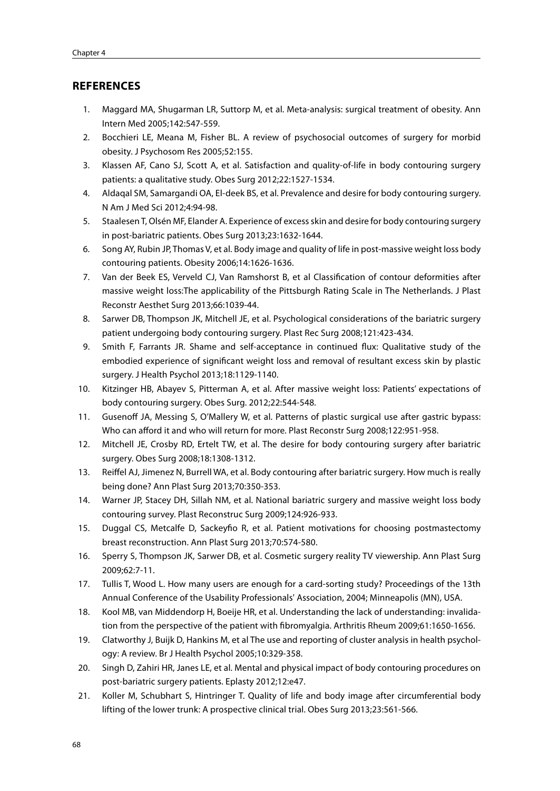#### **References**

- 1. Maggard MA, Shugarman LR, Suttorp M, et al. Meta-analysis: surgical treatment of obesity. Ann Intern Med 2005;142:547-559.
- 2. Bocchieri LE, Meana M, Fisher BL. A review of psychosocial outcomes of surgery for morbid obesity. J Psychosom Res 2005;52:155.
- 3. Klassen AF, Cano SJ, Scott A, et al. Satisfaction and quality-of-life in body contouring surgery patients: a qualitative study. Obes Surg 2012;22:1527-1534.
- 4. Aldaqal SM, Samargandi OA, El-deek BS, et al. Prevalence and desire for body contouring surgery. N Am J Med Sci 2012;4:94-98.
- 5. Staalesen T, Olsén MF, Elander A. Experience of excess skin and desire for body contouring surgery in post-bariatric patients. Obes Surg 2013;23:1632-1644.
- 6. Song AY, Rubin JP, Thomas V, et al. Body image and quality of life in post-massive weight loss body contouring patients. Obesity 2006;14:1626-1636.
- 7. Van der Beek ES, Verveld CJ, Van Ramshorst B, et al Classification of contour deformities after massive weight loss:The applicability of the Pittsburgh Rating Scale in The Netherlands. J Plast Reconstr Aesthet Surg 2013;66:1039-44.
- 8. Sarwer DB, Thompson JK, Mitchell JE, et al. Psychological considerations of the bariatric surgery patient undergoing body contouring surgery. Plast Rec Surg 2008;121:423-434.
- 9. Smith F, Farrants JR. Shame and self-acceptance in continued flux: Qualitative study of the embodied experience of significant weight loss and removal of resultant excess skin by plastic surgery. J Health Psychol 2013;18:1129-1140.
- 10. Kitzinger HB, Abayev S, Pitterman A, et al. After massive weight loss: Patients' expectations of body contouring surgery. Obes Surg. 2012;22:544-548.
- 11. Gusenoff JA, Messing S, O'Mallery W, et al. Patterns of plastic surgical use after gastric bypass: Who can afford it and who will return for more. Plast Reconstr Surg 2008;122:951-958.
- 12. Mitchell JE, Crosby RD, Ertelt TW, et al. The desire for body contouring surgery after bariatric surgery. Obes Surg 2008;18:1308-1312.
- 13. Reiffel AJ, Jimenez N, Burrell WA, et al. Body contouring after bariatric surgery. How much is really being done? Ann Plast Surg 2013;70:350-353.
- 14. Warner JP, Stacey DH, Sillah NM, et al. National bariatric surgery and massive weight loss body contouring survey. Plast Reconstruc Surg 2009;124:926-933.
- 15. Duggal CS, Metcalfe D, Sackeyfio R, et al. Patient motivations for choosing postmastectomy breast reconstruction. Ann Plast Surg 2013;70:574-580.
- 16. Sperry S, Thompson JK, Sarwer DB, et al. Cosmetic surgery reality TV viewership. Ann Plast Surg 2009;62:7-11.
- 17. Tullis T, Wood L. How many users are enough for a card-sorting study? Proceedings of the 13th Annual Conference of the Usability Professionals' Association, 2004; Minneapolis (MN), USA.
- 18. Kool MB, van Middendorp H, Boeije HR, et al. Understanding the lack of understanding: invalidation from the perspective of the patient with fibromyalgia. Arthritis Rheum 2009;61:1650-1656.
- 19. Clatworthy J, Buijk D, Hankins M, et al The use and reporting of cluster analysis in health psychology: A review. Br J Health Psychol 2005;10:329-358.
- 20. Singh D, Zahiri HR, Janes LE, et al. Mental and physical impact of body contouring procedures on post-bariatric surgery patients. Eplasty 2012;12:e47.
- 21. Koller M, Schubhart S, Hintringer T. Quality of life and body image after circumferential body lifting of the lower trunk: A prospective clinical trial. Obes Surg 2013;23:561-566.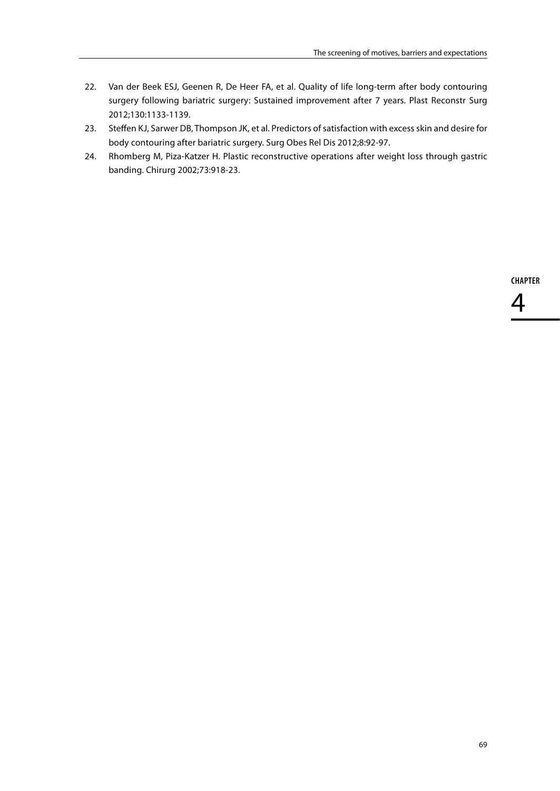- 22. Van der Beek ESJ, Geenen R, De Heer FA, et al. Quality of life long-term after body contouring surgery following bariatric surgery: Sustained improvement after 7 years. Plast Reconstr Surg 2012;130:1133-1139.
- 23. Steffen KJ, Sarwer DB, Thompson JK, et al. Predictors of satisfaction with excess skin and desire for body contouring after bariatric surgery. Surg Obes Rel Dis 2012;8:92-97.
- 24. Rhomberg M, Piza-Katzer H. Plastic reconstructive operations after weight loss through gastric banding. Chirurg 2002;73:918-23.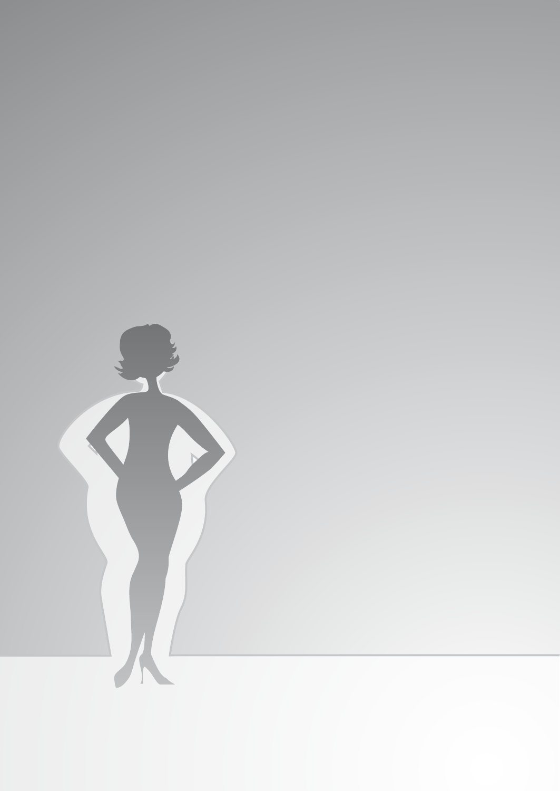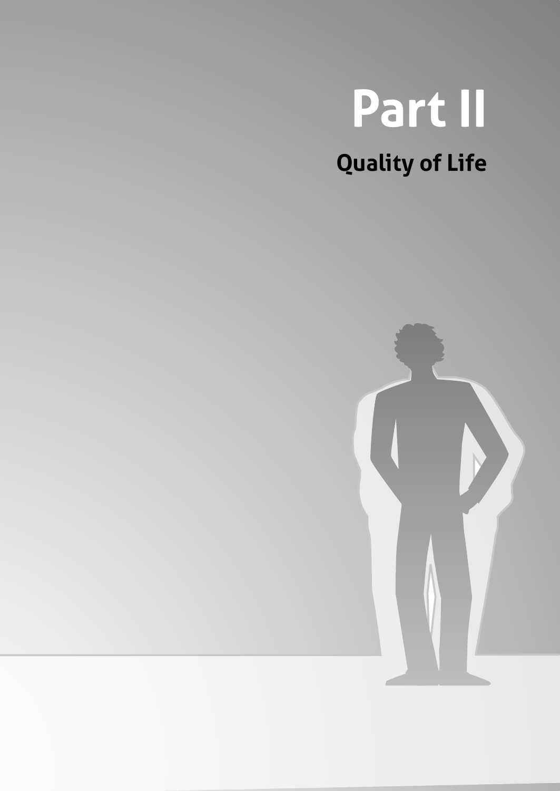## **Part II Quality of Life**

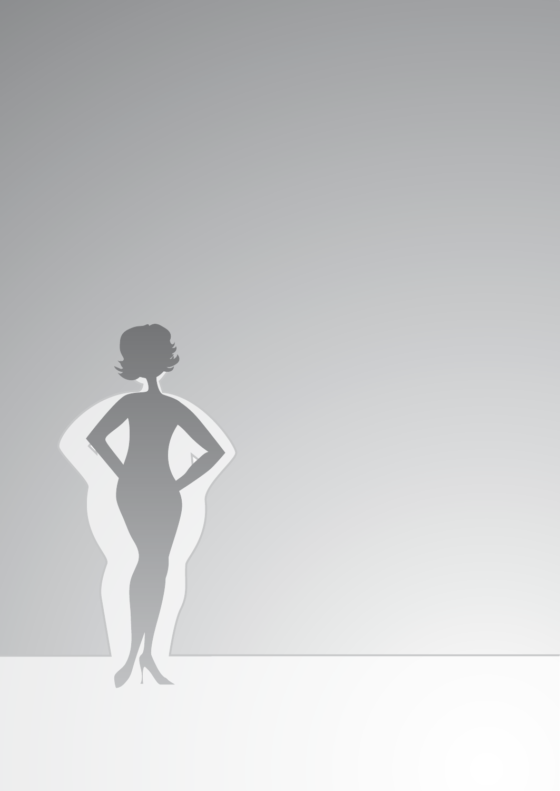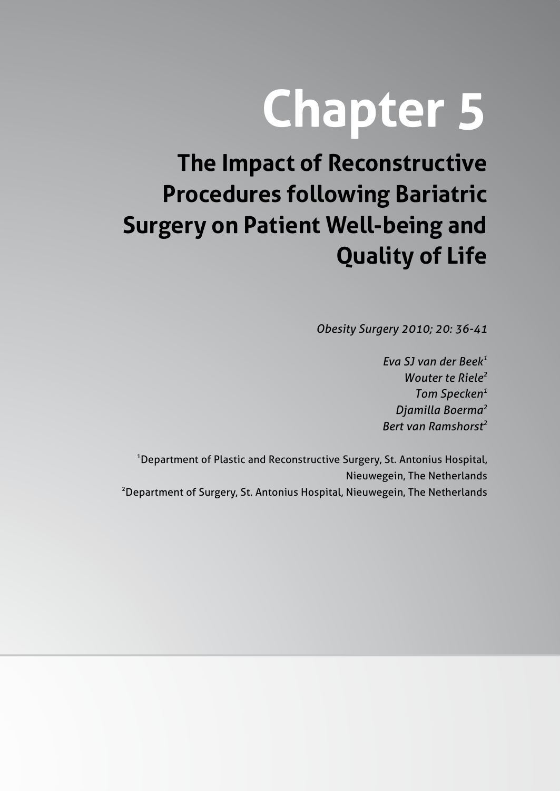# **Chapter 5**

**The Impact of Reconstructive Procedures following Bariatric Surgery on Patient Well-being and Quality of Life**

*Obesity Surgery 2010; 20: 36-41*

*Eva SJ van der Beek<sup>1</sup> Wouter te Riele<sup>2</sup> Tom Specken<sup>1</sup> Djamilla Boerma<sup>2</sup> Bert van Ramshorst<sup>2</sup>*

<sup>1</sup>Department of Plastic and Reconstructive Surgery, St. Antonius Hospital, Nieuwegein, The Netherlands 2 Department of Surgery, St. Antonius Hospital, Nieuwegein, The Netherlands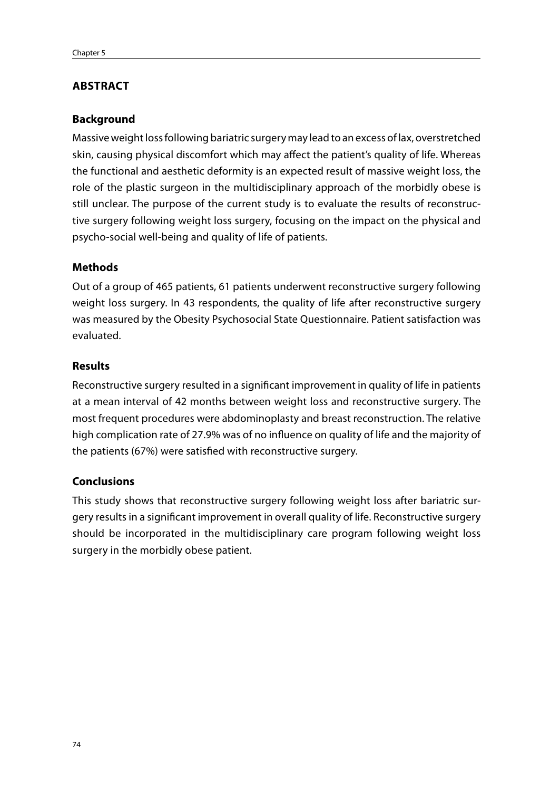# **Abstract**

# **Background**

Massive weight loss following bariatric surgery may lead to an excess of lax, overstretched skin, causing physical discomfort which may affect the patient's quality of life. Whereas the functional and aesthetic deformity is an expected result of massive weight loss, the role of the plastic surgeon in the multidisciplinary approach of the morbidly obese is still unclear. The purpose of the current study is to evaluate the results of reconstructive surgery following weight loss surgery, focusing on the impact on the physical and psycho-social well-being and quality of life of patients.

# **Methods**

Out of a group of 465 patients, 61 patients underwent reconstructive surgery following weight loss surgery. In 43 respondents, the quality of life after reconstructive surgery was measured by the Obesity Psychosocial State Questionnaire. Patient satisfaction was evaluated.

# **Results**

Reconstructive surgery resulted in a significant improvement in quality of life in patients at a mean interval of 42 months between weight loss and reconstructive surgery. The most frequent procedures were abdominoplasty and breast reconstruction. The relative high complication rate of 27.9% was of no influence on quality of life and the majority of the patients (67%) were satisfied with reconstructive surgery.

# **Conclusions**

This study shows that reconstructive surgery following weight loss after bariatric surgery results in a significant improvement in overall quality of life. Reconstructive surgery should be incorporated in the multidisciplinary care program following weight loss surgery in the morbidly obese patient.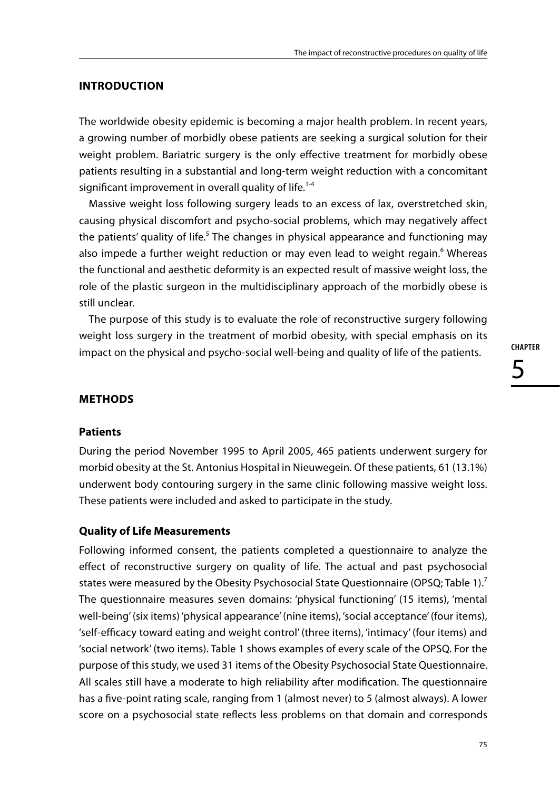# **Introduction**

The worldwide obesity epidemic is becoming a major health problem. In recent years, a growing number of morbidly obese patients are seeking a surgical solution for their weight problem. Bariatric surgery is the only effective treatment for morbidly obese patients resulting in a substantial and long-term weight reduction with a concomitant significant improvement in overall quality of life.<sup>1-4</sup>

Massive weight loss following surgery leads to an excess of lax, overstretched skin, causing physical discomfort and psycho-social problems, which may negatively affect the patients' quality of life.<sup>5</sup> The changes in physical appearance and functioning may also impede a further weight reduction or may even lead to weight regain.<sup>6</sup> Whereas the functional and aesthetic deformity is an expected result of massive weight loss, the role of the plastic surgeon in the multidisciplinary approach of the morbidly obese is still unclear.

The purpose of this study is to evaluate the role of reconstructive surgery following weight loss surgery in the treatment of morbid obesity, with special emphasis on its impact on the physical and psycho-social well-being and quality of life of the patients.

## **Methods**

## **Patients**

During the period November 1995 to April 2005, 465 patients underwent surgery for morbid obesity at the St. Antonius Hospital in Nieuwegein. Of these patients, 61 (13.1%) underwent body contouring surgery in the same clinic following massive weight loss. These patients were included and asked to participate in the study.

# **Quality of Life Measurements**

Following informed consent, the patients completed a questionnaire to analyze the effect of reconstructive surgery on quality of life. The actual and past psychosocial states were measured by the Obesity Psychosocial State Questionnaire (OPSQ; Table 1).<sup>7</sup> The questionnaire measures seven domains: 'physical functioning' (15 items), 'mental well-being' (six items) 'physical appearance' (nine items), 'social acceptance' (four items), 'self-efficacy toward eating and weight control' (three items), 'intimacy' (four items) and 'social network' (two items). Table 1 shows examples of every scale of the OPSQ. For the purpose of this study, we used 31 items of the Obesity Psychosocial State Questionnaire. All scales still have a moderate to high reliability after modification. The questionnaire has a five-point rating scale, ranging from 1 (almost never) to 5 (almost always). A lower score on a psychosocial state reflects less problems on that domain and corresponds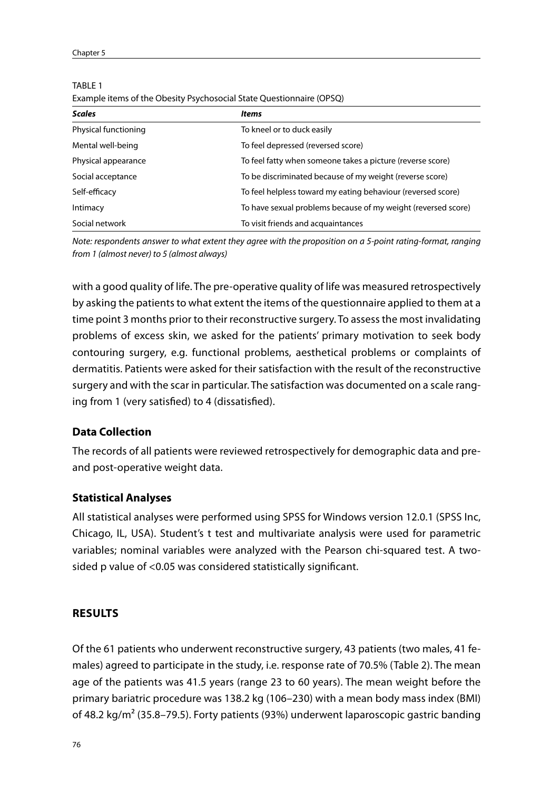| <b>Scales</b><br><b>Items</b> |                                                               |  |  |
|-------------------------------|---------------------------------------------------------------|--|--|
| Physical functioning          | To kneel or to duck easily                                    |  |  |
| Mental well-being             | To feel depressed (reversed score)                            |  |  |
| Physical appearance           | To feel fatty when someone takes a picture (reverse score)    |  |  |
| Social acceptance             | To be discriminated because of my weight (reverse score)      |  |  |
| Self-efficacy                 | To feel helpless toward my eating behaviour (reversed score)  |  |  |
| Intimacy                      | To have sexual problems because of my weight (reversed score) |  |  |
| Social network                | To visit friends and acquaintances                            |  |  |

TABLE 1 Example items of the Obesity Psychosocial State Questionnaire (OPSQ)

*Note: respondents answer to what extent they agree with the proposition on a 5-point rating-format, ranging from 1 (almost never) to 5 (almost always)*

with a good quality of life. The pre-operative quality of life was measured retrospectively by asking the patients to what extent the items of the questionnaire applied to them at a time point 3 months prior to their reconstructive surgery. To assess the most invalidating problems of excess skin, we asked for the patients' primary motivation to seek body contouring surgery, e.g. functional problems, aesthetical problems or complaints of dermatitis. Patients were asked for their satisfaction with the result of the reconstructive surgery and with the scar in particular. The satisfaction was documented on a scale ranging from 1 (very satisfied) to 4 (dissatisfied).

# **Data Collection**

The records of all patients were reviewed retrospectively for demographic data and preand post-operative weight data.

# **Statistical Analyses**

All statistical analyses were performed using SPSS for Windows version 12.0.1 (SPSS Inc, Chicago, IL, USA). Student's t test and multivariate analysis were used for parametric variables; nominal variables were analyzed with the Pearson chi-squared test. A twosided p value of <0.05 was considered statistically significant.

# **Results**

Of the 61 patients who underwent reconstructive surgery, 43 patients (two males, 41 females) agreed to participate in the study, i.e. response rate of 70.5% (Table 2). The mean age of the patients was 41.5 years (range 23 to 60 years). The mean weight before the primary bariatric procedure was 138.2 kg (106–230) with a mean body mass index (BMI) of 48.2 kg/m² (35.8–79.5). Forty patients (93%) underwent laparoscopic gastric banding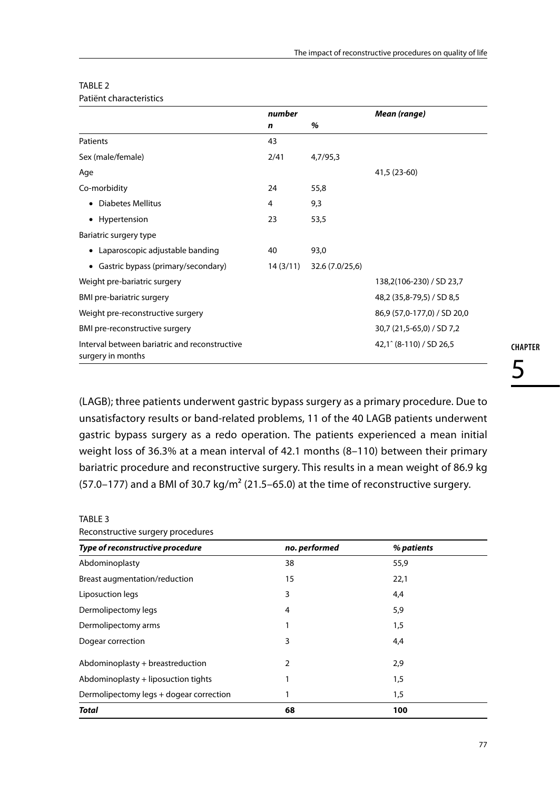# TABLE 2

|                                                                    | number    |                 | Mean (range)                                           |
|--------------------------------------------------------------------|-----------|-----------------|--------------------------------------------------------|
|                                                                    | n         | %               |                                                        |
| Patients                                                           | 43        |                 |                                                        |
| Sex (male/female)                                                  | 2/41      | 4,7/95,3        |                                                        |
| Age                                                                |           |                 | 41,5 (23-60)                                           |
| Co-morbidity                                                       | 24        | 55,8            |                                                        |
| Diabetes Mellitus                                                  | 4         | 9,3             |                                                        |
| • Hypertension                                                     | 23        | 53,5            |                                                        |
| Bariatric surgery type                                             |           |                 |                                                        |
| • Laparoscopic adjustable banding                                  | 40        | 93,0            |                                                        |
| • Gastric bypass (primary/secondary)                               | 14 (3/11) | 32.6 (7.0/25,6) |                                                        |
| Weight pre-bariatric surgery                                       |           |                 | 138,2(106-230) / SD 23,7                               |
| BMI pre-bariatric surgery                                          |           |                 | 48,2 (35,8-79,5) / SD 8,5                              |
| Weight pre-reconstructive surgery                                  |           |                 | 86,9 (57,0-177,0) / SD 20,0                            |
| BMI pre-reconstructive surgery                                     |           |                 | 30,7 (21,5-65,0) / SD 7,2                              |
| Interval between bariatric and reconstructive<br>surgery in months |           |                 | 42,1 <sup><math>\degree</math></sup> (8-110) / SD 26,5 |

(LAGB); three patients underwent gastric bypass surgery as a primary procedure. Due to unsatisfactory results or band-related problems, 11 of the 40 LAGB patients underwent gastric bypass surgery as a redo operation. The patients experienced a mean initial weight loss of 36.3% at a mean interval of 42.1 months (8–110) between their primary bariatric procedure and reconstructive surgery. This results in a mean weight of 86.9 kg (57.0–177) and a BMI of 30.7 kg/m<sup>2</sup> (21.5–65.0) at the time of reconstructive surgery.

| neconstructive surgery procedures       |               |            |  |  |
|-----------------------------------------|---------------|------------|--|--|
| Type of reconstructive procedure        | no. performed | % patients |  |  |
| Abdominoplasty                          | 38            | 55,9       |  |  |
| Breast augmentation/reduction           | 15            | 22,1       |  |  |
| Liposuction legs                        | 3             | 4,4        |  |  |
| Dermolipectomy legs                     | 4             | 5,9        |  |  |
| Dermolipectomy arms                     | 1             | 1,5        |  |  |
| Dogear correction                       | 3             | 4,4        |  |  |
| Abdominoplasty + breastreduction        | 2             | 2,9        |  |  |
| Abdominoplasty + liposuction tights     |               | 1,5        |  |  |
| Dermolipectomy legs + dogear correction |               | 1,5        |  |  |
| <b>Total</b>                            | 68            | 100        |  |  |

TABLE 3 Reconstructive surgery procedures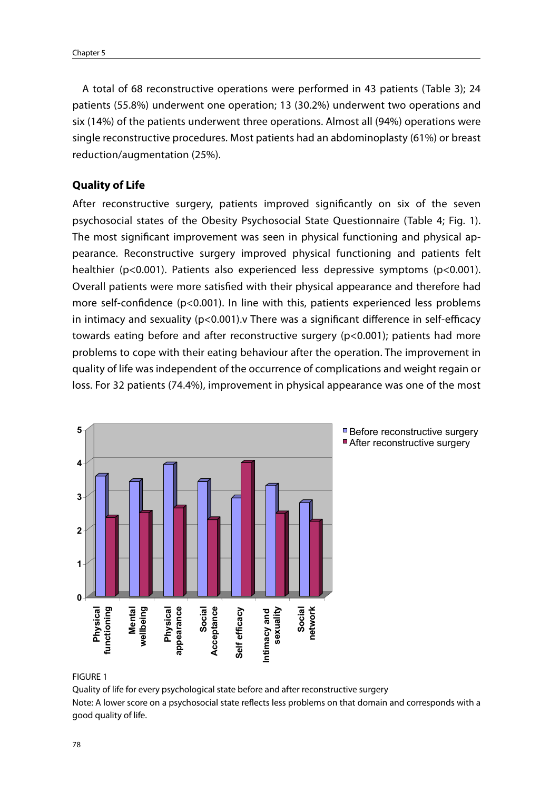A total of 68 reconstructive operations were performed in 43 patients (Table 3); 24 patients (55.8%) underwent one operation; 13 (30.2%) underwent two operations and six (14%) of the patients underwent three operations. Almost all (94%) operations were single reconstructive procedures. Most patients had an abdominoplasty (61%) or breast reduction/augmentation (25%).

# **Quality of Life**

After reconstructive surgery, patients improved significantly on six of the seven psychosocial states of the Obesity Psychosocial State Questionnaire (Table 4; Fig. 1). The most significant improvement was seen in physical functioning and physical appearance. Reconstructive surgery improved physical functioning and patients felt healthier (p<0.001). Patients also experienced less depressive symptoms (p<0.001). Overall patients were more satisfied with their physical appearance and therefore had more self-confidence ( $p$ <0.001). In line with this, patients experienced less problems in intimacy and sexuality (p<0.001).v There was a significant difference in self-efficacy towards eating before and after reconstructive surgery (p<0.001); patients had more problems to cope with their eating behaviour after the operation. The improvement in quality of life was independent of the occurrence of complications and weight regain or loss. For 32 patients (74.4%), improvement in physical appearance was one of the most



■ Before reconstructive surgery ■ After reconstructive surgery

# FIGURE 1

Quality of life for every psychological state before and after reconstructive surgery Note: A lower score on a psychosocial state reflects less problems on that domain and corresponds with a good quality of life.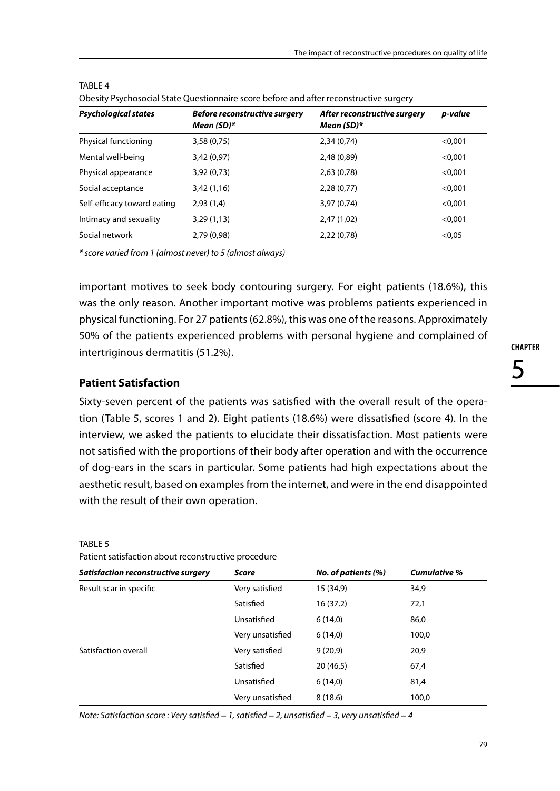| ODESIty PSychosocial State Questionnaire score before and after reconstructive surgery |                                                      |                                            |         |  |  |
|----------------------------------------------------------------------------------------|------------------------------------------------------|--------------------------------------------|---------|--|--|
| <b>Psychological states</b>                                                            | <b>Before reconstructive surgery</b><br>Mean $(SD)*$ | After reconstructive surgery<br>Mean (SD)* | p-value |  |  |
| Physical functioning                                                                   | 3,58 (0,75)                                          | 2,34(0,74)                                 | < 0,001 |  |  |
| Mental well-being                                                                      | 3,42 (0,97)                                          | 2,48 (0,89)                                | < 0,001 |  |  |
| Physical appearance                                                                    | 3,92 (0,73)                                          | 2,63 (0,78)                                | < 0,001 |  |  |
| Social acceptance                                                                      | 3,42(1,16)                                           | 2,28 (0,77)                                | < 0,001 |  |  |
| Self-efficacy toward eating                                                            | 2,93(1,4)                                            | 3,97 (0,74)                                | < 0,001 |  |  |
| Intimacy and sexuality                                                                 | 3,29 (1,13)                                          | 2,47 (1,02)                                | < 0,001 |  |  |
| Social network                                                                         | 2,79 (0,98)                                          | 2,22 (0,78)                                | < 0.05  |  |  |

TABLE 4

Obesity Psychosocial State Questionnaire score before and after reconstructive surgery

*\* score varied from 1 (almost never) to 5 (almost always)*

important motives to seek body contouring surgery. For eight patients (18.6%), this was the only reason. Another important motive was problems patients experienced in physical functioning. For 27 patients (62.8%), this was one of the reasons. Approximately 50% of the patients experienced problems with personal hygiene and complained of intertriginous dermatitis (51.2%).

# **Patient Satisfaction**

Sixty-seven percent of the patients was satisfied with the overall result of the operation (Table 5, scores 1 and 2). Eight patients (18.6%) were dissatisfied (score 4). In the interview, we asked the patients to elucidate their dissatisfaction. Most patients were not satisfied with the proportions of their body after operation and with the occurrence of dog-ears in the scars in particular. Some patients had high expectations about the aesthetic result, based on examples from the internet, and were in the end disappointed with the result of their own operation.

|--|--|

Patient satisfaction about reconstructive procedure

| Satisfaction reconstructive surgery | Score            | No. of patients (%) | <b>Cumulative %</b> |
|-------------------------------------|------------------|---------------------|---------------------|
| Result scar in specific             | Very satisfied   | 15 (34,9)           | 34,9                |
|                                     | Satisfied        | 16(37.2)            | 72,1                |
|                                     | Unsatisfied      | 6(14,0)             | 86,0                |
|                                     | Very unsatisfied | 6(14,0)             | 100,0               |
| Satisfaction overall                | Very satisfied   | 9(20,9)             | 20,9                |
|                                     | Satisfied        | 20(46,5)            | 67,4                |
|                                     | Unsatisfied      | 6(14,0)             | 81,4                |
|                                     | Very unsatisfied | 8(18.6)             | 100.0               |

*Note: Satisfaction score : Very satisfied = 1, satisfied = 2, unsatisfied = 3, very unsatisfied = 4*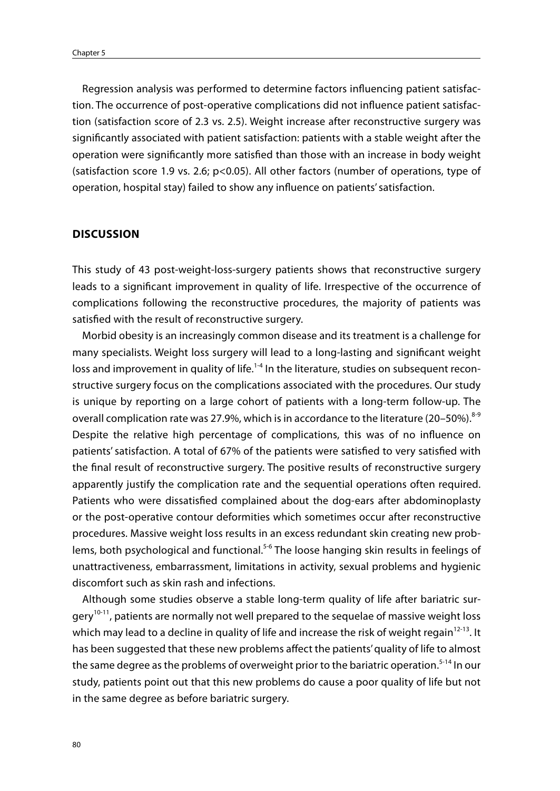Regression analysis was performed to determine factors influencing patient satisfaction. The occurrence of post-operative complications did not influence patient satisfaction (satisfaction score of 2.3 vs. 2.5). Weight increase after reconstructive surgery was significantly associated with patient satisfaction: patients with a stable weight after the operation were significantly more satisfied than those with an increase in body weight (satisfaction score 1.9 vs. 2.6;  $p<0.05$ ). All other factors (number of operations, type of operation, hospital stay) failed to show any influence on patients' satisfaction.

## **Discussion**

This study of 43 post-weight-loss-surgery patients shows that reconstructive surgery leads to a significant improvement in quality of life. Irrespective of the occurrence of complications following the reconstructive procedures, the majority of patients was satisfied with the result of reconstructive surgery.

Morbid obesity is an increasingly common disease and its treatment is a challenge for many specialists. Weight loss surgery will lead to a long-lasting and significant weight loss and improvement in quality of life.<sup>1-4</sup> In the literature, studies on subsequent reconstructive surgery focus on the complications associated with the procedures. Our study is unique by reporting on a large cohort of patients with a long-term follow-up. The overall complication rate was 27.9%, which is in accordance to the literature (20–50%). $8-9$ Despite the relative high percentage of complications, this was of no influence on patients' satisfaction. A total of 67% of the patients were satisfied to very satisfied with the final result of reconstructive surgery. The positive results of reconstructive surgery apparently justify the complication rate and the sequential operations often required. Patients who were dissatisfied complained about the dog-ears after abdominoplasty or the post-operative contour deformities which sometimes occur after reconstructive procedures. Massive weight loss results in an excess redundant skin creating new problems, both psychological and functional.<sup>5-6</sup> The loose hanging skin results in feelings of unattractiveness, embarrassment, limitations in activity, sexual problems and hygienic discomfort such as skin rash and infections.

Although some studies observe a stable long-term quality of life after bariatric surgery<sup>10-11</sup>, patients are normally not well prepared to the sequelae of massive weight loss which may lead to a decline in quality of life and increase the risk of weight regain<sup>12-13</sup>. It has been suggested that these new problems affect the patients' quality of life to almost the same degree as the problems of overweight prior to the bariatric operation.<sup>5-14</sup> In our study, patients point out that this new problems do cause a poor quality of life but not in the same degree as before bariatric surgery.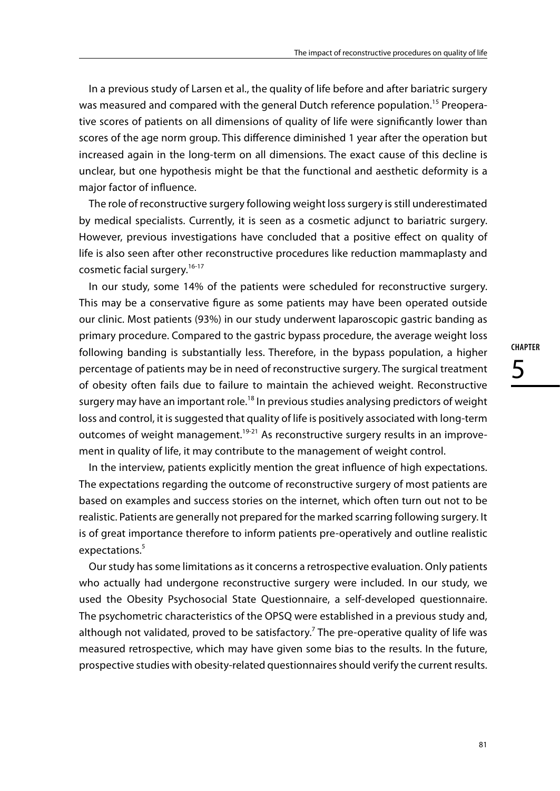In a previous study of Larsen et al., the quality of life before and after bariatric surgery was measured and compared with the general Dutch reference population.<sup>15</sup> Preoperative scores of patients on all dimensions of quality of life were significantly lower than scores of the age norm group. This difference diminished 1 year after the operation but increased again in the long-term on all dimensions. The exact cause of this decline is unclear, but one hypothesis might be that the functional and aesthetic deformity is a major factor of influence.

The role of reconstructive surgery following weight loss surgery is still underestimated by medical specialists. Currently, it is seen as a cosmetic adjunct to bariatric surgery. However, previous investigations have concluded that a positive effect on quality of life is also seen after other reconstructive procedures like reduction mammaplasty and cosmetic facial surgery.<sup>16-17</sup>

In our study, some 14% of the patients were scheduled for reconstructive surgery. This may be a conservative figure as some patients may have been operated outside our clinic. Most patients (93%) in our study underwent laparoscopic gastric banding as primary procedure. Compared to the gastric bypass procedure, the average weight loss following banding is substantially less. Therefore, in the bypass population, a higher percentage of patients may be in need of reconstructive surgery. The surgical treatment of obesity often fails due to failure to maintain the achieved weight. Reconstructive surgery may have an important role.<sup>18</sup> In previous studies analysing predictors of weight loss and control, it is suggested that quality of life is positively associated with long-term outcomes of weight management.<sup>19-21</sup> As reconstructive surgery results in an improvement in quality of life, it may contribute to the management of weight control.

In the interview, patients explicitly mention the great influence of high expectations. The expectations regarding the outcome of reconstructive surgery of most patients are based on examples and success stories on the internet, which often turn out not to be realistic. Patients are generally not prepared for the marked scarring following surgery. It is of great importance therefore to inform patients pre-operatively and outline realistic expectations.<sup>5</sup>

Our study has some limitations as it concerns a retrospective evaluation. Only patients who actually had undergone reconstructive surgery were included. In our study, we used the Obesity Psychosocial State Questionnaire, a self-developed questionnaire. The psychometric characteristics of the OPSQ were established in a previous study and, although not validated, proved to be satisfactory.<sup>7</sup> The pre-operative quality of life was measured retrospective, which may have given some bias to the results. In the future, prospective studies with obesity-related questionnaires should verify the current results.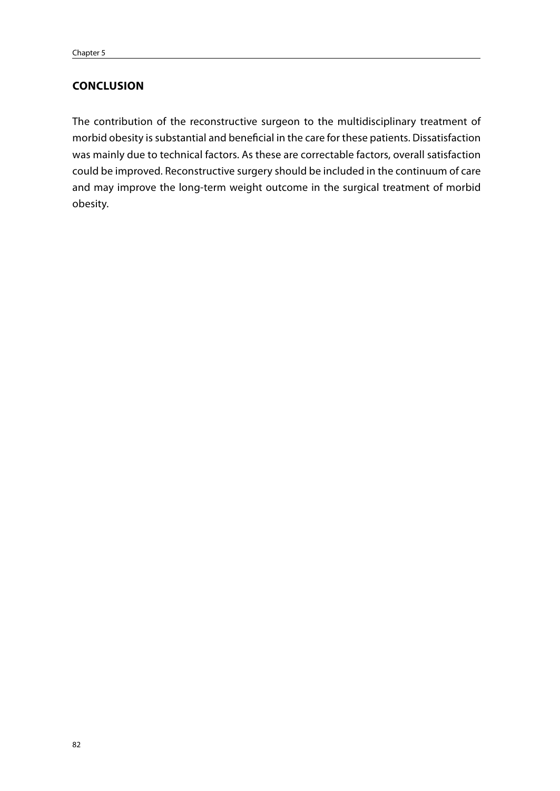# **Conclusion**

The contribution of the reconstructive surgeon to the multidisciplinary treatment of morbid obesity is substantial and beneficial in the care for these patients. Dissatisfaction was mainly due to technical factors. As these are correctable factors, overall satisfaction could be improved. Reconstructive surgery should be included in the continuum of care and may improve the long-term weight outcome in the surgical treatment of morbid obesity.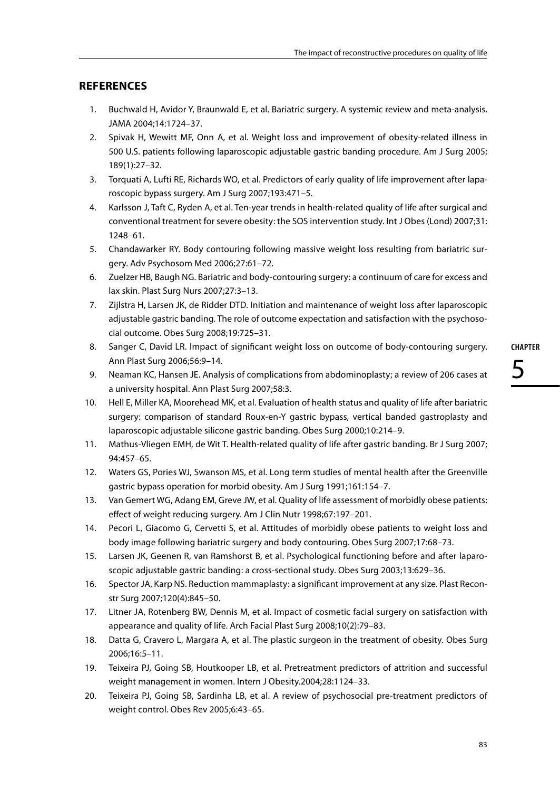# **References**

- 1. Buchwald H, Avidor Y, Braunwald E, et al. Bariatric surgery. A systemic review and meta-analysis. JAMA 2004;14:1724–37.
- 2. Spivak H, Wewitt MF, Onn A, et al. Weight loss and improvement of obesity-related illness in 500 U.S. patients following laparoscopic adjustable gastric banding procedure. Am J Surg 2005; 189(1):27–32.
- 3. Torquati A, Lufti RE, Richards WO, et al. Predictors of early quality of life improvement after laparoscopic bypass surgery. Am J Surg 2007;193:471–5.
- 4. Karlsson J, Taft C, Ryden A, et al. Ten-year trends in health-related quality of life after surgical and conventional treatment for severe obesity: the SOS intervention study. Int J Obes (Lond) 2007;31: 1248–61.
- 5. Chandawarker RY. Body contouring following massive weight loss resulting from bariatric surgery. Adv Psychosom Med 2006;27:61–72.
- 6. Zuelzer HB, Baugh NG. Bariatric and body-contouring surgery: a continuum of care for excess and lax skin. Plast Surg Nurs 2007;27:3–13.
- 7. Zijlstra H, Larsen JK, de Ridder DTD. Initiation and maintenance of weight loss after laparoscopic adjustable gastric banding. The role of outcome expectation and satisfaction with the psychosocial outcome. Obes Surg 2008;19:725–31.
- 8. Sanger C, David LR. Impact of significant weight loss on outcome of body-contouring surgery. Ann Plast Surg 2006;56:9–14.
- 9. Neaman KC, Hansen JE. Analysis of complications from abdominoplasty; a review of 206 cases at a university hospital. Ann Plast Surg 2007;58:3.
- 10. Hell E, Miller KA, Moorehead MK, et al. Evaluation of health status and quality of life after bariatric surgery: comparison of standard Roux-en-Y gastric bypass, vertical banded gastroplasty and laparoscopic adjustable silicone gastric banding. Obes Surg 2000;10:214–9.
- 11. Mathus-Vliegen EMH, de Wit T. Health-related quality of life after gastric banding. Br J Surg 2007; 94:457–65.
- 12. Waters GS, Pories WJ, Swanson MS, et al. Long term studies of mental health after the Greenville gastric bypass operation for morbid obesity. Am J Surg 1991;161:154–7.
- 13. Van Gemert WG, Adang EM, Greve JW, et al. Quality of life assessment of morbidly obese patients: effect of weight reducing surgery. Am J Clin Nutr 1998;67:197–201.
- 14. Pecori L, Giacomo G, Cervetti S, et al. Attitudes of morbidly obese patients to weight loss and body image following bariatric surgery and body contouring. Obes Surg 2007;17:68–73.
- 15. Larsen JK, Geenen R, van Ramshorst B, et al. Psychological functioning before and after laparoscopic adjustable gastric banding: a cross-sectional study. Obes Surg 2003;13:629–36.
- 16. Spector JA, Karp NS. Reduction mammaplasty: a significant improvement at any size. Plast Reconstr Surg 2007;120(4):845–50.
- 17. Litner JA, Rotenberg BW, Dennis M, et al. Impact of cosmetic facial surgery on satisfaction with appearance and quality of life. Arch Facial Plast Surg 2008;10(2):79–83.
- 18. Datta G, Cravero L, Margara A, et al. The plastic surgeon in the treatment of obesity. Obes Surg 2006;16:5–11.
- 19. Teixeira PJ, Going SB, Houtkooper LB, et al. Pretreatment predictors of attrition and successful weight management in women. Intern J Obesity.2004;28:1124–33.
- 20. Teixeira PJ, Going SB, Sardinha LB, et al. A review of psychosocial pre-treatment predictors of weight control. Obes Rev 2005;6:43–65.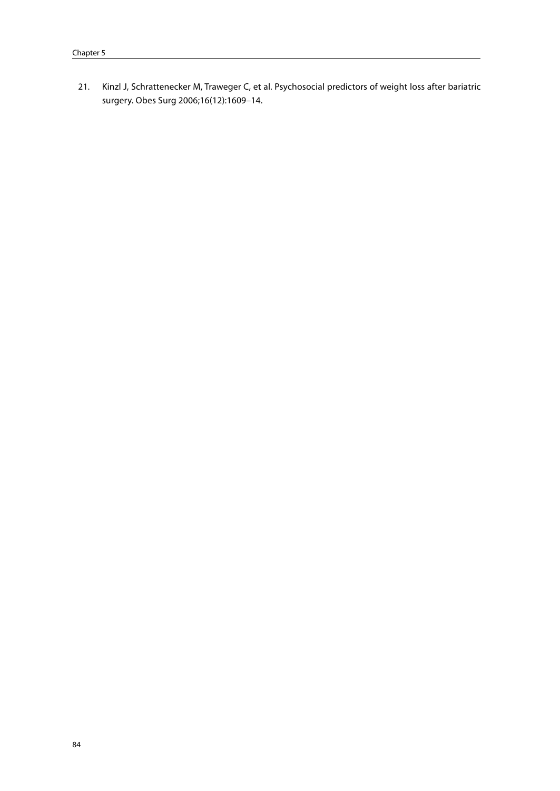21. Kinzl J, Schrattenecker M, Traweger C, et al. Psychosocial predictors of weight loss after bariatric surgery. Obes Surg 2006;16(12):1609–14.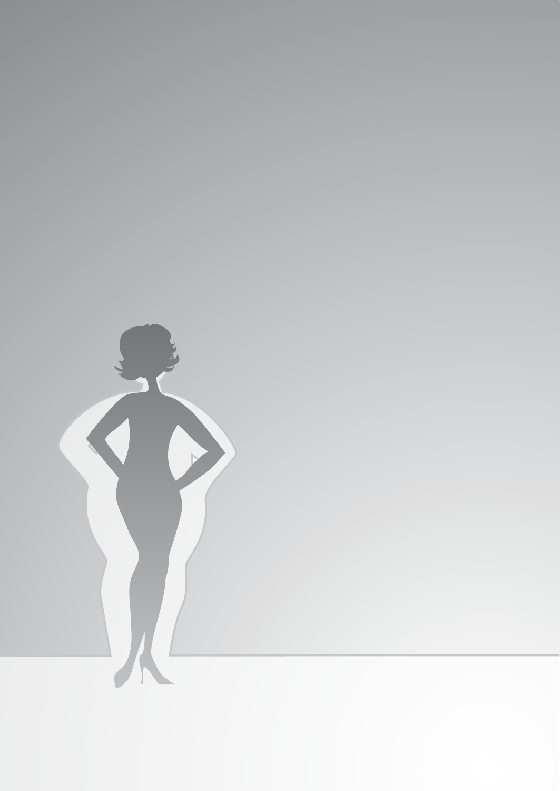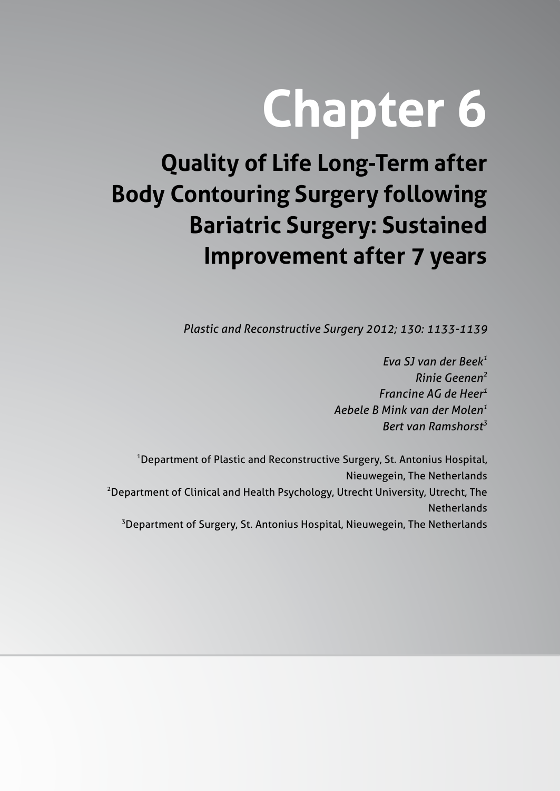# **Chapter 6**

**Quality of Life Long-Term after Body Contouring Surgery following Bariatric Surgery: Sustained Improvement after 7 years**

*Plastic and Reconstructive Surgery 2012; 130: 1133-1139*

*Eva SJ van der Beek<sup>1</sup> Rinie Geenen<sup>2</sup> Francine AG de Heer<sup>1</sup> Aebele B Mink van der Molen<sup>1</sup> Bert van Ramshorst<sup>3</sup>*

<sup>1</sup>Department of Plastic and Reconstructive Surgery, St. Antonius Hospital, Nieuwegein, The Netherlands 2 Department of Clinical and Health Psychology, Utrecht University, Utrecht, The Netherlands <sup>3</sup>Department of Surgery, St. Antonius Hospital, Nieuwegein, The Netherlands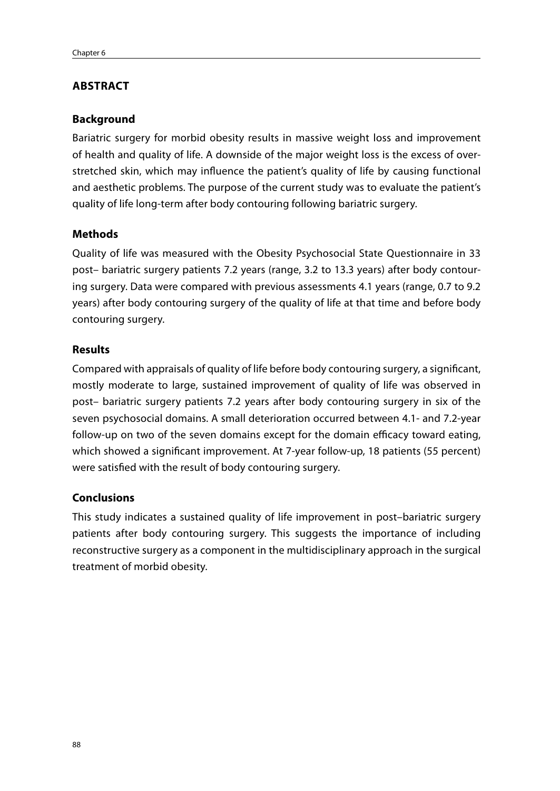# **Abstract**

# **Background**

Bariatric surgery for morbid obesity results in massive weight loss and improvement of health and quality of life. A downside of the major weight loss is the excess of overstretched skin, which may influence the patient's quality of life by causing functional and aesthetic problems. The purpose of the current study was to evaluate the patient's quality of life long-term after body contouring following bariatric surgery.

# **Methods**

Quality of life was measured with the Obesity Psychosocial State Questionnaire in 33 post– bariatric surgery patients 7.2 years (range, 3.2 to 13.3 years) after body contouring surgery. Data were compared with previous assessments 4.1 years (range, 0.7 to 9.2 years) after body contouring surgery of the quality of life at that time and before body contouring surgery.

# **Results**

Compared with appraisals of quality of life before body contouring surgery, a significant, mostly moderate to large, sustained improvement of quality of life was observed in post– bariatric surgery patients 7.2 years after body contouring surgery in six of the seven psychosocial domains. A small deterioration occurred between 4.1- and 7.2-year follow-up on two of the seven domains except for the domain efficacy toward eating, which showed a significant improvement. At 7-year follow-up, 18 patients (55 percent) were satisfied with the result of body contouring surgery.

# **Conclusions**

This study indicates a sustained quality of life improvement in post–bariatric surgery patients after body contouring surgery. This suggests the importance of including reconstructive surgery as a component in the multidisciplinary approach in the surgical treatment of morbid obesity.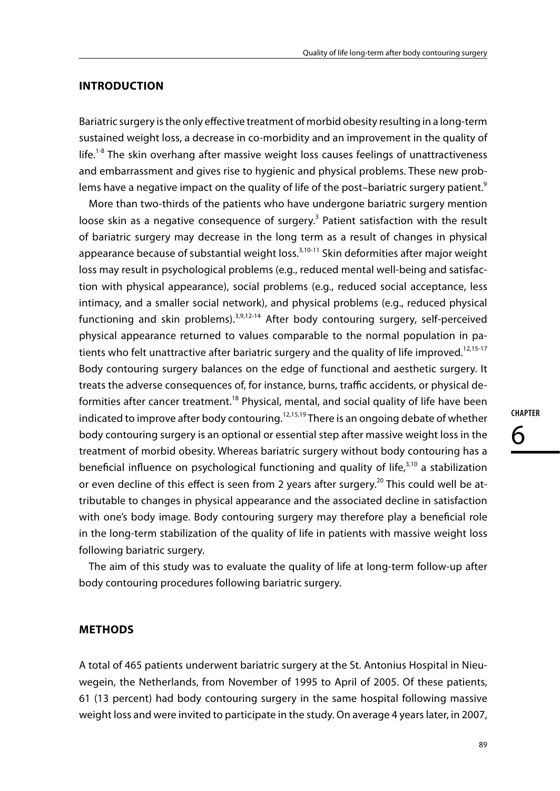# **Introduction**

Bariatric surgery is the only effective treatment of morbid obesity resulting in a long-term sustained weight loss, a decrease in co-morbidity and an improvement in the quality of  $l$  life.<sup>1-8</sup> The skin overhang after massive weight loss causes feelings of unattractiveness and embarrassment and gives rise to hygienic and physical problems. These new problems have a negative impact on the quality of life of the post-bariatric surgery patient.<sup>9</sup>

More than two-thirds of the patients who have undergone bariatric surgery mention loose skin as a negative consequence of surgery.<sup>3</sup> Patient satisfaction with the result of bariatric surgery may decrease in the long term as a result of changes in physical appearance because of substantial weight loss.<sup>3,10-11</sup> Skin deformities after major weight loss may result in psychological problems (e.g., reduced mental well-being and satisfaction with physical appearance), social problems (e.g., reduced social acceptance, less intimacy, and a smaller social network), and physical problems (e.g., reduced physical functioning and skin problems).<sup>3,9,12-14</sup> After body contouring surgery, self-perceived physical appearance returned to values comparable to the normal population in patients who felt unattractive after bariatric surgery and the quality of life improved.<sup>12,15-17</sup> Body contouring surgery balances on the edge of functional and aesthetic surgery. It treats the adverse consequences of, for instance, burns, traffic accidents, or physical deformities after cancer treatment.<sup>18</sup> Physical, mental, and social quality of life have been indicated to improve after body contouring.<sup>12,15,19</sup> There is an ongoing debate of whether body contouring surgery is an optional or essential step after massive weight loss in the treatment of morbid obesity. Whereas bariatric surgery without body contouring has a beneficial influence on psychological functioning and quality of life, $3,10$  a stabilization or even decline of this effect is seen from 2 years after surgery.<sup>20</sup> This could well be attributable to changes in physical appearance and the associated decline in satisfaction with one's body image. Body contouring surgery may therefore play a beneficial role in the long-term stabilization of the quality of life in patients with massive weight loss following bariatric surgery.

The aim of this study was to evaluate the quality of life at long-term follow-up after body contouring procedures following bariatric surgery.

# **Methods**

A total of 465 patients underwent bariatric surgery at the St. Antonius Hospital in Nieuwegein, the Netherlands, from November of 1995 to April of 2005. Of these patients, 61 (13 percent) had body contouring surgery in the same hospital following massive weight loss and were invited to participate in the study. On average 4 years later, in 2007,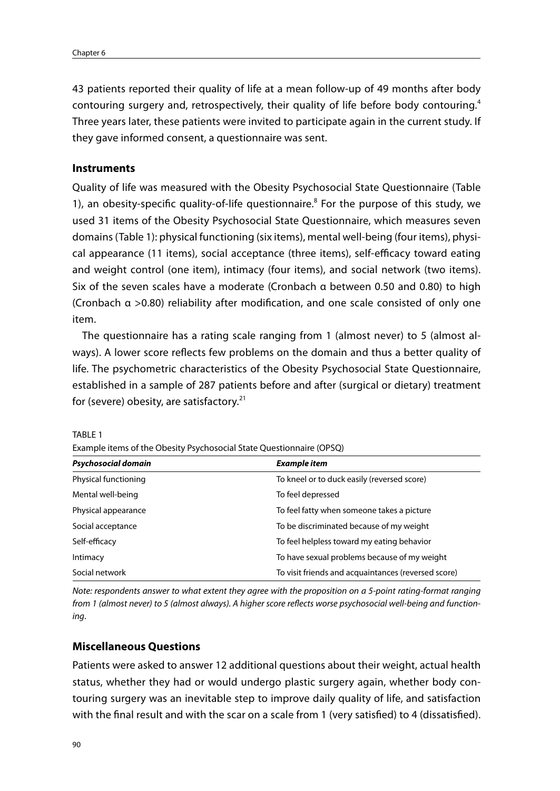43 patients reported their quality of life at a mean follow-up of 49 months after body contouring surgery and, retrospectively, their quality of life before body contouring.<sup>4</sup> Three years later, these patients were invited to participate again in the current study. If they gave informed consent, a questionnaire was sent.

## **Instruments**

Quality of life was measured with the Obesity Psychosocial State Questionnaire (Table 1), an obesity-specific quality-of-life questionnaire.<sup>8</sup> For the purpose of this study, we used 31 items of the Obesity Psychosocial State Questionnaire, which measures seven domains (Table 1): physical functioning (six items), mental well-being (four items), physical appearance (11 items), social acceptance (three items), self-efficacy toward eating and weight control (one item), intimacy (four items), and social network (two items). Six of the seven scales have a moderate (Cronbach α between 0.50 and 0.80) to high (Cronbach  $\alpha$  >0.80) reliability after modification, and one scale consisted of only one item.

The questionnaire has a rating scale ranging from 1 (almost never) to 5 (almost always). A lower score reflects few problems on the domain and thus a better quality of life. The psychometric characteristics of the Obesity Psychosocial State Questionnaire, established in a sample of 287 patients before and after (surgical or dietary) treatment for (severe) obesity, are satisfactory.<sup>21</sup>

| Psychosocial domain  | <b>Example item</b>                                 |  |  |
|----------------------|-----------------------------------------------------|--|--|
| Physical functioning | To kneel or to duck easily (reversed score)         |  |  |
| Mental well-being    | To feel depressed                                   |  |  |
| Physical appearance  | To feel fatty when someone takes a picture          |  |  |
| Social acceptance    | To be discriminated because of my weight            |  |  |
| Self-efficacy        | To feel helpless toward my eating behavior          |  |  |
| Intimacy             | To have sexual problems because of my weight        |  |  |
| Social network       | To visit friends and acquaintances (reversed score) |  |  |

TABLE 1 Example items of the Obesity Psychosocial State Questionnaire (OPSQ)

*Note: respondents answer to what extent they agree with the proposition on a 5-point rating-format ranging from 1 (almost never) to 5 (almost always). A higher score reflects worse psychosocial well-being and functioning*.

# **Miscellaneous Questions**

Patients were asked to answer 12 additional questions about their weight, actual health status, whether they had or would undergo plastic surgery again, whether body contouring surgery was an inevitable step to improve daily quality of life, and satisfaction with the final result and with the scar on a scale from 1 (very satisfied) to 4 (dissatisfied).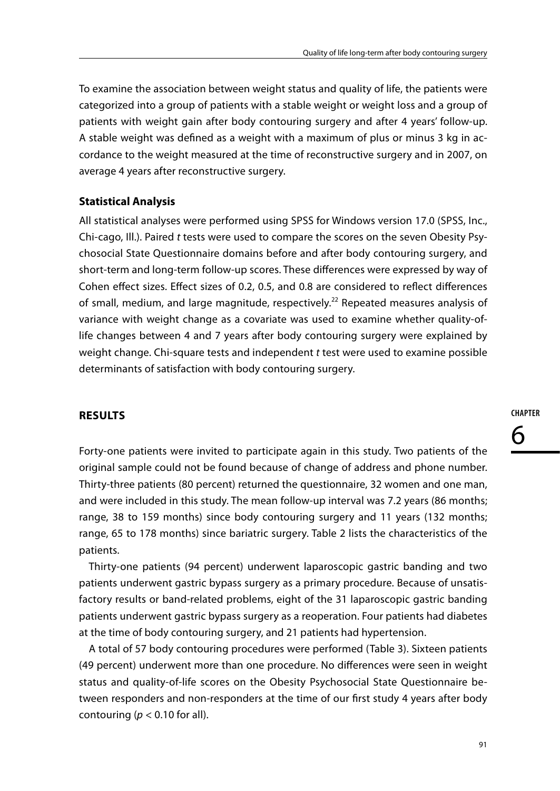To examine the association between weight status and quality of life, the patients were categorized into a group of patients with a stable weight or weight loss and a group of patients with weight gain after body contouring surgery and after 4 years' follow-up. A stable weight was defined as a weight with a maximum of plus or minus 3 kg in accordance to the weight measured at the time of reconstructive surgery and in 2007, on average 4 years after reconstructive surgery.

# **Statistical Analysis**

All statistical analyses were performed using SPSS for Windows version 17.0 (SPSS, Inc., Chi-cago, Ill.). Paired *t* tests were used to compare the scores on the seven Obesity Psychosocial State Questionnaire domains before and after body contouring surgery, and short-term and long-term follow-up scores. These differences were expressed by way of Cohen effect sizes. Effect sizes of 0.2, 0.5, and 0.8 are considered to reflect differences of small, medium, and large magnitude, respectively.<sup>22</sup> Repeated measures analysis of variance with weight change as a covariate was used to examine whether quality-oflife changes between 4 and 7 years after body contouring surgery were explained by weight change. Chi-square tests and independent *t* test were used to examine possible determinants of satisfaction with body contouring surgery.

# **Results**

Forty-one patients were invited to participate again in this study. Two patients of the original sample could not be found because of change of address and phone number. Thirty-three patients (80 percent) returned the questionnaire, 32 women and one man, and were included in this study. The mean follow-up interval was 7.2 years (86 months; range, 38 to 159 months) since body contouring surgery and 11 years (132 months; range, 65 to 178 months) since bariatric surgery. Table 2 lists the characteristics of the patients.

Thirty-one patients (94 percent) underwent laparoscopic gastric banding and two patients underwent gastric bypass surgery as a primary procedure. Because of unsatisfactory results or band-related problems, eight of the 31 laparoscopic gastric banding patients underwent gastric bypass surgery as a reoperation. Four patients had diabetes at the time of body contouring surgery, and 21 patients had hypertension.

A total of 57 body contouring procedures were performed (Table 3). Sixteen patients (49 percent) underwent more than one procedure. No differences were seen in weight status and quality-of-life scores on the Obesity Psychosocial State Questionnaire between responders and non-responders at the time of our first study 4 years after body contouring ( $p < 0.10$  for all).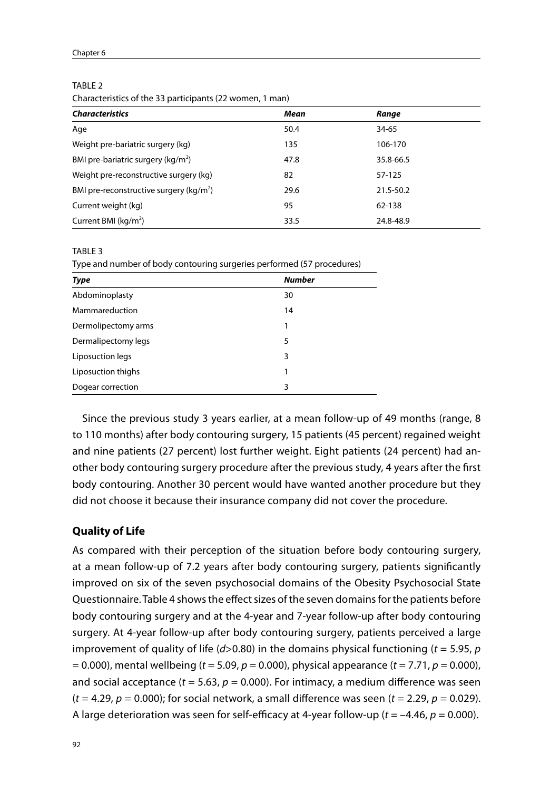#### TABLE<sub>2</sub>

Characteristics of the 33 participants (22 women, 1 man)

| <b>Characteristics</b>                             | Mean | Range     |
|----------------------------------------------------|------|-----------|
| Age                                                | 50.4 | 34-65     |
| Weight pre-bariatric surgery (kg)                  | 135  | 106-170   |
| BMI pre-bariatric surgery ( $\text{kg/m}^2$ )      | 47.8 | 35.8-66.5 |
| Weight pre-reconstructive surgery (kg)             | 82   | 57-125    |
| BMI pre-reconstructive surgery ( $\text{kg/m}^2$ ) | 29.6 | 21.5-50.2 |
| Current weight (kg)                                | 95   | 62-138    |
| Current BMI ( $\text{kg/m}^2$ )                    | 33.5 | 24.8-48.9 |

#### TABLE 3

Type and number of body contouring surgeries performed (57 procedures)

| Type                | <b>Number</b> |
|---------------------|---------------|
| Abdominoplasty      | 30            |
| Mammareduction      | 14            |
| Dermolipectomy arms |               |
| Dermalipectomy legs | 5             |
| Liposuction legs    | 3             |
| Liposuction thighs  |               |
| Dogear correction   | 3             |

Since the previous study 3 years earlier, at a mean follow-up of 49 months (range, 8 to 110 months) after body contouring surgery, 15 patients (45 percent) regained weight and nine patients (27 percent) lost further weight. Eight patients (24 percent) had another body contouring surgery procedure after the previous study, 4 years after the first body contouring. Another 30 percent would have wanted another procedure but they did not choose it because their insurance company did not cover the procedure.

# **Quality of Life**

As compared with their perception of the situation before body contouring surgery, at a mean follow-up of 7.2 years after body contouring surgery, patients significantly improved on six of the seven psychosocial domains of the Obesity Psychosocial State Questionnaire. Table 4 shows the effect sizes of the seven domains for the patients before body contouring surgery and at the 4-year and 7-year follow-up after body contouring surgery. At 4-year follow-up after body contouring surgery, patients perceived a large improvement of quality of life (*d*>0.80) in the domains physical functioning (*t* = 5.95, *p* = 0.000), mental wellbeing (*t* = 5.09, *p* = 0.000), physical appearance (*t* = 7.71, *p* = 0.000), and social acceptance  $(t = 5.63, p = 0.000)$ . For intimacy, a medium difference was seen  $(t = 4.29, p = 0.000)$ ; for social network, a small difference was seen  $(t = 2.29, p = 0.029)$ . A large deterioration was seen for self-efficacy at 4-year follow-up  $(t = -4.46, p = 0.000)$ .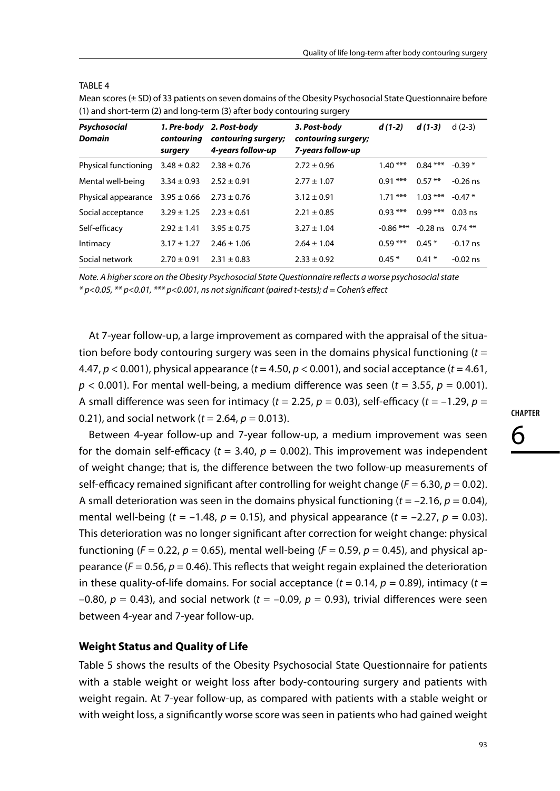| Psychosocial<br>Domain | contourina<br>surgery | 1. Pre-body 2. Post-body<br>contouring surgery;<br>4-years follow-up | 3. Post-body<br>contouring surgery;<br>7-years follow-up | $d(1-2)$    | $d(1-3)$   | $d(2-3)$   |
|------------------------|-----------------------|----------------------------------------------------------------------|----------------------------------------------------------|-------------|------------|------------|
| Physical functioning   | $3.48 \pm 0.82$       | $2.38 \pm 0.76$                                                      | $2.72 \pm 0.96$                                          | $1.40***$   | $0.84***$  | $-0.39*$   |
| Mental well-being      | $3.34 \pm 0.93$       | $2.52 \pm 0.91$                                                      | $2.77 \pm 1.07$                                          | $0.91***$   | $0.57***$  | $-0.26$ ns |
| Physical appearance    | $3.95 \pm 0.66$       | $2.73 \pm 0.76$                                                      | $3.12 \pm 0.91$                                          | $1.71***$   | $1.03***$  | $-0.47*$   |
| Social acceptance      | $3.29 \pm 1.25$       | $2.23 \pm 0.61$                                                      | $2.21 \pm 0.85$                                          | $0.93***$   | $0.99***$  | $0.03$ ns  |
| Self-efficacy          | $2.92 \pm 1.41$       | $3.95 \pm 0.75$                                                      | $3.27 \pm 1.04$                                          | $-0.86$ *** | $-0.28$ ns | $0.74***$  |
| Intimacy               | $3.17 \pm 1.27$       | $2.46 \pm 1.06$                                                      | $2.64 \pm 1.04$                                          | $0.59***$   | $0.45*$    | $-0.17$ ns |
| Social network         | $2.70 \pm 0.91$       | $2.31 \pm 0.83$                                                      | $2.33 \pm 0.92$                                          | $0.45*$     | $0.41*$    | $-0.02$ ns |

Mean scores (± SD) of 33 patients on seven domains of the Obesity Psychosocial State Questionnaire before

(1) and short-term (2) and long-term (3) after body contouring surgery

#### TABLE 4

*Note. A higher score on the Obesity Psychosocial State Questionnaire reflects a worse psychosocial state \* p<0.05, \*\* p<0.01, \*\*\* p<0.001, ns not significant (paired t-tests); d = Cohen's effect*

At 7-year follow-up, a large improvement as compared with the appraisal of the situation before body contouring surgery was seen in the domains physical functioning (*t* = 4.47, *p* < 0.001), physical appearance (*t* = 4.50, *p* < 0.001), and social acceptance (*t* = 4.61,  $p < 0.001$ ). For mental well-being, a medium difference was seen ( $t = 3.55$ ,  $p = 0.001$ ). A small difference was seen for intimacy ( $t = 2.25$ ,  $p = 0.03$ ), self-efficacy ( $t = -1.29$ ,  $p =$ 0.21), and social network (*t* = 2.64, *p* = 0.013).

Between 4-year follow-up and 7-year follow-up, a medium improvement was seen for the domain self-efficacy  $(t = 3.40, p = 0.002)$ . This improvement was independent of weight change; that is, the difference between the two follow-up measurements of self-efficacy remained significant after controlling for weight change  $(F = 6.30, p = 0.02)$ . A small deterioration was seen in the domains physical functioning ( $t = -2.16$ ,  $p = 0.04$ ), mental well-being ( $t = -1.48$ ,  $p = 0.15$ ), and physical appearance ( $t = -2.27$ ,  $p = 0.03$ ). This deterioration was no longer significant after correction for weight change: physical functioning ( $F = 0.22$ ,  $p = 0.65$ ), mental well-being ( $F = 0.59$ ,  $p = 0.45$ ), and physical appearance (*F* = 0.56, *p* = 0.46). This reflects that weight regain explained the deterioration in these quality-of-life domains. For social acceptance  $(t = 0.14, p = 0.89)$ , intimacy  $(t = 0.14, p = 0.89)$  $-0.80$ ,  $p = 0.43$ ), and social network ( $t = -0.09$ ,  $p = 0.93$ ), trivial differences were seen between 4-year and 7-year follow-up.

# **Weight Status and Quality of Life**

Table 5 shows the results of the Obesity Psychosocial State Questionnaire for patients with a stable weight or weight loss after body-contouring surgery and patients with weight regain. At 7-year follow-up, as compared with patients with a stable weight or with weight loss, a significantly worse score was seen in patients who had gained weight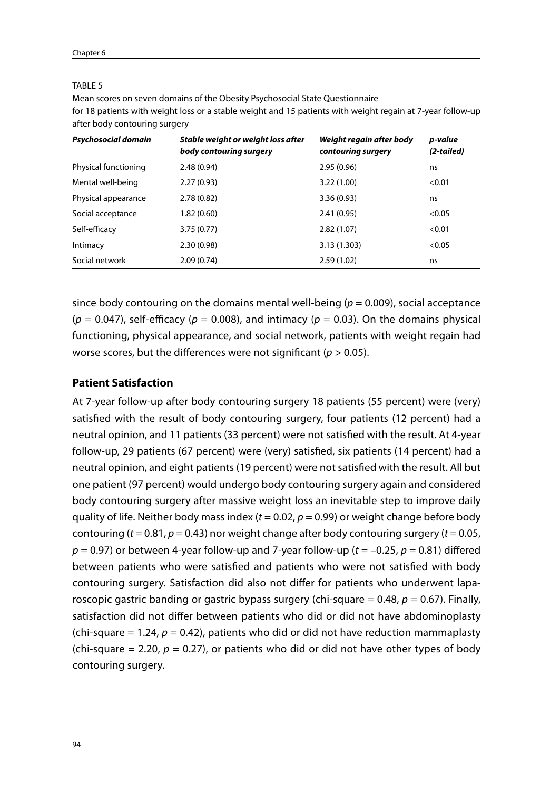| $\frac{1}{2}$        |                                                               |                                                |                       |  |  |
|----------------------|---------------------------------------------------------------|------------------------------------------------|-----------------------|--|--|
| Psychosocial domain  | Stable weight or weight loss after<br>body contouring surgery | Weight regain after body<br>contouring surgery | p-value<br>(2-tailed) |  |  |
| Physical functioning | 2.48(0.94)                                                    | 2.95(0.96)                                     | ns                    |  |  |
| Mental well-being    | 2.27(0.93)                                                    | 3.22(1.00)                                     | < 0.01                |  |  |
| Physical appearance  | 2.78(0.82)                                                    | 3.36(0.93)                                     | ns                    |  |  |
| Social acceptance    | 1.82(0.60)                                                    | 2.41(0.95)                                     | < 0.05                |  |  |
| Self-efficacy        | 3.75(0.77)                                                    | 2.82(1.07)                                     | < 0.01                |  |  |
| Intimacy             | 2.30(0.98)                                                    | 3.13 (1.303)                                   | < 0.05                |  |  |
| Social network       | 2.09(0.74)                                                    | 2.59(1.02)                                     | ns                    |  |  |

#### TABLE 5

Mean scores on seven domains of the Obesity Psychosocial State Questionnaire for 18 patients with weight loss or a stable weight and 15 patients with weight regain at 7-year follow-up after body contouring surgery

since body contouring on the domains mental well-being (*p* = 0.009), social acceptance  $(p = 0.047)$ , self-efficacy  $(p = 0.008)$ , and intimacy  $(p = 0.03)$ . On the domains physical functioning, physical appearance, and social network, patients with weight regain had worse scores, but the differences were not significant (*p* > 0.05).

# **Patient Satisfaction**

At 7-year follow-up after body contouring surgery 18 patients (55 percent) were (very) satisfied with the result of body contouring surgery, four patients (12 percent) had a neutral opinion, and 11 patients (33 percent) were not satisfied with the result. At 4-year follow-up, 29 patients (67 percent) were (very) satisfied, six patients (14 percent) had a neutral opinion, and eight patients (19 percent) were not satisfied with the result. All but one patient (97 percent) would undergo body contouring surgery again and considered body contouring surgery after massive weight loss an inevitable step to improve daily quality of life. Neither body mass index (*t* = 0.02, *p* = 0.99) or weight change before body contouring ( $t = 0.81$ ,  $p = 0.43$ ) nor weight change after body contouring surgery ( $t = 0.05$ ,  $p = 0.97$ ) or between 4-year follow-up and 7-year follow-up ( $t = -0.25$ ,  $p = 0.81$ ) differed between patients who were satisfied and patients who were not satisfied with body contouring surgery. Satisfaction did also not differ for patients who underwent laparoscopic gastric banding or gastric bypass surgery (chi-square = 0.48,  $p = 0.67$ ). Finally, satisfaction did not differ between patients who did or did not have abdominoplasty (chi-square  $= 1.24$ ,  $p = 0.42$ ), patients who did or did not have reduction mammaplasty (chi-square  $= 2.20$ ,  $p = 0.27$ ), or patients who did or did not have other types of body contouring surgery.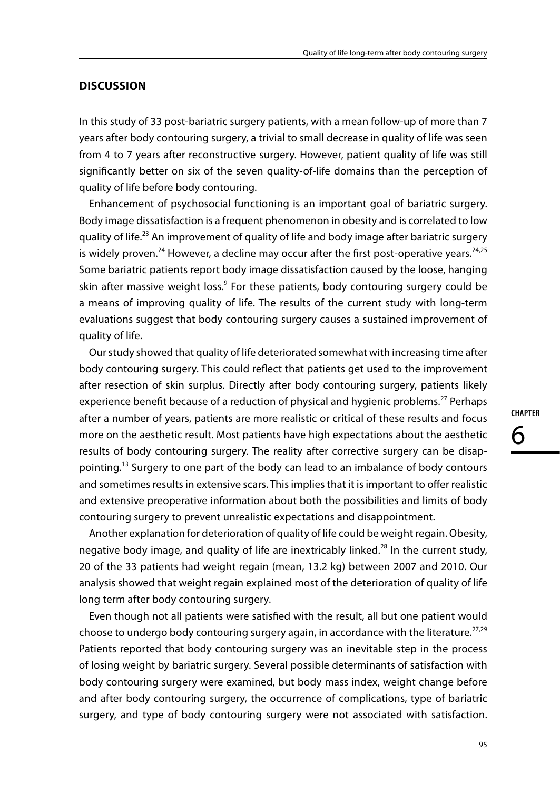# **Discussion**

In this study of 33 post-bariatric surgery patients, with a mean follow-up of more than 7 years after body contouring surgery, a trivial to small decrease in quality of life was seen from 4 to 7 years after reconstructive surgery. However, patient quality of life was still significantly better on six of the seven quality-of-life domains than the perception of quality of life before body contouring.

Enhancement of psychosocial functioning is an important goal of bariatric surgery. Body image dissatisfaction is a frequent phenomenon in obesity and is correlated to low quality of life.<sup>23</sup> An improvement of quality of life and body image after bariatric surgery is widely proven.<sup>24</sup> However, a decline may occur after the first post-operative years.<sup>24,25</sup> Some bariatric patients report body image dissatisfaction caused by the loose, hanging skin after massive weight loss.<sup>9</sup> For these patients, body contouring surgery could be a means of improving quality of life. The results of the current study with long-term evaluations suggest that body contouring surgery causes a sustained improvement of quality of life.

Our study showed that quality of life deteriorated somewhat with increasing time after body contouring surgery. This could reflect that patients get used to the improvement after resection of skin surplus. Directly after body contouring surgery, patients likely experience benefit because of a reduction of physical and hygienic problems.<sup>27</sup> Perhaps after a number of years, patients are more realistic or critical of these results and focus more on the aesthetic result. Most patients have high expectations about the aesthetic results of body contouring surgery. The reality after corrective surgery can be disappointing.13 Surgery to one part of the body can lead to an imbalance of body contours and sometimes results in extensive scars. This implies that it is important to offer realistic and extensive preoperative information about both the possibilities and limits of body contouring surgery to prevent unrealistic expectations and disappointment.

Another explanation for deterioration of quality of life could be weight regain. Obesity, negative body image, and quality of life are inextricably linked.<sup>28</sup> In the current study, 20 of the 33 patients had weight regain (mean, 13.2 kg) between 2007 and 2010. Our analysis showed that weight regain explained most of the deterioration of quality of life long term after body contouring surgery.

Even though not all patients were satisfied with the result, all but one patient would choose to undergo body contouring surgery again, in accordance with the literature.<sup>27,29</sup> Patients reported that body contouring surgery was an inevitable step in the process of losing weight by bariatric surgery. Several possible determinants of satisfaction with body contouring surgery were examined, but body mass index, weight change before and after body contouring surgery, the occurrence of complications, type of bariatric surgery, and type of body contouring surgery were not associated with satisfaction.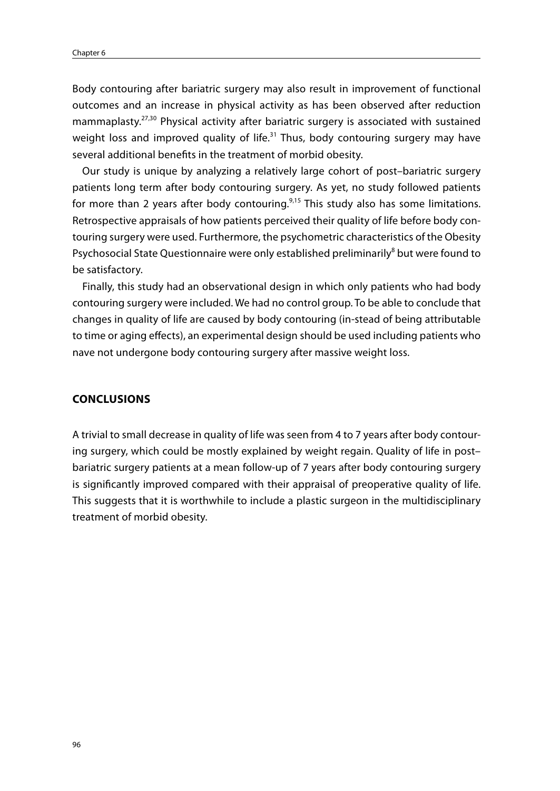Body contouring after bariatric surgery may also result in improvement of functional outcomes and an increase in physical activity as has been observed after reduction mammaplasty.27,30 Physical activity after bariatric surgery is associated with sustained weight loss and improved quality of life.<sup>31</sup> Thus, body contouring surgery may have several additional benefits in the treatment of morbid obesity.

Our study is unique by analyzing a relatively large cohort of post–bariatric surgery patients long term after body contouring surgery. As yet, no study followed patients for more than 2 years after body contouring.<sup>9,15</sup> This study also has some limitations. Retrospective appraisals of how patients perceived their quality of life before body contouring surgery were used. Furthermore, the psychometric characteristics of the Obesity Psychosocial State Questionnaire were only established preliminarily<sup>8</sup> but were found to be satisfactory.

Finally, this study had an observational design in which only patients who had body contouring surgery were included. We had no control group. To be able to conclude that changes in quality of life are caused by body contouring (in-stead of being attributable to time or aging effects), an experimental design should be used including patients who nave not undergone body contouring surgery after massive weight loss.

# **Conclusions**

A trivial to small decrease in quality of life was seen from 4 to 7 years after body contouring surgery, which could be mostly explained by weight regain. Quality of life in post– bariatric surgery patients at a mean follow-up of 7 years after body contouring surgery is significantly improved compared with their appraisal of preoperative quality of life. This suggests that it is worthwhile to include a plastic surgeon in the multidisciplinary treatment of morbid obesity.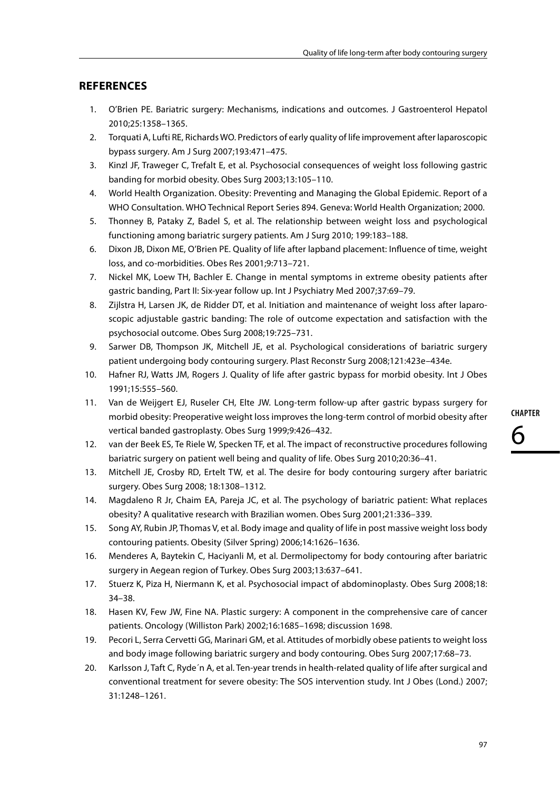# **References**

- 1. O'Brien PE. Bariatric surgery: Mechanisms, indications and outcomes. J Gastroenterol Hepatol 2010;25:1358–1365.
- 2. Torquati A, Lufti RE, Richards WO. Predictors of early quality of life improvement after laparoscopic bypass surgery. Am J Surg 2007;193:471–475.
- 3. Kinzl JF, Traweger C, Trefalt E, et al. Psychosocial consequences of weight loss following gastric banding for morbid obesity. Obes Surg 2003;13:105–110.
- 4. World Health Organization. Obesity: Preventing and Managing the Global Epidemic. Report of a WHO Consultation. WHO Technical Report Series 894. Geneva: World Health Organization; 2000.
- 5. Thonney B, Pataky Z, Badel S, et al. The relationship between weight loss and psychological functioning among bariatric surgery patients. Am J Surg 2010; 199:183–188.
- 6. Dixon JB, Dixon ME, O'Brien PE. Quality of life after lapband placement: Influence of time, weight loss, and co-morbidities. Obes Res 2001;9:713–721.
- 7. Nickel MK, Loew TH, Bachler E. Change in mental symptoms in extreme obesity patients after gastric banding, Part II: Six-year follow up. Int J Psychiatry Med 2007;37:69–79.
- 8. Zijlstra H, Larsen JK, de Ridder DT, et al. Initiation and maintenance of weight loss after laparoscopic adjustable gastric banding: The role of outcome expectation and satisfaction with the psychosocial outcome. Obes Surg 2008;19:725–731.
- 9. Sarwer DB, Thompson JK, Mitchell JE, et al. Psychological considerations of bariatric surgery patient undergoing body contouring surgery. Plast Reconstr Surg 2008;121:423e–434e.
- 10. Hafner RJ, Watts JM, Rogers J. Quality of life after gastric bypass for morbid obesity. Int J Obes 1991;15:555–560.
- 11. Van de Weijgert EJ, Ruseler CH, Elte JW. Long-term follow-up after gastric bypass surgery for morbid obesity: Preoperative weight loss improves the long-term control of morbid obesity after vertical banded gastroplasty. Obes Surg 1999;9:426–432.
- 12. van der Beek ES, Te Riele W, Specken TF, et al. The impact of reconstructive procedures following bariatric surgery on patient well being and quality of life. Obes Surg 2010;20:36–41.
- 13. Mitchell JE, Crosby RD, Ertelt TW, et al. The desire for body contouring surgery after bariatric surgery. Obes Surg 2008; 18:1308–1312.
- 14. Magdaleno R Jr, Chaim EA, Pareja JC, et al. The psychology of bariatric patient: What replaces obesity? A qualitative research with Brazilian women. Obes Surg 2001;21:336–339.
- 15. Song AY, Rubin JP, Thomas V, et al. Body image and quality of life in post massive weight loss body contouring patients. Obesity (Silver Spring) 2006;14:1626–1636.
- 16. Menderes A, Baytekin C, Haciyanli M, et al. Dermolipectomy for body contouring after bariatric surgery in Aegean region of Turkey. Obes Surg 2003;13:637–641.
- 17. Stuerz K, Piza H, Niermann K, et al. Psychosocial impact of abdominoplasty. Obes Surg 2008;18: 34–38.
- 18. Hasen KV, Few JW, Fine NA. Plastic surgery: A component in the comprehensive care of cancer patients. Oncology (Williston Park) 2002;16:1685–1698; discussion 1698.
- 19. Pecori L, Serra Cervetti GG, Marinari GM, et al. Attitudes of morbidly obese patients to weight loss and body image following bariatric surgery and body contouring. Obes Surg 2007;17:68–73.
- 20. Karlsson J, Taft C, Ryde'n A, et al. Ten-year trends in health-related quality of life after surgical and conventional treatment for severe obesity: The SOS intervention study. Int J Obes (Lond.) 2007; 31:1248–1261.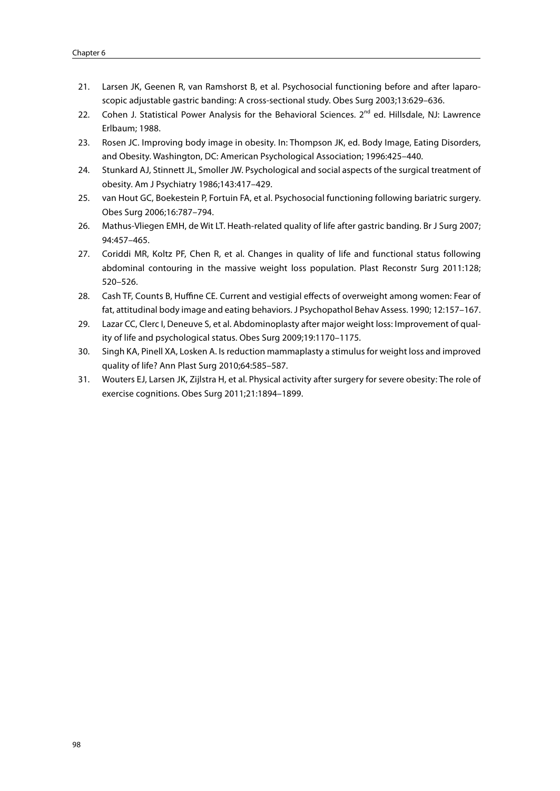- 21. Larsen JK, Geenen R, van Ramshorst B, et al. Psychosocial functioning before and after laparoscopic adjustable gastric banding: A cross-sectional study. Obes Surg 2003;13:629–636.
- 22. Cohen J. Statistical Power Analysis for the Behavioral Sciences. 2<sup>nd</sup> ed. Hillsdale, NJ: Lawrence Erlbaum; 1988.
- 23. Rosen JC. Improving body image in obesity. In: Thompson JK, ed. Body Image, Eating Disorders, and Obesity. Washington, DC: American Psychological Association; 1996:425–440.
- 24. Stunkard AJ, Stinnett JL, Smoller JW. Psychological and social aspects of the surgical treatment of obesity. Am J Psychiatry 1986;143:417–429.
- 25. van Hout GC, Boekestein P, Fortuin FA, et al. Psychosocial functioning following bariatric surgery. Obes Surg 2006;16:787–794.
- 26. Mathus-Vliegen EMH, de Wit LT. Heath-related quality of life after gastric banding. Br J Surg 2007; 94:457–465.
- 27. Coriddi MR, Koltz PF, Chen R, et al. Changes in quality of life and functional status following abdominal contouring in the massive weight loss population. Plast Reconstr Surg 2011:128; 520–526.
- 28. Cash TF, Counts B, Huffine CE. Current and vestigial effects of overweight among women: Fear of fat, attitudinal body image and eating behaviors. J Psychopathol Behav Assess. 1990; 12:157–167.
- 29. Lazar CC, Clerc I, Deneuve S, et al. Abdominoplasty after major weight loss: Improvement of quality of life and psychological status. Obes Surg 2009;19:1170–1175.
- 30. Singh KA, Pinell XA, Losken A. Is reduction mammaplasty a stimulus for weight loss and improved quality of life? Ann Plast Surg 2010;64:585–587.
- 31. Wouters EJ, Larsen JK, Zijlstra H, et al. Physical activity after surgery for severe obesity: The role of exercise cognitions. Obes Surg 2011;21:1894–1899.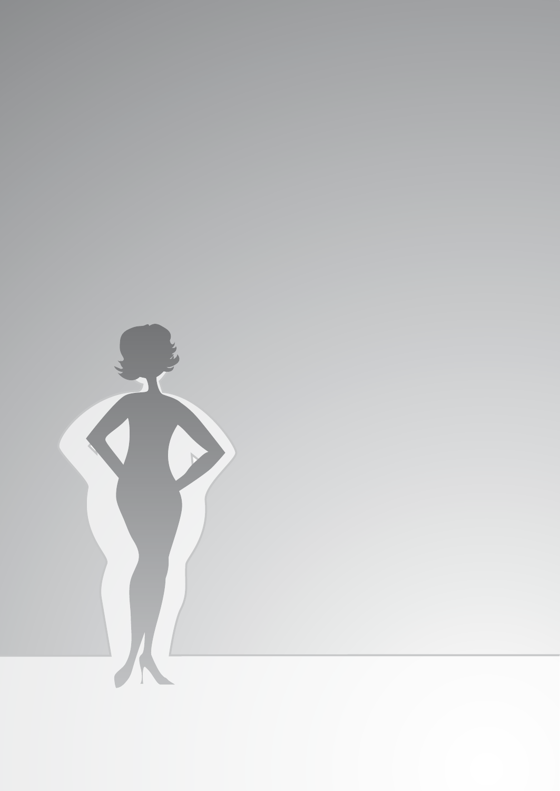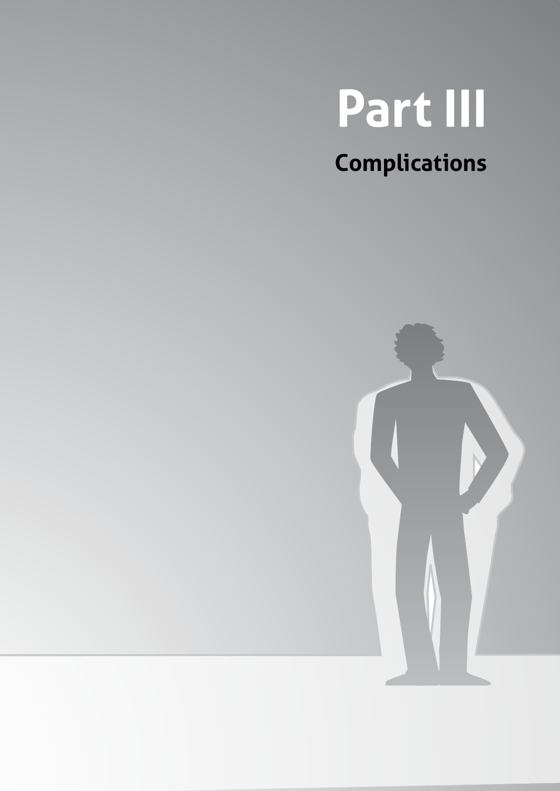# **Part III Complications**

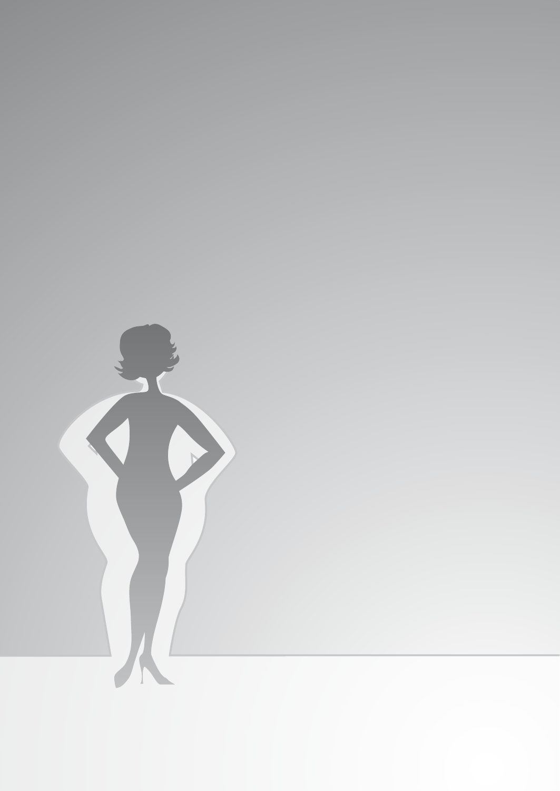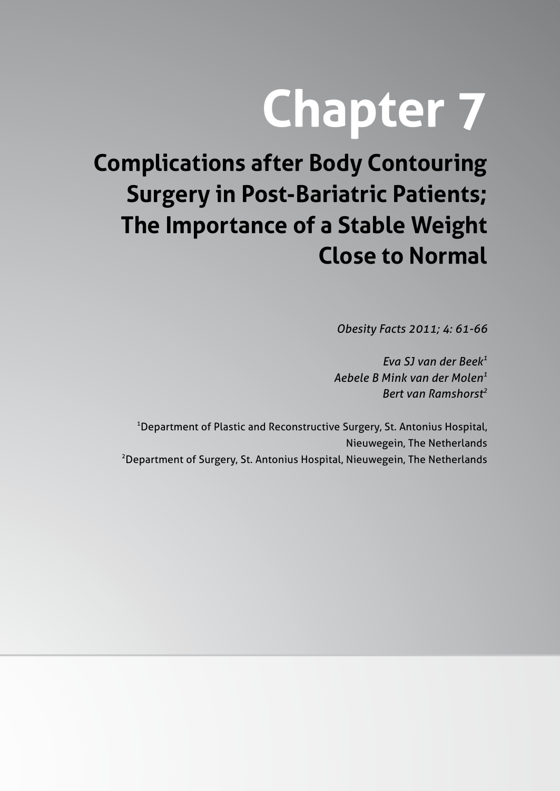# **Chapter 7**

# **Complications after Body Contouring Surgery in Post-Bariatric Patients; The Importance of a Stable Weight Close to Normal**

*Obesity Facts 2011; 4: 61-66*

*Eva SJ van der Beek<sup>1</sup> Aebele B Mink van der Molen<sup>1</sup> Bert van Ramshorst<sup>2</sup>*

<sup>1</sup>Department of Plastic and Reconstructive Surgery, St. Antonius Hospital, Nieuwegein, The Netherlands <sup>2</sup>Department of Surgery, St. Antonius Hospital, Nieuwegein, The Netherlands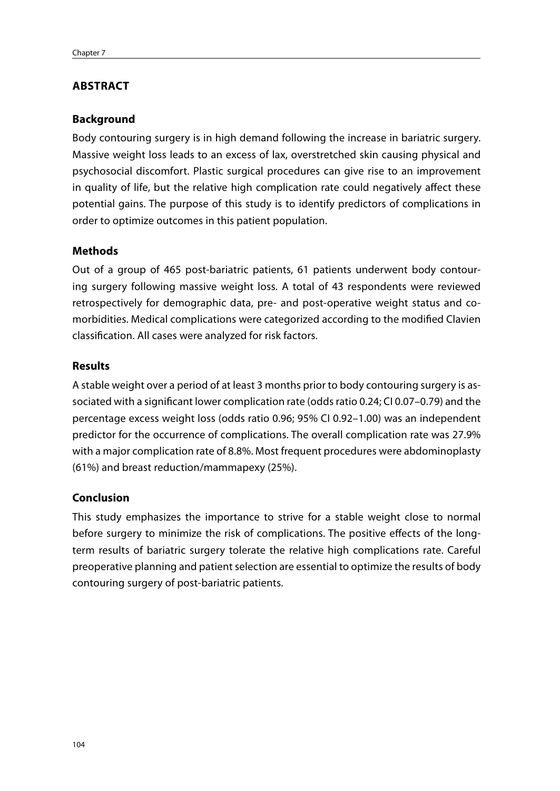# **Abstract**

# **Background**

Body contouring surgery is in high demand following the increase in bariatric surgery. Massive weight loss leads to an excess of lax, overstretched skin causing physical and psychosocial discomfort. Plastic surgical procedures can give rise to an improvement in quality of life, but the relative high complication rate could negatively affect these potential gains. The purpose of this study is to identify predictors of complications in order to optimize outcomes in this patient population.

# **Methods**

Out of a group of 465 post-bariatric patients, 61 patients underwent body contouring surgery following massive weight loss. A total of 43 respondents were reviewed retrospectively for demographic data, pre- and post-operative weight status and comorbidities. Medical complications were categorized according to the modified Clavien classification. All cases were analyzed for risk factors.

# **Results**

A stable weight over a period of at least 3 months prior to body contouring surgery is associated with a significant lower complication rate (odds ratio 0.24; CI 0.07–0.79) and the percentage excess weight loss (odds ratio 0.96; 95% CI 0.92–1.00) was an independent predictor for the occurrence of complications. The overall complication rate was 27.9% with a major complication rate of 8.8%. Most frequent procedures were abdominoplasty (61%) and breast reduction/mammapexy (25%).

# **Conclusion**

This study emphasizes the importance to strive for a stable weight close to normal before surgery to minimize the risk of complications. The positive effects of the longterm results of bariatric surgery tolerate the relative high complications rate. Careful preoperative planning and patient selection are essential to optimize the results of body contouring surgery of post-bariatric patients.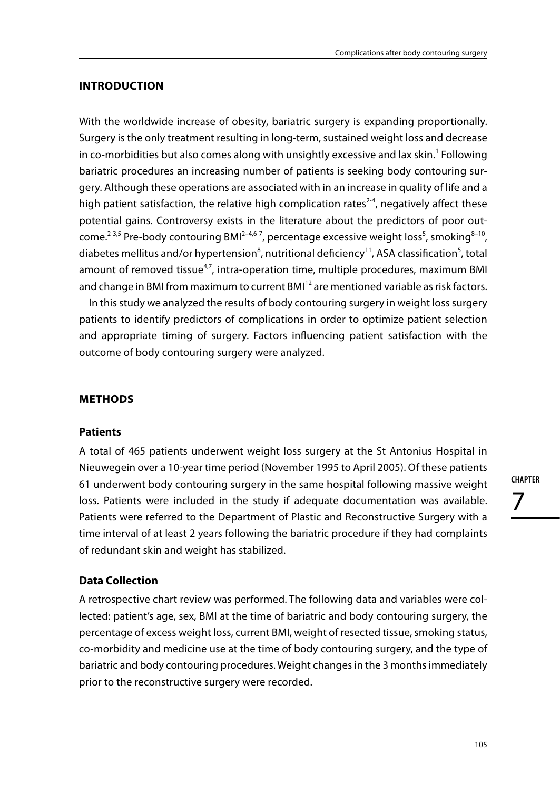# **Introduction**

With the worldwide increase of obesity, bariatric surgery is expanding proportionally. Surgery is the only treatment resulting in long-term, sustained weight loss and decrease in co-morbidities but also comes along with unsightly excessive and lax skin.<sup>1</sup> Following bariatric procedures an increasing number of patients is seeking body contouring surgery. Although these operations are associated with in an increase in quality of life and a high patient satisfaction, the relative high complication rates<sup>2-4</sup>, negatively affect these potential gains. Controversy exists in the literature about the predictors of poor outcome.<sup>2-3,5</sup> Pre-body contouring BMI<sup>2-4,6-7</sup>, percentage excessive weight loss<sup>5</sup>, smoking<sup>8-10</sup>, diabetes mellitus and/or hypertension<sup>8</sup>, nutritional deficiency<sup>11</sup>, ASA classification<sup>5</sup>, total amount of removed tissue<sup>4,7</sup>, intra-operation time, multiple procedures, maximum BMI and change in BMI from maximum to current  $BMI<sup>12</sup>$  are mentioned variable as risk factors.

In this study we analyzed the results of body contouring surgery in weight loss surgery patients to identify predictors of complications in order to optimize patient selection and appropriate timing of surgery. Factors influencing patient satisfaction with the outcome of body contouring surgery were analyzed.

# **Methods**

## **Patients**

A total of 465 patients underwent weight loss surgery at the St Antonius Hospital in Nieuwegein over a 10-year time period (November 1995 to April 2005). Of these patients 61 underwent body contouring surgery in the same hospital following massive weight loss. Patients were included in the study if adequate documentation was available. Patients were referred to the Department of Plastic and Reconstructive Surgery with a time interval of at least 2 years following the bariatric procedure if they had complaints of redundant skin and weight has stabilized.

# **Data Collection**

A retrospective chart review was performed. The following data and variables were collected: patient's age, sex, BMI at the time of bariatric and body contouring surgery, the percentage of excess weight loss, current BMI, weight of resected tissue, smoking status, co-morbidity and medicine use at the time of body contouring surgery, and the type of bariatric and body contouring procedures. Weight changes in the 3 months immediately prior to the reconstructive surgery were recorded.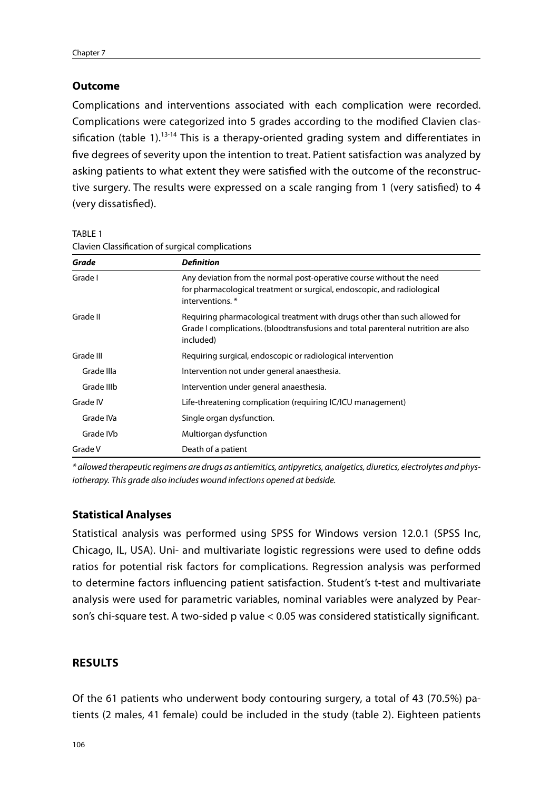# **Outcome**

Complications and interventions associated with each complication were recorded. Complications were categorized into 5 grades according to the modified Clavien classification (table 1). $13-14$  This is a therapy-oriented grading system and differentiates in five degrees of severity upon the intention to treat. Patient satisfaction was analyzed by asking patients to what extent they were satisfied with the outcome of the reconstructive surgery. The results were expressed on a scale ranging from 1 (very satisfied) to 4 (very dissatisfied).

| Grade      | <b>Definition</b>                                                                                                                                                            |  |  |  |  |  |
|------------|------------------------------------------------------------------------------------------------------------------------------------------------------------------------------|--|--|--|--|--|
| Grade I    | Any deviation from the normal post-operative course without the need<br>for pharmacological treatment or surgical, endoscopic, and radiological<br>interventions.*           |  |  |  |  |  |
| Grade II   | Requiring pharmacological treatment with drugs other than such allowed for<br>Grade I complications. (bloodtransfusions and total parenteral nutrition are also<br>included) |  |  |  |  |  |
| Grade III  | Requiring surgical, endoscopic or radiological intervention                                                                                                                  |  |  |  |  |  |
| Grade IIIa | Intervention not under general anaesthesia.                                                                                                                                  |  |  |  |  |  |
| Grade IIIb | Intervention under general anaesthesia.                                                                                                                                      |  |  |  |  |  |
| Grade IV   | Life-threatening complication (requiring IC/ICU management)                                                                                                                  |  |  |  |  |  |
| Grade IVa  | Single organ dysfunction.                                                                                                                                                    |  |  |  |  |  |
| Grade IVb  | Multiorgan dysfunction                                                                                                                                                       |  |  |  |  |  |
| Grade V    | Death of a patient                                                                                                                                                           |  |  |  |  |  |

TABLE 1 Clavien Classification of surgical complications

*\* allowed therapeutic regimens are drugs as antiemitics, antipyretics, analgetics, diuretics, electrolytes and physiotherapy. This grade also includes wound infections opened at bedside.*

# **Statistical Analyses**

Statistical analysis was performed using SPSS for Windows version 12.0.1 (SPSS Inc, Chicago, IL, USA). Uni- and multivariate logistic regressions were used to define odds ratios for potential risk factors for complications. Regression analysis was performed to determine factors influencing patient satisfaction. Student's t-test and multivariate analysis were used for parametric variables, nominal variables were analyzed by Pearson's chi-square test. A two-sided p value < 0.05 was considered statistically significant.

# **Results**

Of the 61 patients who underwent body contouring surgery, a total of 43 (70.5%) patients (2 males, 41 female) could be included in the study (table 2). Eighteen patients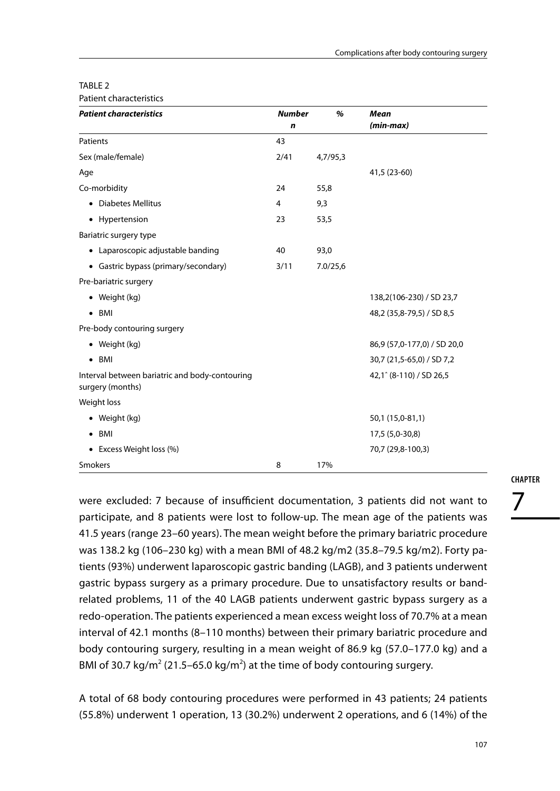# TABLE 2

| <b>Patient characteristics</b> |
|--------------------------------|
|--------------------------------|

| <b>Patient characteristics</b>                                     | <b>Number</b><br>n | %        | Mean<br>(min-max)                                      |
|--------------------------------------------------------------------|--------------------|----------|--------------------------------------------------------|
| Patients                                                           | 43                 |          |                                                        |
| Sex (male/female)                                                  | 2/41               | 4,7/95,3 |                                                        |
| Age                                                                |                    |          | 41,5 (23-60)                                           |
| Co-morbidity                                                       | 24                 | 55,8     |                                                        |
| Diabetes Mellitus<br>$\bullet$                                     | $\overline{4}$     | 9,3      |                                                        |
| • Hypertension                                                     | 23                 | 53,5     |                                                        |
| Bariatric surgery type                                             |                    |          |                                                        |
| • Laparoscopic adjustable banding                                  | 40                 | 93,0     |                                                        |
| • Gastric bypass (primary/secondary)                               | 3/11               | 7.0/25,6 |                                                        |
| Pre-bariatric surgery                                              |                    |          |                                                        |
| Weight (kg)<br>٠                                                   |                    |          | 138,2(106-230) / SD 23,7                               |
| $\bullet$ BMI                                                      |                    |          | 48,2 (35,8-79,5) / SD 8,5                              |
| Pre-body contouring surgery                                        |                    |          |                                                        |
| • Weight $(kq)$                                                    |                    |          | 86,9 (57,0-177,0) / SD 20,0                            |
| $•$ BMI                                                            |                    |          | 30,7 (21,5-65,0) / SD 7,2                              |
| Interval between bariatric and body-contouring<br>surgery (months) |                    |          | 42,1 <sup><math>\degree</math></sup> (8-110) / SD 26,5 |
| Weight loss                                                        |                    |          |                                                        |
| • Weight $(kq)$                                                    |                    |          | 50,1 (15,0-81,1)                                       |
| $•$ BMI                                                            |                    |          | 17,5 (5,0-30,8)                                        |
| • Excess Weight loss (%)                                           |                    |          | 70,7 (29,8-100,3)                                      |
| <b>Smokers</b>                                                     | 8                  | 17%      |                                                        |

were excluded: 7 because of insufficient documentation, 3 patients did not want to participate, and 8 patients were lost to follow-up. The mean age of the patients was 41.5 years (range 23–60 years). The mean weight before the primary bariatric procedure was 138.2 kg (106–230 kg) with a mean BMI of 48.2 kg/m2 (35.8–79.5 kg/m2). Forty patients (93%) underwent laparoscopic gastric banding (LAGB), and 3 patients underwent gastric bypass surgery as a primary procedure. Due to unsatisfactory results or bandrelated problems, 11 of the 40 LAGB patients underwent gastric bypass surgery as a redo-operation. The patients experienced a mean excess weight loss of 70.7% at a mean interval of 42.1 months (8–110 months) between their primary bariatric procedure and body contouring surgery, resulting in a mean weight of 86.9 kg (57.0–177.0 kg) and a BMI of 30.7 kg/m<sup>2</sup> (21.5–65.0 kg/m<sup>2</sup>) at the time of body contouring surgery.

A total of 68 body contouring procedures were performed in 43 patients; 24 patients (55.8%) underwent 1 operation, 13 (30.2%) underwent 2 operations, and 6 (14%) of the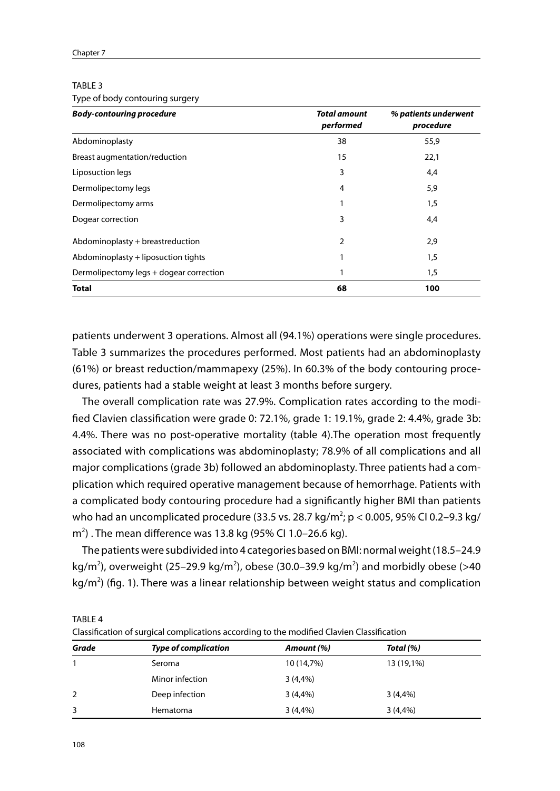#### TABLE 3

Type of body contouring surgery

| <b>Body-contouring procedure</b>        | <b>Total amount</b><br>performed | % patients underwent<br>procedure |
|-----------------------------------------|----------------------------------|-----------------------------------|
| Abdominoplasty                          | 38                               | 55,9                              |
| Breast augmentation/reduction           | 15                               | 22,1                              |
| Liposuction legs                        | 3                                | 4,4                               |
| Dermolipectomy legs                     | $\overline{4}$                   | 5,9                               |
| Dermolipectomy arms                     |                                  | 1,5                               |
| Dogear correction                       | 3                                | 4,4                               |
| Abdominoplasty + breastreduction        | $\overline{2}$                   | 2,9                               |
| Abdominoplasty + liposuction tights     | 1                                | 1,5                               |
| Dermolipectomy legs + dogear correction |                                  | 1,5                               |
| <b>Total</b>                            | 68                               | 100                               |

patients underwent 3 operations. Almost all (94.1%) operations were single procedures. Table 3 summarizes the procedures performed. Most patients had an abdominoplasty (61%) or breast reduction/mammapexy (25%). In 60.3% of the body contouring procedures, patients had a stable weight at least 3 months before surgery.

The overall complication rate was 27.9%. Complication rates according to the modified Clavien classification were grade 0: 72.1%, grade 1: 19.1%, grade 2: 4.4%, grade 3b: 4.4%. There was no post-operative mortality (table 4).The operation most frequently associated with complications was abdominoplasty; 78.9% of all complications and all major complications (grade 3b) followed an abdominoplasty. Three patients had a complication which required operative management because of hemorrhage. Patients with a complicated body contouring procedure had a significantly higher BMI than patients who had an uncomplicated procedure (33.5 vs. 28.7 kg/m<sup>2</sup>; p < 0.005, 95% CI 0.2–9.3 kg/ m<sup>2</sup>) . The mean difference was 13.8 kg (95% CI 1.0–26.6 kg).

The patients were subdivided into 4 categories based on BMI: normal weight (18.5–24.9 kg/m<sup>2</sup>), overweight (25–29.9 kg/m<sup>2</sup>), obese (30.0–39.9 kg/m<sup>2</sup>) and morbidly obese (>40 kg/m<sup>2</sup>) (fig. 1). There was a linear relationship between weight status and complication

TABLE 4

| Classification of surgical complications according to the modified Clavien Classification |  |  |  |  |
|-------------------------------------------------------------------------------------------|--|--|--|--|
|                                                                                           |  |  |  |  |

| Grade          | <b>Type of complication</b> | Amount (%) | Total (%)  |  |
|----------------|-----------------------------|------------|------------|--|
|                | Seroma                      | 10 (14,7%) | 13 (19,1%) |  |
|                | Minor infection             | 3(4,4%)    |            |  |
| $\overline{2}$ | Deep infection              | 3(4,4%)    | 3(4,4%)    |  |
| 3              | Hematoma                    | 3(4,4%)    | 3(4,4%)    |  |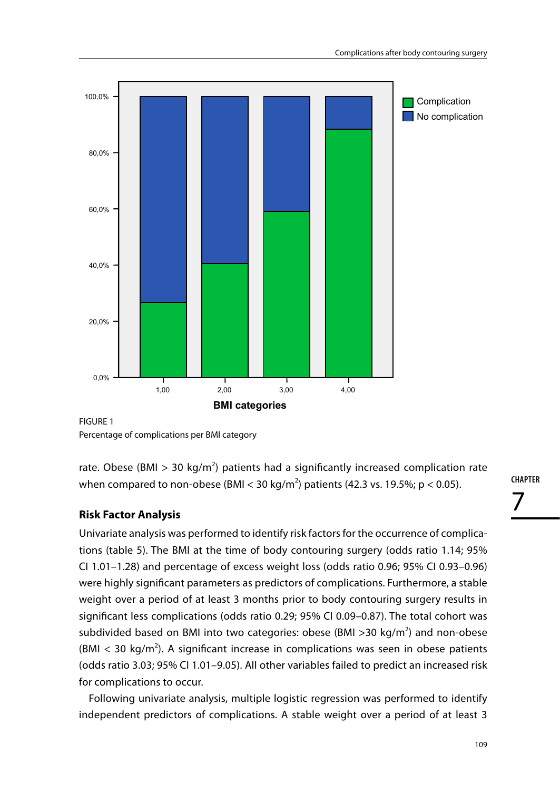

FIGURE 1 Percentage of complications per BMI category

rate. Obese (BMI > 30 kg/m<sup>2</sup>) patients had a significantly increased complication rate when compared to non-obese (BMI < 30 kg/m<sup>2</sup>) patients (42.3 vs. 19.5%; p < 0.05).

#### **Risk Factor Analysis**

Univariate analysis was performed to identify risk factors for the occurrence of complications (table 5). The BMI at the time of body contouring surgery (odds ratio 1.14; 95% CI 1.01–1.28) and percentage of excess weight loss (odds ratio 0.96; 95% CI 0.93–0.96) were highly significant parameters as predictors of complications. Furthermore, a stable weight over a period of at least 3 months prior to body contouring surgery results in significant less complications (odds ratio 0.29; 95% CI 0.09–0.87). The total cohort was subdivided based on BMI into two categories: obese (BMI >30 kg/m<sup>2</sup>) and non-obese  $(BMI < 30 \text{ kg/m}^2)$ . A significant increase in complications was seen in obese patients (odds ratio 3.03; 95% CI 1.01–9.05). All other variables failed to predict an increased risk for complications to occur.

Following univariate analysis, multiple logistic regression was performed to identify independent predictors of complications. A stable weight over a period of at least 3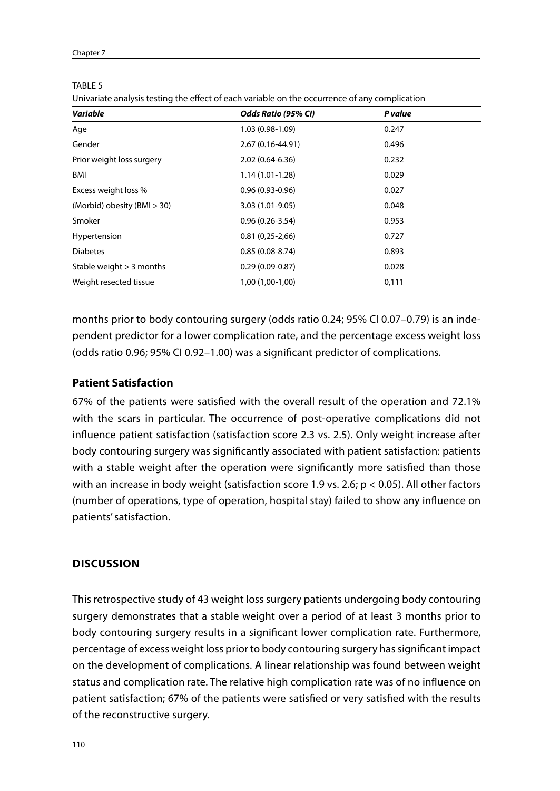#### TABLE 5

Univariate analysis testing the effect of each variable on the occurrence of any complication

| Variable                    | Odds Ratio (95% CI) | P value |  |
|-----------------------------|---------------------|---------|--|
| Age                         | 1.03 (0.98-1.09)    | 0.247   |  |
| Gender                      | 2.67 (0.16-44.91)   | 0.496   |  |
| Prior weight loss surgery   | $2.02(0.64 - 6.36)$ | 0.232   |  |
| BMI                         | 1.14 (1.01-1.28)    | 0.029   |  |
| Excess weight loss %        | $0.96(0.93 - 0.96)$ | 0.027   |  |
| (Morbid) obesity (BMI > 30) | 3.03 (1.01-9.05)    | 0.048   |  |
| Smoker                      | $0.96(0.26 - 3.54)$ | 0.953   |  |
| Hypertension                | $0.81(0.25-2.66)$   | 0.727   |  |
| <b>Diabetes</b>             | $0.85(0.08 - 8.74)$ | 0.893   |  |
| Stable weight $>$ 3 months  | $0.29(0.09 - 0.87)$ | 0.028   |  |
| Weight resected tissue      | 1,00 (1,00-1,00)    | 0,111   |  |

months prior to body contouring surgery (odds ratio 0.24; 95% CI 0.07–0.79) is an independent predictor for a lower complication rate, and the percentage excess weight loss (odds ratio 0.96; 95% CI 0.92–1.00) was a significant predictor of complications.

#### **Patient Satisfaction**

67% of the patients were satisfied with the overall result of the operation and 72.1% with the scars in particular. The occurrence of post-operative complications did not influence patient satisfaction (satisfaction score 2.3 vs. 2.5). Only weight increase after body contouring surgery was significantly associated with patient satisfaction: patients with a stable weight after the operation were significantly more satisfied than those with an increase in body weight (satisfaction score 1.9 vs. 2.6;  $p < 0.05$ ). All other factors (number of operations, type of operation, hospital stay) failed to show any influence on patients' satisfaction.

#### **Discussion**

This retrospective study of 43 weight loss surgery patients undergoing body contouring surgery demonstrates that a stable weight over a period of at least 3 months prior to body contouring surgery results in a significant lower complication rate. Furthermore, percentage of excess weight loss prior to body contouring surgery has significant impact on the development of complications. A linear relationship was found between weight status and complication rate. The relative high complication rate was of no influence on patient satisfaction; 67% of the patients were satisfied or very satisfied with the results of the reconstructive surgery.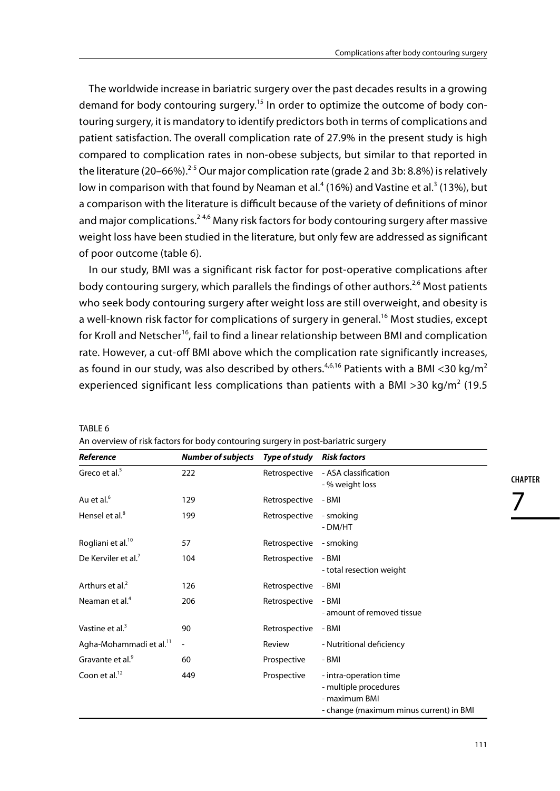The worldwide increase in bariatric surgery over the past decades results in a growing demand for body contouring surgery.<sup>15</sup> In order to optimize the outcome of body contouring surgery, it is mandatory to identify predictors both in terms of complications and patient satisfaction. The overall complication rate of 27.9% in the present study is high compared to complication rates in non-obese subjects, but similar to that reported in the literature (20–66%).<sup>2-5</sup> Our major complication rate (grade 2 and 3b: 8.8%) is relatively low in comparison with that found by Neaman et al.<sup>4</sup> (16%) and Vastine et al.<sup>3</sup> (13%), but a comparison with the literature is difficult because of the variety of definitions of minor and major complications.<sup>2-4,6</sup> Many risk factors for body contouring surgery after massive weight loss have been studied in the literature, but only few are addressed as significant of poor outcome (table 6).

In our study, BMI was a significant risk factor for post-operative complications after body contouring surgery, which parallels the findings of other authors.<sup>2,6</sup> Most patients who seek body contouring surgery after weight loss are still overweight, and obesity is a well-known risk factor for complications of surgery in general.<sup>16</sup> Most studies, except for Kroll and Netscher<sup>16</sup>, fail to find a linear relationship between BMI and complication rate. However, a cut-off BMI above which the complication rate significantly increases, as found in our study, was also described by others.<sup>4,6,16</sup> Patients with a BMI <30 kg/m<sup>2</sup> experienced significant less complications than patients with a BMI >30 kg/m<sup>2</sup> (19.5)

| Reference                           | Number of subjects  Type of study  Risk factors |                         |                                                                                                             |
|-------------------------------------|-------------------------------------------------|-------------------------|-------------------------------------------------------------------------------------------------------------|
| Greco et al. <sup>5</sup>           | 222                                             |                         | Retrospective - ASA classification<br>- % weight loss                                                       |
| Au et al. <sup>6</sup>              | 129                                             | Retrospective - BMI     |                                                                                                             |
| Hensel et al. <sup>8</sup>          | 199                                             | Retrospective - smoking | - DM/HT                                                                                                     |
| Rogliani et al. <sup>10</sup>       | 57                                              | Retrospective - smoking |                                                                                                             |
| De Kerviler et al. <sup>7</sup>     | 104                                             | Retrospective - BMI     | - total resection weight                                                                                    |
| Arthurs et al. <sup>2</sup>         | 126                                             | Retrospective - BMI     |                                                                                                             |
| Neaman et al. <sup>4</sup>          | 206                                             | Retrospective - BMI     | - amount of removed tissue                                                                                  |
| Vastine et al. <sup>3</sup>         | 90                                              | Retrospective - BMI     |                                                                                                             |
| Agha-Mohammadi et al. <sup>11</sup> | $\overline{\phantom{a}}$                        | Review                  | - Nutritional deficiency                                                                                    |
| Gravante et al. <sup>9</sup>        | 60                                              | Prospective             | - BMI                                                                                                       |
| Coon et al. $12$                    | 449                                             | Prospective             | - intra-operation time<br>- multiple procedures<br>- maximum BMI<br>- change (maximum minus current) in BMI |

An overview of risk factors for body contouring surgery in post-bariatric surgery

TABLE 6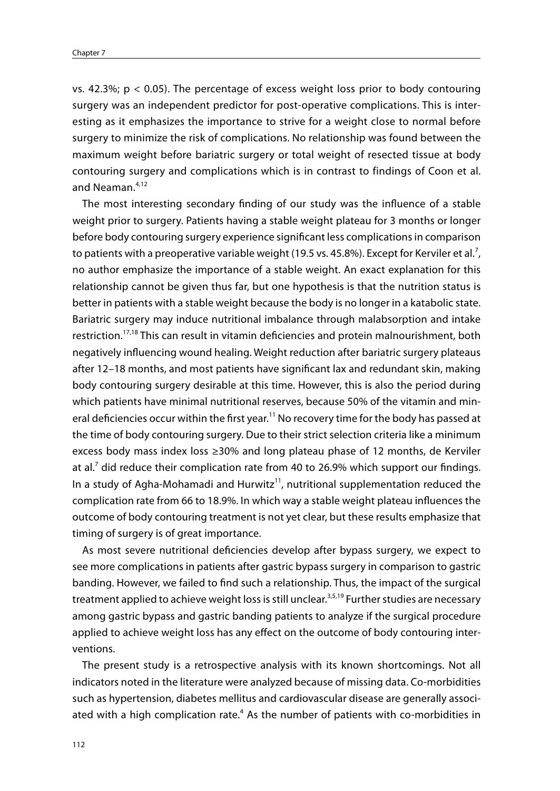vs. 42.3%;  $p < 0.05$ ). The percentage of excess weight loss prior to body contouring surgery was an independent predictor for post-operative complications. This is interesting as it emphasizes the importance to strive for a weight close to normal before surgery to minimize the risk of complications. No relationship was found between the maximum weight before bariatric surgery or total weight of resected tissue at body contouring surgery and complications which is in contrast to findings of Coon et al. and Neaman $4,12$ 

The most interesting secondary finding of our study was the influence of a stable weight prior to surgery. Patients having a stable weight plateau for 3 months or longer before body contouring surgery experience significant less complications in comparison to patients with a preoperative variable weight (19.5 vs. 45.8%). Except for Kerviler et al.<sup>7</sup>, no author emphasize the importance of a stable weight. An exact explanation for this relationship cannot be given thus far, but one hypothesis is that the nutrition status is better in patients with a stable weight because the body is no longer in a katabolic state. Bariatric surgery may induce nutritional imbalance through malabsorption and intake restriction.<sup>17,18</sup> This can result in vitamin deficiencies and protein malnourishment, both negatively influencing wound healing. Weight reduction after bariatric surgery plateaus after 12–18 months, and most patients have significant lax and redundant skin, making body contouring surgery desirable at this time. However, this is also the period during which patients have minimal nutritional reserves, because 50% of the vitamin and mineral deficiencies occur within the first year.<sup>11</sup> No recovery time for the body has passed at the time of body contouring surgery. Due to their strict selection criteria like a minimum excess body mass index loss ≥30% and long plateau phase of 12 months, de Kerviler at al.<sup>7</sup> did reduce their complication rate from 40 to 26.9% which support our findings. In a study of Agha-Mohamadi and Hurwitz<sup>11</sup>, nutritional supplementation reduced the complication rate from 66 to 18.9%. In which way a stable weight plateau influences the outcome of body contouring treatment is not yet clear, but these results emphasize that timing of surgery is of great importance.

As most severe nutritional deficiencies develop after bypass surgery, we expect to see more complications in patients after gastric bypass surgery in comparison to gastric banding. However, we failed to find such a relationship. Thus, the impact of the surgical treatment applied to achieve weight loss is still unclear.<sup>3,5,19</sup> Further studies are necessary among gastric bypass and gastric banding patients to analyze if the surgical procedure applied to achieve weight loss has any effect on the outcome of body contouring interventions.

The present study is a retrospective analysis with its known shortcomings. Not all indicators noted in the literature were analyzed because of missing data. Co-morbidities such as hypertension, diabetes mellitus and cardiovascular disease are generally associated with a high complication rate. $4$  As the number of patients with co-morbidities in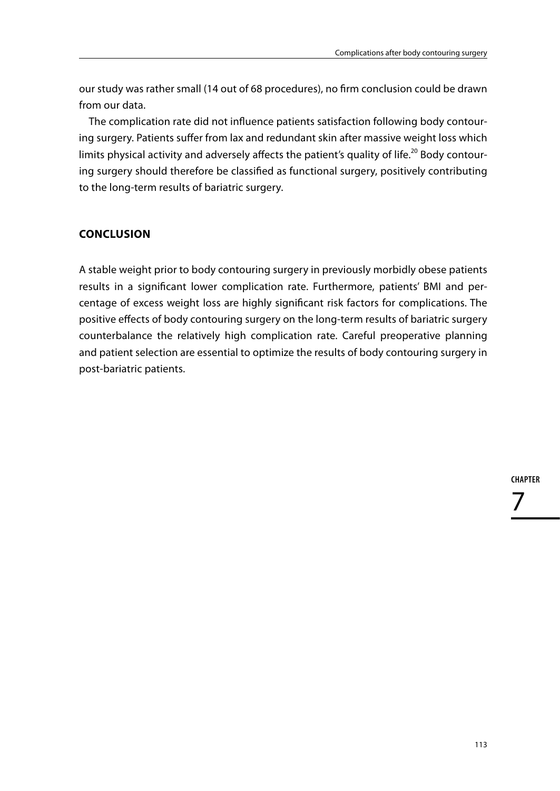our study was rather small (14 out of 68 procedures), no firm conclusion could be drawn from our data.

The complication rate did not influence patients satisfaction following body contouring surgery. Patients suffer from lax and redundant skin after massive weight loss which limits physical activity and adversely affects the patient's quality of life.<sup>20</sup> Body contouring surgery should therefore be classified as functional surgery, positively contributing to the long-term results of bariatric surgery.

#### **Conclusion**

A stable weight prior to body contouring surgery in previously morbidly obese patients results in a significant lower complication rate. Furthermore, patients' BMI and percentage of excess weight loss are highly significant risk factors for complications. The positive effects of body contouring surgery on the long-term results of bariatric surgery counterbalance the relatively high complication rate. Careful preoperative planning and patient selection are essential to optimize the results of body contouring surgery in post-bariatric patients.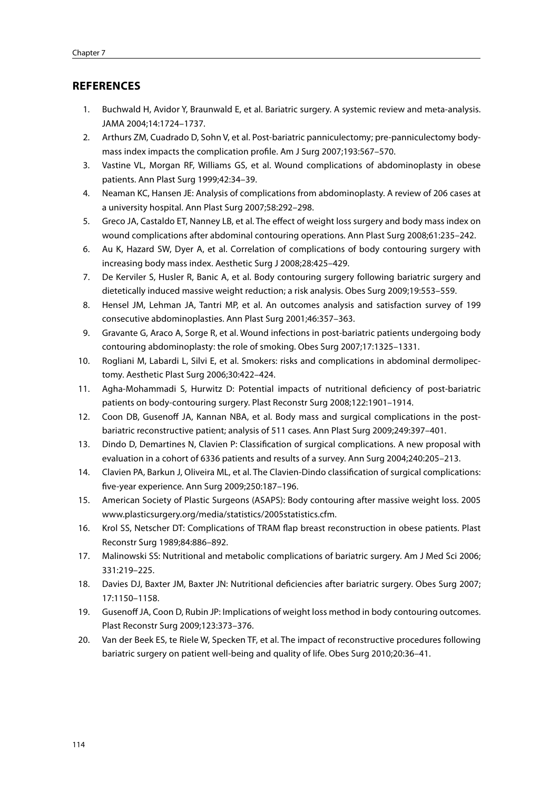#### **References**

- 1. Buchwald H, Avidor Y, Braunwald E, et al. Bariatric surgery. A systemic review and meta-analysis. JAMA 2004;14:1724–1737.
- 2. Arthurs ZM, Cuadrado D, Sohn V, et al. Post-bariatric panniculectomy; pre-panniculectomy bodymass index impacts the complication profile. Am J Surg 2007;193:567–570.
- 3. Vastine VL, Morgan RF, Williams GS, et al. Wound complications of abdominoplasty in obese patients. Ann Plast Surg 1999;42:34–39.
- 4. Neaman KC, Hansen JE: Analysis of complications from abdominoplasty. A review of 206 cases at a university hospital. Ann Plast Surg 2007;58:292–298.
- 5. Greco JA, Castaldo ET, Nanney LB, et al. The effect of weight loss surgery and body mass index on wound complications after abdominal contouring operations. Ann Plast Surg 2008;61:235–242.
- 6. Au K, Hazard SW, Dyer A, et al. Correlation of complications of body contouring surgery with increasing body mass index. Aesthetic Surg J 2008;28:425–429.
- 7. De Kerviler S, Husler R, Banic A, et al. Body contouring surgery following bariatric surgery and dietetically induced massive weight reduction; a risk analysis. Obes Surg 2009;19:553–559.
- 8. Hensel JM, Lehman JA, Tantri MP, et al. An outcomes analysis and satisfaction survey of 199 consecutive abdominoplasties. Ann Plast Surg 2001;46:357–363.
- 9. Gravante G, Araco A, Sorge R, et al. Wound infections in post-bariatric patients undergoing body contouring abdominoplasty: the role of smoking. Obes Surg 2007;17:1325–1331.
- 10. Rogliani M, Labardi L, Silvi E, et al. Smokers: risks and complications in abdominal dermolipectomy. Aesthetic Plast Surg 2006;30:422–424.
- 11. Agha-Mohammadi S, Hurwitz D: Potential impacts of nutritional deficiency of post-bariatric patients on body-contouring surgery. Plast Reconstr Surg 2008;122:1901–1914.
- 12. Coon DB, Gusenoff JA, Kannan NBA, et al. Body mass and surgical complications in the postbariatric reconstructive patient; analysis of 511 cases. Ann Plast Surg 2009;249:397–401.
- 13. Dindo D, Demartines N, Clavien P: Classification of surgical complications. A new proposal with evaluation in a cohort of 6336 patients and results of a survey. Ann Surg 2004;240:205–213.
- 14. Clavien PA, Barkun J, Oliveira ML, et al. The Clavien-Dindo classification of surgical complications: five-year experience. Ann Surg 2009;250:187–196.
- 15. American Society of Plastic Surgeons (ASAPS): Body contouring after massive weight loss. 2005 www.plasticsurgery.org/media/statistics/2005statistics.cfm.
- 16. Krol SS, Netscher DT: Complications of TRAM flap breast reconstruction in obese patients. Plast Reconstr Surg 1989;84:886–892.
- 17. Malinowski SS: Nutritional and metabolic complications of bariatric surgery. Am J Med Sci 2006; 331:219–225.
- 18. Davies DJ, Baxter JM, Baxter JN: Nutritional deficiencies after bariatric surgery. Obes Surg 2007; 17:1150–1158.
- 19. Gusenoff JA, Coon D, Rubin JP: Implications of weight loss method in body contouring outcomes. Plast Reconstr Surg 2009;123:373–376.
- 20. Van der Beek ES, te Riele W, Specken TF, et al. The impact of reconstructive procedures following bariatric surgery on patient well-being and quality of life. Obes Surg 2010;20:36–41.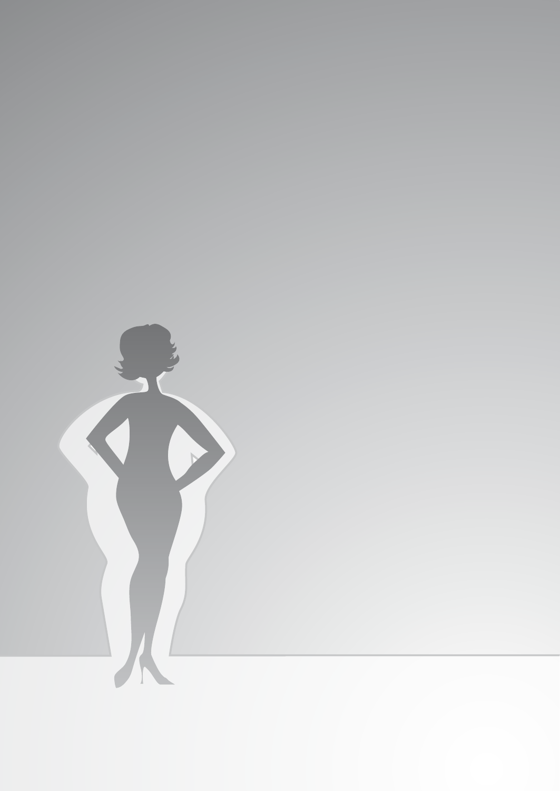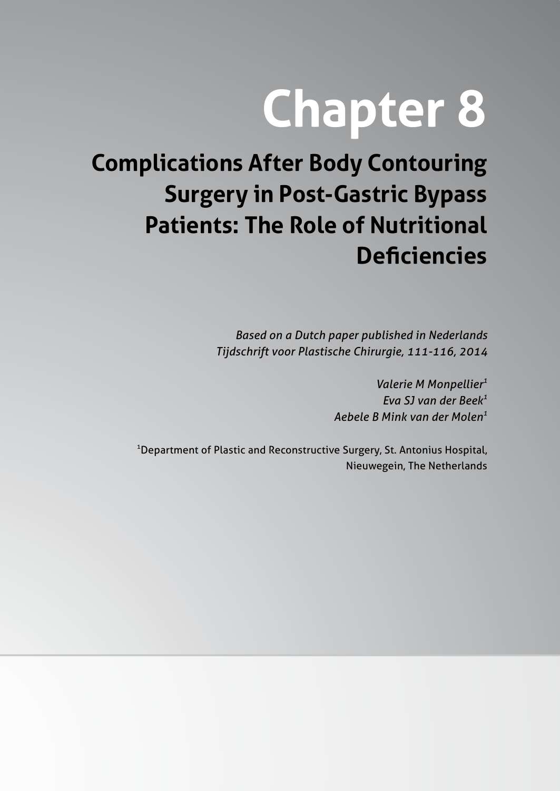# **Chapter 8**

### **Complications After Body Contouring Surgery in Post-Gastric Bypass Patients: The Role of Nutritional Deficiencies**

*Based on a Dutch paper published in Nederlands Tijdschrift voor Plastische Chirurgie, 111-116, 2014*

> *Valerie M Monpellier<sup>1</sup> Eva SJ van der Beek<sup>1</sup> Aebele B Mink van der Molen<sup>1</sup>*

<sup>1</sup>Department of Plastic and Reconstructive Surgery, St. Antonius Hospital, Nieuwegein, The Netherlands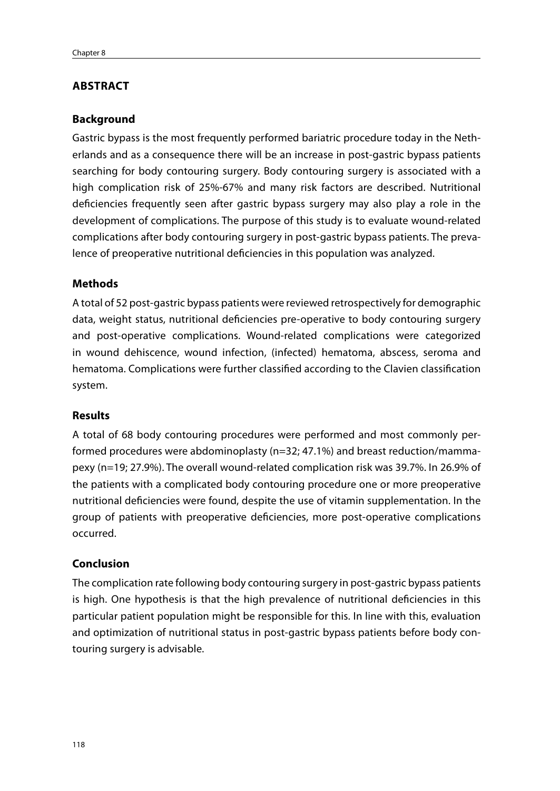#### **Abstract**

#### **Background**

Gastric bypass is the most frequently performed bariatric procedure today in the Netherlands and as a consequence there will be an increase in post-gastric bypass patients searching for body contouring surgery. Body contouring surgery is associated with a high complication risk of 25%-67% and many risk factors are described. Nutritional deficiencies frequently seen after gastric bypass surgery may also play a role in the development of complications. The purpose of this study is to evaluate wound-related complications after body contouring surgery in post-gastric bypass patients. The prevalence of preoperative nutritional deficiencies in this population was analyzed.

#### **Methods**

A total of 52 post-gastric bypass patients were reviewed retrospectively for demographic data, weight status, nutritional deficiencies pre-operative to body contouring surgery and post-operative complications. Wound-related complications were categorized in wound dehiscence, wound infection, (infected) hematoma, abscess, seroma and hematoma. Complications were further classified according to the Clavien classification system.

#### **Results**

A total of 68 body contouring procedures were performed and most commonly performed procedures were abdominoplasty (n=32; 47.1%) and breast reduction/mammapexy (n=19; 27.9%). The overall wound-related complication risk was 39.7%. In 26.9% of the patients with a complicated body contouring procedure one or more preoperative nutritional deficiencies were found, despite the use of vitamin supplementation. In the group of patients with preoperative deficiencies, more post-operative complications occurred.

#### **Conclusion**

The complication rate following body contouring surgery in post-gastric bypass patients is high. One hypothesis is that the high prevalence of nutritional deficiencies in this particular patient population might be responsible for this. In line with this, evaluation and optimization of nutritional status in post-gastric bypass patients before body contouring surgery is advisable.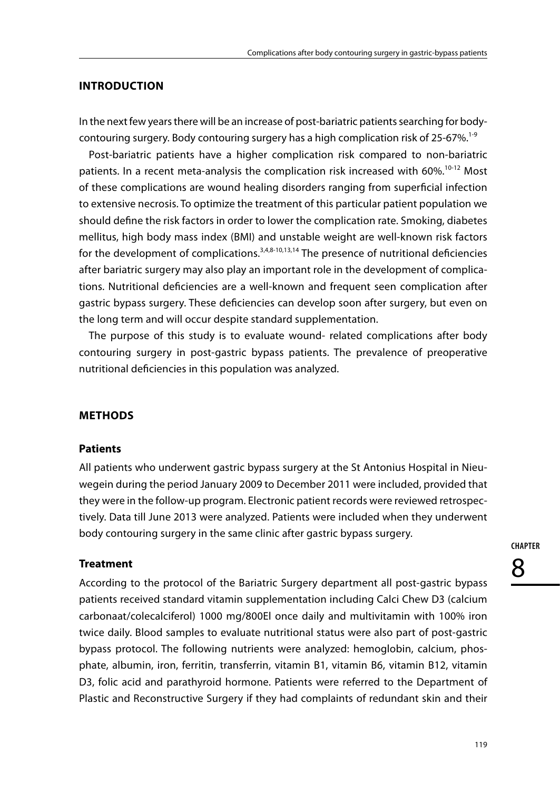#### **Introduction**

In the next few years there will be an increase of post-bariatric patients searching for bodycontouring surgery. Body contouring surgery has a high complication risk of 25-67%.<sup>1-9</sup>

Post-bariatric patients have a higher complication risk compared to non-bariatric patients. In a recent meta-analysis the complication risk increased with 60%.<sup>10-12</sup> Most of these complications are wound healing disorders ranging from superficial infection to extensive necrosis. To optimize the treatment of this particular patient population we should define the risk factors in order to lower the complication rate. Smoking, diabetes mellitus, high body mass index (BMI) and unstable weight are well-known risk factors for the development of complications.<sup>3,4,8-10,13,14</sup> The presence of nutritional deficiencies after bariatric surgery may also play an important role in the development of complications. Nutritional deficiencies are a well-known and frequent seen complication after gastric bypass surgery. These deficiencies can develop soon after surgery, but even on the long term and will occur despite standard supplementation.

The purpose of this study is to evaluate wound- related complications after body contouring surgery in post-gastric bypass patients. The prevalence of preoperative nutritional deficiencies in this population was analyzed.

#### **Methods**

#### **Patients**

All patients who underwent gastric bypass surgery at the St Antonius Hospital in Nieuwegein during the period January 2009 to December 2011 were included, provided that they were in the follow-up program. Electronic patient records were reviewed retrospectively. Data till June 2013 were analyzed. Patients were included when they underwent body contouring surgery in the same clinic after gastric bypass surgery.

#### **Treatment**

According to the protocol of the Bariatric Surgery department all post-gastric bypass patients received standard vitamin supplementation including Calci Chew D3 (calcium carbonaat/colecalciferol) 1000 mg/800El once daily and multivitamin with 100% iron twice daily. Blood samples to evaluate nutritional status were also part of post-gastric bypass protocol. The following nutrients were analyzed: hemoglobin, calcium, phosphate, albumin, iron, ferritin, transferrin, vitamin B1, vitamin B6, vitamin B12, vitamin D3, folic acid and parathyroid hormone. Patients were referred to the Department of Plastic and Reconstructive Surgery if they had complaints of redundant skin and their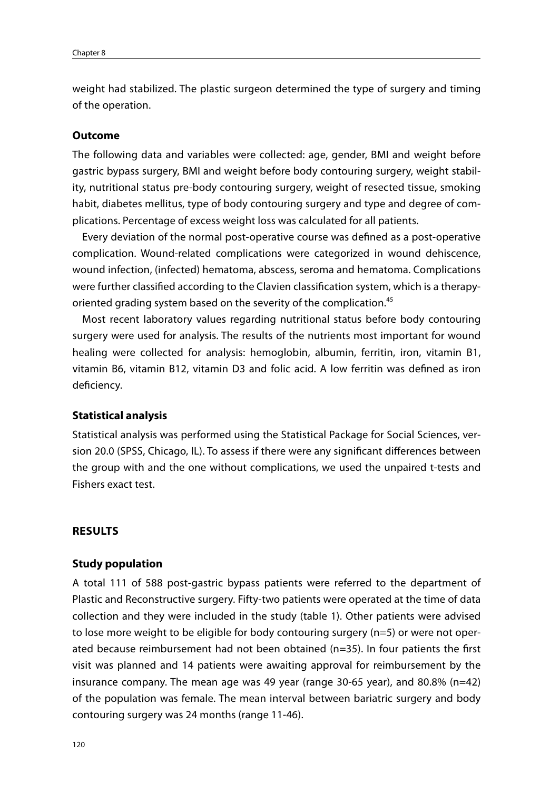weight had stabilized. The plastic surgeon determined the type of surgery and timing of the operation.

#### **Outcome**

The following data and variables were collected: age, gender, BMI and weight before gastric bypass surgery, BMI and weight before body contouring surgery, weight stability, nutritional status pre-body contouring surgery, weight of resected tissue, smoking habit, diabetes mellitus, type of body contouring surgery and type and degree of complications. Percentage of excess weight loss was calculated for all patients.

Every deviation of the normal post-operative course was defined as a post-operative complication. Wound-related complications were categorized in wound dehiscence, wound infection, (infected) hematoma, abscess, seroma and hematoma. Complications were further classified according to the Clavien classification system, which is a therapyoriented grading system based on the severity of the complication.<sup>45</sup>

Most recent laboratory values regarding nutritional status before body contouring surgery were used for analysis. The results of the nutrients most important for wound healing were collected for analysis: hemoglobin, albumin, ferritin, iron, vitamin B1, vitamin B6, vitamin B12, vitamin D3 and folic acid. A low ferritin was defined as iron deficiency.

#### **Statistical analysis**

Statistical analysis was performed using the Statistical Package for Social Sciences, version 20.0 (SPSS, Chicago, IL). To assess if there were any significant differences between the group with and the one without complications, we used the unpaired t-tests and Fishers exact test.

#### **Results**

#### **Study population**

A total 111 of 588 post-gastric bypass patients were referred to the department of Plastic and Reconstructive surgery. Fifty-two patients were operated at the time of data collection and they were included in the study (table 1). Other patients were advised to lose more weight to be eligible for body contouring surgery (n=5) or were not operated because reimbursement had not been obtained (n=35). In four patients the first visit was planned and 14 patients were awaiting approval for reimbursement by the insurance company. The mean age was 49 year (range 30-65 year), and 80.8% (n=42) of the population was female. The mean interval between bariatric surgery and body contouring surgery was 24 months (range 11-46).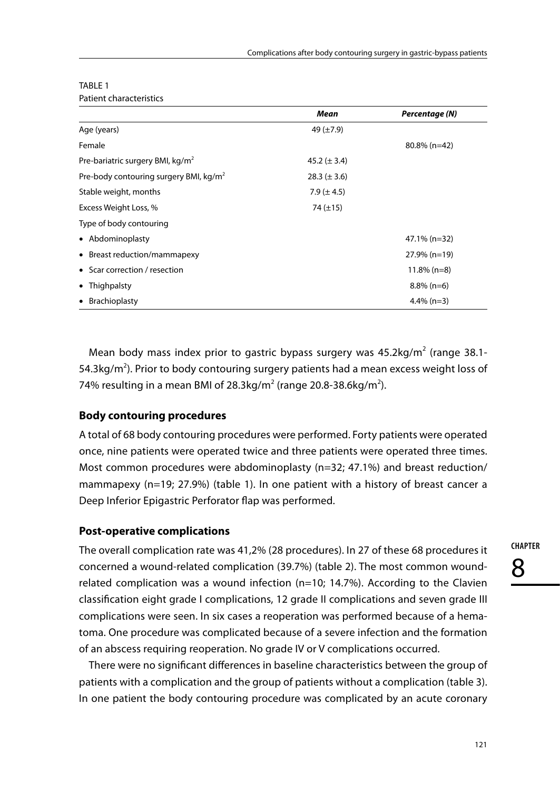| <b>TABLE 1</b>          |
|-------------------------|
| Patient characteristics |

|                                                    | Mean              | Percentage (N)  |
|----------------------------------------------------|-------------------|-----------------|
| Age (years)                                        | 49 $(\pm 7.9)$    |                 |
| Female                                             |                   | $80.8\%$ (n=42) |
| Pre-bariatric surgery BMI, kg/m <sup>2</sup>       | 45.2 ( $\pm$ 3.4) |                 |
| Pre-body contouring surgery BMI, kg/m <sup>2</sup> | $28.3 (\pm 3.6)$  |                 |
| Stable weight, months                              | 7.9 ( $\pm$ 4.5)  |                 |
| Excess Weight Loss, %                              | 74 $(\pm 15)$     |                 |
| Type of body contouring                            |                   |                 |
| • Abdominoplasty                                   |                   | 47.1% (n=32)    |
| • Breast reduction/mammapexy                       |                   | 27.9% (n=19)    |
| • Scar correction / resection                      |                   | $11.8\%$ (n=8)  |
| • Thighpalsty                                      |                   | $8.8\%$ (n=6)   |
| • Brachioplasty                                    |                   | $4.4\%$ (n=3)   |

Mean body mass index prior to gastric bypass surgery was 45.2 $\,$ kg/m $^{2}$  (range 38.1-  $\,$ 54.3kg/m<sup>2</sup>). Prior to body contouring surgery patients had a mean excess weight loss of 74% resulting in a mean BMI of 28.3kg/m $^2$  (range 20.8-38.6kg/m $^2$ ).

#### **Body contouring procedures**

A total of 68 body contouring procedures were performed. Forty patients were operated once, nine patients were operated twice and three patients were operated three times. Most common procedures were abdominoplasty (n=32; 47.1%) and breast reduction/ mammapexy (n=19; 27.9%) (table 1). In one patient with a history of breast cancer a Deep Inferior Epigastric Perforator flap was performed.

#### **Post-operative complications**

The overall complication rate was 41,2% (28 procedures). In 27 of these 68 procedures it concerned a wound-related complication (39.7%) (table 2). The most common woundrelated complication was a wound infection (n=10; 14.7%). According to the Clavien classification eight grade I complications, 12 grade II complications and seven grade III complications were seen. In six cases a reoperation was performed because of a hematoma. One procedure was complicated because of a severe infection and the formation of an abscess requiring reoperation. No grade IV or V complications occurred.

There were no significant differences in baseline characteristics between the group of patients with a complication and the group of patients without a complication (table 3). In one patient the body contouring procedure was complicated by an acute coronary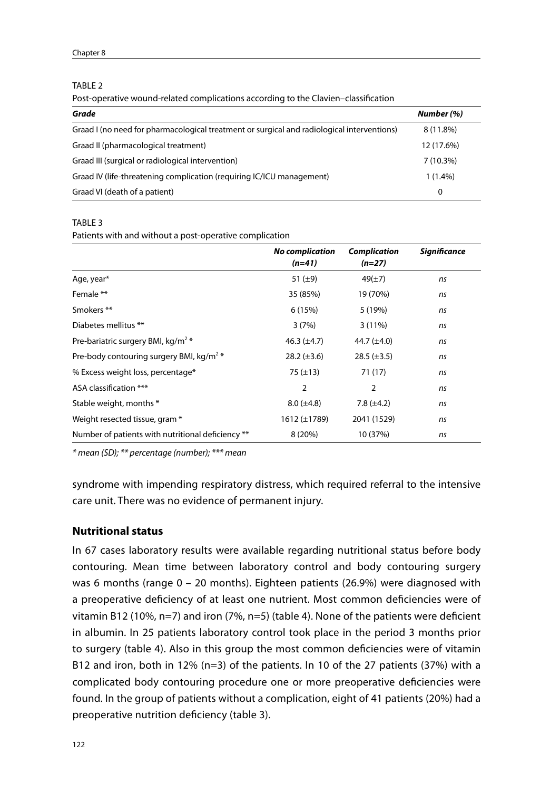#### TABLE 2

Post-operative wound-related complications according to the Clavien–classification

| Grade                                                                                      | Number (%)  |
|--------------------------------------------------------------------------------------------|-------------|
| Graad I (no need for pharmacological treatment or surgical and radiological interventions) | 8 (11.8%)   |
| Graad II (pharmacological treatment)                                                       | 12 (17.6%)  |
| Graad III (surgical or radiological intervention)                                          | $7(10.3\%)$ |
| Graad IV (life-threatening complication (requiring IC/ICU management)                      | $1(1.4\%)$  |
| Graad VI (death of a patient)                                                              | $\Omega$    |

#### TARI F 3

Patients with and without a post-operative complication

|                                                    | <b>No complication</b><br>$(n=41)$ | <b>Complication</b><br>$(n=27)$ | Significance |
|----------------------------------------------------|------------------------------------|---------------------------------|--------------|
| Age, year*                                         | 51 $(\pm 9)$                       | $49(\pm 7)$                     | ns           |
| Female **                                          | 35 (85%)                           | 19 (70%)                        | ns           |
| Smokers <sup>**</sup>                              | 6 (15%)                            | 5 (19%)                         | ns           |
| Diabetes mellitus **                               | 3(7%)                              | $3(11\%)$                       | ns           |
| Pre-bariatric surgery BMI, kg/m <sup>2</sup> *     | 46.3 $(\pm 4.7)$                   | 44.7 $(\pm 4.0)$                | ns           |
| Pre-body contouring surgery BMI, $\text{kg/m}^2$ * | $28.2 (\pm 3.6)$                   | $28.5 (\pm 3.5)$                | ns           |
| % Excess weight loss, percentage*                  | 75 $(\pm 13)$                      | 71 (17)                         | ns           |
| ASA classification ***                             | 2                                  | 2                               | ns           |
| Stable weight, months *                            | $8.0 (\pm 4.8)$                    | 7.8 $(\pm 4.2)$                 | ns           |
| Weight resected tissue, gram *                     | 1612 (±1789)                       | 2041 (1529)                     | ns           |
| Number of patients with nutritional deficiency **  | 8(20%)                             | 10 (37%)                        | ns           |

*\* mean (SD); \*\* percentage (number); \*\*\* mean*

syndrome with impending respiratory distress, which required referral to the intensive care unit. There was no evidence of permanent injury.

#### **Nutritional status**

In 67 cases laboratory results were available regarding nutritional status before body contouring. Mean time between laboratory control and body contouring surgery was 6 months (range 0 – 20 months). Eighteen patients (26.9%) were diagnosed with a preoperative deficiency of at least one nutrient. Most common deficiencies were of vitamin B12 (10%, n=7) and iron (7%, n=5) (table 4). None of the patients were deficient in albumin. In 25 patients laboratory control took place in the period 3 months prior to surgery (table 4). Also in this group the most common deficiencies were of vitamin B12 and iron, both in 12% (n=3) of the patients. In 10 of the 27 patients (37%) with a complicated body contouring procedure one or more preoperative deficiencies were found. In the group of patients without a complication, eight of 41 patients (20%) had a preoperative nutrition deficiency (table 3).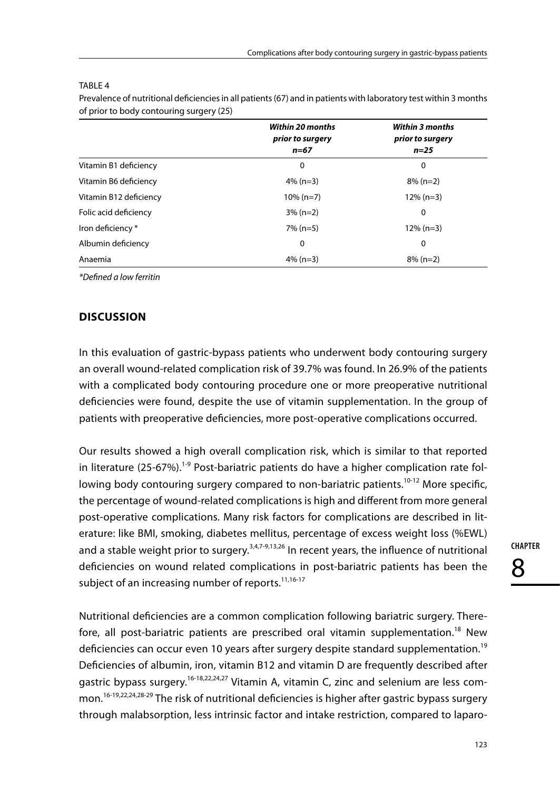|                        | <b>Within 20 months</b><br>prior to surgery<br>n=67 | <b>Within 3 months</b><br>prior to surgery<br>$n=25$ |
|------------------------|-----------------------------------------------------|------------------------------------------------------|
| Vitamin B1 deficiency  | 0                                                   | 0                                                    |
| Vitamin B6 deficiency  | $4\%$ (n=3)                                         | $8\%$ (n=2)                                          |
| Vitamin B12 deficiency | $10\% (n=7)$                                        | $12\% (n=3)$                                         |
| Folic acid deficiency  | $3\%$ (n=2)                                         | 0                                                    |
| Iron deficiency *      | $7\%$ (n=5)                                         | $12\% (n=3)$                                         |
| Albumin deficiency     | 0                                                   | $\mathbf 0$                                          |
| Anaemia                | $4\%$ (n=3)                                         | $8\%$ (n=2)                                          |

TABLE 4

Prevalence of nutritional deficiencies in all patients (67) and in patients with laboratory test within 3 months of prior to body contouring surgery (25)

*\*Defined a low ferritin*

#### **Discussion**

In this evaluation of gastric-bypass patients who underwent body contouring surgery an overall wound-related complication risk of 39.7% was found. In 26.9% of the patients with a complicated body contouring procedure one or more preoperative nutritional deficiencies were found, despite the use of vitamin supplementation. In the group of patients with preoperative deficiencies, more post-operative complications occurred.

Our results showed a high overall complication risk, which is similar to that reported in literature (25-67%).<sup>1-9</sup> Post-bariatric patients do have a higher complication rate following body contouring surgery compared to non-bariatric patients.<sup>10-12</sup> More specific, the percentage of wound-related complications is high and different from more general post-operative complications. Many risk factors for complications are described in literature: like BMI, smoking, diabetes mellitus, percentage of excess weight loss (%EWL) and a stable weight prior to surgery.  $3,4,7-9,13,26$  In recent years, the influence of nutritional deficiencies on wound related complications in post-bariatric patients has been the subject of an increasing number of reports.<sup>11,16-17</sup>

Nutritional deficiencies are a common complication following bariatric surgery. Therefore, all post-bariatric patients are prescribed oral vitamin supplementation.<sup>18</sup> New deficiencies can occur even 10 years after surgery despite standard supplementation.<sup>19</sup> Deficiencies of albumin, iron, vitamin B12 and vitamin D are frequently described after gastric bypass surgery.<sup>16-18,22,24,27</sup> Vitamin A, vitamin C, zinc and selenium are less common.16-19,22,24,28-29 The risk of nutritional deficiencies is higher after gastric bypass surgery through malabsorption, less intrinsic factor and intake restriction, compared to laparo-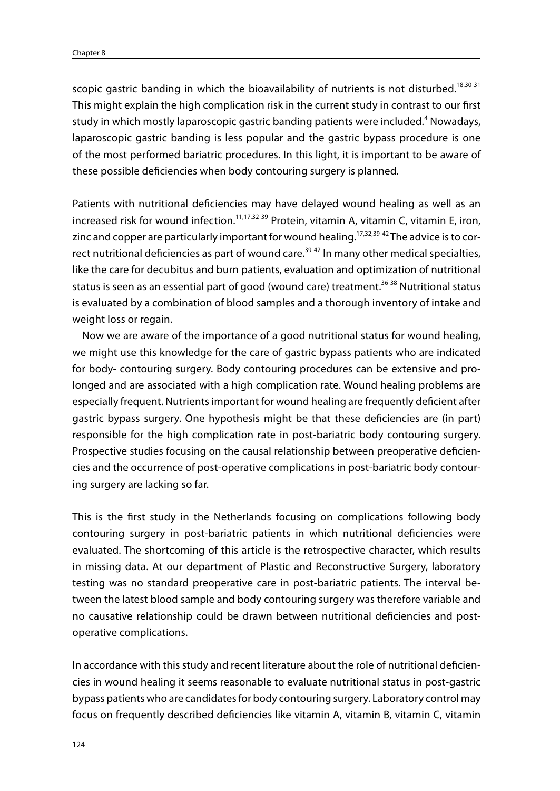scopic gastric banding in which the bioavailability of nutrients is not disturbed.<sup>18,30-31</sup> This might explain the high complication risk in the current study in contrast to our first study in which mostly laparoscopic gastric banding patients were included.<sup>4</sup> Nowadays, laparoscopic gastric banding is less popular and the gastric bypass procedure is one of the most performed bariatric procedures. In this light, it is important to be aware of these possible deficiencies when body contouring surgery is planned.

Patients with nutritional deficiencies may have delayed wound healing as well as an increased risk for wound infection.<sup>11,17,32-39</sup> Protein, vitamin A, vitamin C, vitamin E, iron, zinc and copper are particularly important for wound healing.<sup>17,32,39-42</sup> The advice is to correct nutritional deficiencies as part of wound care.<sup>39-42</sup> In many other medical specialties, like the care for decubitus and burn patients, evaluation and optimization of nutritional status is seen as an essential part of good (wound care) treatment.<sup>36-38</sup> Nutritional status is evaluated by a combination of blood samples and a thorough inventory of intake and weight loss or regain.

Now we are aware of the importance of a good nutritional status for wound healing, we might use this knowledge for the care of gastric bypass patients who are indicated for body- contouring surgery. Body contouring procedures can be extensive and prolonged and are associated with a high complication rate. Wound healing problems are especially frequent. Nutrients important for wound healing are frequently deficient after gastric bypass surgery. One hypothesis might be that these deficiencies are (in part) responsible for the high complication rate in post-bariatric body contouring surgery. Prospective studies focusing on the causal relationship between preoperative deficiencies and the occurrence of post-operative complications in post-bariatric body contouring surgery are lacking so far.

This is the first study in the Netherlands focusing on complications following body contouring surgery in post-bariatric patients in which nutritional deficiencies were evaluated. The shortcoming of this article is the retrospective character, which results in missing data. At our department of Plastic and Reconstructive Surgery, laboratory testing was no standard preoperative care in post-bariatric patients. The interval between the latest blood sample and body contouring surgery was therefore variable and no causative relationship could be drawn between nutritional deficiencies and postoperative complications.

In accordance with this study and recent literature about the role of nutritional deficiencies in wound healing it seems reasonable to evaluate nutritional status in post-gastric bypass patients who are candidates for body contouring surgery. Laboratory control may focus on frequently described deficiencies like vitamin A, vitamin B, vitamin C, vitamin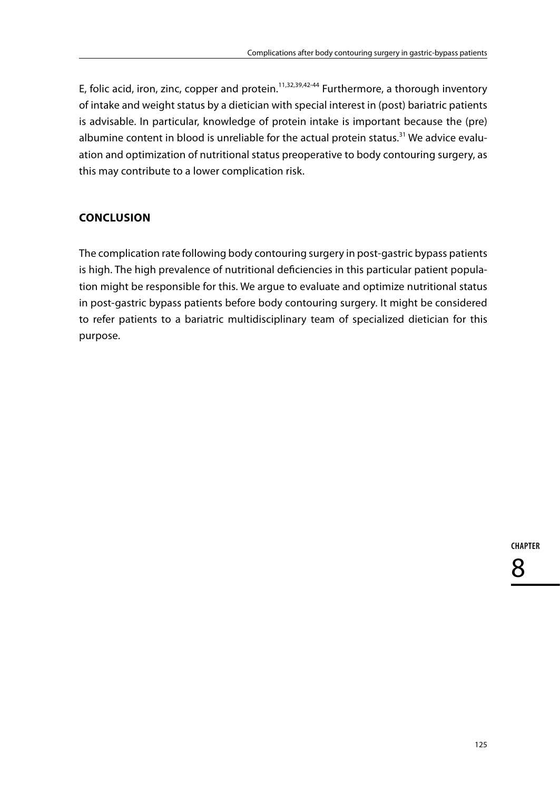E, folic acid, iron, zinc, copper and protein.<sup>11,32,39,42-44</sup> Furthermore, a thorough inventory of intake and weight status by a dietician with special interest in (post) bariatric patients is advisable. In particular, knowledge of protein intake is important because the (pre) albumine content in blood is unreliable for the actual protein status.<sup>31</sup> We advice evaluation and optimization of nutritional status preoperative to body contouring surgery, as this may contribute to a lower complication risk.

#### **Conclusion**

The complication rate following body contouring surgery in post-gastric bypass patients is high. The high prevalence of nutritional deficiencies in this particular patient population might be responsible for this. We argue to evaluate and optimize nutritional status in post-gastric bypass patients before body contouring surgery. It might be considered to refer patients to a bariatric multidisciplinary team of specialized dietician for this purpose.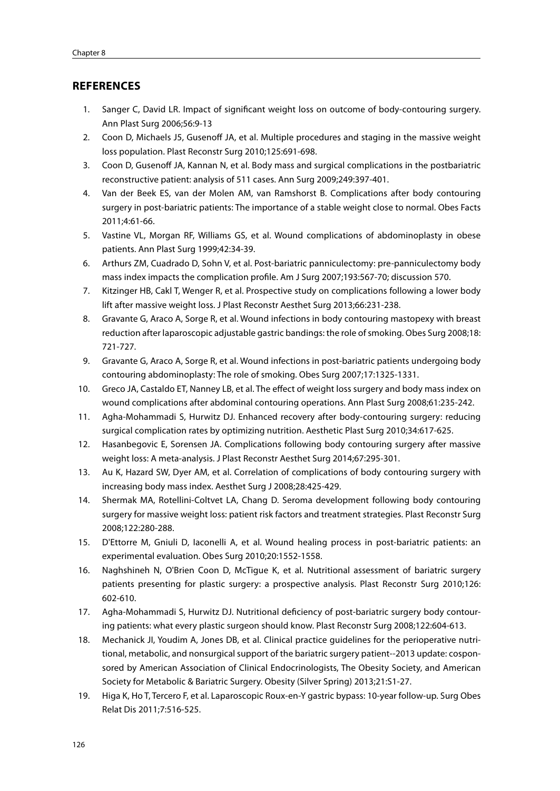#### **References**

- 1. Sanger C, David LR. Impact of significant weight loss on outcome of body-contouring surgery. Ann Plast Surg 2006;56:9-13
- 2. Coon D, Michaels J5, Gusenoff JA, et al. Multiple procedures and staging in the massive weight loss population. Plast Reconstr Surg 2010;125:691-698.
- 3. Coon D, Gusenoff JA, Kannan N, et al. Body mass and surgical complications in the postbariatric reconstructive patient: analysis of 511 cases. Ann Surg 2009;249:397-401.
- 4. Van der Beek ES, van der Molen AM, van Ramshorst B. Complications after body contouring surgery in post-bariatric patients: The importance of a stable weight close to normal. Obes Facts 2011;4:61-66.
- 5. Vastine VL, Morgan RF, Williams GS, et al. Wound complications of abdominoplasty in obese patients. Ann Plast Surg 1999;42:34-39.
- 6. Arthurs ZM, Cuadrado D, Sohn V, et al. Post-bariatric panniculectomy: pre-panniculectomy body mass index impacts the complication profile. Am J Surg 2007;193:567-70; discussion 570.
- 7. Kitzinger HB, Cakl T, Wenger R, et al. Prospective study on complications following a lower body lift after massive weight loss. J Plast Reconstr Aesthet Surg 2013;66:231-238.
- 8. Gravante G, Araco A, Sorge R, et al. Wound infections in body contouring mastopexy with breast reduction after laparoscopic adjustable gastric bandings: the role of smoking. Obes Surg 2008;18: 721-727.
- 9. Gravante G, Araco A, Sorge R, et al. Wound infections in post-bariatric patients undergoing body contouring abdominoplasty: The role of smoking. Obes Surg 2007;17:1325-1331.
- 10. Greco JA, Castaldo ET, Nanney LB, et al. The effect of weight loss surgery and body mass index on wound complications after abdominal contouring operations. Ann Plast Surg 2008;61:235-242.
- 11. Agha-Mohammadi S, Hurwitz DJ. Enhanced recovery after body-contouring surgery: reducing surgical complication rates by optimizing nutrition. Aesthetic Plast Surg 2010;34:617-625.
- 12. Hasanbegovic E, Sorensen JA. Complications following body contouring surgery after massive weight loss: A meta-analysis. J Plast Reconstr Aesthet Surg 2014;67:295-301.
- 13. Au K, Hazard SW, Dyer AM, et al. Correlation of complications of body contouring surgery with increasing body mass index. Aesthet Surg J 2008;28:425-429.
- 14. Shermak MA, Rotellini-Coltvet LA, Chang D. Seroma development following body contouring surgery for massive weight loss: patient risk factors and treatment strategies. Plast Reconstr Surg 2008;122:280-288.
- 15. D'Ettorre M, Gniuli D, Iaconelli A, et al. Wound healing process in post-bariatric patients: an experimental evaluation. Obes Surg 2010;20:1552-1558.
- 16. Naghshineh N, O'Brien Coon D, McTigue K, et al. Nutritional assessment of bariatric surgery patients presenting for plastic surgery: a prospective analysis. Plast Reconstr Surg 2010;126: 602-610.
- 17. Agha-Mohammadi S, Hurwitz DJ. Nutritional deficiency of post-bariatric surgery body contouring patients: what every plastic surgeon should know. Plast Reconstr Surg 2008;122:604-613.
- 18. Mechanick JI, Youdim A, Jones DB, et al. Clinical practice guidelines for the perioperative nutritional, metabolic, and nonsurgical support of the bariatric surgery patient--2013 update: cosponsored by American Association of Clinical Endocrinologists, The Obesity Society, and American Society for Metabolic & Bariatric Surgery. Obesity (Silver Spring) 2013;21:S1-27.
- 19. Higa K, Ho T, Tercero F, et al. Laparoscopic Roux-en-Y gastric bypass: 10-year follow-up. Surg Obes Relat Dis 2011;7:516-525.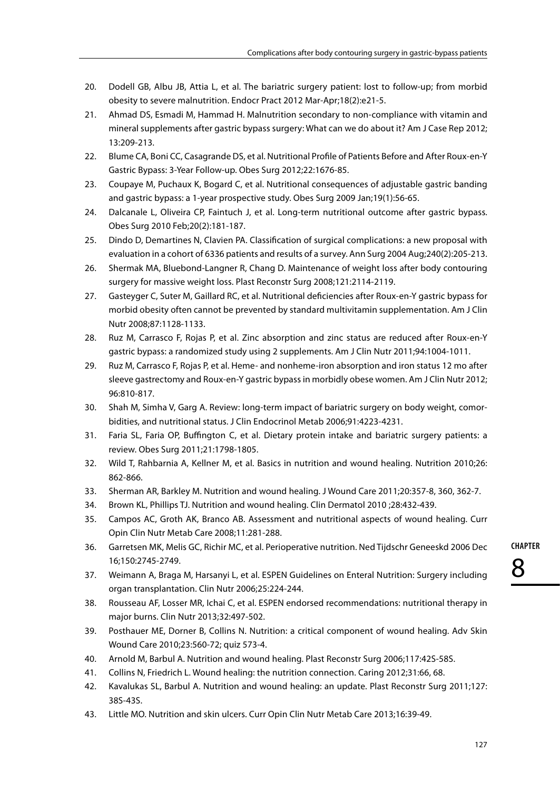- 20. Dodell GB, Albu JB, Attia L, et al. The bariatric surgery patient: lost to follow-up; from morbid obesity to severe malnutrition. Endocr Pract 2012 Mar-Apr;18(2):e21-5.
- 21. Ahmad DS, Esmadi M, Hammad H. Malnutrition secondary to non-compliance with vitamin and mineral supplements after gastric bypass surgery: What can we do about it? Am J Case Rep 2012; 13:209-213.
- 22. Blume CA, Boni CC, Casagrande DS, et al. Nutritional Profile of Patients Before and After Roux-en-Y Gastric Bypass: 3-Year Follow-up. Obes Surg 2012;22:1676-85.
- 23. Coupaye M, Puchaux K, Bogard C, et al. Nutritional consequences of adjustable gastric banding and gastric bypass: a 1-year prospective study. Obes Surg 2009 Jan;19(1):56-65.
- 24. Dalcanale L, Oliveira CP, Faintuch J, et al. Long-term nutritional outcome after gastric bypass. Obes Surg 2010 Feb;20(2):181-187.
- 25. Dindo D, Demartines N, Clavien PA. Classification of surgical complications: a new proposal with evaluation in a cohort of 6336 patients and results of a survey. Ann Surg 2004 Aug;240(2):205-213.
- 26. Shermak MA, Bluebond-Langner R, Chang D. Maintenance of weight loss after body contouring surgery for massive weight loss. Plast Reconstr Surg 2008;121:2114-2119.
- 27. Gasteyger C, Suter M, Gaillard RC, et al. Nutritional deficiencies after Roux-en-Y gastric bypass for morbid obesity often cannot be prevented by standard multivitamin supplementation. Am J Clin Nutr 2008;87:1128-1133.
- 28. Ruz M, Carrasco F, Rojas P, et al. Zinc absorption and zinc status are reduced after Roux-en-Y gastric bypass: a randomized study using 2 supplements. Am J Clin Nutr 2011;94:1004-1011.
- 29. Ruz M, Carrasco F, Rojas P, et al. Heme- and nonheme-iron absorption and iron status 12 mo after sleeve gastrectomy and Roux-en-Y gastric bypass in morbidly obese women. Am J Clin Nutr 2012; 96:810-817.
- 30. Shah M, Simha V, Garg A. Review: long-term impact of bariatric surgery on body weight, comorbidities, and nutritional status. J Clin Endocrinol Metab 2006;91:4223-4231.
- 31. Faria SL, Faria OP, Buffington C, et al. Dietary protein intake and bariatric surgery patients: a review. Obes Surg 2011;21:1798-1805.
- 32. Wild T, Rahbarnia A, Kellner M, et al. Basics in nutrition and wound healing. Nutrition 2010;26: 862-866.
- 33. Sherman AR, Barkley M. Nutrition and wound healing. J Wound Care 2011;20:357-8, 360, 362-7.
- 34. Brown KL, Phillips TJ. Nutrition and wound healing. Clin Dermatol 2010 ;28:432-439.
- 35. Campos AC, Groth AK, Branco AB. Assessment and nutritional aspects of wound healing. Curr Opin Clin Nutr Metab Care 2008;11:281-288.
- 36. Garretsen MK, Melis GC, Richir MC, et al. Perioperative nutrition. Ned Tijdschr Geneeskd 2006 Dec 16;150:2745-2749.
- 37. Weimann A, Braga M, Harsanyi L, et al. ESPEN Guidelines on Enteral Nutrition: Surgery including organ transplantation. Clin Nutr 2006;25:224-244.
- 38. Rousseau AF, Losser MR, Ichai C, et al. ESPEN endorsed recommendations: nutritional therapy in major burns. Clin Nutr 2013;32:497-502.
- 39. Posthauer ME, Dorner B, Collins N. Nutrition: a critical component of wound healing. Adv Skin Wound Care 2010;23:560-72; quiz 573-4.
- 40. Arnold M, Barbul A. Nutrition and wound healing. Plast Reconstr Surg 2006;117:42S-58S.
- 41. Collins N, Friedrich L. Wound healing: the nutrition connection. Caring 2012;31:66, 68.
- 42. Kavalukas SL, Barbul A. Nutrition and wound healing: an update. Plast Reconstr Surg 2011;127: 38S-43S.
- 43. Little MO. Nutrition and skin ulcers. Curr Opin Clin Nutr Metab Care 2013;16:39-49.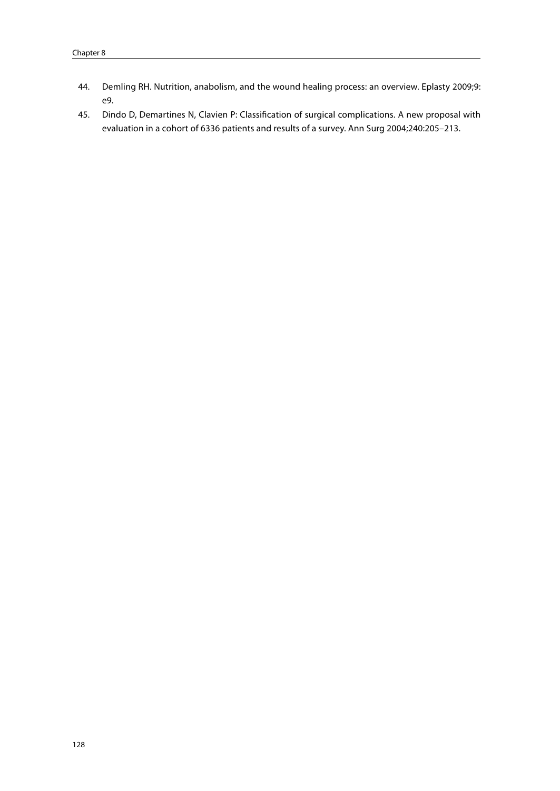- 44. Demling RH. Nutrition, anabolism, and the wound healing process: an overview. Eplasty 2009;9: e9.
- 45. Dindo D, Demartines N, Clavien P: Classification of surgical complications. A new proposal with evaluation in a cohort of 6336 patients and results of a survey. Ann Surg 2004;240:205–213.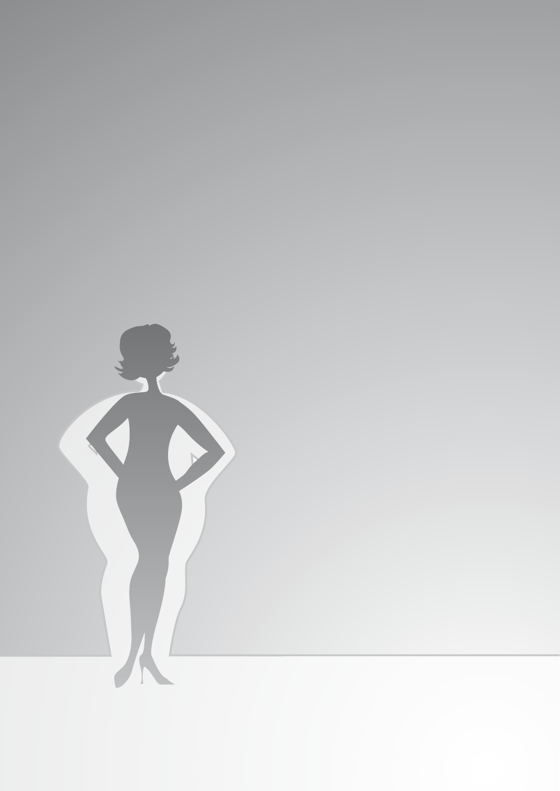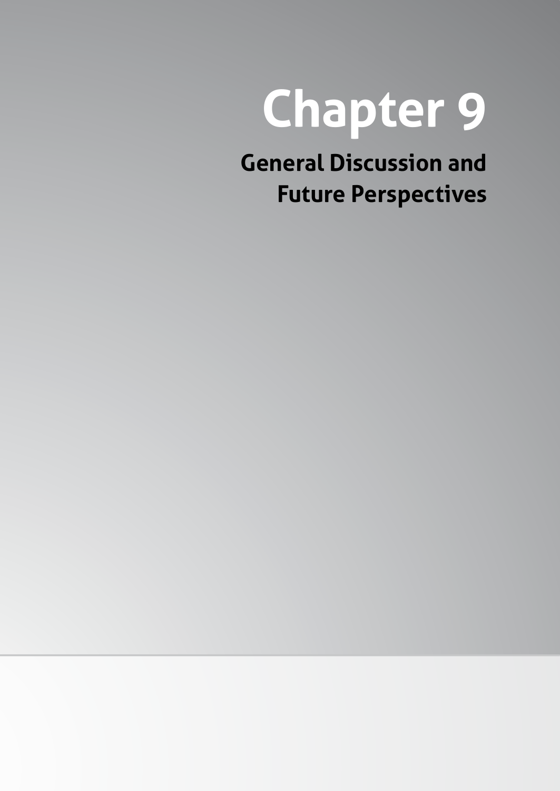### **Chapter 9**

**General Discussion and Future Perspectives**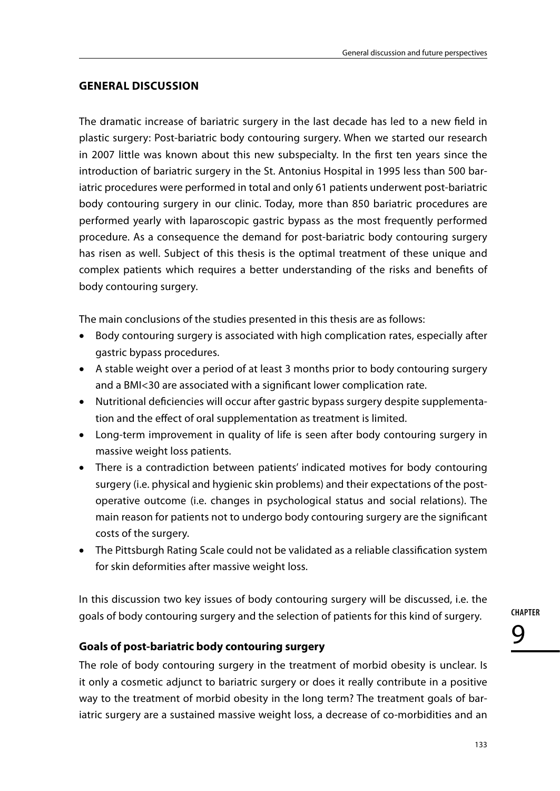#### **General discussion**

The dramatic increase of bariatric surgery in the last decade has led to a new field in plastic surgery: Post-bariatric body contouring surgery. When we started our research in 2007 little was known about this new subspecialty. In the first ten years since the introduction of bariatric surgery in the St. Antonius Hospital in 1995 less than 500 bariatric procedures were performed in total and only 61 patients underwent post-bariatric body contouring surgery in our clinic. Today, more than 850 bariatric procedures are performed yearly with laparoscopic gastric bypass as the most frequently performed procedure. As a consequence the demand for post-bariatric body contouring surgery has risen as well. Subject of this thesis is the optimal treatment of these unique and complex patients which requires a better understanding of the risks and benefits of body contouring surgery.

The main conclusions of the studies presented in this thesis are as follows:

- Body contouring surgery is associated with high complication rates, especially after gastric bypass procedures.
- A stable weight over a period of at least 3 months prior to body contouring surgery and a BMI<30 are associated with a significant lower complication rate.
- Nutritional deficiencies will occur after gastric bypass surgery despite supplementation and the effect of oral supplementation as treatment is limited.
- Long-term improvement in quality of life is seen after body contouring surgery in massive weight loss patients.
- There is a contradiction between patients' indicated motives for body contouring surgery (i.e. physical and hygienic skin problems) and their expectations of the postoperative outcome (i.e. changes in psychological status and social relations). The main reason for patients not to undergo body contouring surgery are the significant costs of the surgery.
- The Pittsburgh Rating Scale could not be validated as a reliable classification system for skin deformities after massive weight loss.

In this discussion two key issues of body contouring surgery will be discussed, i.e. the goals of body contouring surgery and the selection of patients for this kind of surgery.

#### **Goals of post-bariatric body contouring surgery**

The role of body contouring surgery in the treatment of morbid obesity is unclear. Is it only a cosmetic adjunct to bariatric surgery or does it really contribute in a positive way to the treatment of morbid obesity in the long term? The treatment goals of bariatric surgery are a sustained massive weight loss, a decrease of co-morbidities and an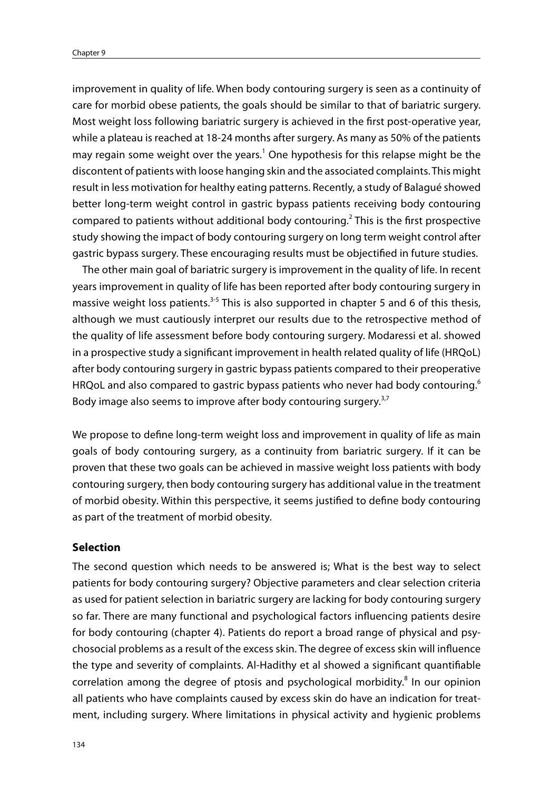improvement in quality of life. When body contouring surgery is seen as a continuity of care for morbid obese patients, the goals should be similar to that of bariatric surgery. Most weight loss following bariatric surgery is achieved in the first post-operative year, while a plateau is reached at 18-24 months after surgery. As many as 50% of the patients may regain some weight over the years.<sup>1</sup> One hypothesis for this relapse might be the discontent of patients with loose hanging skin and the associated complaints. This might result in less motivation for healthy eating patterns. Recently, a study of Balagué showed better long-term weight control in gastric bypass patients receiving body contouring compared to patients without additional body contouring.<sup>2</sup> This is the first prospective study showing the impact of body contouring surgery on long term weight control after gastric bypass surgery. These encouraging results must be objectified in future studies.

The other main goal of bariatric surgery is improvement in the quality of life. In recent years improvement in quality of life has been reported after body contouring surgery in massive weight loss patients.<sup>3-5</sup> This is also supported in chapter 5 and 6 of this thesis, although we must cautiously interpret our results due to the retrospective method of the quality of life assessment before body contouring surgery. Modaressi et al. showed in a prospective study a significant improvement in health related quality of life (HRQoL) after body contouring surgery in gastric bypass patients compared to their preoperative HRQoL and also compared to gastric bypass patients who never had body contouring.<sup>6</sup> Body image also seems to improve after body contouring surgery. $37$ 

We propose to define long-term weight loss and improvement in quality of life as main goals of body contouring surgery, as a continuity from bariatric surgery. If it can be proven that these two goals can be achieved in massive weight loss patients with body contouring surgery, then body contouring surgery has additional value in the treatment of morbid obesity. Within this perspective, it seems justified to define body contouring as part of the treatment of morbid obesity.

#### **Selection**

The second question which needs to be answered is; What is the best way to select patients for body contouring surgery? Objective parameters and clear selection criteria as used for patient selection in bariatric surgery are lacking for body contouring surgery so far. There are many functional and psychological factors influencing patients desire for body contouring (chapter 4). Patients do report a broad range of physical and psychosocial problems as a result of the excess skin. The degree of excess skin will influence the type and severity of complaints. Al-Hadithy et al showed a significant quantifiable correlation among the degree of ptosis and psychological morbidity. ${}^{8}$  In our opinion all patients who have complaints caused by excess skin do have an indication for treatment, including surgery. Where limitations in physical activity and hygienic problems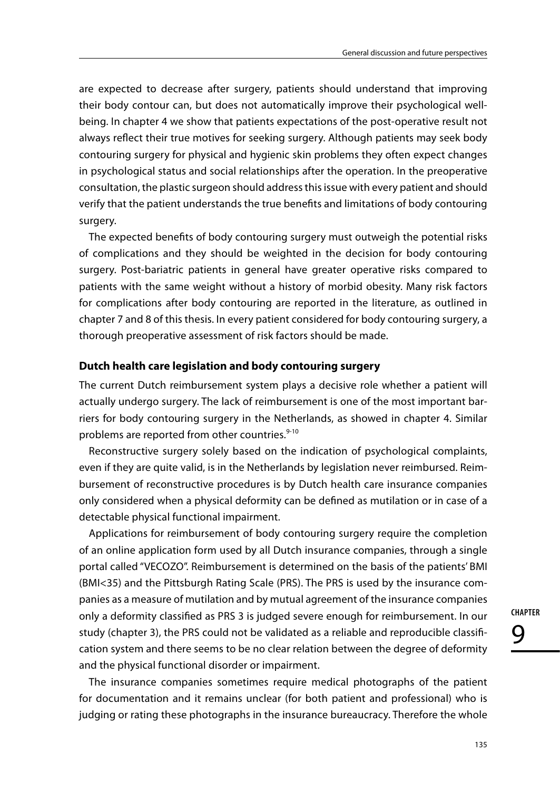are expected to decrease after surgery, patients should understand that improving their body contour can, but does not automatically improve their psychological wellbeing. In chapter 4 we show that patients expectations of the post-operative result not always reflect their true motives for seeking surgery. Although patients may seek body contouring surgery for physical and hygienic skin problems they often expect changes in psychological status and social relationships after the operation. In the preoperative consultation, the plastic surgeon should address this issue with every patient and should verify that the patient understands the true benefits and limitations of body contouring surgery.

The expected benefits of body contouring surgery must outweigh the potential risks of complications and they should be weighted in the decision for body contouring surgery. Post-bariatric patients in general have greater operative risks compared to patients with the same weight without a history of morbid obesity. Many risk factors for complications after body contouring are reported in the literature, as outlined in chapter 7 and 8 of this thesis. In every patient considered for body contouring surgery, a thorough preoperative assessment of risk factors should be made.

#### **Dutch health care legislation and body contouring surgery**

The current Dutch reimbursement system plays a decisive role whether a patient will actually undergo surgery. The lack of reimbursement is one of the most important barriers for body contouring surgery in the Netherlands, as showed in chapter 4. Similar problems are reported from other countries.<sup>9-10</sup>

Reconstructive surgery solely based on the indication of psychological complaints, even if they are quite valid, is in the Netherlands by legislation never reimbursed. Reimbursement of reconstructive procedures is by Dutch health care insurance companies only considered when a physical deformity can be defined as mutilation or in case of a detectable physical functional impairment.

Applications for reimbursement of body contouring surgery require the completion of an online application form used by all Dutch insurance companies, through a single portal called "VECOZO". Reimbursement is determined on the basis of the patients' BMI (BMI<35) and the Pittsburgh Rating Scale (PRS). The PRS is used by the insurance companies as a measure of mutilation and by mutual agreement of the insurance companies only a deformity classified as PRS 3 is judged severe enough for reimbursement. In our study (chapter 3), the PRS could not be validated as a reliable and reproducible classification system and there seems to be no clear relation between the degree of deformity and the physical functional disorder or impairment.

The insurance companies sometimes require medical photographs of the patient for documentation and it remains unclear (for both patient and professional) who is judging or rating these photographs in the insurance bureaucracy. Therefore the whole

**Chapter** 9

135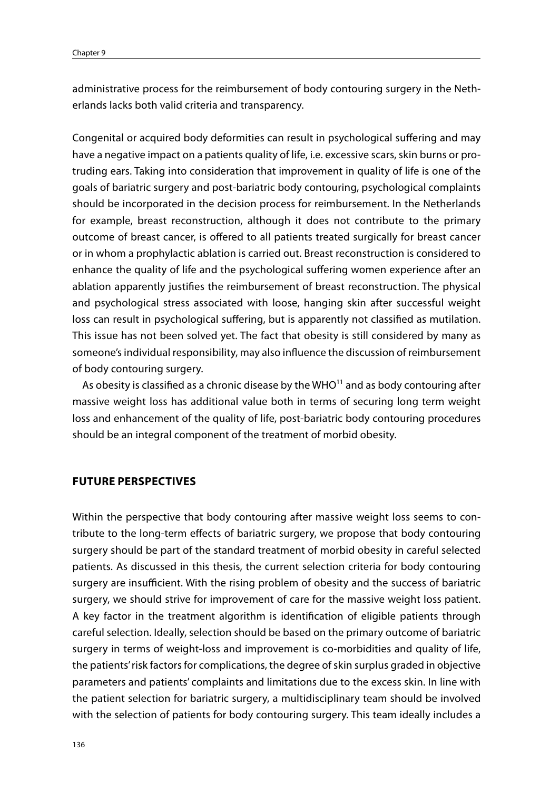administrative process for the reimbursement of body contouring surgery in the Netherlands lacks both valid criteria and transparency.

Congenital or acquired body deformities can result in psychological suffering and may have a negative impact on a patients quality of life, i.e. excessive scars, skin burns or protruding ears. Taking into consideration that improvement in quality of life is one of the goals of bariatric surgery and post-bariatric body contouring, psychological complaints should be incorporated in the decision process for reimbursement. In the Netherlands for example, breast reconstruction, although it does not contribute to the primary outcome of breast cancer, is offered to all patients treated surgically for breast cancer or in whom a prophylactic ablation is carried out. Breast reconstruction is considered to enhance the quality of life and the psychological suffering women experience after an ablation apparently justifies the reimbursement of breast reconstruction. The physical and psychological stress associated with loose, hanging skin after successful weight loss can result in psychological suffering, but is apparently not classified as mutilation. This issue has not been solved yet. The fact that obesity is still considered by many as someone's individual responsibility, may also influence the discussion of reimbursement of body contouring surgery.

As obesity is classified as a chronic disease by the WHO $<sup>11</sup>$  and as body contouring after</sup> massive weight loss has additional value both in terms of securing long term weight loss and enhancement of the quality of life, post-bariatric body contouring procedures should be an integral component of the treatment of morbid obesity.

#### **Future perspectives**

Within the perspective that body contouring after massive weight loss seems to contribute to the long-term effects of bariatric surgery, we propose that body contouring surgery should be part of the standard treatment of morbid obesity in careful selected patients. As discussed in this thesis, the current selection criteria for body contouring surgery are insufficient. With the rising problem of obesity and the success of bariatric surgery, we should strive for improvement of care for the massive weight loss patient. A key factor in the treatment algorithm is identification of eligible patients through careful selection. Ideally, selection should be based on the primary outcome of bariatric surgery in terms of weight-loss and improvement is co-morbidities and quality of life, the patients' risk factors for complications, the degree of skin surplus graded in objective parameters and patients' complaints and limitations due to the excess skin. In line with the patient selection for bariatric surgery, a multidisciplinary team should be involved with the selection of patients for body contouring surgery. This team ideally includes a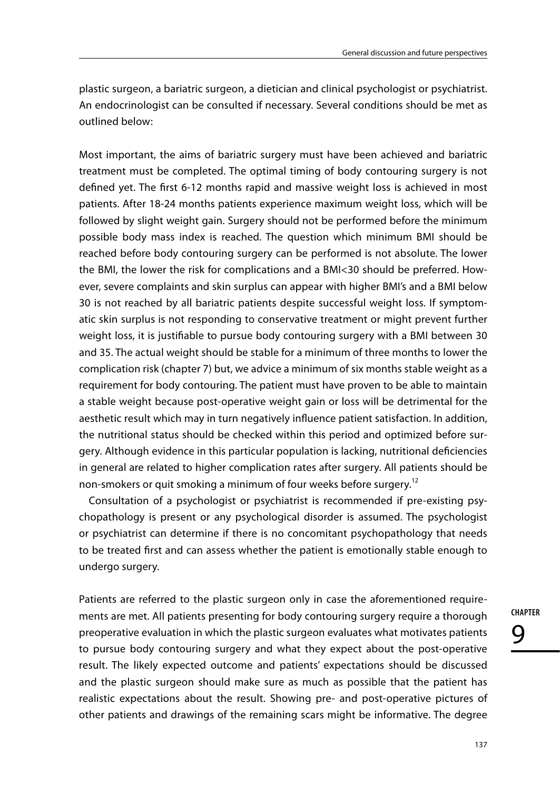plastic surgeon, a bariatric surgeon, a dietician and clinical psychologist or psychiatrist. An endocrinologist can be consulted if necessary. Several conditions should be met as outlined below:

Most important, the aims of bariatric surgery must have been achieved and bariatric treatment must be completed. The optimal timing of body contouring surgery is not defined yet. The first 6-12 months rapid and massive weight loss is achieved in most patients. After 18-24 months patients experience maximum weight loss, which will be followed by slight weight gain. Surgery should not be performed before the minimum possible body mass index is reached. The question which minimum BMI should be reached before body contouring surgery can be performed is not absolute. The lower the BMI, the lower the risk for complications and a BMI<30 should be preferred. However, severe complaints and skin surplus can appear with higher BMI's and a BMI below 30 is not reached by all bariatric patients despite successful weight loss. If symptomatic skin surplus is not responding to conservative treatment or might prevent further weight loss, it is justifiable to pursue body contouring surgery with a BMI between 30 and 35. The actual weight should be stable for a minimum of three months to lower the complication risk (chapter 7) but, we advice a minimum of six months stable weight as a requirement for body contouring. The patient must have proven to be able to maintain a stable weight because post-operative weight gain or loss will be detrimental for the aesthetic result which may in turn negatively influence patient satisfaction. In addition, the nutritional status should be checked within this period and optimized before surgery. Although evidence in this particular population is lacking, nutritional deficiencies in general are related to higher complication rates after surgery. All patients should be non-smokers or quit smoking a minimum of four weeks before surgery.<sup>12</sup>

Consultation of a psychologist or psychiatrist is recommended if pre-existing psychopathology is present or any psychological disorder is assumed. The psychologist or psychiatrist can determine if there is no concomitant psychopathology that needs to be treated first and can assess whether the patient is emotionally stable enough to undergo surgery.

Patients are referred to the plastic surgeon only in case the aforementioned requirements are met. All patients presenting for body contouring surgery require a thorough preoperative evaluation in which the plastic surgeon evaluates what motivates patients to pursue body contouring surgery and what they expect about the post-operative result. The likely expected outcome and patients' expectations should be discussed and the plastic surgeon should make sure as much as possible that the patient has realistic expectations about the result. Showing pre- and post-operative pictures of other patients and drawings of the remaining scars might be informative. The degree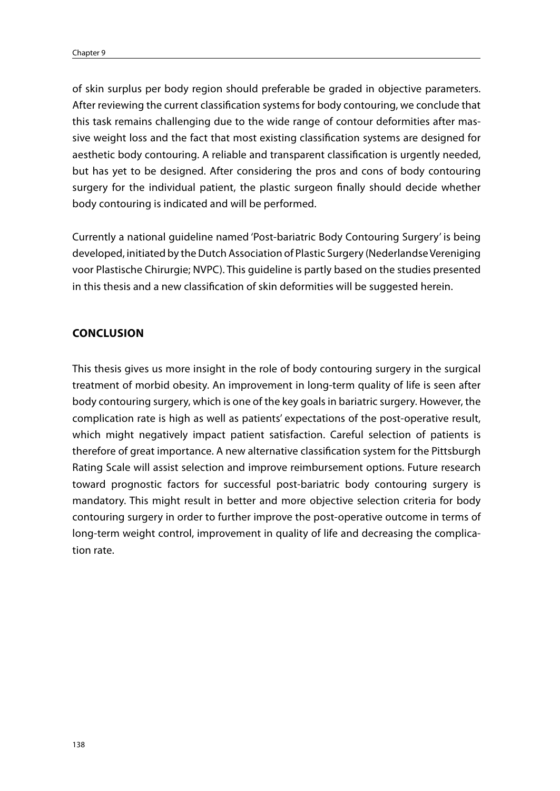of skin surplus per body region should preferable be graded in objective parameters. After reviewing the current classification systems for body contouring, we conclude that this task remains challenging due to the wide range of contour deformities after massive weight loss and the fact that most existing classification systems are designed for aesthetic body contouring. A reliable and transparent classification is urgently needed, but has yet to be designed. After considering the pros and cons of body contouring surgery for the individual patient, the plastic surgeon finally should decide whether body contouring is indicated and will be performed.

Currently a national guideline named 'Post-bariatric Body Contouring Surgery' is being developed, initiated by the Dutch Association of Plastic Surgery (Nederlandse Vereniging voor Plastische Chirurgie; NVPC). This guideline is partly based on the studies presented in this thesis and a new classification of skin deformities will be suggested herein.

#### **Conclusion**

This thesis gives us more insight in the role of body contouring surgery in the surgical treatment of morbid obesity. An improvement in long-term quality of life is seen after body contouring surgery, which is one of the key goals in bariatric surgery. However, the complication rate is high as well as patients' expectations of the post-operative result, which might negatively impact patient satisfaction. Careful selection of patients is therefore of great importance. A new alternative classification system for the Pittsburgh Rating Scale will assist selection and improve reimbursement options. Future research toward prognostic factors for successful post-bariatric body contouring surgery is mandatory. This might result in better and more objective selection criteria for body contouring surgery in order to further improve the post-operative outcome in terms of long-term weight control, improvement in quality of life and decreasing the complication rate.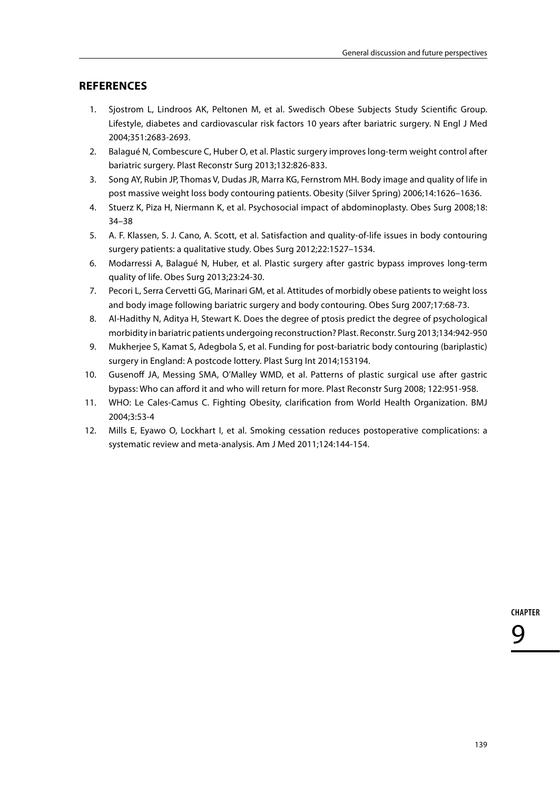#### **References**

- 1. Sjostrom L, Lindroos AK, Peltonen M, et al. Swedisch Obese Subjects Study Scientific Group. Lifestyle, diabetes and cardiovascular risk factors 10 years after bariatric surgery. N Engl J Med 2004;351:2683-2693.
- 2. Balagué N, Combescure C, Huber O, et al. Plastic surgery improves long-term weight control after bariatric surgery. Plast Reconstr Surg 2013;132:826-833.
- 3. Song AY, Rubin JP, Thomas V, Dudas JR, Marra KG, Fernstrom MH. Body image and quality of life in post massive weight loss body contouring patients. Obesity (Silver Spring) 2006;14:1626–1636.
- 4. Stuerz K, Piza H, Niermann K, et al. Psychosocial impact of abdominoplasty. Obes Surg 2008;18: 34–38
- 5. A. F. Klassen, S. J. Cano, A. Scott, et al. Satisfaction and quality-of-life issues in body contouring surgery patients: a qualitative study. Obes Surg 2012;22:1527–1534.
- 6. Modarressi A, Balagué N, Huber, et al. Plastic surgery after gastric bypass improves long-term quality of life. Obes Surg 2013;23:24-30.
- 7. Pecori L, Serra Cervetti GG, Marinari GM, et al. Attitudes of morbidly obese patients to weight loss and body image following bariatric surgery and body contouring. Obes Surg 2007;17:68-73.
- 8. Al-Hadithy N, Aditya H, Stewart K. Does the degree of ptosis predict the degree of psychological morbidity in bariatric patients undergoing reconstruction? Plast. Reconstr. Surg 2013;134:942-950
- 9. Mukherjee S, Kamat S, Adegbola S, et al. Funding for post-bariatric body contouring (bariplastic) surgery in England: A postcode lottery. Plast Surg Int 2014;153194.
- 10. Gusenoff JA, Messing SMA, O'Malley WMD, et al. Patterns of plastic surgical use after gastric bypass: Who can afford it and who will return for more. Plast Reconstr Surg 2008; 122:951-958.
- 11. WHO: Le Cales-Camus C. Fighting Obesity, clarification from World Health Organization. BMJ 2004;3:53-4
- 12. Mills E, Eyawo O, Lockhart I, et al. Smoking cessation reduces postoperative complications: a systematic review and meta-analysis. Am J Med 2011;124:144-154.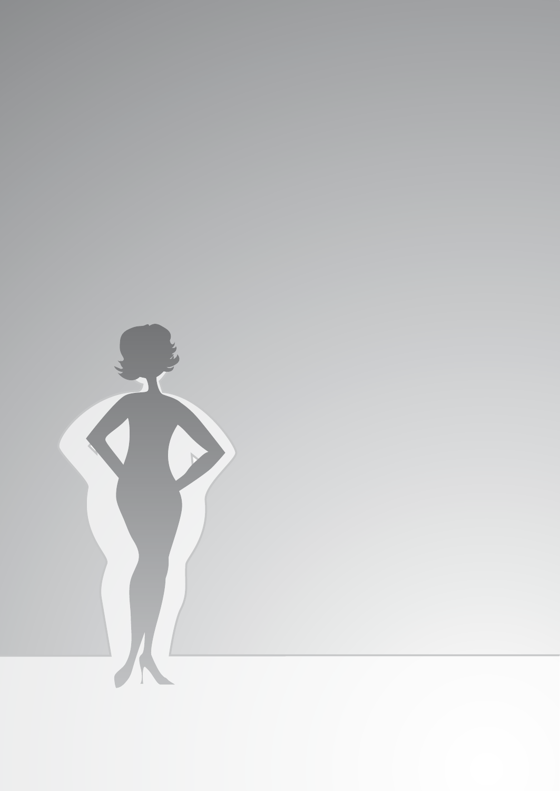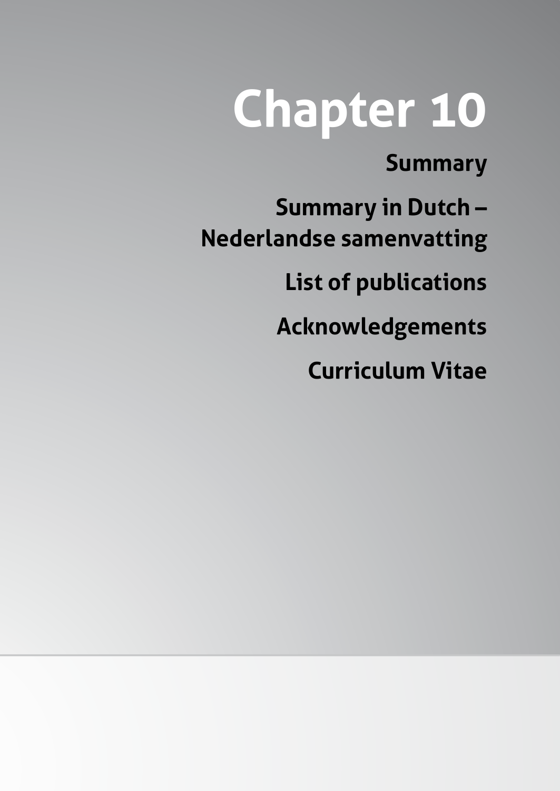## **Chapter 10**

**Summary**

**Summary in Dutch – Nederlandse samenvatting List of publications Acknowledgements**

**Curriculum Vitae**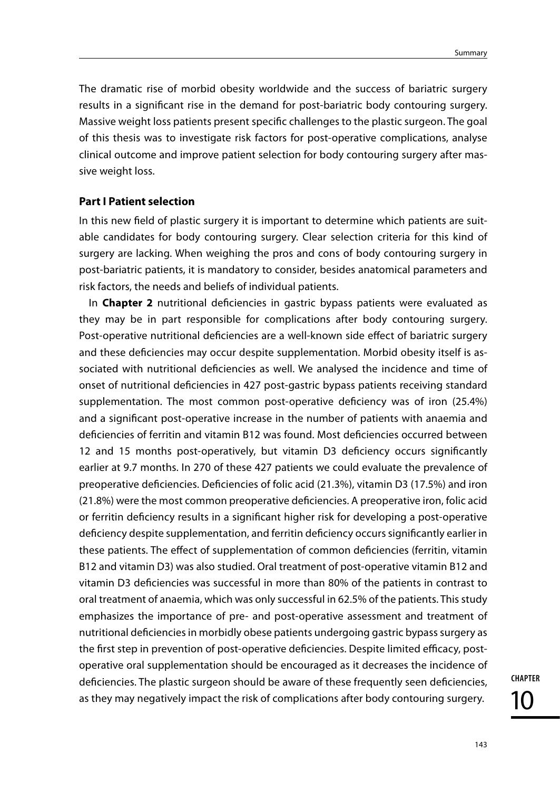The dramatic rise of morbid obesity worldwide and the success of bariatric surgery results in a significant rise in the demand for post-bariatric body contouring surgery. Massive weight loss patients present specific challenges to the plastic surgeon. The goal of this thesis was to investigate risk factors for post-operative complications, analyse clinical outcome and improve patient selection for body contouring surgery after massive weight loss.

#### **Part I Patient selection**

In this new field of plastic surgery it is important to determine which patients are suitable candidates for body contouring surgery. Clear selection criteria for this kind of surgery are lacking. When weighing the pros and cons of body contouring surgery in post-bariatric patients, it is mandatory to consider, besides anatomical parameters and risk factors, the needs and beliefs of individual patients.

In **Chapter 2** nutritional deficiencies in gastric bypass patients were evaluated as they may be in part responsible for complications after body contouring surgery. Post-operative nutritional deficiencies are a well-known side effect of bariatric surgery and these deficiencies may occur despite supplementation. Morbid obesity itself is associated with nutritional deficiencies as well. We analysed the incidence and time of onset of nutritional deficiencies in 427 post-gastric bypass patients receiving standard supplementation. The most common post-operative deficiency was of iron (25.4%) and a significant post-operative increase in the number of patients with anaemia and deficiencies of ferritin and vitamin B12 was found. Most deficiencies occurred between 12 and 15 months post-operatively, but vitamin D3 deficiency occurs significantly earlier at 9.7 months. In 270 of these 427 patients we could evaluate the prevalence of preoperative deficiencies. Deficiencies of folic acid (21.3%), vitamin D3 (17.5%) and iron (21.8%) were the most common preoperative deficiencies. A preoperative iron, folic acid or ferritin deficiency results in a significant higher risk for developing a post-operative deficiency despite supplementation, and ferritin deficiency occurs significantly earlier in these patients. The effect of supplementation of common deficiencies (ferritin, vitamin B12 and vitamin D3) was also studied. Oral treatment of post-operative vitamin B12 and vitamin D3 deficiencies was successful in more than 80% of the patients in contrast to oral treatment of anaemia, which was only successful in 62.5% of the patients. This study emphasizes the importance of pre- and post-operative assessment and treatment of nutritional deficiencies in morbidly obese patients undergoing gastric bypass surgery as the first step in prevention of post-operative deficiencies. Despite limited efficacy, postoperative oral supplementation should be encouraged as it decreases the incidence of deficiencies. The plastic surgeon should be aware of these frequently seen deficiencies, as they may negatively impact the risk of complications after body contouring surgery.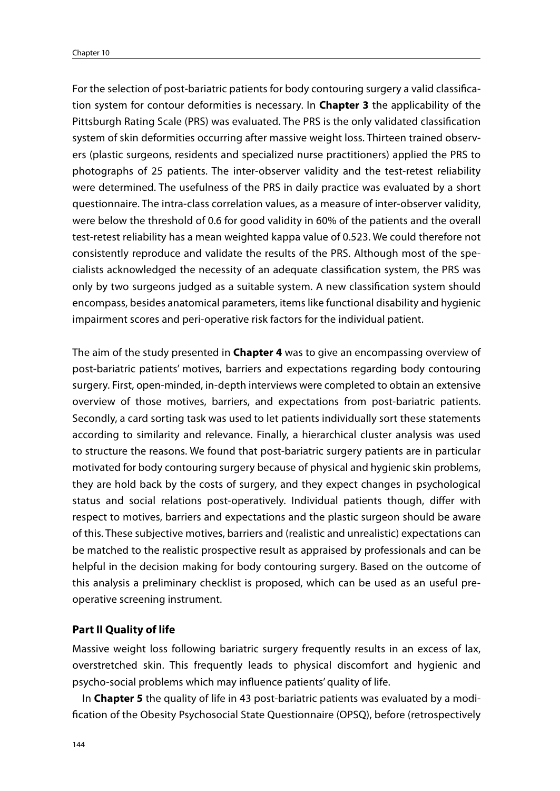For the selection of post-bariatric patients for body contouring surgery a valid classification system for contour deformities is necessary. In **Chapter 3** the applicability of the Pittsburgh Rating Scale (PRS) was evaluated. The PRS is the only validated classification system of skin deformities occurring after massive weight loss. Thirteen trained observers (plastic surgeons, residents and specialized nurse practitioners) applied the PRS to photographs of 25 patients. The inter-observer validity and the test-retest reliability were determined. The usefulness of the PRS in daily practice was evaluated by a short questionnaire. The intra-class correlation values, as a measure of inter-observer validity, were below the threshold of 0.6 for good validity in 60% of the patients and the overall test-retest reliability has a mean weighted kappa value of 0.523. We could therefore not consistently reproduce and validate the results of the PRS. Although most of the specialists acknowledged the necessity of an adequate classification system, the PRS was only by two surgeons judged as a suitable system. A new classification system should encompass, besides anatomical parameters, items like functional disability and hygienic impairment scores and peri-operative risk factors for the individual patient.

The aim of the study presented in **Chapter 4** was to give an encompassing overview of post-bariatric patients' motives, barriers and expectations regarding body contouring surgery. First, open-minded, in-depth interviews were completed to obtain an extensive overview of those motives, barriers, and expectations from post-bariatric patients. Secondly, a card sorting task was used to let patients individually sort these statements according to similarity and relevance. Finally, a hierarchical cluster analysis was used to structure the reasons. We found that post-bariatric surgery patients are in particular motivated for body contouring surgery because of physical and hygienic skin problems, they are hold back by the costs of surgery, and they expect changes in psychological status and social relations post-operatively. Individual patients though, differ with respect to motives, barriers and expectations and the plastic surgeon should be aware of this. These subjective motives, barriers and (realistic and unrealistic) expectations can be matched to the realistic prospective result as appraised by professionals and can be helpful in the decision making for body contouring surgery. Based on the outcome of this analysis a preliminary checklist is proposed, which can be used as an useful preoperative screening instrument.

#### **Part II Quality of life**

Massive weight loss following bariatric surgery frequently results in an excess of lax, overstretched skin. This frequently leads to physical discomfort and hygienic and psycho-social problems which may influence patients' quality of life.

In **Chapter 5** the quality of life in 43 post-bariatric patients was evaluated by a modification of the Obesity Psychosocial State Questionnaire (OPSQ), before (retrospectively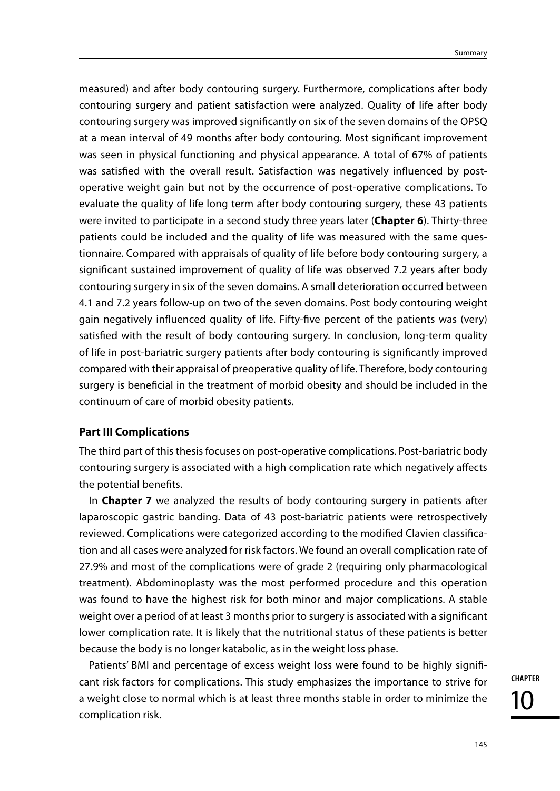measured) and after body contouring surgery. Furthermore, complications after body contouring surgery and patient satisfaction were analyzed. Quality of life after body contouring surgery was improved significantly on six of the seven domains of the OPSQ at a mean interval of 49 months after body contouring. Most significant improvement was seen in physical functioning and physical appearance. A total of 67% of patients was satisfied with the overall result. Satisfaction was negatively influenced by postoperative weight gain but not by the occurrence of post-operative complications. To evaluate the quality of life long term after body contouring surgery, these 43 patients were invited to participate in a second study three years later (**Chapter 6**). Thirty-three patients could be included and the quality of life was measured with the same questionnaire. Compared with appraisals of quality of life before body contouring surgery, a significant sustained improvement of quality of life was observed 7.2 years after body contouring surgery in six of the seven domains. A small deterioration occurred between 4.1 and 7.2 years follow-up on two of the seven domains. Post body contouring weight gain negatively influenced quality of life. Fifty-five percent of the patients was (very) satisfied with the result of body contouring surgery. In conclusion, long-term quality of life in post-bariatric surgery patients after body contouring is significantly improved compared with their appraisal of preoperative quality of life. Therefore, body contouring surgery is beneficial in the treatment of morbid obesity and should be included in the continuum of care of morbid obesity patients.

## **Part III Complications**

The third part of this thesis focuses on post-operative complications. Post-bariatric body contouring surgery is associated with a high complication rate which negatively affects the potential benefits.

In **Chapter 7** we analyzed the results of body contouring surgery in patients after laparoscopic gastric banding. Data of 43 post-bariatric patients were retrospectively reviewed. Complications were categorized according to the modified Clavien classification and all cases were analyzed for risk factors. We found an overall complication rate of 27.9% and most of the complications were of grade 2 (requiring only pharmacological treatment). Abdominoplasty was the most performed procedure and this operation was found to have the highest risk for both minor and major complications. A stable weight over a period of at least 3 months prior to surgery is associated with a significant lower complication rate. It is likely that the nutritional status of these patients is better because the body is no longer katabolic, as in the weight loss phase.

Patients' BMI and percentage of excess weight loss were found to be highly significant risk factors for complications. This study emphasizes the importance to strive for a weight close to normal which is at least three months stable in order to minimize the complication risk.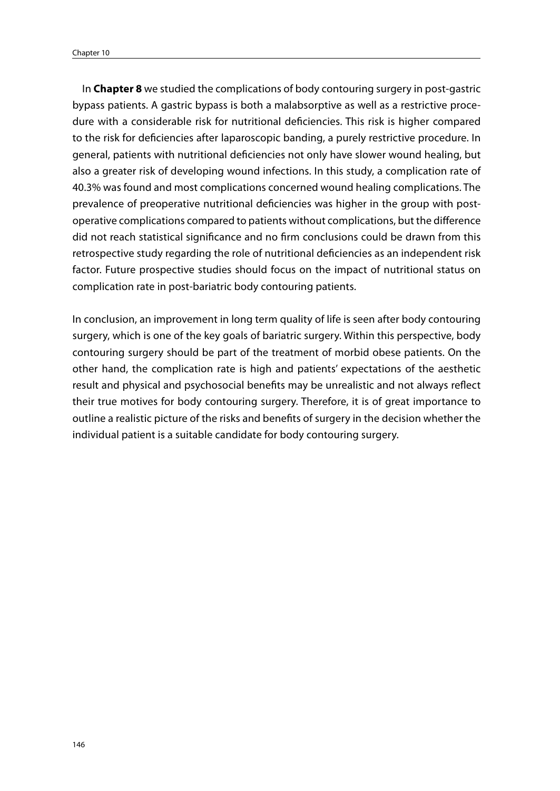In **Chapter 8** we studied the complications of body contouring surgery in post-gastric bypass patients. A gastric bypass is both a malabsorptive as well as a restrictive procedure with a considerable risk for nutritional deficiencies. This risk is higher compared to the risk for deficiencies after laparoscopic banding, a purely restrictive procedure. In general, patients with nutritional deficiencies not only have slower wound healing, but also a greater risk of developing wound infections. In this study, a complication rate of 40.3% was found and most complications concerned wound healing complications. The prevalence of preoperative nutritional deficiencies was higher in the group with postoperative complications compared to patients without complications, but the difference did not reach statistical significance and no firm conclusions could be drawn from this retrospective study regarding the role of nutritional deficiencies as an independent risk factor. Future prospective studies should focus on the impact of nutritional status on complication rate in post-bariatric body contouring patients.

In conclusion, an improvement in long term quality of life is seen after body contouring surgery, which is one of the key goals of bariatric surgery. Within this perspective, body contouring surgery should be part of the treatment of morbid obese patients. On the other hand, the complication rate is high and patients' expectations of the aesthetic result and physical and psychosocial benefits may be unrealistic and not always reflect their true motives for body contouring surgery. Therefore, it is of great importance to outline a realistic picture of the risks and benefits of surgery in the decision whether the individual patient is a suitable candidate for body contouring surgery.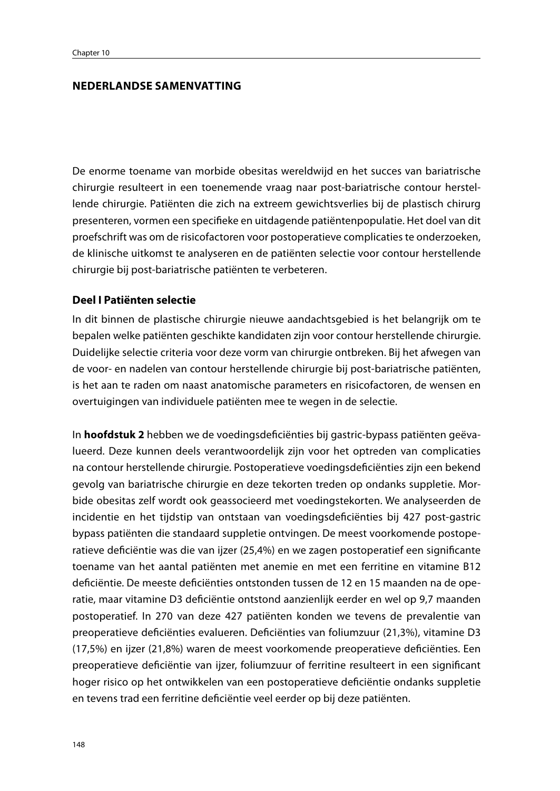## **Nederlandse Samenvatting**

De enorme toename van morbide obesitas wereldwijd en het succes van bariatrische chirurgie resulteert in een toenemende vraag naar post-bariatrische contour herstellende chirurgie. Patiënten die zich na extreem gewichtsverlies bij de plastisch chirurg presenteren, vormen een specifieke en uitdagende patiëntenpopulatie. Het doel van dit proefschrift was om de risicofactoren voor postoperatieve complicaties te onderzoeken, de klinische uitkomst te analyseren en de patiënten selectie voor contour herstellende chirurgie bij post-bariatrische patiënten te verbeteren.

## **Deel I Patiënten selectie**

In dit binnen de plastische chirurgie nieuwe aandachtsgebied is het belangrijk om te bepalen welke patiënten geschikte kandidaten zijn voor contour herstellende chirurgie. Duidelijke selectie criteria voor deze vorm van chirurgie ontbreken. Bij het afwegen van de voor- en nadelen van contour herstellende chirurgie bij post-bariatrische patiënten, is het aan te raden om naast anatomische parameters en risicofactoren, de wensen en overtuigingen van individuele patiënten mee te wegen in de selectie.

In **hoofdstuk 2** hebben we de voedingsdeficiënties bij gastric-bypass patiënten geëvalueerd. Deze kunnen deels verantwoordelijk zijn voor het optreden van complicaties na contour herstellende chirurgie. Postoperatieve voedingsdeficiënties zijn een bekend gevolg van bariatrische chirurgie en deze tekorten treden op ondanks suppletie. Morbide obesitas zelf wordt ook geassocieerd met voedingstekorten. We analyseerden de incidentie en het tijdstip van ontstaan van voedingsdeficiënties bij 427 post-gastric bypass patiënten die standaard suppletie ontvingen. De meest voorkomende postoperatieve deficiëntie was die van ijzer (25,4%) en we zagen postoperatief een significante toename van het aantal patiënten met anemie en met een ferritine en vitamine B12 deficiëntie. De meeste deficiënties ontstonden tussen de 12 en 15 maanden na de operatie, maar vitamine D3 deficiëntie ontstond aanzienlijk eerder en wel op 9,7 maanden postoperatief. In 270 van deze 427 patiënten konden we tevens de prevalentie van preoperatieve deficiënties evalueren. Deficiënties van foliumzuur (21,3%), vitamine D3 (17,5%) en ijzer (21,8%) waren de meest voorkomende preoperatieve deficiënties. Een preoperatieve deficiëntie van ijzer, foliumzuur of ferritine resulteert in een significant hoger risico op het ontwikkelen van een postoperatieve deficiëntie ondanks suppletie en tevens trad een ferritine deficiëntie veel eerder op bij deze patiënten.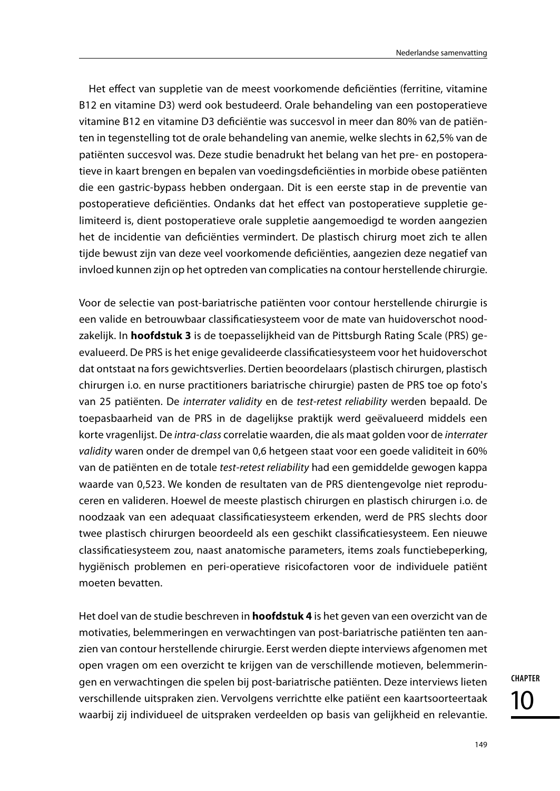Het effect van suppletie van de meest voorkomende deficiënties (ferritine, vitamine B12 en vitamine D3) werd ook bestudeerd. Orale behandeling van een postoperatieve vitamine B12 en vitamine D3 deficiëntie was succesvol in meer dan 80% van de patiënten in tegenstelling tot de orale behandeling van anemie, welke slechts in 62,5% van de patiënten succesvol was. Deze studie benadrukt het belang van het pre- en postoperatieve in kaart brengen en bepalen van voedingsdeficiënties in morbide obese patiënten die een gastric-bypass hebben ondergaan. Dit is een eerste stap in de preventie van postoperatieve deficiënties. Ondanks dat het effect van postoperatieve suppletie gelimiteerd is, dient postoperatieve orale suppletie aangemoedigd te worden aangezien het de incidentie van deficiënties vermindert. De plastisch chirurg moet zich te allen tijde bewust zijn van deze veel voorkomende deficiënties, aangezien deze negatief van invloed kunnen zijn op het optreden van complicaties na contour herstellende chirurgie.

Voor de selectie van post-bariatrische patiënten voor contour herstellende chirurgie is een valide en betrouwbaar classificatiesysteem voor de mate van huidoverschot noodzakelijk. In **hoofdstuk 3** is de toepasselijkheid van de Pittsburgh Rating Scale (PRS) geëvalueerd. De PRS is het enige gevalideerde classificatiesysteem voor het huidoverschot dat ontstaat na fors gewichtsverlies. Dertien beoordelaars (plastisch chirurgen, plastisch chirurgen i.o. en nurse practitioners bariatrische chirurgie) pasten de PRS toe op foto's van 25 patiënten. De *interrater validity* en de *test-retest reliability* werden bepaald. De toepasbaarheid van de PRS in de dagelijkse praktijk werd geëvalueerd middels een korte vragenlijst. De *intra-class* correlatie waarden, die als maat golden voor de *interrater validity* waren onder de drempel van 0,6 hetgeen staat voor een goede validiteit in 60% van de patiënten en de totale *test-retest reliability* had een gemiddelde gewogen kappa waarde van 0,523. We konden de resultaten van de PRS dientengevolge niet reproduceren en valideren. Hoewel de meeste plastisch chirurgen en plastisch chirurgen i.o. de noodzaak van een adequaat classificatiesysteem erkenden, werd de PRS slechts door twee plastisch chirurgen beoordeeld als een geschikt classificatiesysteem. Een nieuwe classificatiesysteem zou, naast anatomische parameters, items zoals functiebeperking, hygiënisch problemen en peri-operatieve risicofactoren voor de individuele patiënt moeten bevatten.

Het doel van de studie beschreven in **hoofdstuk 4** is het geven van een overzicht van de motivaties, belemmeringen en verwachtingen van post-bariatrische patiënten ten aanzien van contour herstellende chirurgie. Eerst werden diepte interviews afgenomen met open vragen om een overzicht te krijgen van de verschillende motieven, belemmeringen en verwachtingen die spelen bij post-bariatrische patiënten. Deze interviews lieten verschillende uitspraken zien. Vervolgens verrichtte elke patiënt een kaartsoorteertaak waarbij zij individueel de uitspraken verdeelden op basis van gelijkheid en relevantie.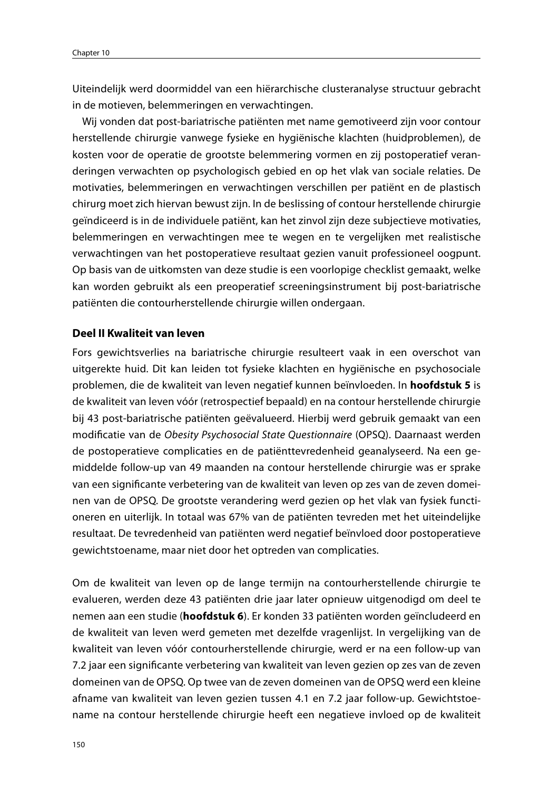Uiteindelijk werd doormiddel van een hiërarchische clusteranalyse structuur gebracht in de motieven, belemmeringen en verwachtingen.

Wij vonden dat post-bariatrische patiënten met name gemotiveerd zijn voor contour herstellende chirurgie vanwege fysieke en hygiënische klachten (huidproblemen), de kosten voor de operatie de grootste belemmering vormen en zij postoperatief veranderingen verwachten op psychologisch gebied en op het vlak van sociale relaties. De motivaties, belemmeringen en verwachtingen verschillen per patiënt en de plastisch chirurg moet zich hiervan bewust zijn. In de beslissing of contour herstellende chirurgie geïndiceerd is in de individuele patiënt, kan het zinvol zijn deze subjectieve motivaties, belemmeringen en verwachtingen mee te wegen en te vergelijken met realistische verwachtingen van het postoperatieve resultaat gezien vanuit professioneel oogpunt. Op basis van de uitkomsten van deze studie is een voorlopige checklist gemaakt, welke kan worden gebruikt als een preoperatief screeningsinstrument bij post-bariatrische patiënten die contourherstellende chirurgie willen ondergaan.

### **Deel II Kwaliteit van leven**

Fors gewichtsverlies na bariatrische chirurgie resulteert vaak in een overschot van uitgerekte huid. Dit kan leiden tot fysieke klachten en hygiënische en psychosociale problemen, die de kwaliteit van leven negatief kunnen beïnvloeden. In **hoofdstuk 5** is de kwaliteit van leven vóór (retrospectief bepaald) en na contour herstellende chirurgie bij 43 post-bariatrische patiënten geëvalueerd. Hierbij werd gebruik gemaakt van een modificatie van de *Obesity Psychosocial State Questionnaire* (OPSQ). Daarnaast werden de postoperatieve complicaties en de patiënttevredenheid geanalyseerd. Na een gemiddelde follow-up van 49 maanden na contour herstellende chirurgie was er sprake van een significante verbetering van de kwaliteit van leven op zes van de zeven domeinen van de OPSQ. De grootste verandering werd gezien op het vlak van fysiek functioneren en uiterlijk. In totaal was 67% van de patiënten tevreden met het uiteindelijke resultaat. De tevredenheid van patiënten werd negatief beïnvloed door postoperatieve gewichtstoename, maar niet door het optreden van complicaties.

Om de kwaliteit van leven op de lange termijn na contourherstellende chirurgie te evalueren, werden deze 43 patiënten drie jaar later opnieuw uitgenodigd om deel te nemen aan een studie (**hoofdstuk 6**). Er konden 33 patiënten worden geïncludeerd en de kwaliteit van leven werd gemeten met dezelfde vragenlijst. In vergelijking van de kwaliteit van leven vóór contourherstellende chirurgie, werd er na een follow-up van 7.2 jaar een significante verbetering van kwaliteit van leven gezien op zes van de zeven domeinen van de OPSQ. Op twee van de zeven domeinen van de OPSQ werd een kleine afname van kwaliteit van leven gezien tussen 4.1 en 7.2 jaar follow-up. Gewichtstoename na contour herstellende chirurgie heeft een negatieve invloed op de kwaliteit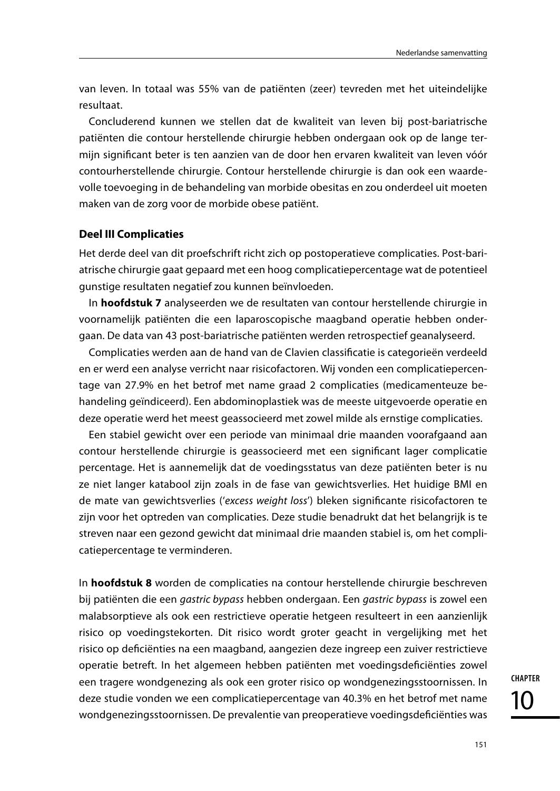van leven. In totaal was 55% van de patiënten (zeer) tevreden met het uiteindelijke resultaat.

Concluderend kunnen we stellen dat de kwaliteit van leven bij post-bariatrische patiënten die contour herstellende chirurgie hebben ondergaan ook op de lange termijn significant beter is ten aanzien van de door hen ervaren kwaliteit van leven vóór contourherstellende chirurgie. Contour herstellende chirurgie is dan ook een waardevolle toevoeging in de behandeling van morbide obesitas en zou onderdeel uit moeten maken van de zorg voor de morbide obese patiënt.

#### **Deel III Complicaties**

Het derde deel van dit proefschrift richt zich op postoperatieve complicaties. Post-bariatrische chirurgie gaat gepaard met een hoog complicatiepercentage wat de potentieel gunstige resultaten negatief zou kunnen beïnvloeden.

In **hoofdstuk 7** analyseerden we de resultaten van contour herstellende chirurgie in voornamelijk patiënten die een laparoscopische maagband operatie hebben ondergaan. De data van 43 post-bariatrische patiënten werden retrospectief geanalyseerd.

Complicaties werden aan de hand van de Clavien classificatie is categorieën verdeeld en er werd een analyse verricht naar risicofactoren. Wij vonden een complicatiepercentage van 27.9% en het betrof met name graad 2 complicaties (medicamenteuze behandeling geïndiceerd). Een abdominoplastiek was de meeste uitgevoerde operatie en deze operatie werd het meest geassocieerd met zowel milde als ernstige complicaties.

Een stabiel gewicht over een periode van minimaal drie maanden voorafgaand aan contour herstellende chirurgie is geassocieerd met een significant lager complicatie percentage. Het is aannemelijk dat de voedingsstatus van deze patiënten beter is nu ze niet langer katabool zijn zoals in de fase van gewichtsverlies. Het huidige BMI en de mate van gewichtsverlies ('*excess weight loss*') bleken significante risicofactoren te zijn voor het optreden van complicaties. Deze studie benadrukt dat het belangrijk is te streven naar een gezond gewicht dat minimaal drie maanden stabiel is, om het complicatiepercentage te verminderen.

In **hoofdstuk 8** worden de complicaties na contour herstellende chirurgie beschreven bij patiënten die een *gastric bypass* hebben ondergaan. Een *gastric bypass* is zowel een malabsorptieve als ook een restrictieve operatie hetgeen resulteert in een aanzienlijk risico op voedingstekorten. Dit risico wordt groter geacht in vergelijking met het risico op deficiënties na een maagband, aangezien deze ingreep een zuiver restrictieve operatie betreft. In het algemeen hebben patiënten met voedingsdeficiënties zowel een tragere wondgenezing als ook een groter risico op wondgenezingsstoornissen. In deze studie vonden we een complicatiepercentage van 40.3% en het betrof met name wondgenezingsstoornissen. De prevalentie van preoperatieve voedingsdeficiënties was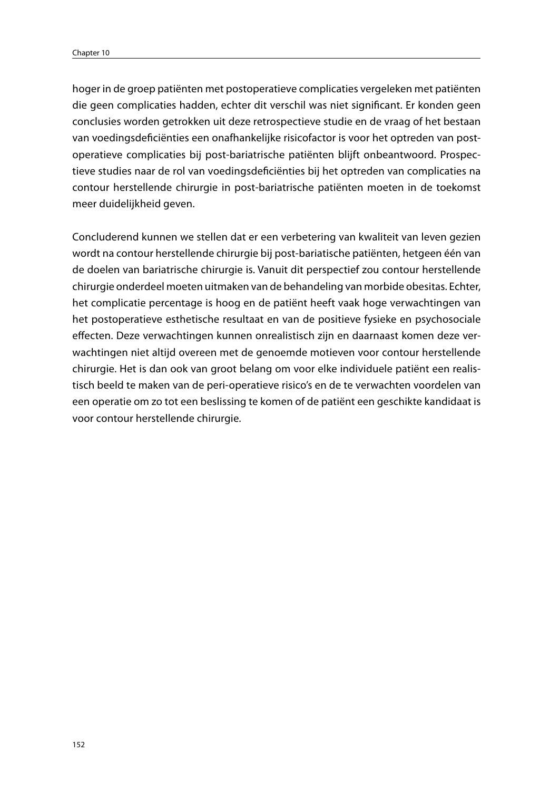hoger in de groep patiënten met postoperatieve complicaties vergeleken met patiënten die geen complicaties hadden, echter dit verschil was niet significant. Er konden geen conclusies worden getrokken uit deze retrospectieve studie en de vraag of het bestaan van voedingsdeficiënties een onafhankelijke risicofactor is voor het optreden van postoperatieve complicaties bij post-bariatrische patiënten blijft onbeantwoord. Prospectieve studies naar de rol van voedingsdeficiënties bij het optreden van complicaties na contour herstellende chirurgie in post-bariatrische patiënten moeten in de toekomst meer duidelijkheid geven.

Concluderend kunnen we stellen dat er een verbetering van kwaliteit van leven gezien wordt na contour herstellende chirurgie bij post-bariatische patiënten, hetgeen één van de doelen van bariatrische chirurgie is. Vanuit dit perspectief zou contour herstellende chirurgie onderdeel moeten uitmaken van de behandeling van morbide obesitas. Echter, het complicatie percentage is hoog en de patiënt heeft vaak hoge verwachtingen van het postoperatieve esthetische resultaat en van de positieve fysieke en psychosociale effecten. Deze verwachtingen kunnen onrealistisch zijn en daarnaast komen deze verwachtingen niet altijd overeen met de genoemde motieven voor contour herstellende chirurgie. Het is dan ook van groot belang om voor elke individuele patiënt een realistisch beeld te maken van de peri-operatieve risico's en de te verwachten voordelen van een operatie om zo tot een beslissing te komen of de patiënt een geschikte kandidaat is voor contour herstellende chirurgie.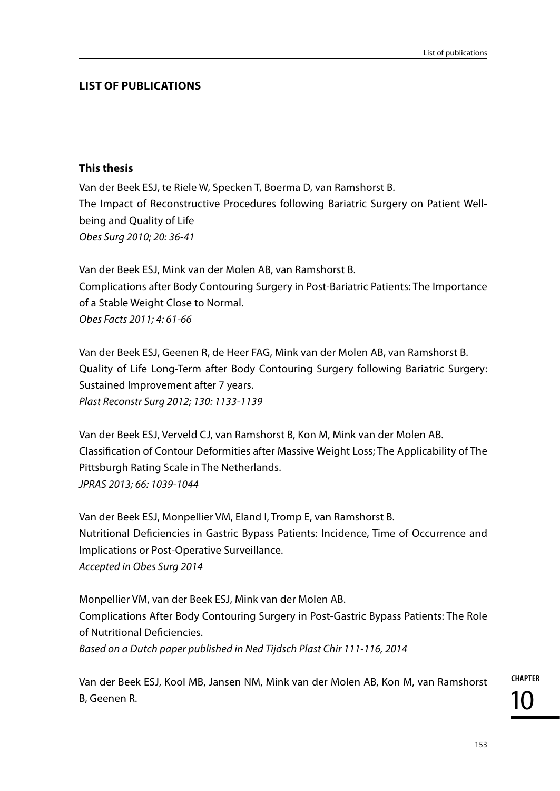# **List of publications**

# **This thesis**

Van der Beek ESJ, te Riele W, Specken T, Boerma D, van Ramshorst B. The Impact of Reconstructive Procedures following Bariatric Surgery on Patient Wellbeing and Quality of Life *Obes Surg 2010; 20: 36-41*

Van der Beek ESJ, Mink van der Molen AB, van Ramshorst B. Complications after Body Contouring Surgery in Post-Bariatric Patients: The Importance of a Stable Weight Close to Normal. *Obes Facts 2011; 4: 61-66*

Van der Beek ESJ, Geenen R, de Heer FAG, Mink van der Molen AB, van Ramshorst B. Quality of Life Long-Term after Body Contouring Surgery following Bariatric Surgery: Sustained Improvement after 7 years. *Plast Reconstr Surg 2012; 130: 1133-1139*

Van der Beek ESJ, Verveld CJ, van Ramshorst B, Kon M, Mink van der Molen AB. Classification of Contour Deformities after Massive Weight Loss; The Applicability of The Pittsburgh Rating Scale in The Netherlands. *JPRAS 2013; 66: 1039-1044*

Van der Beek ESJ, Monpellier VM, Eland I, Tromp E, van Ramshorst B. Nutritional Deficiencies in Gastric Bypass Patients: Incidence, Time of Occurrence and Implications or Post-Operative Surveillance. *Accepted in Obes Surg 2014*

Monpellier VM, van der Beek ESJ, Mink van der Molen AB. Complications After Body Contouring Surgery in Post-Gastric Bypass Patients: The Role of Nutritional Deficiencies. *Based on a Dutch paper published in Ned Tijdsch Plast Chir 111-116, 2014*

Van der Beek ESJ, Kool MB, Jansen NM, Mink van der Molen AB, Kon M, van Ramshorst B, Geenen R.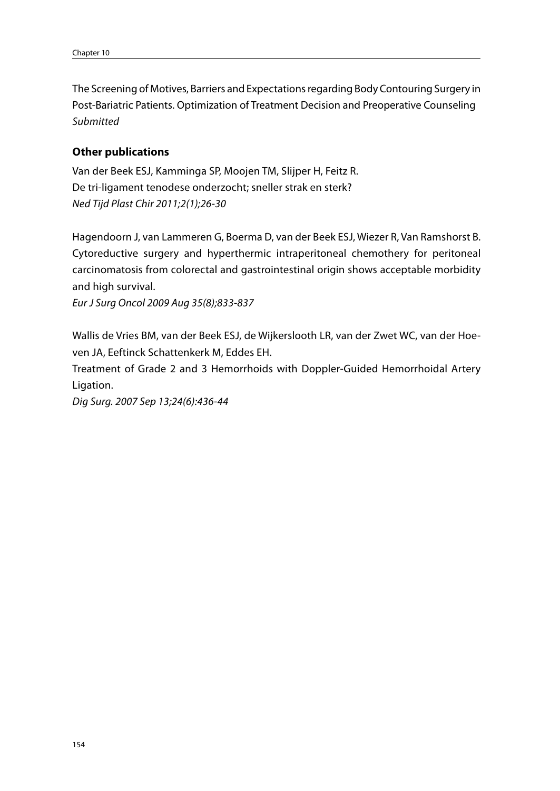The Screening of Motives, Barriers and Expectations regarding Body Contouring Surgery in Post-Bariatric Patients. Optimization of Treatment Decision and Preoperative Counseling *Submitted*

# **Other publications**

Van der Beek ESJ, Kamminga SP, Moojen TM, Slijper H, Feitz R. De tri-ligament tenodese onderzocht; sneller strak en sterk? *Ned Tijd Plast Chir 2011;2(1);26-30*

Hagendoorn J, van Lammeren G, Boerma D, van der Beek ESJ, Wiezer R, Van Ramshorst B. Cytoreductive surgery and hyperthermic intraperitoneal chemothery for peritoneal carcinomatosis from colorectal and gastrointestinal origin shows acceptable morbidity and high survival.

*Eur J Surg Oncol 2009 Aug 35(8);833-837*

Wallis de Vries BM, van der Beek ESJ, de Wijkerslooth LR, van der Zwet WC, van der Hoeven JA, Eeftinck Schattenkerk M, Eddes EH.

Treatment of Grade 2 and 3 Hemorrhoids with Doppler-Guided Hemorrhoidal Artery Ligation.

*Dig Surg. 2007 Sep 13;24(6):436-44*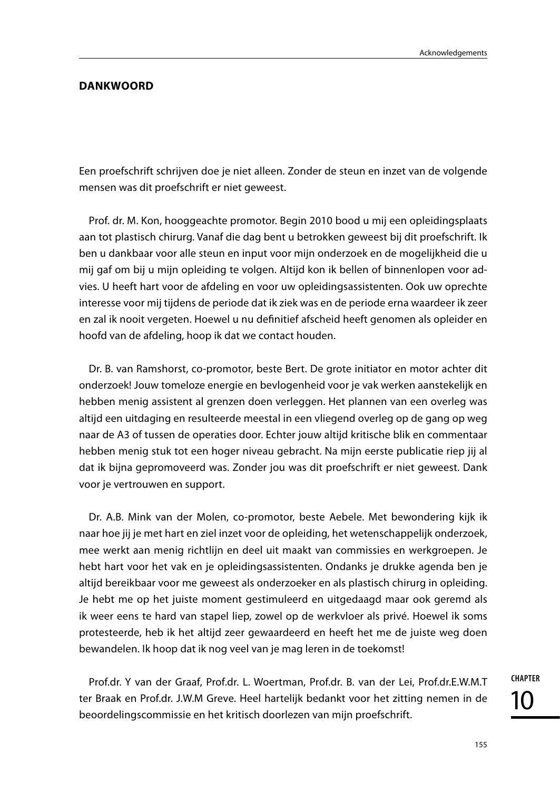### **Dankwoord**

Een proefschrift schrijven doe je niet alleen. Zonder de steun en inzet van de volgende mensen was dit proefschrift er niet geweest.

Prof. dr. M. Kon, hooggeachte promotor. Begin 2010 bood u mij een opleidingsplaats aan tot plastisch chirurg. Vanaf die dag bent u betrokken geweest bij dit proefschrift. Ik ben u dankbaar voor alle steun en input voor mijn onderzoek en de mogelijkheid die u mij gaf om bij u mijn opleiding te volgen. Altijd kon ik bellen of binnenlopen voor advies. U heeft hart voor de afdeling en voor uw opleidingsassistenten. Ook uw oprechte interesse voor mij tijdens de periode dat ik ziek was en de periode erna waardeer ik zeer en zal ik nooit vergeten. Hoewel u nu definitief afscheid heeft genomen als opleider en hoofd van de afdeling, hoop ik dat we contact houden.

Dr. B. van Ramshorst, co-promotor, beste Bert. De grote initiator en motor achter dit onderzoek! Jouw tomeloze energie en bevlogenheid voor je vak werken aanstekelijk en hebben menig assistent al grenzen doen verleggen. Het plannen van een overleg was altijd een uitdaging en resulteerde meestal in een vliegend overleg op de gang op weg naar de A3 of tussen de operaties door. Echter jouw altijd kritische blik en commentaar hebben menig stuk tot een hoger niveau gebracht. Na mijn eerste publicatie riep jij al dat ik bijna gepromoveerd was. Zonder jou was dit proefschrift er niet geweest. Dank voor je vertrouwen en support.

Dr. A.B. Mink van der Molen, co-promotor, beste Aebele. Met bewondering kijk ik naar hoe jij je met hart en ziel inzet voor de opleiding, het wetenschappelijk onderzoek, mee werkt aan menig richtlijn en deel uit maakt van commissies en werkgroepen. Je hebt hart voor het vak en je opleidingsassistenten. Ondanks je drukke agenda ben je altijd bereikbaar voor me geweest als onderzoeker en als plastisch chirurg in opleiding. Je hebt me op het juiste moment gestimuleerd en uitgedaagd maar ook geremd als ik weer eens te hard van stapel liep, zowel op de werkvloer als privé. Hoewel ik soms protesteerde, heb ik het altijd zeer gewaardeerd en heeft het me de juiste weg doen bewandelen. Ik hoop dat ik nog veel van je mag leren in de toekomst!

Prof.dr. Y van der Graaf, Prof.dr. L. Woertman, Prof.dr. B. van der Lei, Prof.dr.E.W.M.T ter Braak en Prof.dr. J.W.M Greve. Heel hartelijk bedankt voor het zitting nemen in de beoordelingscommissie en het kritisch doorlezen van mijn proefschrift.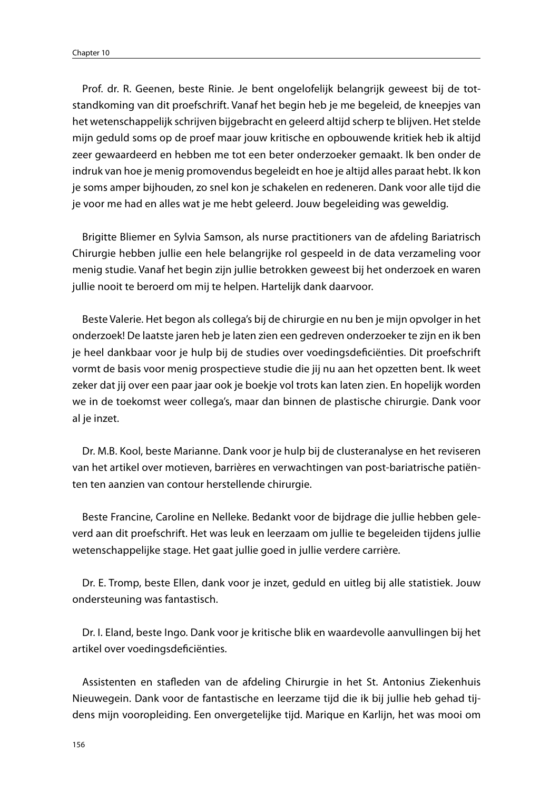Prof. dr. R. Geenen, beste Rinie. Je bent ongelofelijk belangrijk geweest bij de totstandkoming van dit proefschrift. Vanaf het begin heb je me begeleid, de kneepjes van het wetenschappelijk schrijven bijgebracht en geleerd altijd scherp te blijven. Het stelde mijn geduld soms op de proef maar jouw kritische en opbouwende kritiek heb ik altijd zeer gewaardeerd en hebben me tot een beter onderzoeker gemaakt. Ik ben onder de indruk van hoe je menig promovendus begeleidt en hoe je altijd alles paraat hebt. Ik kon je soms amper bijhouden, zo snel kon je schakelen en redeneren. Dank voor alle tijd die je voor me had en alles wat je me hebt geleerd. Jouw begeleiding was geweldig.

Brigitte Bliemer en Sylvia Samson, als nurse practitioners van de afdeling Bariatrisch Chirurgie hebben jullie een hele belangrijke rol gespeeld in de data verzameling voor menig studie. Vanaf het begin zijn jullie betrokken geweest bij het onderzoek en waren jullie nooit te beroerd om mij te helpen. Hartelijk dank daarvoor.

Beste Valerie. Het begon als collega's bij de chirurgie en nu ben je mijn opvolger in het onderzoek! De laatste jaren heb je laten zien een gedreven onderzoeker te zijn en ik ben je heel dankbaar voor je hulp bij de studies over voedingsdeficiënties. Dit proefschrift vormt de basis voor menig prospectieve studie die jij nu aan het opzetten bent. Ik weet zeker dat jij over een paar jaar ook je boekje vol trots kan laten zien. En hopelijk worden we in de toekomst weer collega's, maar dan binnen de plastische chirurgie. Dank voor al je inzet.

Dr. M.B. Kool, beste Marianne. Dank voor je hulp bij de clusteranalyse en het reviseren van het artikel over motieven, barrières en verwachtingen van post-bariatrische patiënten ten aanzien van contour herstellende chirurgie.

Beste Francine, Caroline en Nelleke. Bedankt voor de bijdrage die jullie hebben geleverd aan dit proefschrift. Het was leuk en leerzaam om jullie te begeleiden tijdens jullie wetenschappelijke stage. Het gaat jullie goed in jullie verdere carrière.

Dr. E. Tromp, beste Ellen, dank voor je inzet, geduld en uitleg bij alle statistiek. Jouw ondersteuning was fantastisch.

Dr. I. Eland, beste Ingo. Dank voor je kritische blik en waardevolle aanvullingen bij het artikel over voedingsdeficiënties.

Assistenten en stafleden van de afdeling Chirurgie in het St. Antonius Ziekenhuis Nieuwegein. Dank voor de fantastische en leerzame tijd die ik bij jullie heb gehad tijdens mijn vooropleiding. Een onvergetelijke tijd. Marique en Karlijn, het was mooi om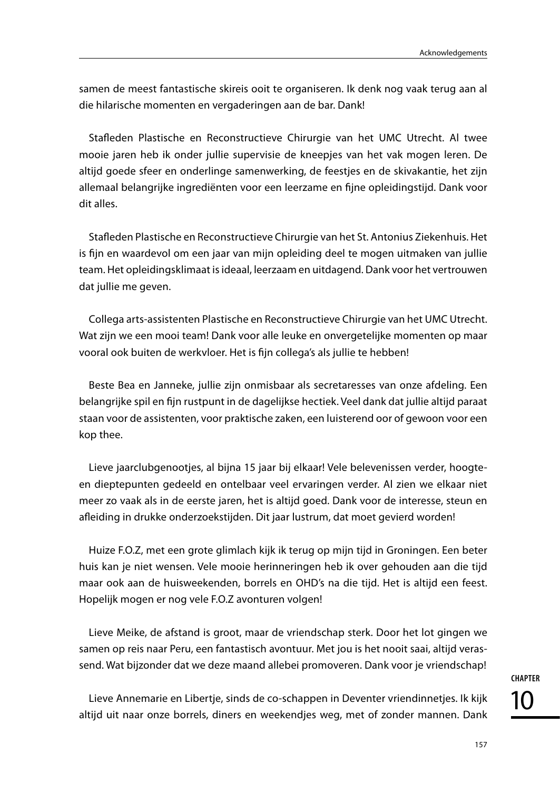samen de meest fantastische skireis ooit te organiseren. Ik denk nog vaak terug aan al die hilarische momenten en vergaderingen aan de bar. Dank!

Stafleden Plastische en Reconstructieve Chirurgie van het UMC Utrecht. Al twee mooie jaren heb ik onder jullie supervisie de kneepjes van het vak mogen leren. De altijd goede sfeer en onderlinge samenwerking, de feestjes en de skivakantie, het zijn allemaal belangrijke ingrediënten voor een leerzame en fijne opleidingstijd. Dank voor dit alles.

Stafleden Plastische en Reconstructieve Chirurgie van het St. Antonius Ziekenhuis. Het is fijn en waardevol om een jaar van mijn opleiding deel te mogen uitmaken van jullie team. Het opleidingsklimaat is ideaal, leerzaam en uitdagend. Dank voor het vertrouwen dat jullie me geven.

Collega arts-assistenten Plastische en Reconstructieve Chirurgie van het UMC Utrecht. Wat zijn we een mooi team! Dank voor alle leuke en onvergetelijke momenten op maar vooral ook buiten de werkvloer. Het is fijn collega's als jullie te hebben!

Beste Bea en Janneke, jullie zijn onmisbaar als secretaresses van onze afdeling. Een belangrijke spil en fijn rustpunt in de dagelijkse hectiek. Veel dank dat jullie altijd paraat staan voor de assistenten, voor praktische zaken, een luisterend oor of gewoon voor een kop thee.

Lieve jaarclubgenootjes, al bijna 15 jaar bij elkaar! Vele belevenissen verder, hoogteen dieptepunten gedeeld en ontelbaar veel ervaringen verder. Al zien we elkaar niet meer zo vaak als in de eerste jaren, het is altijd goed. Dank voor de interesse, steun en afleiding in drukke onderzoekstijden. Dit jaar lustrum, dat moet gevierd worden!

Huize F.O.Z, met een grote glimlach kijk ik terug op mijn tijd in Groningen. Een beter huis kan je niet wensen. Vele mooie herinneringen heb ik over gehouden aan die tijd maar ook aan de huisweekenden, borrels en OHD's na die tijd. Het is altijd een feest. Hopelijk mogen er nog vele F.O.Z avonturen volgen!

Lieve Meike, de afstand is groot, maar de vriendschap sterk. Door het lot gingen we samen op reis naar Peru, een fantastisch avontuur. Met jou is het nooit saai, altijd verassend. Wat bijzonder dat we deze maand allebei promoveren. Dank voor je vriendschap!

Lieve Annemarie en Libertje, sinds de co-schappen in Deventer vriendinnetjes. Ik kijk altijd uit naar onze borrels, diners en weekendjes weg, met of zonder mannen. Dank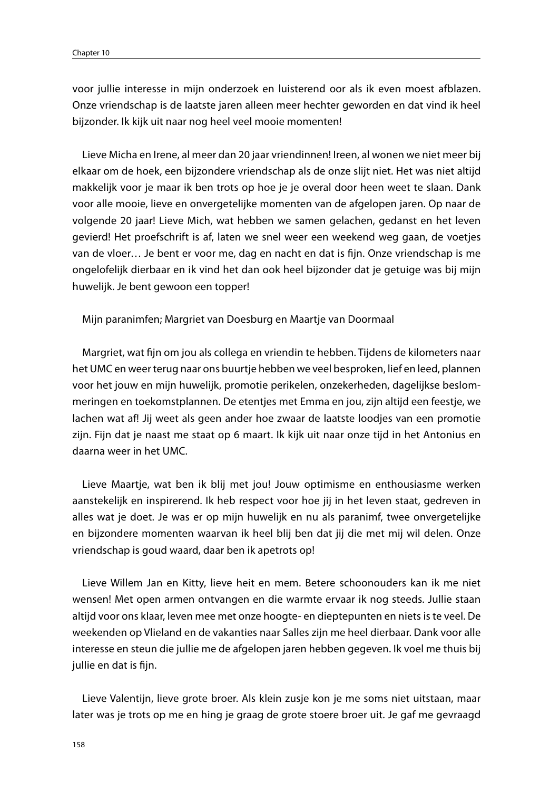voor jullie interesse in mijn onderzoek en luisterend oor als ik even moest afblazen. Onze vriendschap is de laatste jaren alleen meer hechter geworden en dat vind ik heel bijzonder. Ik kijk uit naar nog heel veel mooie momenten!

Lieve Micha en Irene, al meer dan 20 jaar vriendinnen! Ireen, al wonen we niet meer bij elkaar om de hoek, een bijzondere vriendschap als de onze slijt niet. Het was niet altijd makkelijk voor je maar ik ben trots op hoe je je overal door heen weet te slaan. Dank voor alle mooie, lieve en onvergetelijke momenten van de afgelopen jaren. Op naar de volgende 20 jaar! Lieve Mich, wat hebben we samen gelachen, gedanst en het leven gevierd! Het proefschrift is af, laten we snel weer een weekend weg gaan, de voetjes van de vloer… Je bent er voor me, dag en nacht en dat is fijn. Onze vriendschap is me ongelofelijk dierbaar en ik vind het dan ook heel bijzonder dat je getuige was bij mijn huwelijk. Je bent gewoon een topper!

Mijn paranimfen; Margriet van Doesburg en Maartje van Doormaal

Margriet, wat fijn om jou als collega en vriendin te hebben. Tijdens de kilometers naar het UMC en weer terug naar ons buurtje hebben we veel besproken, lief en leed, plannen voor het jouw en mijn huwelijk, promotie perikelen, onzekerheden, dagelijkse beslommeringen en toekomstplannen. De etentjes met Emma en jou, zijn altijd een feestje, we lachen wat af! Jij weet als geen ander hoe zwaar de laatste loodjes van een promotie zijn. Fijn dat je naast me staat op 6 maart. Ik kijk uit naar onze tijd in het Antonius en daarna weer in het UMC.

Lieve Maartje, wat ben ik blij met jou! Jouw optimisme en enthousiasme werken aanstekelijk en inspirerend. Ik heb respect voor hoe jij in het leven staat, gedreven in alles wat je doet. Je was er op mijn huwelijk en nu als paranimf, twee onvergetelijke en bijzondere momenten waarvan ik heel blij ben dat jij die met mij wil delen. Onze vriendschap is goud waard, daar ben ik apetrots op!

Lieve Willem Jan en Kitty, lieve heit en mem. Betere schoonouders kan ik me niet wensen! Met open armen ontvangen en die warmte ervaar ik nog steeds. Jullie staan altijd voor ons klaar, leven mee met onze hoogte- en dieptepunten en niets is te veel. De weekenden op Vlieland en de vakanties naar Salles zijn me heel dierbaar. Dank voor alle interesse en steun die jullie me de afgelopen jaren hebben gegeven. Ik voel me thuis bij jullie en dat is fijn.

Lieve Valentijn, lieve grote broer. Als klein zusje kon je me soms niet uitstaan, maar later was je trots op me en hing je graag de grote stoere broer uit. Je gaf me gevraagd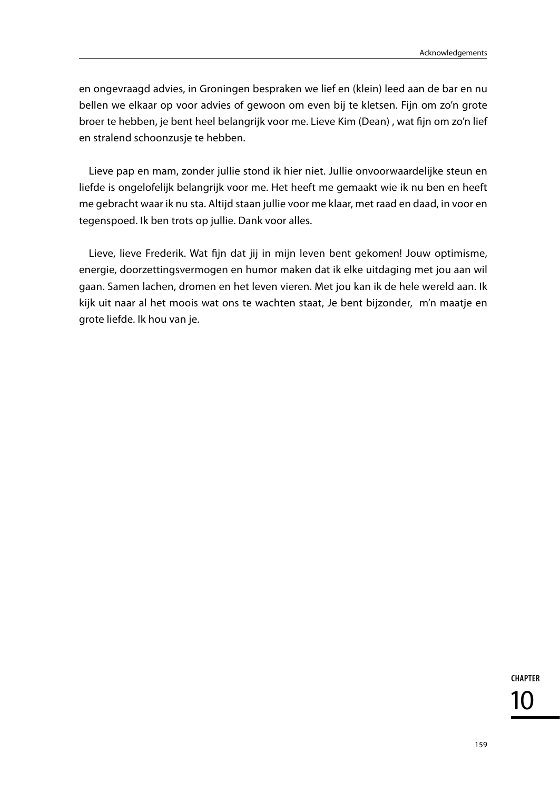en ongevraagd advies, in Groningen bespraken we lief en (klein) leed aan de bar en nu bellen we elkaar op voor advies of gewoon om even bij te kletsen. Fijn om zo'n grote broer te hebben, je bent heel belangrijk voor me. Lieve Kim (Dean) , wat fijn om zo'n lief en stralend schoonzusje te hebben.

Lieve pap en mam, zonder jullie stond ik hier niet. Jullie onvoorwaardelijke steun en liefde is ongelofelijk belangrijk voor me. Het heeft me gemaakt wie ik nu ben en heeft me gebracht waar ik nu sta. Altijd staan jullie voor me klaar, met raad en daad, in voor en tegenspoed. Ik ben trots op jullie. Dank voor alles.

Lieve, lieve Frederik. Wat fijn dat jij in mijn leven bent gekomen! Jouw optimisme, energie, doorzettingsvermogen en humor maken dat ik elke uitdaging met jou aan wil gaan. Samen lachen, dromen en het leven vieren. Met jou kan ik de hele wereld aan. Ik kijk uit naar al het moois wat ons te wachten staat, Je bent bijzonder, m'n maatje en grote liefde. Ik hou van je.